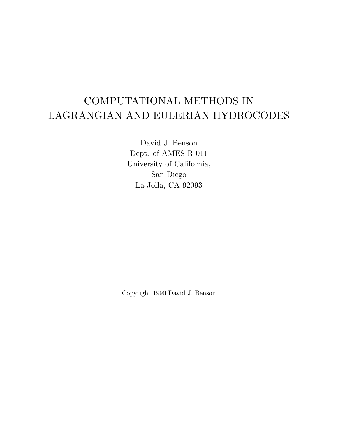# COMPUTATIONAL METHODS IN LAGRANGIAN AND EULERIAN HYDROCODES

David J. Benson Dept. of AMES R-011 University of California, San Diego La Jolla, CA 92093

Copyright 1990 David J. Benson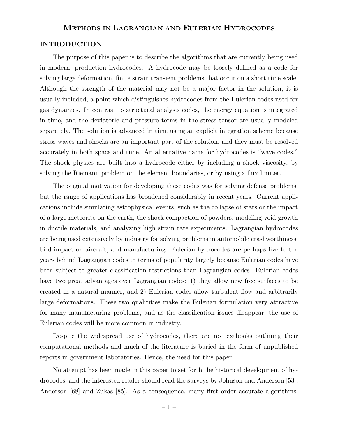#### **INTRODUCTION**

The purpose of this paper is to describe the algorithms that are currently being used in modern, production hydrocodes. A hydrocode may be loosely defined as a code for solving large deformation, finite strain transient problems that occur on a short time scale. Although the strength of the material may not be a major factor in the solution, it is usually included, a point which distinguishes hydrocodes from the Eulerian codes used for gas dynamics. In contrast to structural analysis codes, the energy equation is integrated in time, and the deviatoric and pressure terms in the stress tensor are usually modeled separately. The solution is advanced in time using an explicit integration scheme because stress waves and shocks are an important part of the solution, and they must be resolved accurately in both space and time. An alternative name for hydrocodes is "wave codes." The shock physics are built into a hydrocode either by including a shock viscosity, by solving the Riemann problem on the element boundaries, or by using a flux limiter.

The original motivation for developing these codes was for solving defense problems, but the range of applications has broadened considerably in recent years. Current applications include simulating astrophysical events, such as the collapse of stars or the impact of a large meteorite on the earth, the shock compaction of powders, modeling void growth in ductile materials, and analyzing high strain rate experiments. Lagrangian hydrocodes are being used extensively by industry for solving problems in automobile crashworthiness, bird impact on aircraft, and manufacturing. Eulerian hydrocodes are perhaps five to ten years behind Lagrangian codes in terms of popularity largely because Eulerian codes have been subject to greater classification restrictions than Lagrangian codes. Eulerian codes have two great advantages over Lagrangian codes: 1) they allow new free surfaces to be created in a natural manner, and 2) Eulerian codes allow turbulent flow and arbitrarily large deformations. These two qualitities make the Eulerian formulation very attractive for many manufacturing problems, and as the classification issues disappear, the use of Eulerian codes will be more common in industry.

Despite the widespread use of hydrocodes, there are no textbooks outlining their computational methods and much of the literature is buried in the form of unpublished reports in government laboratories. Hence, the need for this paper.

No attempt has been made in this paper to set forth the historical development of hydrocodes, and the interested reader should read the surveys by Johnson and Anderson [53], Anderson [68] and Zukas [85]. As a consequence, many first order accurate algorithms,

–1–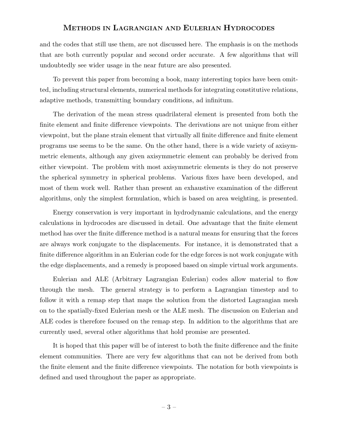and the codes that still use them, are not discussed here. The emphasis is on the methods that are both currently popular and second order accurate. A few algorithms that will undoubtedly see wider usage in the near future are also presented.

To prevent this paper from becoming a book, many interesting topics have been omitted, including structural elements, numerical methods for integrating constitutive relations, adaptive methods, transmitting boundary conditions, ad infinitum.

The derivation of the mean stress quadrilateral element is presented from both the finite element and finite difference viewpoints. The derivations are not unique from either viewpoint, but the plane strain element that virtually all finite difference and finite element programs use seems to be the same. On the other hand, there is a wide variety of axisymmetric elements, although any given axisymmetric element can probably be derived from either viewpoint. The problem with most axisymmetric elements is they do not preserve the spherical symmetry in spherical problems. Various fixes have been developed, and most of them work well. Rather than present an exhaustive examination of the different algorithms, only the simplest formulation, which is based on area weighting, is presented.

Energy conservation is very important in hydrodynamic calculations, and the energy calculations in hydrocodes are discussed in detail. One advantage that the finite element method has over the finite difference method is a natural means for ensuring that the forces are always work conjugate to the displacements. For instance, it is demonstrated that a finite difference algorithm in an Eulerian code for the edge forces is not work conjugate with the edge displacements, and a remedy is proposed based on simple virtual work arguments.

Eulerian and ALE (Arbitrary Lagrangian Eulerian) codes allow material to flow through the mesh. The general strategy is to perform a Lagrangian timestep and to follow it with a remap step that maps the solution from the distorted Lagrangian mesh on to the spatially-fixed Eulerian mesh or the ALE mesh. The discussion on Eulerian and ALE codes is therefore focused on the remap step. In addition to the algorithms that are currently used, several other algorithms that hold promise are presented.

It is hoped that this paper will be of interest to both the finite difference and the finite element communities. There are very few algorithms that can not be derived from both the finite element and the finite difference viewpoints. The notation for both viewpoints is defined and used throughout the paper as appropriate.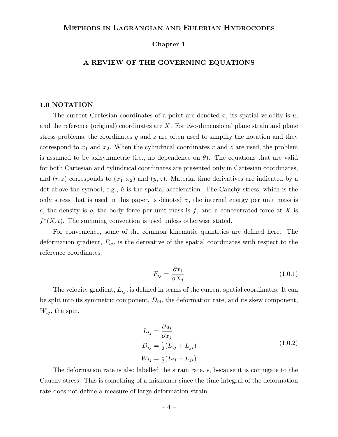#### **Chapter 1**

#### **A REVIEW OF THE GOVERNING EQUATIONS**

#### **1.0 NOTATION**

The current Cartesian coordinates of a point are denoted x, its spatial velocity is  $u$ , and the reference (original) coordinates are  $X$ . For two-dimensional plane strain and plane stress problems, the coordinates  $y$  and  $z$  are often used to simplify the notation and they correspond to  $x_1$  and  $x_2$ . When the cylindrical coordinates r and z are used, the problem is assumed to be axisymmetric (i.e., no dependence on  $\theta$ ). The equations that are valid for both Cartesian and cylindrical coordinates are presented only in Cartesian coordinates, and  $(r, z)$  corresponds to  $(x_1, x_2)$  and  $(y, z)$ . Material time derivatives are indicated by a dot above the symbol, e.g.,  $\dot{u}$  is the spatial acceleration. The Cauchy stress, which is the only stress that is used in this paper, is denoted  $\sigma$ , the internal energy per unit mass is e, the density is  $\rho$ , the body force per unit mass is f, and a concentrated force at X is  $f^*(X,t)$ . The summing convention is used unless otherwise stated.

For convenience, some of the common kinematic quantities are defined here. The deformation gradient,  $F_{ij}$ , is the derivative of the spatial coordinates with respect to the reference coordinates.

$$
F_{ij} = \frac{\partial x_i}{\partial X_j} \tag{1.0.1}
$$

The velocity gradient,  $L_{ij}$ , is defined in terms of the current spatial coordinates. It can be split into its symmetric component,  $D_{ij}$ , the deformation rate, and its skew component,  $W_{ij}$ , the spin.

$$
L_{ij} = \frac{\partial u_i}{\partial x_j}
$$
  
\n
$$
D_{ij} = \frac{1}{2}(L_{ij} + L_{ji})
$$
  
\n
$$
W_{ij} = \frac{1}{2}(L_{ij} - L_{ji})
$$
\n(1.0.2)

The deformation rate is also labelled the strain rate,  $\dot{\epsilon}$ , because it is conjugate to the Cauchy stress. This is something of a misnomer since the time integral of the deformation rate does not define a measure of large deformation strain.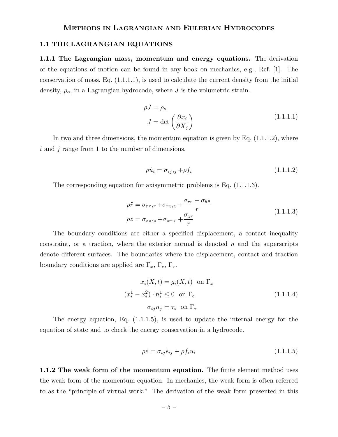#### **1.1 THE LAGRANGIAN EQUATIONS**

**1.1.1 The Lagrangian mass, momentum and energy equations.** The derivation of the equations of motion can be found in any book on mechanics, e.g., Ref. [1]. The conservation of mass, Eq.  $(1.1.1.1)$ , is used to calculate the current density from the initial density,  $\rho_o$ , in a Lagrangian hydrocode, where J is the volumetric strain.

$$
\rho J = \rho_o
$$
  
\n
$$
J = \det \left( \frac{\partial x_i}{\partial X_j} \right)
$$
\n(1.1.1.1)

In two and three dimensions, the momentum equation is given by Eq.  $(1.1.1.2)$ , where  $i$  and  $j$  range from 1 to the number of dimensions.

$$
\rho \dot{u}_i = \sigma_{ij,j} + \rho f_i \tag{1.1.1.2}
$$

The corresponding equation for axisymmetric problems is Eq.  $(1.1.1.3)$ .

$$
\rho \ddot{r} = \sigma_{rr,r} + \sigma_{rz,z} + \frac{\sigma_{rr} - \sigma_{\theta\theta}}{r}
$$
\n
$$
\rho \ddot{z} = \sigma_{zz,z} + \sigma_{zrr,r} + \frac{\sigma_{zr}}{r}
$$
\n(1.1.1.3)

The boundary conditions are either a specified displacement, a contact inequality constraint, or a traction, where the exterior normal is denoted  $n$  and the superscripts denote different surfaces. The boundaries where the displacement, contact and traction boundary conditions are applied are  $\Gamma_x$ ,  $\Gamma_c$ ,  $\Gamma_{\tau}$ .

$$
x_i(X,t) = g_i(X,t) \text{ on } \Gamma_x
$$
  

$$
(x_i^1 - x_i^2) \cdot n_i^1 \le 0 \text{ on } \Gamma_c
$$
  

$$
\sigma_{ij} n_j = \tau_i \text{ on } \Gamma_\tau
$$
  
(1.1.1.4)

The energy equation, Eq.  $(1.1.1.5)$ , is used to update the internal energy for the equation of state and to check the energy conservation in a hydrocode.

$$
\rho \dot{e} = \sigma_{ij} \dot{\epsilon}_{ij} + \rho f_i u_i \tag{1.1.1.5}
$$

**1.1.2 The weak form of the momentum equation.** The finite element method uses the weak form of the momentum equation. In mechanics, the weak form is often referred to as the "principle of virtual work." The derivation of the weak form presented in this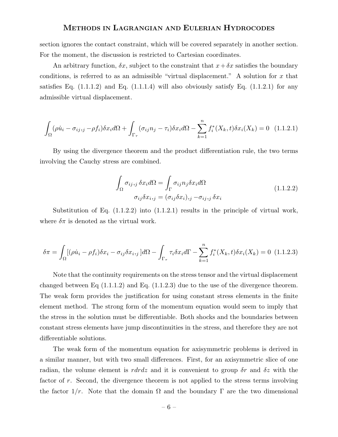section ignores the contact constraint, which will be covered separately in another section. For the moment, the discussion is restricted to Cartesian coordinates.

An arbitrary function,  $\delta x$ , subject to the constraint that  $x+\delta x$  satisfies the boundary conditions, is referred to as an admissible "virtual displacement." A solution for  $x$  that satisfies Eq.  $(1.1.1.2)$  and Eq.  $(1.1.1.4)$  will also obviously satisfy Eq.  $(1.1.2.1)$  for any admissible virtual displacement.

$$
\int_{\Omega} (\rho \dot{u}_i - \sigma_{ij,j} - \rho f_i) \delta x_i d\Omega + \int_{\Gamma_{\tau}} (\sigma_{ij} n_j - \tau_i) \delta x_i d\Omega - \sum_{k=1}^n f_i^*(X_k, t) \delta x_i(X_k) = 0 \quad (1.1.2.1)
$$

By using the divergence theorem and the product differentiation rule, the two terms involving the Cauchy stress are combined.

$$
\int_{\Omega} \sigma_{ij,j} \, \delta x_i d\Omega = \int_{\Gamma} \sigma_{ij} n_j \delta x_i d\Omega
$$
\n
$$
\sigma_{ij} \delta x_{i,j} = (\sigma_{ij} \delta x_i)_{,j} - \sigma_{ij,j} \, \delta x_i
$$
\n(1.1.2.2)

Substitution of Eq.  $(1.1.2.2)$  into  $(1.1.2.1)$  results in the principle of virtual work, where  $\delta \pi$  is denoted as the virtual work.

$$
\delta \pi = \int_{\Omega} [(\rho \dot{u}_i - \rho f_i) \delta x_i - \sigma_{ij} \delta x_i, j] d\Omega - \int_{\Gamma_{\tau}} \tau_i \delta x_i d\Gamma - \sum_{k=1}^n f_i^*(X_k, t) \delta x_i(X_k) = 0 \tag{1.1.2.3}
$$

Note that the continuity requirements on the stress tensor and the virtual displacement changed between Eq  $(1.1.1.2)$  and Eq.  $(1.1.2.3)$  due to the use of the divergence theorem. The weak form provides the justification for using constant stress elements in the finite element method. The strong form of the momentum equation would seem to imply that the stress in the solution must be differentiable. Both shocks and the boundaries between constant stress elements have jump discontinuities in the stress, and therefore they are not differentiable solutions.

The weak form of the momentum equation for axisymmetric problems is derived in a similar manner, but with two small differences. First, for an axisymmetric slice of one radian, the volume element is rdrdz and it is convenient to group  $\delta r$  and  $\delta z$  with the factor of r. Second, the divergence theorem is not applied to the stress terms involving the factor  $1/r$ . Note that the domain  $\Omega$  and the boundary  $\Gamma$  are the two dimensional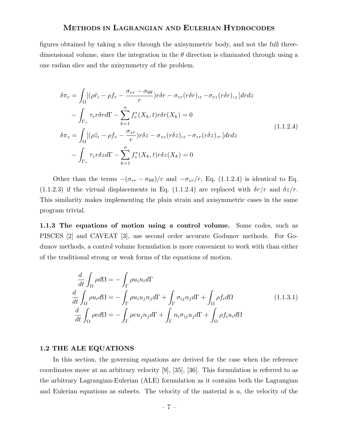figures obtained by taking a slice through the axisymmetric body, and not the full threedimensional volume, since the integration in the  $\theta$  direction is eliminated through using a one radian slice and the axisymmetry of the problem.

$$
\delta \pi_r = \int_{\Omega} [(\rho \ddot{r}_i - \rho f_r - \frac{\sigma_{rr} - \sigma_{\theta \theta}}{r}) r \delta r - \sigma_{rr} (r \delta r)_{,r} - \sigma_{rz} (r \delta r)_{,z}] dr dz \n- \int_{\Gamma_{\tau}} \tau_r r \delta r d\Gamma - \sum_{k=1}^n f_r^*(X_k, t) r \delta r(X_k) = 0 \n\delta \pi_z = \int_{\Omega} [(\rho \ddot{z}_i - \rho f_z - \frac{\sigma_{zr}}{r}) r \delta z - \sigma_{zz} (r \delta z)_{,z} - \sigma_{zr} (r \delta z)_{,r}] dr dz \n- \int_{\Gamma_{\tau}} \tau_z r \delta z d\Gamma - \sum_{k=1}^n f_z^*(X_k, t) r \delta z(X_k) = 0
$$
\n(1.1.2.4)

Other than the terms  $-(\sigma_{rr} - \sigma_{\theta\theta})/r$  and  $-\sigma_{zr}/r$ , Eq. (1.1.2.4) is identical to Eq. (1.1.2.3) if the virtual displacements in Eq. (1.1.2.4) are replaced with  $\delta r/r$  and  $\delta z/r$ . This similarity makes implementing the plain strain and axisymmetric cases in the same program trivial.

**1.1.3 The equations of motion using a control volume.** Some codes, such as PISCES [2] and CAVEAT [3], use second order accurate Godunov methods. For Godunov methods, a control volume formulation is more convenient to work with than either of the traditional strong or weak forms of the equations of motion.

$$
\frac{d}{dt} \int_{\Omega} \rho d\Omega = -\int_{\Gamma} \rho u_i n_i d\Gamma
$$
\n
$$
\frac{d}{dt} \int_{\Omega} \rho u_i d\Omega = -\int_{\Gamma} \rho u_i u_j n_j d\Gamma + \int_{\Gamma} \sigma_{ij} n_j d\Gamma + \int_{\Omega} \rho f_i d\Omega
$$
\n
$$
\frac{d}{dt} \int_{\Omega} \rho e d\Omega = -\int_{\Gamma} \rho e u_j n_j d\Gamma + \int_{\Gamma} n_i \sigma_{ij} u_j d\Gamma + \int_{\Omega} \rho f_i u_i d\Omega
$$
\n(1.1.3.1)

#### **1.2 THE ALE EQUATIONS**

In this section, the governing equations are derived for the case when the reference coordinates move at an arbitrary velocity [9], [35], [36]. This formulation is referred to as the arbitrary Lagrangian-Eulerian (ALE) formulation as it contains both the Lagrangian and Eulerian equations as subsets. The velocity of the material is  $u$ , the velocity of the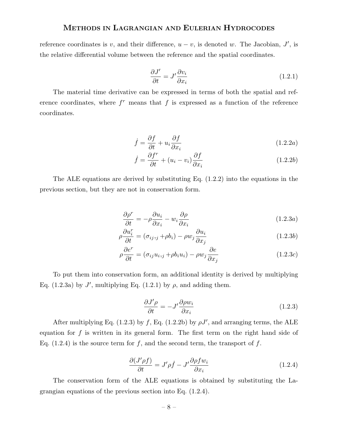reference coordinates is v, and their difference,  $u - v$ , is denoted w. The Jacobian, J', is the relative differential volume between the reference and the spatial coordinates.

$$
\frac{\partial J'}{\partial t} = J' \frac{\partial v_i}{\partial x_i} \tag{1.2.1}
$$

The material time derivative can be expressed in terms of both the spatial and reference coordinates, where  $f<sup>r</sup>$  means that f is expressed as a function of the reference coordinates.

$$
\dot{f} = \frac{\partial f}{\partial t} + u_i \frac{\partial f}{\partial x_i} \tag{1.2.2a}
$$

$$
\dot{f} = \frac{\partial f^r}{\partial t} + (u_i - v_i) \frac{\partial f}{\partial x_i}
$$
\n(1.2.2b)

The ALE equations are derived by substituting Eq. (1.2.2) into the equations in the previous section, but they are not in conservation form.

$$
\frac{\partial \rho^r}{\partial t} = -\rho \frac{\partial u_i}{\partial x_i} - w_i \frac{\partial \rho}{\partial x_i}
$$
\n(1.2.3a)

$$
\rho \frac{\partial u_i^r}{\partial t} = (\sigma_{ij}, j + \rho b_i) - \rho w_j \frac{\partial u_i}{\partial x_j}
$$
\n(1.2.3b)

$$
\rho \frac{\partial e^r}{\partial t} = (\sigma_{ij} u_{i,j} + \rho b_i u_i) - \rho w_j \frac{\partial e}{\partial x_j}
$$
\n(1.2.3c)

To put them into conservation form, an additional identity is derived by multiplying Eq. (1.2.3a) by J', multiplying Eq. (1.2.1) by  $\rho$ , and adding them.

$$
\frac{\partial J'\rho}{\partial t} = -J'\frac{\partial \rho w_i}{\partial x_i} \tag{1.2.3}
$$

After multiplying Eq. (1.2.3) by f, Eq. (1.2.2b) by  $\rho J'$ , and arranging terms, the ALE equation for  $f$  is written in its general form. The first term on the right hand side of Eq.  $(1.2.4)$  is the source term for f, and the second term, the transport of f.

$$
\frac{\partial (J'\rho f)}{\partial t} = J'\rho \dot{f} - J'\frac{\partial \rho f w_i}{\partial x_i} \tag{1.2.4}
$$

The conservation form of the ALE equations is obtained by substituting the Lagrangian equations of the previous section into Eq. (1.2.4).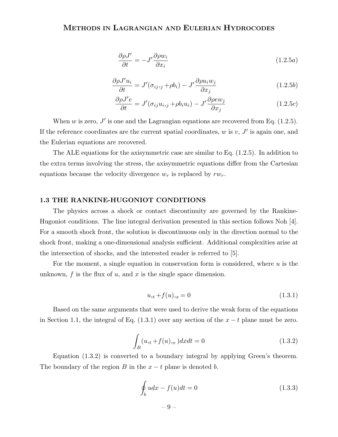$$
\frac{\partial \rho J'}{\partial t} = -J' \frac{\partial \rho w_i}{\partial x_i} \tag{1.2.5a}
$$

$$
\frac{\partial \rho J' u_i}{\partial t} = J'(\sigma_{ij,j} + \rho b_i) - J' \frac{\partial \rho u_i w_j}{\partial x_j} \tag{1.2.5b}
$$

$$
\frac{\partial \rho J'e}{\partial t} = J'(\sigma_{ij}u_{i,j} + \rho b_i u_i) - J' \frac{\partial \rho e w_j}{\partial x_j}
$$
(1.2.5c)

When w is zero,  $J'$  is one and the Lagrangian equations are recovered from Eq. (1.2.5). If the reference coordinates are the current spatial coordinates,  $w$  is  $v, J'$  is again one, and the Eulerian equations are recovered.

The ALE equations for the axisymmetric case are similar to Eq. (1.2.5). In addition to the extra terms involving the stress, the axisymmetric equations differ from the Cartesian equations because the velocity divergence  $w_r$  is replaced by  $rw_r$ .

#### **1.3 THE RANKINE-HUGONIOT CONDITIONS**

The physics across a shock or contact discontinuity are governed by the Rankine-Hugoniot conditions. The line integral derivation presented in this section follows Noh [4]. For a smooth shock front, the solution is discontinuous only in the direction normal to the shock front, making a one-dimensional analysis sufficient. Additional complexities arise at the intersection of shocks, and the interested reader is referred to [5].

For the moment, a single equation in conservation form is considered, where  $u$  is the unknown,  $f$  is the flux of  $u$ , and  $x$  is the single space dimension.

$$
u_{,t} + f(u)_{,x} = 0 \tag{1.3.1}
$$

Based on the same arguments that were used to derive the weak form of the equations in Section 1.1, the integral of Eq.  $(1.3.1)$  over any section of the  $x - t$  plane must be zero.

$$
\int_{B} (u_{,t} + f(u)_{,x}) dx dt = 0
$$
\n(1.3.2)

Equation (1.3.2) is converted to a boundary integral by applying Green's theorem. The boundary of the region B in the  $x - t$  plane is denoted b.

$$
\oint_{b} udx - f(u)dt = 0
$$
\n(1.3.3)

–9–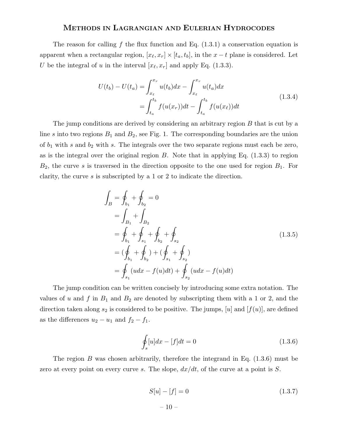The reason for calling f the flux function and Eq.  $(1.3.1)$  a conservation equation is apparent when a rectangular region,  $[x_{\ell}, x_r] \times [t_a, t_b]$ , in the  $x - t$  plane is considered. Let U be the integral of u in the interval  $[x_{\ell}, x_r]$  and apply Eq. (1.3.3).

$$
U(t_b) - U(t_a) = \int_{x_\ell}^{x_r} u(t_b) dx - \int_{x_\ell}^{x_r} u(t_a) dx
$$
  
= 
$$
\int_{t_a}^{t_b} f(u(x_r)) dt - \int_{t_a}^{t_b} f(u(x_\ell)) dt
$$
 (1.3.4)

The jump conditions are derived by considering an arbitrary region B that is cut by a line s into two regions  $B_1$  and  $B_2$ , see Fig. 1. The corresponding boundaries are the union of  $b_1$  with s and  $b_2$  with s. The integrals over the two separate regions must each be zero, as is the integral over the original region  $B$ . Note that in applying Eq.  $(1.3.3)$  to region  $B_2$ , the curve s is traversed in the direction opposite to the one used for region  $B_1$ . For clarity, the curve s is subscripted by a 1 or 2 to indicate the direction.

$$
\int_{B} = \oint_{b_1} + \oint_{b_2} = 0
$$
\n
$$
= \int_{B_1} + \int_{B_2}
$$
\n
$$
= \oint_{b_1} + \oint_{s_1} + \oint_{b_2} + \oint_{s_2}
$$
\n
$$
= (\oint_{b_1} + \oint_{b_2}) + (\oint_{s_1} + \oint_{s_2})
$$
\n
$$
= \oint_{s_1} (udx - f(u)dt) + \oint_{s_2} (udx - f(u)dt)
$$
\n(1.3.5)

The jump condition can be written concisely by introducing some extra notation. The values of u and f in  $B_1$  and  $B_2$  are denoted by subscripting them with a 1 or 2, and the direction taken along  $s_2$  is considered to be positive. The jumps, [u] and [f(u)], are defined as the differences  $u_2 - u_1$  and  $f_2 - f_1$ .

$$
\oint_{s}[u]dx - [f]dt = 0
$$
\n(1.3.6)

The region B was chosen arbitrarily, therefore the integrand in Eq.  $(1.3.6)$  must be zero at every point on every curve s. The slope,  $dx/dt$ , of the curve at a point is S.

$$
S[u] - [f] = 0 \tag{1.3.7}
$$

$$
-~10~-
$$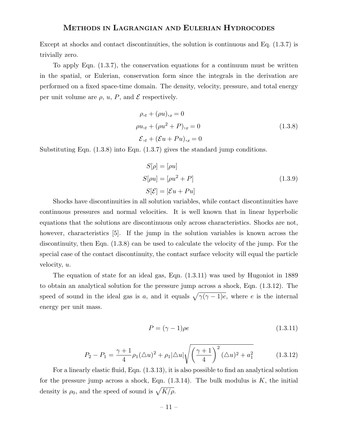Except at shocks and contact discontinuities, the solution is continuous and Eq. (1.3.7) is trivially zero.

To apply Eqn. (1.3.7), the conservation equations for a continuum must be written in the spatial, or Eulerian, conservation form since the integrals in the derivation are performed on a fixed space-time domain. The density, velocity, pressure, and total energy per unit volume are  $\rho$ ,  $u$ ,  $P$ , and  $\mathcal E$  respectively.

$$
\rho_{,t} + (\rho u)_{,x} = 0
$$
  
\n
$$
\rho u_{,t} + (\rho u^2 + P)_{,x} = 0
$$
  
\n
$$
\mathcal{E}_{,t} + (\mathcal{E}u + Pu)_{,x} = 0
$$
\n(1.3.8)

Substituting Eqn. (1.3.8) into Eqn. (1.3.7) gives the standard jump conditions.

$$
S[\rho] = [\rho u]
$$
  
\n
$$
S[\rho u] = [\rho u^2 + P]
$$
  
\n
$$
S[\mathcal{E}] = [\mathcal{E}u + Pu]
$$
\n(1.3.9)

Shocks have discontinuities in all solution variables, while contact discontinuities have continuous pressures and normal velocities. It is well known that in linear hyperbolic equations that the solutions are discontinuous only across characteristics. Shocks are not, however, characteristics [5]. If the jump in the solution variables is known across the discontinuity, then Eqn. (1.3.8) can be used to calculate the velocity of the jump. For the special case of the contact discontinuity, the contact surface velocity will equal the particle velocity, u.

The equation of state for an ideal gas, Eqn. (1.3.11) was used by Hugoniot in 1889 to obtain an analytical solution for the pressure jump across a shock, Eqn. (1.3.12). The speed of sound in the ideal gas is a, and it equals  $\sqrt{\gamma(\gamma-1)e}$ , where e is the internal energy per unit mass.

$$
P = (\gamma - 1)\rho e \tag{1.3.11}
$$

$$
P_2 - P_1 = \frac{\gamma + 1}{4} \rho_1 (\Delta u)^2 + \rho_1 |\Delta u| \sqrt{\left(\frac{\gamma + 1}{4}\right)^2 (\Delta u)^2 + a_1^2}
$$
(1.3.12)

For a linearly elastic fluid, Eqn. (1.3.13), it is also possible to find an analytical solution for the pressure jump across a shock, Eqn.  $(1.3.14)$ . The bulk modulus is K, the initial density is  $\rho_0$ , and the speed of sound is  $\sqrt{K/\rho}$ .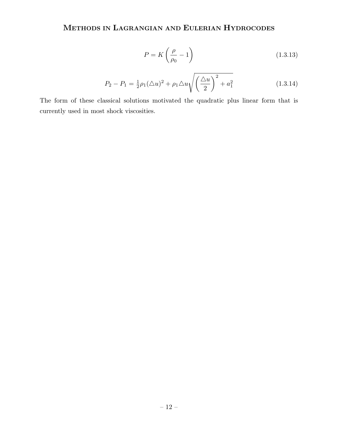$$
P = K\left(\frac{\rho}{\rho_0} - 1\right) \tag{1.3.13}
$$

$$
P_2 - P_1 = \frac{1}{2}\rho_1(\Delta u)^2 + \rho_1 \Delta u \sqrt{\left(\frac{\Delta u}{2}\right)^2 + a_1^2}
$$
 (1.3.14)

The form of these classical solutions motivated the quadratic plus linear form that is currently used in most shock viscosities.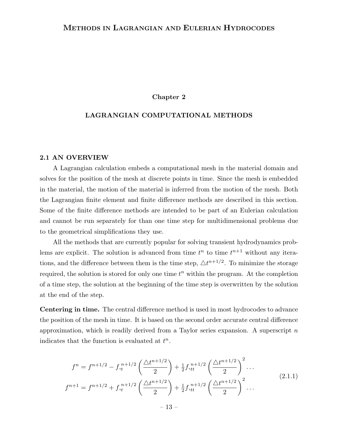#### **Chapter 2**

#### **LAGRANGIAN COMPUTATIONAL METHODS**

#### **2.1 AN OVERVIEW**

A Lagrangian calculation embeds a computational mesh in the material domain and solves for the position of the mesh at discrete points in time. Since the mesh is embedded in the material, the motion of the material is inferred from the motion of the mesh. Both the Lagrangian finite element and finite difference methods are described in this section. Some of the finite difference methods are intended to be part of an Eulerian calculation and cannot be run separately for than one time step for multidimensional problems due to the geometrical simplifications they use.

All the methods that are currently popular for solving transient hydrodynamics problems are explicit. The solution is advanced from time  $t^n$  to time  $t^{n+1}$  without any iterations, and the difference between them is the time step,  $\triangle t^{n+1/2}$ . To minimize the storage required, the solution is stored for only one time  $t<sup>n</sup>$  within the program. At the completion of a time step, the solution at the beginning of the time step is overwritten by the solution at the end of the step.

**Centering in time.** The central difference method is used in most hydrocodes to advance the position of the mesh in time. It is based on the second order accurate central difference approximation, which is readily derived from a Taylor series expansion. A superscript  $n$ indicates that the function is evaluated at  $t^n$ .

$$
f^{n} = f^{n+1/2} - f_{,t}^{n+1/2} \left(\frac{\Delta t^{n+1/2}}{2}\right) + \frac{1}{2} f_{,tt}^{n+1/2} \left(\frac{\Delta t^{n+1/2}}{2}\right)^{2} \dots
$$
  

$$
f^{n+1} = f^{n+1/2} + f_{,t}^{n+1/2} \left(\frac{\Delta t^{n+1/2}}{2}\right) + \frac{1}{2} f_{,tt}^{n+1/2} \left(\frac{\Delta t^{n+1/2}}{2}\right)^{2} \dots
$$
 (2.1.1)

– 13 –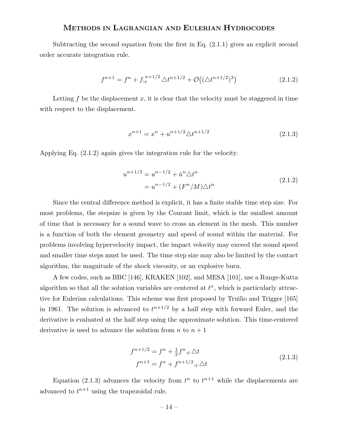Subtracting the second equation from the first in Eq. (2.1.1) gives an explicit second order accurate integration rule.

$$
f^{n+1} = f^n + f^{n+1/2}_{,t} \Delta t^{n+1/2} + \mathcal{O}\big((\Delta t^{n+1/2})^3\big) \tag{2.1.2}
$$

Letting  $f$  be the displacement  $x$ , it is clear that the velocity must be staggered in time with respect to the displacement.

$$
x^{n+1} = x^n + u^{n+1/2} \triangle t^{n+1/2}
$$
\n(2.1.3)

Applying Eq. (2.1.2) again gives the integration rule for the velocity.

$$
u^{n+1/2} = u^{n-1/2} + \dot{u}^n \triangle t^n
$$
  
= 
$$
u^{n-1/2} + (F^n/M)\triangle t^n
$$
 (2.1.2)

Since the central difference method is explicit, it has a finite stable time step size. For most problems, the stepsize is given by the Courant limit, which is the smallest amount of time that is necessary for a sound wave to cross an element in the mesh. This number is a function of both the element geometry and speed of sound within the material. For problems involving hypervelocity impact, the impact velocity may exceed the sound speed and smaller time steps must be used. The time step size may also be limited by the contact algorithm, the magnitude of the shock viscosity, or an explosive burn.

A few codes, such as BBC [146], KRAKEN [102], and MESA [101], use a Runge-Kutta algorithm so that all the solution variables are centered at  $t^n$ , which is particularly attractive for Eulerian calculations. This scheme was first proposed by Truilio and Trigger [165] in 1961. The solution is advanced to  $t^{n+1/2}$  by a half step with forward Euler, and the derivative is evaluated at the half step using the approximate solution. This time-centered derivative is used to advance the solution from  $n$  to  $n + 1$ 

$$
f^{n+1/2} = f^n + \frac{1}{2} f^n, t \triangle t
$$
  

$$
f^{n+1} = f^n + f^{n+1/2}, t \triangle t
$$
 (2.1.3)

Equation (2.1.3) advances the velocity from  $t^n$  to  $t^{n+1}$  while the displacements are advanced to  $t^{n+1}$  using the trapezoidal rule.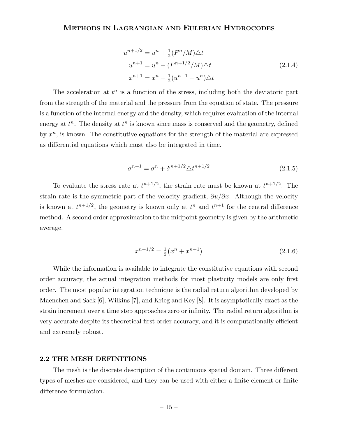$$
u^{n+1/2} = u^n + \frac{1}{2} (F^n/M) \Delta t
$$
  
\n
$$
u^{n+1} = u^n + (F^{n+1/2}/M) \Delta t
$$
  
\n
$$
x^{n+1} = x^n + \frac{1}{2} (u^{n+1} + u^n) \Delta t
$$
\n(2.1.4)

The acceleration at  $t^n$  is a function of the stress, including both the deviatoric part from the strength of the material and the pressure from the equation of state. The pressure is a function of the internal energy and the density, which requires evaluation of the internal energy at  $t^n$ . The density at  $t^n$  is known since mass is conserved and the geometry, defined by  $x^n$ , is known. The constitutive equations for the strength of the material are expressed as differential equations which must also be integrated in time.

$$
\sigma^{n+1} = \sigma^n + \dot{\sigma}^{n+1/2} \triangle t^{n+1/2} \tag{2.1.5}
$$

To evaluate the stress rate at  $t^{n+1/2}$ , the strain rate must be known at  $t^{n+1/2}$ . The strain rate is the symmetric part of the velocity gradient,  $\partial u/\partial x$ . Although the velocity is known at  $t^{n+1/2}$ , the geometry is known only at  $t^n$  and  $t^{n+1}$  for the central difference method. A second order approximation to the midpoint geometry is given by the arithmetic average.

$$
x^{n+1/2} = \frac{1}{2} (x^n + x^{n+1})
$$
\n(2.1.6)

While the information is available to integrate the constitutive equations with second order accuracy, the actual integration methods for most plasticity models are only first order. The most popular integration technique is the radial return algorithm developed by Maenchen and Sack [6], Wilkins [7], and Krieg and Key [8]. It is asymptotically exact as the strain increment over a time step approaches zero or infinity. The radial return algorithm is very accurate despite its theoretical first order accuracy, and it is computationally efficient and extremely robust.

#### **2.2 THE MESH DEFINITIONS**

The mesh is the discrete description of the continuous spatial domain. Three different types of meshes are considered, and they can be used with either a finite element or finite difference formulation.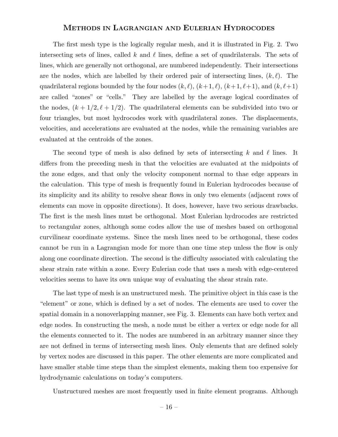The first mesh type is the logically regular mesh, and it is illustrated in Fig. 2. Two intersecting sets of lines, called k and  $\ell$  lines, define a set of quadrilaterals. The sets of lines, which are generally not orthogonal, are numbered independently. Their intersections are the nodes, which are labelled by their ordered pair of intersecting lines,  $(k, \ell)$ . The quadrilateral regions bounded by the four nodes  $(k, \ell), (k+1, \ell), (k+1, \ell+1),$  and  $(k, \ell+1)$ are called "zones" or "cells." They are labelled by the average logical coordinates of the nodes,  $(k + 1/2, \ell + 1/2)$ . The quadrilateral elements can be subdivided into two or four triangles, but most hydrocodes work with quadrilateral zones. The displacements, velocities, and accelerations are evaluated at the nodes, while the remaining variables are evaluated at the centroids of the zones.

The second type of mesh is also defined by sets of intersecting  $k$  and  $\ell$  lines. It differs from the preceding mesh in that the velocities are evaluated at the midpoints of the zone edges, and that only the velocity component normal to thae edge appears in the calculation. This type of mesh is frequently found in Eulerian hydrocodes because of its simplicity and its ability to resolve shear flows in only two elements (adjacent rows of elements can move in opposite directions). It does, however, have two serious drawbacks. The first is the mesh lines must be orthogonal. Most Eulerian hydrocodes are restricted to rectangular zones, although some codes allow the use of meshes based on orthogonal curvilinear coordinate systems. Since the mesh lines need to be orthogonal, these codes cannot be run in a Lagrangian mode for more than one time step unless the flow is only along one coordinate direction. The second is the difficulty associated with calculating the shear strain rate within a zone. Every Eulerian code that uses a mesh with edge-centered velocities seems to have its own unique way of evaluating the shear strain rate.

The last type of mesh is an unstructured mesh. The primitive object in this case is the "element" or zone, which is defined by a set of nodes. The elements are used to cover the spatial domain in a nonoverlapping manner, see Fig. 3. Elements can have both vertex and edge nodes. In constructing the mesh, a node must be either a vertex or edge node for all the elements connected to it. The nodes are numbered in an arbitrary manner since they are not defined in terms of intersecting mesh lines. Only elements that are defined solely by vertex nodes are discussed in this paper. The other elements are more complicated and have smaller stable time steps than the simplest elements, making them too expensive for hydrodynamic calculations on today's computers.

Unstructured meshes are most frequently used in finite element programs. Although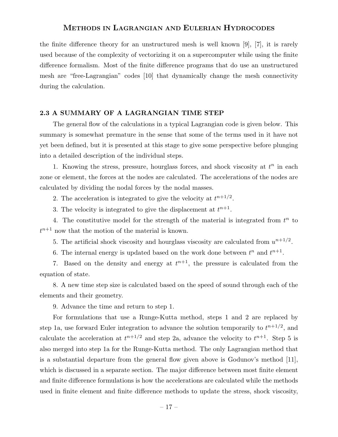the finite difference theory for an unstructured mesh is well known [9], [7], it is rarely used because of the complexity of vectorizing it on a supercomputer while using the finite difference formalism. Most of the finite difference programs that do use an unstructured mesh are "free-Lagrangian" codes [10] that dynamically change the mesh connectivity during the calculation.

#### **2.3 A SUMMARY OF A LAGRANGIAN TIME STEP**

The general flow of the calculations in a typical Lagrangian code is given below. This summary is somewhat premature in the sense that some of the terms used in it have not yet been defined, but it is presented at this stage to give some perspective before plunging into a detailed description of the individual steps.

1. Knowing the stress, pressure, hourglass forces, and shock viscosity at  $t^n$  in each zone or element, the forces at the nodes are calculated. The accelerations of the nodes are calculated by dividing the nodal forces by the nodal masses.

2. The acceleration is integrated to give the velocity at  $t^{n+1/2}$ .

3. The velocity is integrated to give the displacement at  $t^{n+1}$ .

4. The constitutive model for the strength of the material is integrated from  $t^n$  to  $t^{n+1}$  now that the motion of the material is known.

5. The artificial shock viscosity and hourglass viscosity are calculated from  $u^{n+1/2}$ .

6. The internal energy is updated based on the work done between  $t^n$  and  $t^{n+1}$ .

7. Based on the density and energy at  $t^{n+1}$ , the pressure is calculated from the equation of state.

8. A new time step size is calculated based on the speed of sound through each of the elements and their geometry.

9. Advance the time and return to step 1.

For formulations that use a Runge-Kutta method, steps 1 and 2 are replaced by step 1a, use forward Euler integration to advance the solution temporarily to  $t^{n+1/2}$ , and calculate the acceleration at  $t^{n+1/2}$  and step 2a, advance the velocity to  $t^{n+1}$ . Step 5 is also merged into step 1a for the Runge-Kutta method. The only Lagrangian method that is a substantial departure from the general flow given above is Godunov's method [11], which is discussed in a separate section. The major difference between most finite element and finite difference formulations is how the accelerations are calculated while the methods used in finite element and finite difference methods to update the stress, shock viscosity,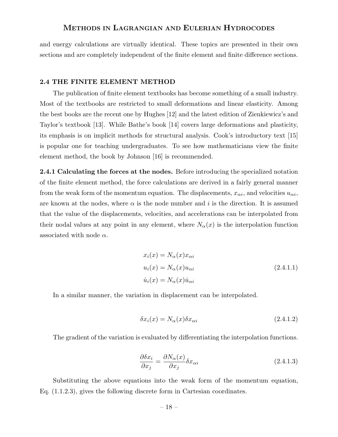and energy calculations are virtually identical. These topics are presented in their own sections and are completely independent of the finite element and finite difference sections.

#### **2.4 THE FINITE ELEMENT METHOD**

The publication of finite element textbooks has become something of a small industry. Most of the textbooks are restricted to small deformations and linear elasticity. Among the best books are the recent one by Hughes [12] and the latest edition of Zienkiewicz's and Taylor's textbook [13]. While Bathe's book [14] covers large deformations and plasticity, its emphasis is on implicit methods for structural analysis. Cook's introductory text [15] is popular one for teaching undergraduates. To see how mathematicians view the finite element method, the book by Johnson [16] is recommended.

**2.4.1 Calculating the forces at the nodes.** Before introducing the specialized notation of the finite element method, the force calculations are derived in a fairly general manner from the weak form of the momentum equation. The displacements,  $x_{\alpha i}$ , and velocities  $u_{\alpha i}$ , are known at the nodes, where  $\alpha$  is the node number and i is the direction. It is assumed that the value of the displacements, velocities, and accelerations can be interpolated from their nodal values at any point in any element, where  $N_{\alpha}(x)$  is the interpolation function associated with node  $\alpha$ .

$$
x_i(x) = N_{\alpha}(x)x_{\alpha i}
$$
  
\n
$$
u_i(x) = N_{\alpha}(x)u_{\alpha i}
$$
  
\n
$$
\dot{u}_i(x) = N_{\alpha}(x)\dot{u}_{\alpha i}
$$
\n(2.4.1.1)

In a similar manner, the variation in displacement can be interpolated.

$$
\delta x_i(x) = N_\alpha(x)\delta x_{\alpha i} \tag{2.4.1.2}
$$

The gradient of the variation is evaluated by differentiating the interpolation functions.

$$
\frac{\partial \delta x_i}{\partial x_j} = \frac{\partial N_\alpha(x)}{\partial x_j} \delta x_{\alpha i} \tag{2.4.1.3}
$$

Substituting the above equations into the weak form of the momentum equation, Eq. (1.1.2.3), gives the following discrete form in Cartesian coordinates.

– 18 –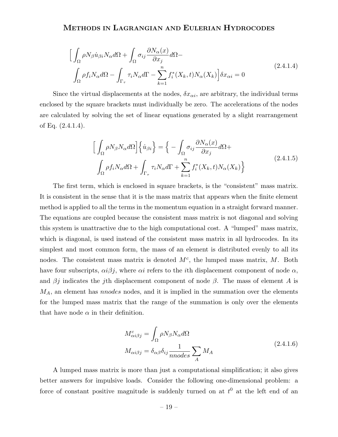$$
\left[\int_{\Omega} \rho N_{\beta} \dot{u}_{\beta i} N_{\alpha} d\Omega + \int_{\Omega} \sigma_{ij} \frac{\partial N_{\alpha}(x)}{\partial x_{j}} d\Omega - \int_{\Omega} \rho f_{i} N_{\alpha} d\Omega - \int_{\Gamma_{\tau}} \tau_{i} N_{\alpha} d\Gamma - \sum_{k=1}^{n} f_{i}^{*}(X_{k}, t) N_{\alpha}(X_{k}) \right] \delta x_{\alpha i} = 0
$$
\n(2.4.1.4)

Since the virtual displacements at the nodes,  $\delta x_{\alpha i}$ , are arbitrary, the individual terms enclosed by the square brackets must individually be zero. The accelerations of the nodes are calculated by solving the set of linear equations generated by a slight rearrangement of Eq. (2.4.1.4).

$$
\left[\int_{\Omega} \rho N_{\beta} N_{\alpha} d\Omega\right] \left\{\dot{u}_{\beta i}\right\} = \left\{-\int_{\Omega} \sigma_{ij} \frac{\partial N_{\alpha}(x)}{\partial x_{j}} d\Omega + \int_{\Omega} \rho f_{i} N_{\alpha} d\Omega + \int_{\Gamma_{\tau}} \tau_{i} N_{\alpha} d\Gamma + \sum_{k=1}^{n} f_{i}^{*}(X_{k}, t) N_{\alpha}(X_{k})\right\}
$$
\n(2.4.1.5)

The first term, which is enclosed in square brackets, is the "consistent" mass matrix. It is consistent in the sense that it is the mass matrix that appears when the finite element method is applied to all the terms in the momentum equation in a straight forward manner. The equations are coupled because the consistent mass matrix is not diagonal and solving this system is unattractive due to the high computational cost. A "lumped" mass matrix, which is diagonal, is used instead of the consistent mass matrix in all hydrocodes. In its simplest and most common form, the mass of an element is distributed evenly to all its nodes. The consistent mass matrix is denoted  $M<sup>c</sup>$ , the lumped mass matrix, M. Both have four subscripts,  $\alpha i\beta j$ , where  $\alpha i$  refers to the *i*th displacement component of node  $\alpha$ , and  $\beta j$  indicates the jth displacement component of node  $\beta$ . The mass of element A is  $M_A$ , an element has *nnodes* nodes, and it is implied in the summation over the elements for the lumped mass matrix that the range of the summation is only over the elements that have node  $\alpha$  in their definition.

$$
M_{\alpha i\beta j}^{c} = \int_{\Omega} \rho N_{\beta} N_{\alpha} d\Omega
$$
  

$$
M_{\alpha i\beta j} = \delta_{\alpha\beta} \delta_{ij} \frac{1}{nnodes} \sum_{A} M_{A}
$$
 (2.4.1.6)

A lumped mass matrix is more than just a computational simplification; it also gives better answers for impulsive loads. Consider the following one-dimensional problem: a force of constant positive magnitude is suddenly turned on at  $t^0$  at the left end of an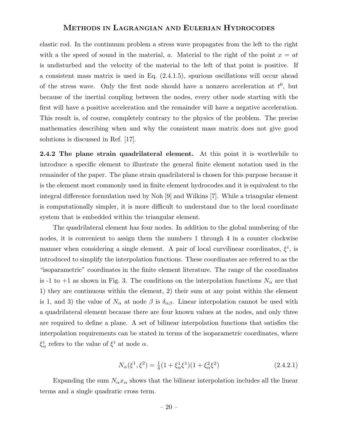elastic rod. In the continuum problem a stress wave propagates from the left to the right with a the speed of sound in the material, a. Material to the right of the point  $x = at$ is undisturbed and the velocity of the material to the left of that point is positive. If a consistent mass matrix is used in Eq. (2.4.1.5), spurious oscillations will occur ahead of the stress wave. Only the first node should have a nonzero acceleration at  $t^0$ , but because of the inertial coupling between the nodes, every other node starting with the first will have a positive acceleration and the remainder will have a negative acceleration. This result is, of course, completely contrary to the physics of the problem. The precise mathematics describing when and why the consistent mass matrix does not give good solutions is discussed in Ref. [17].

**2.4.2 The plane strain quadrilateral element.** At this point it is worthwhile to introduce a specific element to illustrate the general finite element notation used in the remainder of the paper. The plane strain quadrilateral is chosen for this purpose because it is the element most commonly used in finite element hydrocodes and it is equivalent to the integral difference formulation used by Noh [9] and Wilkins [7]. While a triangular element is computationally simpler, it is more difficult to understand due to the local coordinate system that is embedded within the triangular element.

The quadrilateral element has four nodes. In addition to the global numbering of the nodes, it is convenient to assign them the numbers 1 through 4 in a counter clockwise manner when considering a single element. A pair of local curvilinear coordinates,  $\xi^i$ , is introduced to simplify the interpolation functions. These coordinates are referred to as the "isoparametric" coordinates in the finite element literature. The range of the coordinates is -1 to +1 as shown in Fig. 3. The conditions on the interpolation functions  $N_{\alpha}$  are that 1) they are continuous within the element, 2) their sum at any point within the element is 1, and 3) the value of  $N_{\alpha}$  at node  $\beta$  is  $\delta_{\alpha\beta}$ . Linear interpolation cannot be used with a quadrilateral element because there are four known values at the nodes, and only three are required to define a plane. A set of bilinear interpolation functions that satisfies the interpolation requirements can be stated in terms of the isoparametric coordinates, where  $\xi^i_\alpha$  refers to the value of  $\xi^i$  at node  $\alpha$ .

$$
N_{\alpha}(\xi^1, \xi^2) = \frac{1}{4}(1 + \xi^1_{\alpha}\xi^1)(1 + \xi^2_{\alpha}\xi^2)
$$
\n(2.4.2.1)

Expanding the sum  $N_{\alpha}x_{\alpha}$  shows that the bilinear interpolation includes all the linear terms and a single quadratic cross term.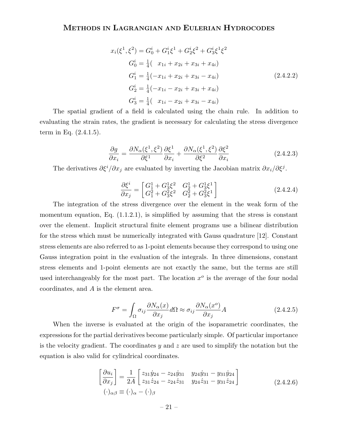$$
x_i(\xi^1, \xi^2) = G_0^i + G_1^i \xi^1 + G_2^i \xi^2 + G_3^i \xi^1 \xi^2
$$
  
\n
$$
G_0^i = \frac{1}{4} (x_{1i} + x_{2i} + x_{3i} + x_{4i})
$$
  
\n
$$
G_1^i = \frac{1}{4} (-x_{1i} + x_{2i} + x_{3i} - x_{4i})
$$
  
\n
$$
G_2^i = \frac{1}{4} (-x_{1i} - x_{2i} + x_{3i} + x_{4i})
$$
  
\n
$$
G_3^i = \frac{1}{4} (x_{1i} - x_{2i} + x_{3i} - x_{4i})
$$
  
\n(2.4.2.2)

The spatial gradient of a field is calculated using the chain rule. In addition to evaluating the strain rates, the gradient is necessary for calculating the stress divergence term in Eq. (2.4.1.5).

$$
\frac{\partial g}{\partial x_i} = \frac{\partial N_\alpha(\xi^1, \xi^2)}{\partial \xi^1} \frac{\partial \xi^1}{\partial x_i} + \frac{\partial N_\alpha(\xi^1, \xi^2)}{\partial \xi^2} \frac{\partial \xi^2}{\partial x_i}
$$
(2.4.2.3)

The derivatives  $\partial \xi^i / \partial x_j$  are evaluated by inverting the Jacobian matrix  $\partial x_i / \partial \xi^j$ .

$$
\frac{\partial \xi^i}{\partial x_j} = \begin{bmatrix} G_1^1 + G_3^1 \xi^2 & G_2^1 + G_3^1 \xi^1 \\ G_1^2 + G_3^2 \xi^2 & G_2^2 + G_3^2 \xi^1 \end{bmatrix}
$$
\n(2.4.2.4)

The integration of the stress divergence over the element in the weak form of the momentum equation, Eq.  $(1.1.2.1)$ , is simplified by assuming that the stress is constant over the element. Implicit structural finite element programs use a bilinear distribution for the stress which must be numerically integrated with Gauss quadrature [12]. Constant stress elements are also referred to as 1-point elements because they correspond to using one Gauss integration point in the evaluation of the integrals. In three dimensions, constant stress elements and 1-point elements are not exactly the same, but the terms are still used interchangeably for the most part. The location  $x^{\circ}$  is the average of the four nodal coordinates, and A is the element area.

$$
F^{\sigma} = \int_{\Omega} \sigma_{ij} \frac{\partial N_{\alpha}(x)}{\partial x_j} d\Omega \approx \sigma_{ij} \frac{\partial N_{\alpha}(x^o)}{\partial x_j} A \qquad (2.4.2.5)
$$

When the inverse is evaluated at the origin of the isoparametric coordinates, the expressions for the partial derivatives become particularly simple. Of particular importance is the velocity gradient. The coordinates  $y$  and  $z$  are used to simplify the notation but the equation is also valid for cylindrical coordinates.

$$
\begin{bmatrix}\n\frac{\partial u_i}{\partial x_j}\n\end{bmatrix} = \frac{1}{2A} \begin{bmatrix}\nz_{31}\dot{y}_{24} - z_{24}\dot{y}_{31} & y_{24}\dot{y}_{31} - y_{31}\dot{y}_{24} \\
z_{31}\dot{z}_{24} - z_{24}\dot{z}_{31} & y_{24}\dot{z}_{31} - y_{31}\dot{z}_{24}\n\end{bmatrix}
$$
\n
$$
(\cdot)_{\alpha\beta} \equiv (\cdot)_{\alpha} - (\cdot)_{\beta}
$$
\n(2.4.2.6)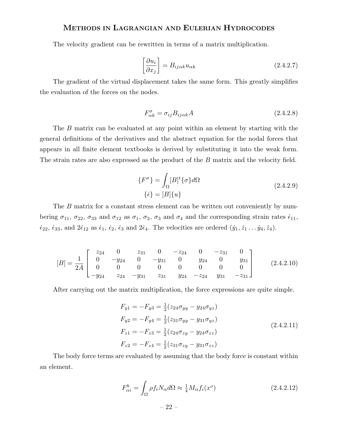The velocity gradient can be rewritten in terms of a matrix multiplication.

$$
\left[\frac{\partial u_i}{\partial x_j}\right] = B_{ij\alpha k} u_{\alpha k} \tag{2.4.2.7}
$$

The gradient of the virtual displacement takes the same form. This greatly simplifies the evaluation of the forces on the nodes.

$$
F_{\alpha k}^{\sigma} = \sigma_{ij} B_{ij\alpha k} A \tag{2.4.2.8}
$$

The B matrix can be evaluated at any point within an element by starting with the general definitions of the derivatives and the abstract equation for the nodal forces that appears in all finite element textbooks is derived by substituting it into the weak form. The strain rates are also expressed as the product of the B matrix and the velocity field.

$$
\{F^{\sigma}\} = \int_{\Omega} [B]^t \{\sigma\} d\Omega
$$
\n
$$
\{\dot{\epsilon}\} = [B] \{u\}
$$
\n(2.4.2.9)

The B matrix for a constant stress element can be written out conveniently by numbering  $\sigma_{11}$ ,  $\sigma_{22}$ ,  $\sigma_{33}$  and  $\sigma_{12}$  as  $\sigma_1$ ,  $\sigma_2$ ,  $\sigma_3$  and  $\sigma_4$  and the corresponding strain rates  $\dot{\epsilon}_{11}$ ,  $\dot{\epsilon}_{22}$ ,  $\dot{\epsilon}_{33}$ , and  $2\dot{\epsilon}_{12}$  as  $\dot{\epsilon}_1$ ,  $\dot{\epsilon}_2$ ,  $\dot{\epsilon}_3$  and  $2\dot{\epsilon}_4$ . The velocities are ordered  $(\dot{y}_1, \dot{z}_1 \dots \dot{y}_4, \dot{z}_4)$ .

$$
[B] = \frac{1}{2A} \begin{bmatrix} z_{24} & 0 & z_{31} & 0 & -z_{24} & 0 & -z_{31} & 0 \\ 0 & -y_{24} & 0 & -y_{31} & 0 & y_{24} & 0 & y_{31} \\ 0 & 0 & 0 & 0 & 0 & 0 & 0 & 0 \\ -y_{24} & z_{24} & -y_{31} & z_{31} & y_{24} & -z_{24} & y_{31} & -z_{31} \end{bmatrix}
$$
 (2.4.2.10)

After carrying out the matrix multiplication, the force expressions are quite simple.

$$
F_{y1} = -F_{y3} = \frac{1}{2} (z_{24}\sigma_{yy} - y_{24}\sigma_{yz})
$$
  
\n
$$
F_{y2} = -F_{y4} = \frac{1}{2} (z_{31}\sigma_{yy} - y_{31}\sigma_{yz})
$$
  
\n
$$
F_{z1} = -F_{z3} = \frac{1}{2} (z_{24}\sigma_{zy} - y_{24}\sigma_{zz})
$$
  
\n
$$
F_{z2} = -F_{z4} = \frac{1}{2} (z_{31}\sigma_{zy} - y_{31}\sigma_{zz})
$$
\n(2.4.2.11)

The body force terms are evaluated by assuming that the body force is constant within an element.

$$
F_{\alpha i}^{b} = \int_{\Omega} \rho f_i N_{\alpha} d\Omega \approx \frac{1}{4} M_{\alpha} f_i(x^o)
$$
 (2.4.2.12)

– 22 –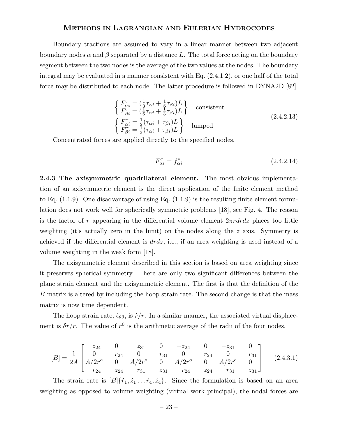Boundary tractions are assumed to vary in a linear manner between two adjacent boundary nodes  $\alpha$  and  $\beta$  separated by a distance L. The total force acting on the boundary segment between the two nodes is the average of the two values at the nodes. The boundary integral may be evaluated in a manner consistent with Eq. (2.4.1.2), or one half of the total force may be distributed to each node. The latter procedure is followed in DYNA2D [82].

$$
\begin{cases}\nF_{\alpha i}^{\tau} = \left(\frac{1}{3}\tau_{\alpha i} + \frac{1}{6}\tau_{\beta i}\right)L \\
F_{\beta i}^{\tau} = \left(\frac{1}{6}\tau_{\alpha i} + \frac{1}{3}\tau_{\beta i}\right)L\n\end{cases}
$$
\nconsistent\n
$$
\begin{cases}\nF_{\alpha i}^{\tau} = \frac{1}{2}(\tau_{\alpha i} + \tau_{\beta i})L \\
F_{\beta i}^{\tau} = \frac{1}{2}(\tau_{\alpha i} + \tau_{\beta i})L\n\end{cases}
$$
\nnumber (2.4.2.13)

Concentrated forces are applied directly to the specified nodes.

$$
F_{\alpha i}^c = f_{\alpha i}^* \tag{2.4.2.14}
$$

**2.4.3 The axisymmetric quadrilateral element.** The most obvious implementation of an axisymmetric element is the direct application of the finite element method to Eq.  $(1.1.9)$ . One disadvantage of using Eq.  $(1.1.9)$  is the resulting finite element formulation does not work well for spherically symmetric problems [18], see Fig. 4. The reason is the factor of r appearing in the differential volume element  $2\pi r dr dz$  places too little weighting (it's actually zero in the limit) on the nodes along the  $z$  axis. Symmetry is achieved if the differential element is  $drdz$ , i.e., if an area weighting is used instead of a volume weighting in the weak form [18].

The axisymmetric element described in this section is based on area weighting since it preserves spherical symmetry. There are only two significant differences between the plane strain element and the axisymmetric element. The first is that the definition of the B matrix is altered by including the hoop strain rate. The second change is that the mass matrix is now time dependent.

The hoop strain rate,  $\dot{\epsilon}_{\theta\theta}$ , is  $\dot{r}/r$ . In a similar manner, the associated virtual displacement is  $\delta r/r$ . The value of  $r^0$  is the arithmetic average of the radii of the four nodes.

$$
[B] = \frac{1}{2A} \begin{bmatrix} z_{24} & 0 & z_{31} & 0 & -z_{24} & 0 & -z_{31} & 0 \\ 0 & -r_{24} & 0 & -r_{31} & 0 & r_{24} & 0 & r_{31} \\ A/2r^o & 0 & A/2r^o & 0 & A/2r^o & 0 & A/2r^o & 0 \\ -r_{24} & z_{24} & -r_{31} & z_{31} & r_{24} & -z_{24} & r_{31} & -z_{31} \end{bmatrix}
$$
 (2.4.3.1)

The strain rate is  $[B]\{r_1, \dot{z}_1 \ldots r_4, \dot{z}_4\}$ . Since the formulation is based on an area weighting as opposed to volume weighting (virtual work principal), the nodal forces are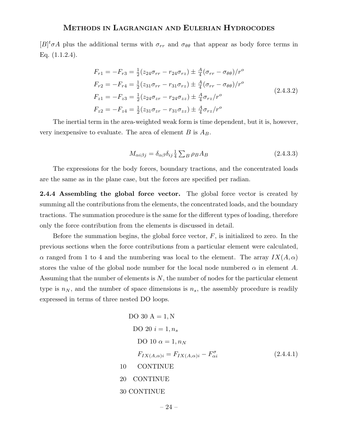$[B]^{t} \sigma A$  plus the additional terms with  $\sigma_{rr}$  and  $\sigma_{\theta\theta}$  that appear as body force terms in Eq.  $(1.1.2.4)$ .

$$
F_{r1} = -F_{r3} = \frac{1}{2} (z_{24}\sigma_{rr} - r_{24}\sigma_{rz}) \pm \frac{A}{4} (\sigma_{rr} - \sigma_{\theta\theta})/r^o
$$
  
\n
$$
F_{r2} = -F_{r4} = \frac{1}{2} (z_{31}\sigma_{rr} - r_{31}\sigma_{rz}) \pm \frac{A}{4} (\sigma_{rr} - \sigma_{\theta\theta})/r^o
$$
  
\n
$$
F_{z1} = -F_{z3} = \frac{1}{2} (z_{24}\sigma_{zr} - r_{24}\sigma_{zz}) \pm \frac{A}{4} \sigma_{rz}/r^o
$$
  
\n
$$
F_{z2} = -F_{z4} = \frac{1}{2} (z_{31}\sigma_{zr} - r_{31}\sigma_{zz}) \pm \frac{A}{4} \sigma_{rz}/r^o
$$
  
\n(2.4.3.2)

The inertial term in the area-weighted weak form is time dependent, but it is, however, very inexpensive to evaluate. The area of element  $B$  is  $A_B$ .

$$
M_{\alpha i\beta j} = \delta_{\alpha\beta}\delta_{ij}\frac{1}{4}\sum_{B} \rho_B A_B \tag{2.4.3.3}
$$

The expressions for the body forces, boundary tractions, and the concentrated loads are the same as in the plane case, but the forces are specified per radian.

**2.4.4 Assembling the global force vector.** The global force vector is created by summing all the contributions from the elements, the concentrated loads, and the boundary tractions. The summation procedure is the same for the different types of loading, therefore only the force contribution from the elements is discussed in detail.

Before the summation begins, the global force vector,  $F$ , is initialized to zero. In the previous sections when the force contributions from a particular element were calculated,  $\alpha$  ranged from 1 to 4 and the numbering was local to the element. The array  $IX(A,\alpha)$ stores the value of the global node number for the local node numbered  $\alpha$  in element A. Assuming that the number of elements is  $N$ , the number of nodes for the particular element type is  $n_N$ , and the number of space dimensions is  $n_s$ , the assembly procedure is readily expressed in terms of three nested DO loops.

DO 30 A = 1, N

\nDO 20 i = 1, n<sub>s</sub>

\nDO 10 
$$
\alpha = 1, n_N
$$

\n
$$
F_{IX(A, \alpha)i} = F_{IX(A, \alpha)i} - F_{\alpha i}^{\sigma}
$$
 (2.4.4.1)

\n10 CONTINUE

\n20 CONTINUE

\n30 CONTINUE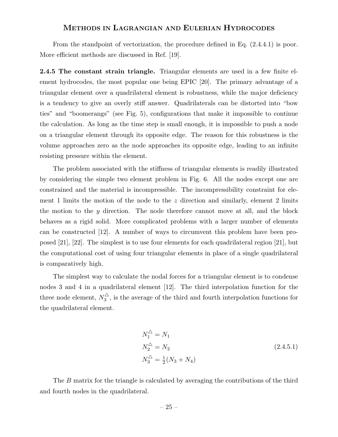From the standpoint of vectorization, the procedure defined in Eq. (2.4.4.1) is poor. More efficient methods are discussed in Ref. [19].

**2.4.5 The constant strain triangle.** Triangular elements are used in a few finite element hydrocodes, the most popular one being EPIC [20]. The primary advantage of a triangular element over a quadrilateral element is robustness, while the major deficiency is a tendency to give an overly stiff answer. Quadrilaterals can be distorted into "bow ties" and "boomerangs" (see Fig. 5), configurations that make it impossible to continue the calculation. As long as the time step is small enough, it is impossible to push a node on a triangular element through its opposite edge. The reason for this robustness is the volume approaches zero as the node approaches its opposite edge, leading to an infinite resisting pressure within the element.

The problem associated with the stiffness of triangular elements is readily illustrated by considering the simple two element problem in Fig. 6. All the nodes except one are constrained and the material is incompressible. The incompressibility constraint for element 1 limits the motion of the node to the  $z$  direction and similarly, element 2 limits the motion to the  $y$  direction. The node therefore cannot move at all, and the block behaves as a rigid solid. More complicated problems with a larger number of elements can be constructed [12]. A number of ways to circumvent this problem have been proposed [21], [22]. The simplest is to use four elements for each quadrilateral region [21], but the computational cost of using four triangular elements in place of a single quadrilateral is comparatively high.

The simplest way to calculate the nodal forces for a triangular element is to condense nodes 3 and 4 in a quadrilateral element [12]. The third interpolation function for the three node element,  $N_3^{\Delta}$ , is the average of the third and fourth interpolation functions for the quadrilateral element.

$$
N_1^{\triangle} = N_1
$$
  
\n
$$
N_2^{\triangle} = N_2
$$
  
\n
$$
N_3^{\triangle} = \frac{1}{2}(N_3 + N_4)
$$
  
\n(2.4.5.1)

The B matrix for the triangle is calculated by averaging the contributions of the third and fourth nodes in the quadrilateral.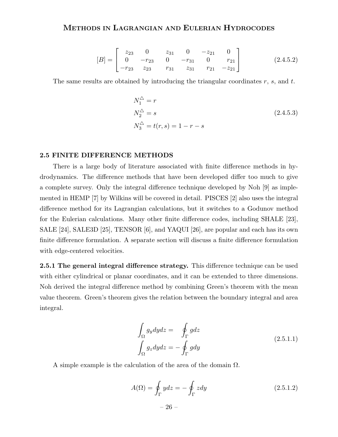$$
[B] = \begin{bmatrix} z_{23} & 0 & z_{31} & 0 & -z_{21} & 0 \\ 0 & -r_{23} & 0 & -r_{31} & 0 & r_{21} \\ -r_{23} & z_{23} & r_{31} & z_{31} & r_{21} & -z_{21} \end{bmatrix}
$$
 (2.4.5.2)

The same results are obtained by introducing the triangular coordinates  $r$ ,  $s$ , and  $t$ .

$$
N_1^{\triangle} = r
$$
  
\n
$$
N_2^{\triangle} = s
$$
  
\n
$$
N_3^{\triangle} = t(r, s) = 1 - r - s
$$
\n(2.4.5.3)

#### **2.5 FINITE DIFFERENCE METHODS**

There is a large body of literature associated with finite difference methods in hydrodynamics. The difference methods that have been developed differ too much to give a complete survey. Only the integral difference technique developed by Noh [9] as implemented in HEMP [7] by Wilkins will be covered in detail. PISCES [2] also uses the integral difference method for its Lagrangian calculations, but it switches to a Godunov method for the Eulerian calculations. Many other finite difference codes, including SHALE [23], SALE [24], SALE3D [25], TENSOR [6], and YAQUI [26], are popular and each has its own finite difference formulation. A separate section will discuss a finite difference formulation with edge-centered velocities.

**2.5.1 The general integral difference strategy.** This difference technique can be used with either cylindrical or planar coordinates, and it can be extended to three dimensions. Noh derived the integral difference method by combining Green's theorem with the mean value theorem. Green's theorem gives the relation between the boundary integral and area integral.

$$
\int_{\Omega} g_y dy dz = \oint_{\Gamma} g dz
$$
\n
$$
\int_{\Omega} g_z dy dz = -\oint_{\Gamma} g dy
$$
\n(2.5.1.1)

A simple example is the calculation of the area of the domain  $\Omega$ .

$$
A(\Omega) = \oint_{\Gamma} ydz = -\oint_{\Gamma} zdy
$$
 (2.5.1.2)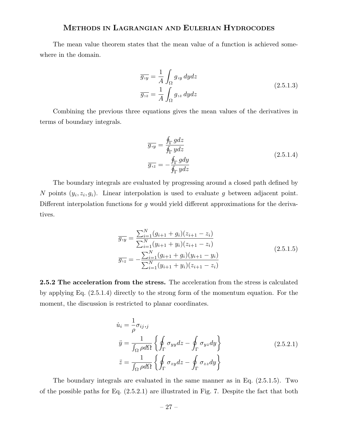The mean value theorem states that the mean value of a function is achieved somewhere in the domain.

$$
\overline{g_{,y}} = \frac{1}{A} \int_{\Omega} g_{,y} \, dydz
$$
\n
$$
\overline{g_{,z}} = \frac{1}{A} \int_{\Omega} g_{,z} \, dydz
$$
\n(2.5.1.3)

Combining the previous three equations gives the mean values of the derivatives in terms of boundary integrals.

$$
\overline{g_{yy}} = \frac{\oint_{\Gamma} g dz}{\oint_{\Gamma} y dz}
$$
\n
$$
\overline{g_{zz}} = -\frac{\oint_{\Gamma} g dy}{\oint_{\Gamma} y dz}
$$
\n(2.5.1.4)

The boundary integrals are evaluated by progressing around a closed path defined by N points  $(y_i, z_i, g_i)$ . Linear interpolation is used to evaluate g between adjacent point. Different interpolation functions for g would yield different approximations for the derivatives.

$$
\overline{g_{,y}} = \frac{\sum_{i=1}^{N} (g_{i+1} + g_i)(z_{i+1} - z_i)}{\sum_{i=1}^{N} (y_{i+1} + y_i)(z_{i+1} - z_i)}
$$
\n
$$
\overline{g_{,z}} = -\frac{\sum_{i=1}^{N} (g_{i+1} + g_i)(y_{i+1} - y_i)}{\sum_{i=1}^{N} (y_{i+1} + y_i)(z_{i+1} - z_i)}
$$
\n(2.5.1.5)

**2.5.2 The acceleration from the stress.** The acceleration from the stress is calculated by applying Eq. (2.5.1.4) directly to the strong form of the momentum equation. For the moment, the discussion is restricted to planar coordinates.

$$
\dot{u}_i = \frac{1}{\rho} \sigma_{ij,j}
$$
\n
$$
\ddot{y} = \frac{1}{\int_{\Omega} \rho d\Omega} \left\{ \oint_{\Gamma} \sigma_{yy} dz - \oint_{\Gamma} \sigma_{yz} dy \right\}
$$
\n
$$
\ddot{z} = \frac{1}{\int_{\Omega} \rho d\Omega} \left\{ \oint_{\Gamma} \sigma_{zy} dz - \oint_{\Gamma} \sigma_{zz} dy \right\}
$$
\n(2.5.2.1)

The boundary integrals are evaluated in the same manner as in Eq. (2.5.1.5). Two of the possible paths for Eq. (2.5.2.1) are illustrated in Fig. 7. Despite the fact that both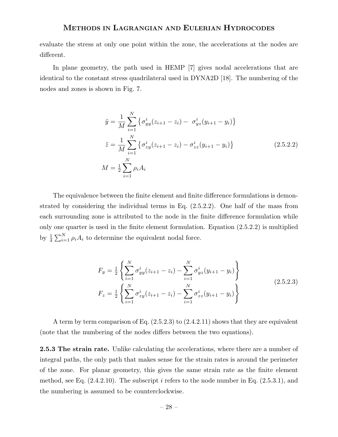evaluate the stress at only one point within the zone, the accelerations at the nodes are different.

In plane geometry, the path used in HEMP [7] gives nodal accelerations that are identical to the constant stress quadrilateral used in DYNA2D [18]. The numbering of the nodes and zones is shown in Fig. 7.

$$
\ddot{y} = \frac{1}{M} \sum_{i=1}^{N} \left\{ \sigma_{yy}^{i} (z_{i+1} - z_i) - \sigma_{yz}^{i} (y_{i+1} - y_i) \right\}
$$
\n
$$
\ddot{z} = \frac{1}{M} \sum_{i=1}^{N} \left\{ \sigma_{zy}^{i} (z_{i+1} - z_i) - \sigma_{zz}^{i} (y_{i+1} - y_i) \right\}
$$
\n
$$
M = \frac{1}{2} \sum_{i=1}^{N} \rho_i A_i
$$
\n(2.5.2.2)

The equivalence between the finite element and finite difference formulations is demonstrated by considering the individual terms in Eq. (2.5.2.2). One half of the mass from each surrounding zone is attributed to the node in the finite difference formulation while only one quarter is used in the finite element formulation. Equation (2.5.2.2) is multiplied by  $\frac{1}{4} \sum_{i=1}^{N} \rho_i A_i$  to determine the equivalent nodal force.

$$
F_y = \frac{1}{2} \left\{ \sum_{i=1}^N \sigma_{yy}^i (z_{i+1} - z_i) - \sum_{i=1}^N \sigma_{yz}^i (y_{i+1} - y_i) \right\}
$$
  
\n
$$
F_z = \frac{1}{2} \left\{ \sum_{i=1}^N \sigma_{zy}^i (z_{i+1} - z_i) - \sum_{i=1}^N \sigma_{zz}^i (y_{i+1} - y_i) \right\}
$$
\n(2.5.2.3)

A term by term comparison of Eq.  $(2.5.2.3)$  to  $(2.4.2.11)$  shows that they are equivalent (note that the numbering of the nodes differs between the two equations).

**2.5.3 The strain rate.** Unlike calculating the accelerations, where there are a number of integral paths, the only path that makes sense for the strain rates is around the perimeter of the zone. For planar geometry, this gives the same strain rate as the finite element method, see Eq.  $(2.4.2.10)$ . The subscript i refers to the node number in Eq.  $(2.5.3.1)$ , and the numbering is assumed to be counterclockwise.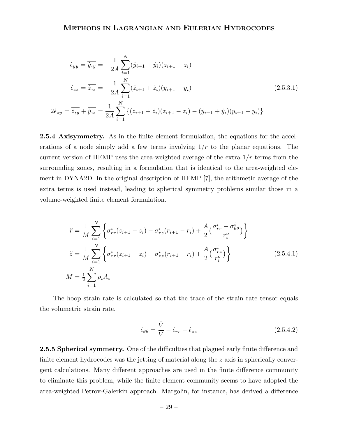$$
\dot{\epsilon}_{yy} = \overline{\dot{y}_{,y}} = \frac{1}{2A} \sum_{i=1}^{N} (\dot{y}_{i+1} + \dot{y}_i)(z_{i+1} - z_i)
$$
\n
$$
\dot{\epsilon}_{zz} = \overline{\dot{z}_{,z}} = -\frac{1}{2A} \sum_{i=1}^{N} (\dot{z}_{i+1} + \dot{z}_i)(y_{i+1} - y_i)
$$
\n
$$
2\dot{\epsilon}_{zy} = \overline{\dot{z}_{,y}} + \overline{\dot{y}_{,z}} = \frac{1}{2A} \sum_{i=1}^{N} \{ (\dot{z}_{i+1} + \dot{z}_i)(z_{i+1} - z_i) - (\dot{y}_{i+1} + \dot{y}_i)(y_{i+1} - y_i) \}
$$
\n(2.5.3.1)

**2.5.4 Axisymmetry.** As in the finite element formulation, the equations for the accelerations of a node simply add a few terms involving  $1/r$  to the planar equations. The current version of HEMP uses the area-weighted average of the extra  $1/r$  terms from the surrounding zones, resulting in a formulation that is identical to the area-weighted element in DYNA2D. In the original description of HEMP [7], the arithmetic average of the extra terms is used instead, leading to spherical symmetry problems similar those in a volume-weighted finite element formulation.

$$
\ddot{r} = \frac{1}{M} \sum_{i=1}^{N} \left\{ \sigma_{rr}^{i} (z_{i+1} - z_i) - \sigma_{rz}^{i} (r_{i+1} - r_i) + \frac{A}{2} \left( \frac{\sigma_{rr}^{i} - \sigma_{\theta\theta}^{i}}{r_i^o} \right) \right\}
$$
\n
$$
\ddot{z} = \frac{1}{M} \sum_{i=1}^{N} \left\{ \sigma_{zr}^{i} (z_{i+1} - z_i) - \sigma_{zz}^{i} (r_{i+1} - r_i) + \frac{A}{2} \left( \frac{\sigma_{rz}^{i}}{r_i^o} \right) \right\}
$$
\n
$$
M = \frac{1}{2} \sum_{i=1}^{N} \rho_i A_i
$$
\n(2.5.4.1)

The hoop strain rate is calculated so that the trace of the strain rate tensor equals the volumetric strain rate.

$$
\dot{\epsilon}_{\theta\theta} = \frac{\dot{V}}{V} - \dot{\epsilon}_{rr} - \dot{\epsilon}_{zz} \tag{2.5.4.2}
$$

**2.5.5 Spherical symmetry.** One of the difficulties that plagued early finite difference and finite element hydrocodes was the jetting of material along the z axis in spherically convergent calculations. Many different approaches are used in the finite difference community to eliminate this problem, while the finite element community seems to have adopted the area-weighted Petrov-Galerkin approach. Margolin, for instance, has derived a difference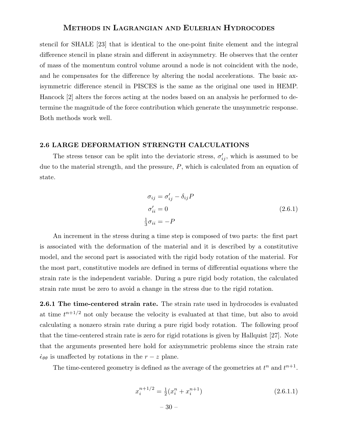stencil for SHALE [23] that is identical to the one-point finite element and the integral difference stencil in plane strain and different in axisymmetry. He observes that the center of mass of the momentum control volume around a node is not coincident with the node, and he compensates for the difference by altering the nodal accelerations. The basic axisymmetric difference stencil in PISCES is the same as the original one used in HEMP. Hancock [2] alters the forces acting at the nodes based on an analysis he performed to determine the magnitude of the force contribution which generate the unsymmetric response. Both methods work well.

#### **2.6 LARGE DEFORMATION STRENGTH CALCULATIONS**

The stress tensor can be split into the deviatoric stress,  $\sigma'_{ij}$ , which is assumed to be due to the material strength, and the pressure, P, which is calculated from an equation of state.

$$
\sigma_{ij} = \sigma'_{ij} - \delta_{ij} P
$$
  
\n
$$
\sigma'_{ii} = 0
$$
  
\n
$$
\frac{1}{3}\sigma_{ii} = -P
$$
  
\n(2.6.1)

An increment in the stress during a time step is composed of two parts: the first part is associated with the deformation of the material and it is described by a constitutive model, and the second part is associated with the rigid body rotation of the material. For the most part, constitutive models are defined in terms of differential equations where the strain rate is the independent variable. During a pure rigid body rotation, the calculated strain rate must be zero to avoid a change in the stress due to the rigid rotation.

**2.6.1 The time-centered strain rate.** The strain rate used in hydrocodes is evaluated at time  $t^{n+1/2}$  not only because the velocity is evaluated at that time, but also to avoid calculating a nonzero strain rate during a pure rigid body rotation. The following proof that the time-centered strain rate is zero for rigid rotations is given by Hallquist [27]. Note that the arguments presented here hold for axisymmetric problems since the strain rate  $\dot{\epsilon}_{\theta\theta}$  is unaffected by rotations in the  $r - z$  plane.

The time-centered geometry is defined as the average of the geometries at  $t^n$  and  $t^{n+1}$ .

$$
x_i^{n+1/2} = \frac{1}{2}(x_i^n + x_i^{n+1})
$$
\n(2.6.1.1)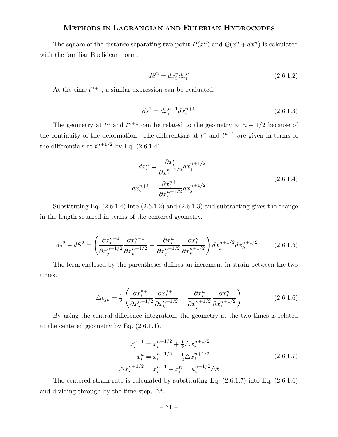The square of the distance separating two point  $P(x^n)$  and  $Q(x^n + dx^n)$  is calculated with the familiar Euclidean norm.

$$
dS^2 = dx_i^n dx_i^n \tag{2.6.1.2}
$$

At the time  $t^{n+1}$ , a similar expression can be evaluated.

$$
ds^2 = dx_i^{n+1} dx_i^{n+1}
$$
\n(2.6.1.3)

The geometry at  $t^n$  and  $t^{n+1}$  can be related to the geometry at  $n + 1/2$  because of the continuity of the deformation. The differentials at  $t^n$  and  $t^{n+1}$  are given in terms of the differentials at  $t^{n+1/2}$  by Eq. (2.6.1.4).

$$
dx_i^n = \frac{\partial x_i^n}{\partial x_j^{n+1/2}} dx_j^{n+1/2}
$$
  
\n
$$
dx_i^{n+1} = \frac{\partial x_i^{n+1}}{\partial x_j^{n+1/2}} dx_j^{n+1/2}
$$
\n(2.6.1.4)

Substituting Eq.  $(2.6.1.4)$  into  $(2.6.1.2)$  and  $(2.6.1.3)$  and subtracting gives the change in the length squared in terms of the centered geometry.

$$
ds^2 - dS^2 = \left(\frac{\partial x_i^{n+1}}{\partial x_j^{n+1/2}} \frac{\partial x_i^{n+1}}{\partial x_k^{n+1/2}} - \frac{\partial x_i^n}{\partial x_j^{n+1/2}} \frac{\partial x_i^n}{\partial x_k^{n+1/2}}\right) dx_j^{n+1/2} dx_k^{n+1/2}
$$
(2.6.1.5)

The term enclosed by the parentheses defines an increment in strain between the two times.

$$
\triangle \epsilon_{jk} = \frac{1}{2} \left( \frac{\partial x_i^{n+1}}{\partial x_j^{n+1/2}} \frac{\partial x_i^{n+1}}{\partial x_k^{n+1/2}} - \frac{\partial x_i^n}{\partial x_j^{n+1/2}} \frac{\partial x_i^n}{\partial x_k^{n+1/2}} \right) \tag{2.6.1.6}
$$

By using the central difference integration, the geometry at the two times is related to the centered geometry by Eq. (2.6.1.4).

$$
x_i^{n+1} = x_i^{n+1/2} + \frac{1}{2} \Delta x_i^{n+1/2}
$$
  
\n
$$
x_i^n = x_i^{n+1/2} - \frac{1}{2} \Delta x_i^{n+1/2}
$$
  
\n
$$
\Delta x_i^{n+1/2} = x_i^{n+1} - x_i^n = u_i^{n+1/2} \Delta t
$$
\n(2.6.1.7)

The centered strain rate is calculated by substituting Eq.  $(2.6.1.7)$  into Eq.  $(2.6.1.6)$ and dividing through by the time step,  $\Delta t$ .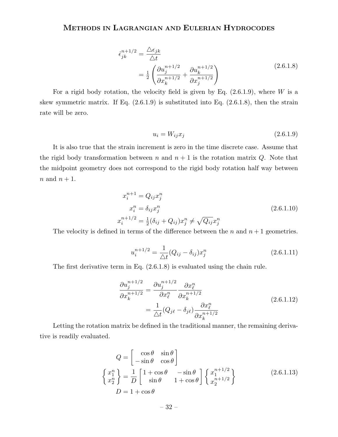$$
\dot{\epsilon}_{jk}^{n+1/2} = \frac{\Delta \epsilon_{jk}}{\Delta t} \n= \frac{1}{2} \left( \frac{\partial u_j^{n+1/2}}{\partial x_k^{n+1/2}} + \frac{\partial u_k^{n+1/2}}{\partial x_j^{n+1/2}} \right)
$$
\n(2.6.1.8)

For a rigid body rotation, the velocity field is given by Eq.  $(2.6.1.9)$ , where W is a skew symmetric matrix. If Eq. (2.6.1.9) is substituted into Eq. (2.6.1.8), then the strain rate will be zero.

$$
u_i = W_{ij} x_j \tag{2.6.1.9}
$$

It is also true that the strain increment is zero in the time discrete case. Assume that the rigid body transformation between n and  $n + 1$  is the rotation matrix Q. Note that the midpoint geometry does not correspond to the rigid body rotation half way between  $n$  and  $n + 1$ .

$$
x_i^{n+1} = Q_{ij} x_j^n
$$
  
\n
$$
x_i^n = \delta_{ij} x_j^n
$$
  
\n
$$
x_i^{n+1/2} = \frac{1}{2} (\delta_{ij} + Q_{ij}) x_j^n \neq \sqrt{Q_{ij}} x_j^n
$$
\n(2.6.1.10)

The velocity is defined in terms of the difference between the n and  $n+1$  geometries.

$$
u_i^{n+1/2} = \frac{1}{\triangle t} (Q_{ij} - \delta_{ij}) x_j^n
$$
\n(2.6.1.11)

The first derivative term in Eq. (2.6.1.8) is evaluated using the chain rule.

$$
\frac{\partial u_j^{n+1/2}}{\partial x_k^{n+1/2}} = \frac{\partial u_j^{n+1/2}}{\partial x_\ell^n} \frac{\partial x_\ell^n}{\partial x_k^{n+1/2}} \n= \frac{1}{\Delta t} (Q_{j\ell} - \delta_{j\ell}) \frac{\partial x_\ell^n}{\partial x_k^{n+1/2}}
$$
\n(2.6.1.12)

Letting the rotation matrix be defined in the traditional manner, the remaining derivative is readily evaluated.

$$
Q = \begin{bmatrix} \cos \theta & \sin \theta \\ -\sin \theta & \cos \theta \end{bmatrix}
$$
  

$$
\begin{Bmatrix} x_1^n \\ x_2^n \end{Bmatrix} = \frac{1}{D} \begin{bmatrix} 1 + \cos \theta & -\sin \theta \\ \sin \theta & 1 + \cos \theta \end{bmatrix} \begin{Bmatrix} x_1^{n+1/2} \\ x_2^{n+1/2} \end{Bmatrix}
$$
 (2.6.1.13)  

$$
D = 1 + \cos \theta
$$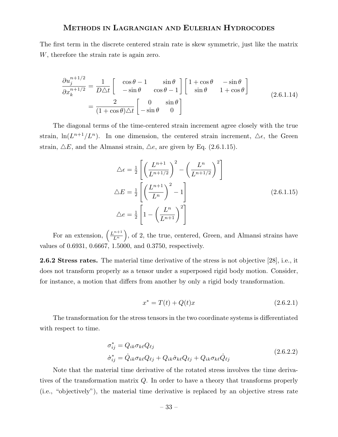The first term in the discrete centered strain rate is skew symmetric, just like the matrix W, therefore the strain rate is again zero.

$$
\frac{\partial u_j^{n+1/2}}{\partial x_k^{n+1/2}} = \frac{1}{D\Delta t} \begin{bmatrix} \cos\theta - 1 & \sin\theta \\ -\sin\theta & \cos\theta - 1 \end{bmatrix} \begin{bmatrix} 1 + \cos\theta & -\sin\theta \\ \sin\theta & 1 + \cos\theta \end{bmatrix}
$$

$$
= \frac{2}{(1 + \cos\theta)\Delta t} \begin{bmatrix} 0 & \sin\theta \\ -\sin\theta & 0 \end{bmatrix}
$$
(2.6.1.14)

The diagonal terms of the time-centered strain increment agree closely with the true strain,  $\ln(L^{n+1}/L^n)$ . In one dimension, the centered strain increment,  $\Delta \epsilon$ , the Green strain,  $\triangle E$ , and the Almansi strain,  $\triangle e$ , are given by Eq. (2.6.1.15).

$$
\Delta \epsilon = \frac{1}{2} \left[ \left( \frac{L^{n+1}}{L^{n+1/2}} \right)^2 - \left( \frac{L^n}{L^{n+1/2}} \right)^2 \right]
$$
  
\n
$$
\Delta E = \frac{1}{2} \left[ \left( \frac{L^{n+1}}{L^n} \right)^2 - 1 \right]
$$
  
\n
$$
\Delta e = \frac{1}{2} \left[ 1 - \left( \frac{L^n}{L^{n+1}} \right)^2 \right]
$$
\n(2.6.1.15)

For an extension,  $\left(\frac{L^{n+1}}{L^n}\right)$ , of 2, the true, centered, Green, and Almansi strains have values of 0.6931, 0.6667, 1.5000, and 0.3750, respectively.

**2.6.2 Stress rates.** The material time derivative of the stress is not objective [28], i.e., it does not transform properly as a tensor under a superposed rigid body motion. Consider, for instance, a motion that differs from another by only a rigid body transformation.

$$
x^* = T(t) + Q(t)x \tag{2.6.2.1}
$$

The transformation for the stress tensors in the two coordinate systems is differentiated with respect to time.

$$
\sigma_{ij}^* = Q_{ik}\sigma_{k\ell}Q_{\ell j}
$$
\n
$$
\dot{\sigma}_{ij}^* = \dot{Q}_{ik}\sigma_{k\ell}Q_{\ell j} + Q_{ik}\dot{\sigma}_{k\ell}Q_{\ell j} + Q_{ik}\sigma_{k\ell}\dot{Q}_{\ell j}
$$
\n(2.6.2.2)

Note that the material time derivative of the rotated stress involves the time derivatives of the transformation matrix Q. In order to have a theory that transforms properly (i.e., "objectively"), the material time derivative is replaced by an objective stress rate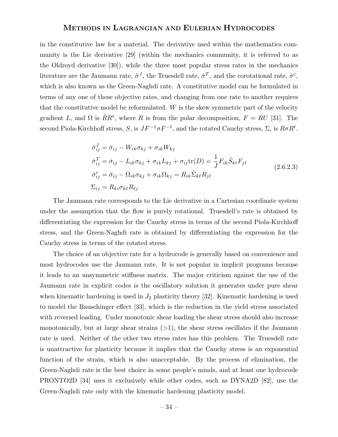in the constitutive law for a material. The derivative used within the mathematics community is the Lie derivative [29] (within the mechanics community, it is referred to as the Oldroyd derivative [30]), while the three most popular stress rates in the mechanics literature are the Jaumann rate,  $\dot{\sigma}^J$ , the Truesdell rate,  $\dot{\sigma}^T$ , and the corotational rate,  $\dot{\sigma}^c$ , which is also known as the Green-Naghdi rate. A constitutive model can be formulated in terms of any one of these objective rates, and changing from one rate to another requires that the constitutive model be reformulated.  $W$  is the skew symmetric part of the velocity gradient L, and  $\Omega$  is  $\dot{R}R^t$ , where R is from the polar decomposition,  $F = RU$  [31]. The second Piola-Kirchhoff stress, S, is  $JF^{-1}\sigma F^{-t}$ , and the rotated Cauchy stress,  $\Sigma$ , is  $R\sigma R^t$ .

$$
\dot{\sigma}_{ij}^J = \dot{\sigma}_{ij} - W_{ik}\sigma_{kj} + \sigma_{ik}W_{kj}
$$
\n
$$
\dot{\sigma}_{ij}^T = \dot{\sigma}_{ij} - L_{ik}\sigma_{kj} + \sigma_{ik}L_{kj} + \sigma_{ij}\text{tr}(D) = \frac{1}{J}F_{ik}\dot{S}_{k\ell}F_{j\ell}
$$
\n
$$
\dot{\sigma}_{ij}^c = \dot{\sigma}_{ij} - \Omega_{ik}\sigma_{kj} + \sigma_{ik}\Omega_{kj} = R_{ik}\dot{\Sigma}_{k\ell}R_{j\ell}
$$
\n
$$
\Sigma_{ij} = R_{ki}\sigma_{k\ell}R_{\ell j}
$$
\n(2.6.2.3)

The Jaumann rate corresponds to the Lie derivative in a Cartesian coordinate system under the assumption that the flow is purely rotational. Truesdell's rate is obtained by differentiating the expression for the Cauchy stress in terms of the second Piola-Kirchhoff stress, and the Green-Naghdi rate is obtained by differentiating the expression for the Cauchy stress in terms of the rotated stress.

The choice of an objective rate for a hydrocode is generally based on convenience and most hydrocodes use the Jaumann rate. It is not popular in implicit programs because it leads to an unsymmetric stiffness matrix. The major criticism against the use of the Jaumann rate in explicit codes is the oscillatory solution it generates under pure shear when kinematic hardening is used in  $J_2$  plasticity theory [32]. Kinematic hardening is used to model the Bauschinger effect [33], which is the reduction in the yield stress associated with reversed loading. Under monotonic shear loading the shear stress should also increase monotonically, but at large shear strains  $(>1)$ , the shear stress oscillates if the Jaumann rate is used. Neither of the other two stress rates has this problem. The Truesdell rate is unattractive for plasticity because it implies that the Cauchy stress is an exponential function of the strain, which is also unacceptable. By the process of elimination, the Green-Naghdi rate is the best choice in some people's minds, and at least one hydrocode PRONTO2D [34] uses it exclusively while other codes, such as DYNA2D [82], use the Green-Naghdi rate only with the kinematic hardening plasticity model.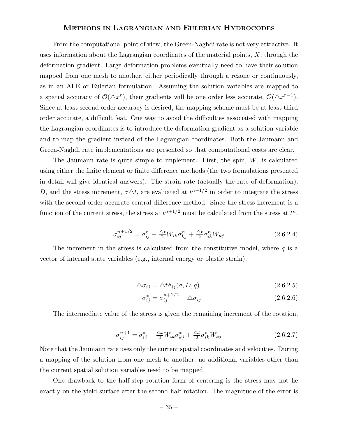From the computational point of view, the Green-Naghdi rate is not very attractive. It uses information about the Lagrangian coordinates of the material points,  $X$ , through the deformation gradient. Large deformation problems eventually need to have their solution mapped from one mesh to another, either periodically through a rezone or continuously, as in an ALE or Eulerian formulation. Assuming the solution variables are mapped to a spatial accuracy of  $\mathcal{O}(\Delta x^r)$ , their gradients will be one order less accurate,  $\mathcal{O}(\Delta x^{r-1})$ . Since at least second order accuracy is desired, the mapping scheme must be at least third order accurate, a difficult feat. One way to avoid the difficulties associated with mapping the Lagrangian coordinates is to introduce the deformation gradient as a solution variable and to map the gradient instead of the Lagrangian coordinates. Both the Jaumann and Green-Naghdi rate implementations are presented so that computational costs are clear.

The Jaumann rate is quite simple to implement. First, the spin,  $W$ , is calculated using either the finite element or finite difference methods (the two formulations presented in detail will give identical answers). The strain rate (actually the rate of deformation), D, and the stress increment,  $\dot{\sigma} \Delta t$ , are evaluated at  $t^{n+1/2}$  in order to integrate the stress with the second order accurate central difference method. Since the stress increment is a function of the current stress, the stress at  $t^{n+1/2}$  must be calculated from the stress at  $t^n$ .

$$
\sigma_{ij}^{n+1/2} = \sigma_{ij}^n - \frac{\Delta t}{2} W_{ik} \sigma_{kj}^n + \frac{\Delta t}{2} \sigma_{ik}^n W_{kj}
$$
\n(2.6.2.4)

The increment in the stress is calculated from the constitutive model, where  $q$  is a vector of internal state variables (e.g., internal energy or plastic strain).

$$
\Delta \sigma_{ij} = \Delta t \dot{\sigma}_{ij}(\sigma, D, q) \tag{2.6.2.5}
$$

$$
\sigma_{ij}^* = \sigma_{ij}^{n+1/2} + \Delta \sigma_{ij} \tag{2.6.2.6}
$$

The intermediate value of the stress is given the remaining increment of the rotation.

$$
\sigma_{ij}^{n+1} = \sigma_{ij}^* - \frac{\Delta t}{2} W_{ik} \sigma_{kj}^* + \frac{\Delta t}{2} \sigma_{ik}^* W_{kj}
$$
 (2.6.2.7)

Note that the Jaumann rate uses only the current spatial coordinates and velocities. During a mapping of the solution from one mesh to another, no additional variables other than the current spatial solution variables need to be mapped.

One drawback to the half-step rotation form of centering is the stress may not lie exactly on the yield surface after the second half rotation. The magnitude of the error is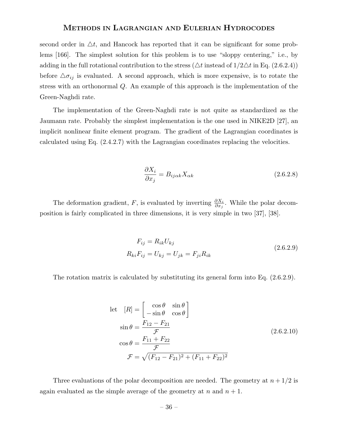second order in  $\Delta t$ , and Hancock has reported that it can be significant for some problems [166]. The simplest solution for this problem is to use "sloppy centering," i.e., by adding in the full rotational contribution to the stress ( $\triangle t$  instead of  $1/2\triangle t$  in Eq. (2.6.2.4)) before  $\Delta \sigma_{ij}$  is evaluated. A second approach, which is more expensive, is to rotate the stress with an orthonormal Q. An example of this approach is the implementation of the Green-Naghdi rate.

The implementation of the Green-Naghdi rate is not quite as standardized as the Jaumann rate. Probably the simplest implementation is the one used in NIKE2D [27], an implicit nonlinear finite element program. The gradient of the Lagrangian coordinates is calculated using Eq. (2.4.2.7) with the Lagrangian coordinates replacing the velocities.

$$
\frac{\partial X_i}{\partial x_j} = B_{ij\alpha k} X_{\alpha k} \tag{2.6.2.8}
$$

The deformation gradient, F, is evaluated by inverting  $\frac{\partial X_i}{\partial x_j}$ . While the polar decomposition is fairly complicated in three dimensions, it is very simple in two [37], [38].

$$
F_{ij} = R_{ik} U_{kj}
$$
  
\n
$$
R_{ki} F_{ij} = U_{kj} = U_{jk} = F_{ji} R_{ik}
$$
\n(2.6.2.9)

The rotation matrix is calculated by substituting its general form into Eq. (2.6.2.9).

$$
\begin{aligned}\n\text{let} \quad [R] &= \begin{bmatrix} \cos \theta & \sin \theta \\ -\sin \theta & \cos \theta \end{bmatrix} \\
\sin \theta &= \frac{F_{12} - F_{21}}{\mathcal{F}} \\
\cos \theta &= \frac{F_{11} + F_{22}}{\mathcal{F}} \\
\mathcal{F} &= \sqrt{(F_{12} - F_{21})^2 + (F_{11} + F_{22})^2}\n\end{aligned}\n\end{aligned} \tag{2.6.2.10}
$$

Three evaluations of the polar decomposition are needed. The geometry at  $n + 1/2$  is again evaluated as the simple average of the geometry at n and  $n + 1$ .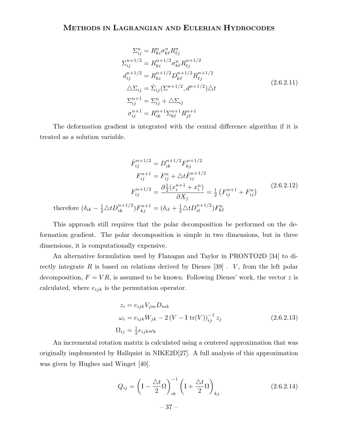$$
\sum_{ij}^{n} = R_{ki}^{n} \sigma_{k\ell}^{n} R_{\ell j}^{n}
$$
\n
$$
\sum_{ij}^{n+1/2} = R_{ki}^{n+1/2} \sigma_{k\ell}^{n} R_{\ell j}^{n+1/2}
$$
\n
$$
d_{ij}^{n+1/2} = R_{ki}^{n+1/2} D_{k\ell}^{n+1/2} R_{\ell j}^{n+1/2}
$$
\n
$$
\Delta \Sigma_{ij} = \dot{\Sigma}_{ij} (\Sigma^{n+1/2}, d^{n+1/2}) \Delta t
$$
\n
$$
\sum_{ij}^{n+1} = \Sigma_{ij}^{n} + \Delta \Sigma_{ij}
$$
\n
$$
\sigma_{ij}^{n+1} = R_{ik}^{n+1} \Sigma_{k\ell}^{n+1} R_{jl}^{n+1}
$$
\n(2.6.2.11)

The deformation gradient is integrated with the central difference algorithm if it is treated as a solution variable.

$$
\dot{F}_{ij}^{n+1/2} = D_{ik}^{n+1/2} F_{kj}^{n+1/2}
$$
\n
$$
F_{ij}^{n+1} = F_{ij}^{n} + \Delta t \dot{F}_{ij}^{n+1/2}
$$
\n
$$
F_{ij}^{n+1/2} = \frac{\partial \frac{1}{2} (x_i^{n+1} + x_i^{n})}{\partial X_j} = \frac{1}{2} \left( F_{ij}^{n+1} + F_{ij}^{n} \right)
$$
\n
$$
\text{therefore } (\delta_{ik} - \frac{1}{2} \Delta t D_{ik}^{n+1/2}) F_{kj}^{n+1} = (\delta_{i\ell} + \frac{1}{2} \Delta t D_{i\ell}^{n+1/2}) F_{k\ell}^{n}
$$
\n
$$
(2.6.2.12)
$$

This approach still requires that the polar decomposition be performed on the deformation gradient. The polar decomposition is simple in two dimensions, but in three dimensions, it is computationally expensive.

An alternative formulation used by Flanagan and Taylor in PRONTO2D [34] to directly integrate R is based on relations derived by Dienes  $[39]$ . V, from the left polar decomposition,  $F = VR$ , is assumed to be known. Following Dienes' work, the vector z is calculated, where  $e_{ijk}$  is the permutation operator.

$$
z_i = e_{ijk} V_{jm} D_{mk}
$$
  
\n
$$
\omega_i = e_{ijk} W_{jk} - 2 (V - I \operatorname{tr}(V))_{ij}^{-1} z_j
$$
  
\n
$$
\Omega_{ij} = \frac{1}{2} e_{ijk} \omega_k
$$
\n(2.6.2.13)

An incremental rotation matrix is calculated using a centered approximation that was originally implemented by Hallquist in NIKE2D[27]. A full analysis of this approximation was given by Hughes and Winget [40].

$$
Q_{ij} = \left(I - \frac{\Delta t}{2} \Omega\right)_{ik}^{-1} \left(I + \frac{\Delta t}{2} \Omega\right)_{kj}
$$
\n
$$
-37 - \tag{2.6.2.14}
$$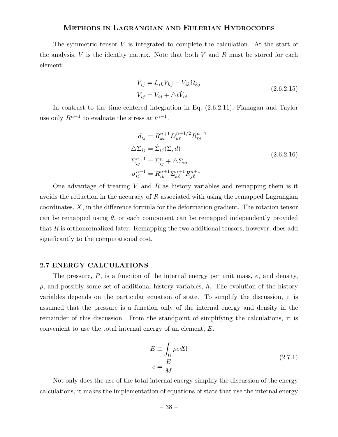The symmetric tensor V is integrated to complete the calculation. At the start of the analysis,  $V$  is the identity matrix. Note that both  $V$  and  $R$  must be stored for each element.

$$
\dot{V}_{ij} = L_{ik} V_{kj} - V_{ik} \Omega_{kj}
$$
\n
$$
V_{ij} = V_{ij} + \Delta t \dot{V}_{ij}
$$
\n(2.6.2.15)

In contrast to the time-centered integration in Eq. (2.6.2.11), Flanagan and Taylor use only  $R^{n+1}$  to evaluate the stress at  $t^{n+1}$ .

$$
d_{ij} = R_{ki}^{n+1} D_{k\ell}^{n+1/2} R_{\ell j}^{n+1}
$$
  
\n
$$
\Delta \Sigma_{ij} = \dot{\Sigma}_{ij} (\Sigma, d)
$$
  
\n
$$
\Sigma_{ij}^{n+1} = \Sigma_{ij}^{n} + \Delta \Sigma_{ij}
$$
  
\n
$$
\sigma_{ij}^{n+1} = R_{ik}^{n+1} \Sigma_{k\ell}^{n+1} R_{j\ell}^{n+1}
$$
\n(2.6.2.16)

One advantage of treating V and R as history variables and remapping them is it avoids the reduction in the accuracy of  $R$  associated with using the remapped Lagrangian coordinates, X, in the difference formula for the deformation gradient. The rotation tensor can be remapped using  $\theta$ , or each component can be remapped independently provided that  $R$  is orthonormalized later. Remapping the two additional tensors, however, does add significantly to the computational cost.

#### **2.7 ENERGY CALCULATIONS**

The pressure,  $P$ , is a function of the internal energy per unit mass,  $e$ , and density,  $\rho$ , and possibly some set of additional history variables, h. The evolution of the history variables depends on the particular equation of state. To simplify the discussion, it is assumed that the pressure is a function only of the internal energy and density in the remainder of this discussion. From the standpoint of simplifying the calculations, it is convenient to use the total internal energy of an element, E.

$$
E \equiv \int_{\Omega} \rho e d\Omega
$$
  

$$
e = \frac{E}{M}
$$
 (2.7.1)

Not only does the use of the total internal energy simplify the discussion of the energy calculations, it makes the implementation of equations of state that use the internal energy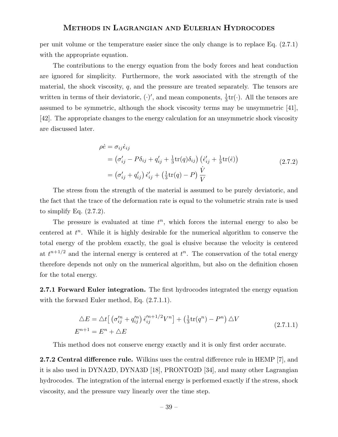per unit volume or the temperature easier since the only change is to replace Eq. (2.7.1) with the appropriate equation.

The contributions to the energy equation from the body forces and heat conduction are ignored for simplicity. Furthermore, the work associated with the strength of the material, the shock viscosity,  $q$ , and the pressure are treated separately. The tensors are written in terms of their deviatoric,  $(\cdot)'$ , and mean components,  $\frac{1}{3}$ tr $(\cdot)$ . All the tensors are assumed to be symmetric, although the shock viscosity terms may be unsymmetric [41], [42]. The appropriate changes to the energy calculation for an unsymmetric shock viscosity are discussed later.

$$
\rho \dot{e} = \sigma_{ij} \dot{\epsilon}_{ij}
$$
  
=  $(\sigma'_{ij} - P\delta_{ij} + q'_{ij} + \frac{1}{3} \text{tr}(q)\delta_{ij}) (\dot{\epsilon}'_{ij} + \frac{1}{3} \text{tr}(\dot{\epsilon}))$   
=  $(\sigma'_{ij} + q'_{ij}) \dot{\epsilon}'_{ij} + (\frac{1}{3} \text{tr}(q) - P) \frac{\dot{V}}{V}$  (2.7.2)

The stress from the strength of the material is assumed to be purely deviatoric, and the fact that the trace of the deformation rate is equal to the volumetric strain rate is used to simplify Eq.  $(2.7.2)$ .

The pressure is evaluated at time  $t^n$ , which forces the internal energy to also be centered at  $t^n$ . While it is highly desirable for the numerical algorithm to conserve the total energy of the problem exactly, the goal is elusive because the velocity is centered at  $t^{n+1/2}$  and the internal energy is centered at  $t^n$ . The conservation of the total energy therefore depends not only on the numerical algorithm, but also on the definition chosen for the total energy.

**2.7.1 Forward Euler integration.** The first hydrocodes integrated the energy equation with the forward Euler method, Eq.  $(2.7.1.1)$ .

$$
\Delta E = \Delta t \left[ \left( \sigma_{ij}^{\prime n} + q_{ij}^{\prime n} \right) \dot{\epsilon}_{ij}^{\prime n+1/2} V^{n} \right] + \left( \frac{1}{3} \text{tr}(q^{n}) - P^{n} \right) \Delta V
$$
\n
$$
E^{n+1} = E^{n} + \Delta E \tag{2.7.1.1}
$$

This method does not conserve energy exactly and it is only first order accurate.

**2.7.2 Central difference rule.** Wilkins uses the central difference rule in HEMP [7], and it is also used in DYNA2D, DYNA3D [18], PRONTO2D [34], and many other Lagrangian hydrocodes. The integration of the internal energy is performed exactly if the stress, shock viscosity, and the pressure vary linearly over the time step.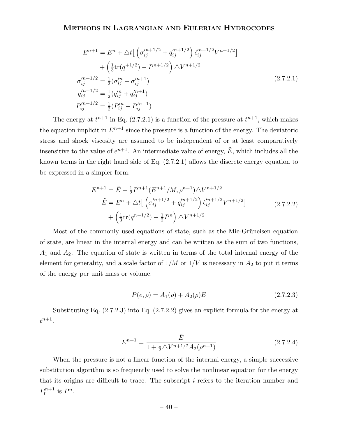$$
E^{n+1} = E^n + \Delta t \left[ \left( \sigma_{ij}^{(n+1)/2} + q_{ij}^{(n+1)/2} \right) \dot{\epsilon}_{ij}^{(n+1)/2} V^{n+1/2} \right] + \left( \frac{1}{3} \text{tr}(q^{1/2}) - P^{n+1/2} \right) \Delta V^{n+1/2} \n\sigma_{ij}^{(n+1)/2} = \frac{1}{2} (\sigma_{ij}^{(n)} + \sigma_{ij}^{(n+1)}) \nq_{ij}^{(n+1)/2} = \frac{1}{2} (q_{ij}^{(n)} + q_{ij}^{(n+1)}) \nP_{ij}^{(n+1)/2} = \frac{1}{2} (P_{ij}^{(n)} + P_{ij}^{(n+1)})
$$
\n(2.7.2.1)

The energy at  $t^{n+1}$  in Eq. (2.7.2.1) is a function of the pressure at  $t^{n+1}$ , which makes the equation implicit in  $E^{n+1}$  since the pressure is a function of the energy. The deviatoric stress and shock viscosity are assumed to be independent of or at least comparatively insensitive to the value of  $e^{n+1}$ . An intermediate value of energy, E, which includes all the known terms in the right hand side of Eq. (2.7.2.1) allows the discrete energy equation to be expressed in a simpler form.

$$
E^{n+1} = \tilde{E} - \frac{1}{2} P^{n+1} (E^{n+1}/M, \rho^{n+1}) \Delta V^{n+1/2}
$$
  
\n
$$
\tilde{E} = E^n + \Delta t \left[ \left( \sigma_{ij}^{n+1/2} + q_{ij}^{n+1/2} \right) \dot{\epsilon}_{ij}^{n+1/2} V^{n+1/2} \right]
$$
  
\n
$$
+ \left( \frac{1}{3} \text{tr}(q^{n+1/2}) - \frac{1}{2} P^n \right) \Delta V^{n+1/2}
$$
\n(2.7.2.2)

Most of the commonly used equations of state, such as the Mie-Grüneisen equation of state, are linear in the internal energy and can be written as the sum of two functions,  $A_1$  and  $A_2$ . The equation of state is written in terms of the total internal energy of the element for generality, and a scale factor of  $1/M$  or  $1/V$  is necessary in  $A_2$  to put it terms of the energy per unit mass or volume.

$$
P(e, \rho) = A_1(\rho) + A_2(\rho)E \tag{2.7.2.3}
$$

Substituting Eq. (2.7.2.3) into Eq. (2.7.2.2) gives an explicit formula for the energy at  $t^{n+1}.$ 

$$
E^{n+1} = \frac{\tilde{E}}{1 + \frac{1}{2}\Delta V^{n+1/2}A_2(\rho^{n+1})}
$$
(2.7.2.4)

When the pressure is not a linear function of the internal energy, a simple successive substitution algorithm is so frequently used to solve the nonlinear equation for the energy that its origins are difficult to trace. The subscript i refers to the iteration number and  $P_0^{n+1}$  is  $P^n$ .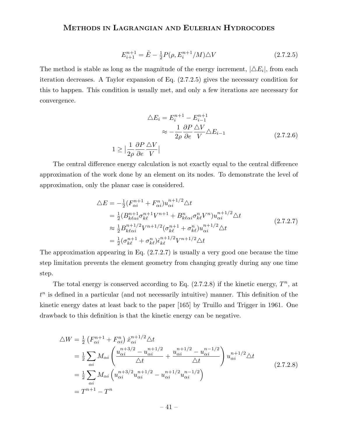$$
E_{i+1}^{n+1} = \tilde{E} - \frac{1}{2}P(\rho, E_i^{n+1}/M)\triangle V
$$
\n(2.7.2.5)

The method is stable as long as the magnitude of the energy increment,  $|\triangle E_i|$ , from each iteration decreases. A Taylor expansion of Eq. (2.7.2.5) gives the necessary condition for this to happen. This condition is usually met, and only a few iterations are necessary for convergence.

$$
\Delta E_i = E_i^{n+1} - E_{i-1}^{n+1}
$$

$$
\approx -\frac{1}{2\rho} \frac{\partial P}{\partial e} \frac{\Delta V}{V} \Delta E_{i-1}
$$

$$
1 \ge \left| \frac{1}{2\rho} \frac{\partial P}{\partial e} \frac{\Delta V}{V} \right|
$$
(2.7.2.6)

The central difference energy calculation is not exactly equal to the central difference approximation of the work done by an element on its nodes. To demonstrate the level of approximation, only the planar case is considered.

$$
\Delta E = -\frac{1}{2} (F_{\alpha i}^{n+1} + F_{\alpha i}^{n}) u_{\alpha i}^{n+1/2} \Delta t \n= \frac{1}{2} (B_{k\ell\alpha i}^{n+1} \sigma_{k\ell}^{n+1} V^{n+1} + B_{k\ell\alpha i}^{n} \sigma_{k\ell}^{n} V^{n}) u_{\alpha i}^{n+1/2} \Delta t \n\approx \frac{1}{2} B_{k\ell\alpha i}^{n+1/2} V^{n+1/2} (\sigma_{k\ell}^{n+1} + \sigma_{k\ell}^{n}) u_{\alpha i}^{n+1/2} \Delta t \n= \frac{1}{2} (\sigma_{k\ell}^{n+1} + \sigma_{k\ell}^{n}) \dot{\epsilon}_{k\ell}^{n+1/2} V^{n+1/2} \Delta t
$$
\n(2.7.2.7)

The approximation appearing in Eq. (2.7.2.7) is usually a very good one because the time step limitation prevents the element geometry from changing greatly during any one time step.

The total energy is conserved according to Eq.  $(2.7.2.8)$  if the kinetic energy,  $T^n$ , at  $t^n$  is defined in a particular (and not necessarily intuitive) manner. This definition of the kinetic energy dates at least back to the paper [165] by Truillo and Trigger in 1961. One drawback to this definition is that the kinetic energy can be negative.

$$
\begin{split} \triangle W &= \frac{1}{2} \left( F_{\alpha i}^{n+1} + F_{\alpha i}^{n} \right) \dot{x}_{\alpha i}^{n+1/2} \triangle t \\ &= \frac{1}{2} \sum_{\alpha i} M_{\alpha i} \left( \frac{u_{\alpha i}^{n+3/2} - u_{\alpha i}^{n+1/2}}{\triangle t} + \frac{u_{\alpha i}^{n+1/2} - u_{\alpha i}^{n-1/2}}{\triangle t} \right) u_{\alpha i}^{n+1/2} \triangle t \\ &= \frac{1}{2} \sum_{\alpha i} M_{\alpha i} \left( u_{\alpha i}^{n+3/2} u_{\alpha i}^{n+1/2} - u_{\alpha i}^{n+1/2} u_{\alpha i}^{n-1/2} \right) \\ &= T^{n+1} - T^{n} \end{split} \tag{2.7.2.8}
$$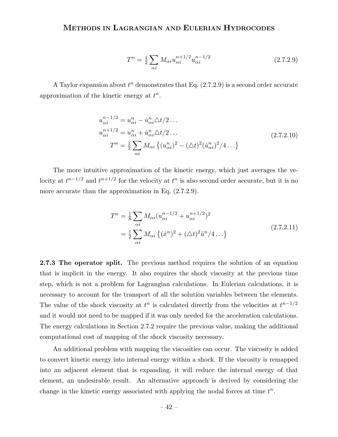$$
T^{n} = \frac{1}{2} \sum_{\alpha i} M_{\alpha i} u_{\alpha i}^{n+1/2} u_{\alpha i}^{n-1/2}
$$
 (2.7.2.9)

A Taylor expansion about  $t^n$  demonstrates that Eq.  $(2.7.2.9)$  is a second order accurate approximation of the kinetic energy at  $t^n$ .

$$
u_{\alpha i}^{n-1/2} = u_{\alpha i}^n - \dot{u}_{\alpha i}^n \Delta t / 2 \dots
$$
  
\n
$$
u_{\alpha i}^{n+1/2} = u_{\alpha i}^n + \dot{u}_{\alpha i}^n \Delta t / 2 \dots
$$
  
\n
$$
T^n = \frac{1}{2} \sum_{\alpha i} M_{\alpha i} \left\{ (u_{\alpha i}^n)^2 - (\Delta t)^2 (\dot{u}_{\alpha i}^n)^2 / 4 \dots \right\}
$$
\n(2.7.2.10)

The more intuitive approximation of the kinetic energy, which just averages the velocity at  $t^{n-1/2}$  and  $t^{n+1/2}$  for the velocity at  $t^n$  is also second order accurate, but it is no more accurate than the approximation in Eq.  $(2.7.2.9)$ .

$$
T^{n} = \frac{1}{8} \sum_{\alpha i} M_{\alpha i} (u_{\alpha i}^{n-1/2} + u_{\alpha i}^{n+1/2})^{2}
$$
  
= 
$$
\frac{1}{2} \sum_{\alpha i} M_{\alpha i} \{ (\dot{x}^{n})^{2} + (\Delta t)^{2} \ddot{u}^{n} / 4 \ldots \}
$$
 (2.7.2.11)

**2.7.3 The operator split.** The previous method requires the solution of an equation that is implicit in the energy. It also requires the shock viscosity at the previous time step, which is not a problem for Lagrangian calculations. In Eulerian calculations, it is necessary to account for the transport of all the solution variables between the elements. The value of the shock viscosity at  $t^n$  is calculated directly from the velocities at  $t^{n-1/2}$ and it would not need to be mapped if it was only needed for the acceleration calculations. The energy calculations in Section 2.7.2 require the previous value, making the additional computational cost of mapping of the shock viscosity necessary.

An additional problem with mapping the viscosities can occur. The viscosity is added to convert kinetic energy into internal energy within a shock. If the viscosity is remapped into an adjacent element that is expanding, it will reduce the internal energy of that element, an undesirable result. An alternative approach is derived by considering the change in the kinetic energy associated with applying the nodal forces at time  $t^n$ .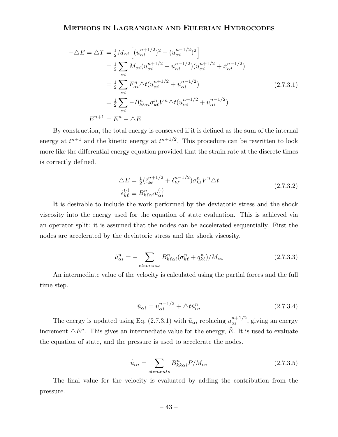$$
-\Delta E = \Delta T = \frac{1}{2} M_{\alpha i} \left[ (u_{\alpha i}^{n+1/2})^2 - (u_{\alpha i}^{n-1/2})^2 \right]
$$
  
\n
$$
= \frac{1}{2} \sum_{\alpha i} M_{\alpha i} (u_{\alpha i}^{n+1/2} - u_{\alpha i}^{n-1/2}) (u_{\alpha i}^{n+1/2} + \dot{x}_{\alpha i}^{n-1/2})
$$
  
\n
$$
= \frac{1}{2} \sum_{\alpha i} F_{\alpha i}^n \Delta t (u_{\alpha i}^{n+1/2} + u_{\alpha i}^{n-1/2})
$$
  
\n
$$
= \frac{1}{2} \sum_{\alpha i} -B_{k \ell \alpha i}^n \sigma_{k \ell}^n V^n \Delta t (u_{\alpha i}^{n+1/2} + u_{\alpha i}^{n-1/2})
$$
  
\n
$$
E^{n+1} = E^n + \Delta E
$$
 (2.7.3.1)

By construction, the total energy is conserved if it is defined as the sum of the internal energy at  $t^{n+1}$  and the kinetic energy at  $t^{n+1/2}$ . This procedure can be rewritten to look more like the differential energy equation provided that the strain rate at the discrete times is correctly defined.

$$
\Delta E = \frac{1}{2} (\dot{\epsilon}_{k\ell}^{n+1/2} + \dot{\epsilon}_{k\ell}^{n-1/2}) \sigma_{k\ell}^n V^n \Delta t
$$
  
\n
$$
\dot{\epsilon}_{k\ell}^{(\cdot)} \equiv B_{k\ell\alpha i}^n u_{\alpha i}^{(\cdot)}
$$
\n(2.7.3.2)

It is desirable to include the work performed by the deviatoric stress and the shock viscosity into the energy used for the equation of state evaluation. This is achieved via an operator split: it is assumed that the nodes can be accelerated sequentially. First the nodes are accelerated by the deviatoric stress and the shock viscosity.

$$
\dot{u}_{\alpha i}^{n} = -\sum_{elements} B_{k\ell\alpha i}^{n} (\sigma_{k\ell}^{n} + q_{k\ell}^{n}) / M_{\alpha i}
$$
\n(2.7.3.3)

An intermediate value of the velocity is calculated using the partial forces and the full time step.

$$
\tilde{u}_{\alpha i} = u_{\alpha i}^{n-1/2} + \Delta t \dot{u}_{\alpha i}^n \tag{2.7.3.4}
$$

The energy is updated using Eq. (2.7.3.1) with  $\tilde{u}_{\alpha i}$  replacing  $u_{\alpha i}^{n+1/2}$ , giving an energy increment  $\triangle E^{\sigma}$ . This gives an intermediate value for the energy,  $\tilde{E}$ . It is used to evaluate the equation of state, and the pressure is used to accelerate the nodes.

$$
\dot{\tilde{u}}_{\alpha i} = \sum_{elements} B_{kk\alpha i}^{n} P/M_{\alpha i}
$$
\n(2.7.3.5)

The final value for the velocity is evaluated by adding the contribution from the pressure.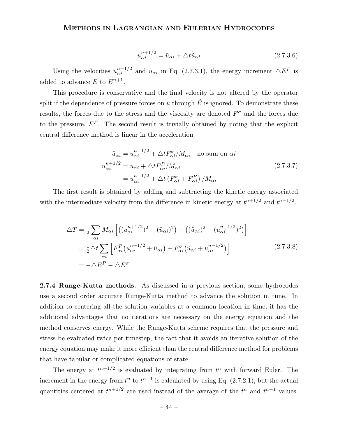$$
u_{\alpha i}^{n+1/2} = \tilde{u}_{\alpha i} + \Delta t \dot{\tilde{u}}_{\alpha i} \tag{2.7.3.6}
$$

Using the velocities  $u_{\alpha i}^{n+1/2}$  and  $\tilde{u}_{\alpha i}$  in Eq. (2.7.3.1), the energy increment  $\triangle E^P$  is added to advance  $\tilde{E}$  to  $E^{n+1}$ .

This procedure is conservative and the final velocity is not altered by the operator split if the dependence of pressure forces on  $\tilde{u}$  through  $\tilde{E}$  is ignored. To demonstrate these results, the forces due to the stress and the viscosity are denoted  $F^{\sigma}$  and the forces due to the pressure,  $F^P$ . The second result is trivially obtained by noting that the explicit central difference method is linear in the acceleration.

$$
\tilde{u}_{\alpha i} = u_{\alpha i}^{n-1/2} + \Delta t F_{\alpha i}^{\sigma} / M_{\alpha i} \quad \text{no sum on } \alpha i
$$
\n
$$
u_{\alpha i}^{n+1/2} = \tilde{u}_{\alpha i} + \Delta t F_{\alpha i}^P / M_{\alpha i}
$$
\n
$$
= u_{\alpha i}^{n-1/2} + \Delta t \left( F_{\alpha i}^{\sigma} + F_{\alpha i}^P \right) / M_{\alpha i}
$$
\n(2.7.3.7)

The first result is obtained by adding and subtracting the kinetic energy associated with the intermediate velocity from the difference in kinetic energy at  $t^{n+1/2}$  and  $t^{n-1/2}$ .

$$
\Delta T = \frac{1}{2} \sum_{\alpha i} M_{\alpha i} \left[ \left( (u_{\alpha i}^{n+1/2})^2 - (\tilde{u}_{\alpha i})^2 \right) + \left( (\tilde{u}_{\alpha i})^2 - (u_{\alpha i}^{n-1/2})^2 \right) \right]
$$
  
=  $\frac{1}{2} \Delta t \sum_{\alpha i} \left[ F_{\alpha i}^P (u_{\alpha i}^{n+1/2} + \tilde{u}_{\alpha i}) + F_{\alpha i}^\sigma (\tilde{u}_{\alpha i} + u_{\alpha i}^{n-1/2}) \right]$  (2.7.3.8)  
=  $-\Delta E^P - \Delta E^\sigma$ 

**2.7.4 Runge-Kutta methods.** As discussed in a previous section, some hydrocodes use a second order accurate Runge-Kutta method to advance the solution in time. In addition to centering all the solution variables at a common location in time, it has the additional advantages that no iterations are necessary on the energy equation and the method conserves energy. While the Runge-Kutta scheme requires that the pressure and stress be evaluated twice per timestep, the fact that it avoids an iterative solution of the energy equation may make it more efficient than the central difference method for problems that have tabular or complicated equations of state.

The energy at  $t^{n+1/2}$  is evaluated by integrating from  $t^n$  with forward Euler. The increment in the energy from  $t^n$  to  $t^{n+1}$  is calculated by using Eq. (2.7.2.1), but the actual quantities centered at  $t^{n+1/2}$  are used instead of the average of the  $t^n$  and  $t^{n+1}$  values.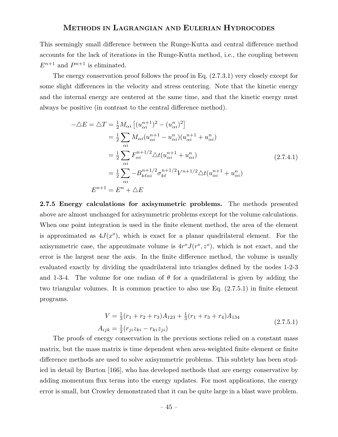This seemingly small difference between the Runge-Kutta and central difference method accounts for the lack of iterations in the Runge-Kutta method, i.e., the coupling between  $E^{n+1}$  and  $P^{n+1}$  is eliminated.

The energy conservation proof follows the proof in Eq. (2.7.3.1) very closely except for some slight differences in the velocity and stress centering. Note that the kinetic energy and the internal energy are centered at the same time, and that the kinetic energy must always be positive (in contrast to the central difference method).

$$
-\triangle E = \triangle T = \frac{1}{2} M_{\alpha i} \left[ (u_{\alpha i}^{n+1})^2 - (u_{\alpha i}^n)^2 \right]
$$
  
\n
$$
= \frac{1}{2} \sum_{\alpha i} M_{\alpha i} (u_{\alpha i}^{n+1} - u_{\alpha i}^n) (u_{\alpha i}^{n+1} + u_{\alpha i}^n)
$$
  
\n
$$
= \frac{1}{2} \sum_{\alpha i} F_{\alpha i}^{n+1/2} \triangle t (u_{\alpha i}^{n+1} + u_{\alpha i}^n)
$$
  
\n
$$
= \frac{1}{2} \sum_{\alpha i} -B_{k \ell \alpha i}^{n+1/2} \sigma_{k \ell}^{n+1/2} V^{n+1/2} \triangle t (u_{\alpha i}^{n+1} + u_{\alpha i}^n)
$$
  
\n
$$
E^{n+1} = E^n + \triangle E
$$
 (2.7.4.1)

**2.7.5 Energy calculations for axisymmetric problems.** The methods presented above are almost unchanged for axisymmetric problems except for the volume calculations. When one point integration is used in the finite element method, the area of the element is approximated as  $4J(x^{\circ})$ , which is exact for a planar quadrilateral element. For the axisymmetric case, the approximate volume is  $4r^{\circ}J(r^{\circ}, z^{\circ})$ , which is not exact, and the error is the largest near the axis. In the finite difference method, the volume is usually evaluated exactly by dividing the quadrilateral into triangles defined by the nodes 1-2-3 and 1-3-4. The volume for one radian of  $\theta$  for a quadrilateral is given by adding the two triangular volumes. It is common practice to also use Eq. (2.7.5.1) in finite element programs.

$$
V = \frac{1}{3}(r_1 + r_2 + r_3)A_{123} + \frac{1}{3}(r_1 + r_3 + r_4)A_{134}
$$
  
\n
$$
A_{ijk} = \frac{1}{2}(r_{ji}z_{ki} - r_{ki}z_{ji})
$$
\n(2.7.5.1)

The proofs of energy conservation in the previous sections relied on a constant mass matrix, but the mass matrix is time dependent when area-weighted finite element or finite difference methods are used to solve axisymmetric problems. This subtlety has been studied in detail by Burton [166], who has developed methods that are energy conservative by adding momentum flux terms into the energy updates. For most applications, the energy error is small, but Crowley demonstrated that it can be quite large in a blast wave problem.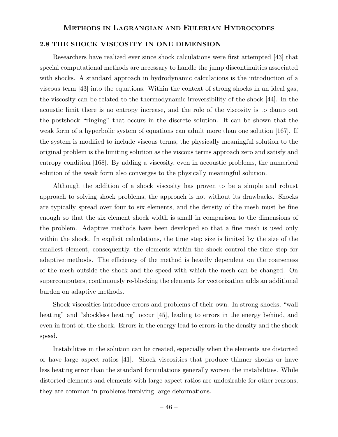#### **2.8 THE SHOCK VISCOSITY IN ONE DIMENSION**

Researchers have realized ever since shock calculations were first attempted [43] that special computational methods are necessary to handle the jump discontinuities associated with shocks. A standard approach in hydrodynamic calculations is the introduction of a viscous term [43] into the equations. Within the context of strong shocks in an ideal gas, the viscosity can be related to the thermodynamic irreversibility of the shock [44]. In the acoustic limit there is no entropy increase, and the role of the viscosity is to damp out the postshock "ringing" that occurs in the discrete solution. It can be shown that the weak form of a hyperbolic system of equations can admit more than one solution [167]. If the system is modified to include viscous terms, the physically meaningful solution to the original problem is the limiting solution as the viscous terms approach zero and satisfy and entropy condition [168]. By adding a viscosity, even in accoustic problems, the numerical solution of the weak form also converges to the physically meaningful solution.

Although the addition of a shock viscosity has proven to be a simple and robust approach to solving shock problems, the approach is not without its drawbacks. Shocks are typically spread over four to six elements, and the density of the mesh must be fine enough so that the six element shock width is small in comparison to the dimensions of the problem. Adaptive methods have been developed so that a fine mesh is used only within the shock. In explicit calculations, the time step size is limited by the size of the smallest element, consequently, the elements within the shock control the time step for adaptive methods. The efficiency of the method is heavily dependent on the coarseness of the mesh outside the shock and the speed with which the mesh can be changed. On supercomputers, continuously re-blocking the elements for vectorization adds an additional burden on adaptive methods.

Shock viscosities introduce errors and problems of their own. In strong shocks, "wall heating" and "shockless heating" occur [45], leading to errors in the energy behind, and even in front of, the shock. Errors in the energy lead to errors in the density and the shock speed.

Instabilities in the solution can be created, especially when the elements are distorted or have large aspect ratios [41]. Shock viscosities that produce thinner shocks or have less heating error than the standard formulations generally worsen the instabilities. While distorted elements and elements with large aspect ratios are undesirable for other reasons, they are common in problems involving large deformations.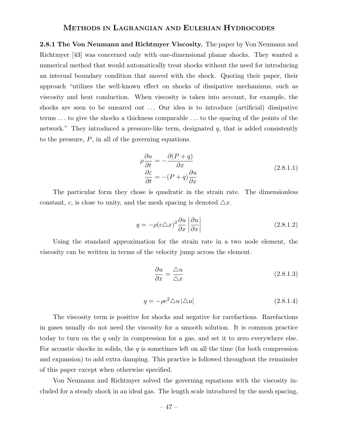**2.8.1 The Von Neumann and Richtmyer Viscosity.** The paper by Von Neumann and Richtmyer [43] was concerned only with one-dimensional planar shocks. They wanted a numerical method that would automatically treat shocks without the need for introducing an internal boundary condition that moved with the shock. Quoting their paper, their approach "utilizes the well-known effect on shocks of dissipative mechanisms, such as viscosity and heat conduction. When viscosity is taken into account, for example, the shocks are seen to be smeared out ... Our idea is to introduce (artificial) dissipative terms ... to give the shocks a thickness comparable ... to the spacing of the points of the network." They introduced a pressure-like term, designated  $q$ , that is added consistently to the pressure,  $P$ , in all of the governing equations.

$$
\rho \frac{\partial u}{\partial t} = -\frac{\partial (P+q)}{\partial x} \n\frac{\partial \varepsilon}{\partial t} = -(P+q)\frac{\partial u}{\partial x}
$$
\n(2.8.1.1)

The particular form they chose is quadratic in the strain rate. The dimensionless constant, c, is close to unity, and the mesh spacing is denoted  $\triangle x$ .

$$
q = -\rho (c\triangle x)^2 \frac{\partial u}{\partial x} \left| \frac{\partial u}{\partial x} \right| \tag{2.8.1.2}
$$

Using the standard approximation for the strain rate in a two node element, the viscosity can be written in terms of the velocity jump across the element.

$$
\frac{\partial u}{\partial x} = \frac{\Delta u}{\Delta x} \tag{2.8.1.3}
$$

$$
q = -\rho c^2 \Delta u \, |\Delta u| \tag{2.8.1.4}
$$

The viscosity term is positive for shocks and negative for rarefactions. Rarefactions in gases usually do not need the viscosity for a smooth solution. It is common practice today to turn on the  $q$  only in compression for a gas, and set it to zero everywhere else. For acoustic shocks in solids, the q is sometimes left on all the time (for both compression and expansion) to add extra damping. This practice is followed throughout the remainder of this paper except when otherwise specified.

Von Neumann and Richtmyer solved the governing equations with the viscosity included for a steady shock in an ideal gas. The length scale introduced by the mesh spacing,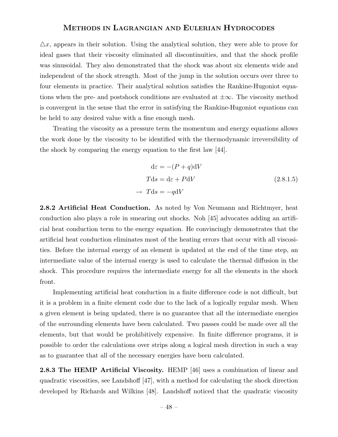$\Delta x$ , appears in their solution. Using the analytical solution, they were able to prove for ideal gases that their viscosity eliminated all discontinuities, and that the shock profile was sinusoidal. They also demonstrated that the shock was about six elements wide and independent of the shock strength. Most of the jump in the solution occurs over three to four elements in practice. Their analytical solution satisfies the Rankine-Hugoniot equations when the pre- and postshock conditions are evaluated at  $\pm \infty$ . The viscosity method is convergent in the sense that the error in satisfying the Rankine-Hugoniot equations can be held to any desired value with a fine enough mesh.

Treating the viscosity as a pressure term the momentum and energy equations allows the work done by the viscosity to be identified with the thermodynamic irreversibility of the shock by comparing the energy equation to the first law [44].

$$
d\varepsilon = -(P+q)dV
$$
  
\n
$$
Tds = d\varepsilon + PdV
$$
 (2.8.1.5)  
\n
$$
\rightarrow Tds = -qdV
$$

**2.8.2 Artificial Heat Conduction.** As noted by Von Neumann and Richtmyer, heat conduction also plays a role in smearing out shocks. Noh [45] advocates adding an artificial heat conduction term to the energy equation. He convincingly demonstrates that the artificial heat conduction eliminates most of the heating errors that occur with all viscosities. Before the internal energy of an element is updated at the end of the time step, an intermediate value of the internal energy is used to calculate the thermal diffusion in the shock. This procedure requires the intermediate energy for all the elements in the shock front.

Implementing artificial heat conduction in a finite difference code is not difficult, but it is a problem in a finite element code due to the lack of a logically regular mesh. When a given element is being updated, there is no guarantee that all the intermediate energies of the surrounding elements have been calculated. Two passes could be made over all the elements, but that would be prohibitively expensive. In finite difference programs, it is possible to order the calculations over strips along a logical mesh direction in such a way as to guarantee that all of the necessary energies have been calculated.

**2.8.3 The HEMP Artificial Viscosity.** HEMP [46] uses a combination of linear and quadratic viscosities, see Landshoff [47], with a method for calculating the shock direction developed by Richards and Wilkins [48]. Landshoff noticed that the quadratic viscosity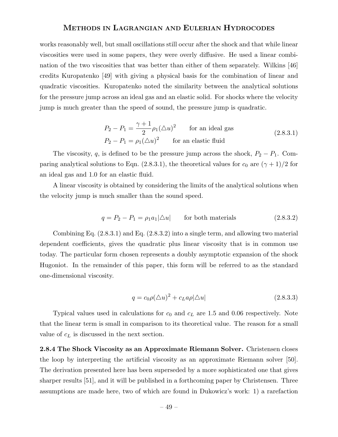works reasonably well, but small oscillations still occur after the shock and that while linear viscosities were used in some papers, they were overly diffusive. He used a linear combination of the two viscosities that was better than either of them separately. Wilkins [46] credits Kuropatenko [49] with giving a physical basis for the combination of linear and quadratic viscosities. Kuropatenko noted the similarity between the analytical solutions for the pressure jump across an ideal gas and an elastic solid. For shocks where the velocity jump is much greater than the speed of sound, the pressure jump is quadratic.

$$
P_2 - P_1 = \frac{\gamma + 1}{2} \rho_1 (\Delta u)^2 \qquad \text{for an ideal gas}
$$
  
\n
$$
P_2 - P_1 = \rho_1 (\Delta u)^2 \qquad \text{for an elastic fluid}
$$
\n(2.8.3.1)

The viscosity, q, is defined to be the pressure jump across the shock,  $P_2 - P_1$ . Comparing analytical solutions to Eqn. (2.8.3.1), the theoretical values for  $c_0$  are  $(\gamma + 1)/2$  for an ideal gas and 1.0 for an elastic fluid.

A linear viscosity is obtained by considering the limits of the analytical solutions when the velocity jump is much smaller than the sound speed.

$$
q = P_2 - P_1 = \rho_1 a_1 |\Delta u| \qquad \text{for both materials} \tag{2.8.3.2}
$$

Combining Eq. (2.8.3.1) and Eq. (2.8.3.2) into a single term, and allowing two material dependent coefficients, gives the quadratic plus linear viscosity that is in common use today. The particular form chosen represents a doubly asymptotic expansion of the shock Hugoniot. In the remainder of this paper, this form will be referred to as the standard one-dimensional viscosity.

$$
q = c_0 \rho (\Delta u)^2 + c_L a \rho |\Delta u| \qquad (2.8.3.3)
$$

Typical values used in calculations for  $c_0$  and  $c_L$  are 1.5 and 0.06 respectively. Note that the linear term is small in comparison to its theoretical value. The reason for a small value of  $c<sub>L</sub>$  is discussed in the next section.

**2.8.4 The Shock Viscosity as an Approximate Riemann Solver.** Christensen closes the loop by interpreting the artificial viscosity as an approximate Riemann solver [50]. The derivation presented here has been superseded by a more sophisticated one that gives sharper results [51], and it will be published in a forthcoming paper by Christensen. Three assumptions are made here, two of which are found in Dukowicz's work: 1) a rarefaction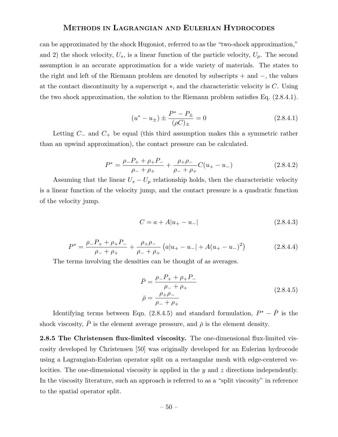can be approximated by the shock Hugoniot, referred to as the "two-shock approximation," and 2) the shock velocity,  $U_s$ , is a linear function of the particle velocity,  $U_p$ . The second assumption is an accurate approximation for a wide variety of materials. The states to the right and left of the Riemann problem are denoted by subscripts + and −, the values at the contact discontinuity by a superscript ∗, and the characteristic velocity is C. Using the two shock approximation, the solution to the Riemann problem satisfies Eq. (2.8.4.1).

$$
(u^* - u_{\pm}) \pm \frac{P^* - P_{\pm}}{(\rho C)_{\pm}} = 0
$$
\n(2.8.4.1)

Letting  $C_$  and  $C_+$  be equal (this third assumption makes this a symmetric rather than an upwind approximation), the contact pressure can be calculated.

$$
P^* = \frac{\rho_- P_+ + \rho_+ P_-}{\rho_- + \rho_+} + \frac{\rho_+ \rho_-}{\rho_- + \rho_+} C(u_+ - u_-)
$$
(2.8.4.2)

Assuming that the linear  $U_s - U_p$  relationship holds, then the characteristic velocity is a linear function of the velocity jump, and the contact pressure is a quadratic function of the velocity jump.

$$
C = a + A|u_{+} - u_{-}|\tag{2.8.4.3}
$$

$$
P^* = \frac{\rho_- P_+ + \rho_+ P_-}{\rho_- + \rho_+} + \frac{\rho_+ \rho_-}{\rho_- + \rho_+} (a|u_+ - u_-| + A(u_+ - u_-)^2)
$$
(2.8.4.4)

The terms involving the densities can be thought of as averages.

$$
\bar{P} = \frac{\rho_{-}P_{+} + \rho_{+}P_{-}}{\rho_{-} + \rho_{+}}
$$
\n
$$
\bar{\rho} = \frac{\rho_{+}\rho_{-}}{\rho_{-} + \rho_{+}}
$$
\n(2.8.4.5)

Identifying terms between Eqn. (2.8.4.5) and standard formulation,  $P^* - \bar{P}$  is the shock viscosity,  $\overline{P}$  is the element average pressure, and  $\overline{\rho}$  is the element density.

**2.8.5 The Christensen flux-limited viscosity.** The one-dimensional flux-limited viscosity developed by Christensen [50] was originally developed for an Eulerian hydrocode using a Lagrangian-Eulerian operator split on a rectangular mesh with edge-centered velocities. The one-dimensional viscosity is applied in the y and z directions independently. In the viscosity literature, such an approach is referred to as a "split viscosity" in reference to the spatial operator split.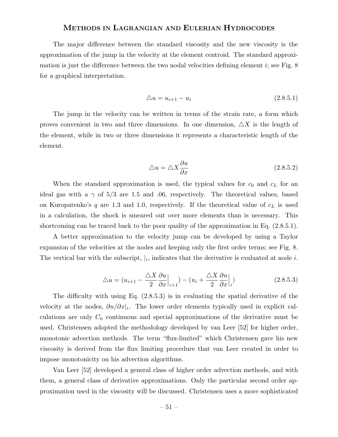The major difference between the standard viscosity and the new viscosity is the approximation of the jump in the velocity at the element centroid. The standard approximation is just the difference between the two nodal velocities defining element  $i$ ; see Fig. 8 for a graphical interpretation.

$$
\triangle u = u_{i+1} - u_i \tag{2.8.5.1}
$$

The jump in the velocity can be written in terms of the strain rate, a form which proves convenient in two and three dimensions. In one dimension,  $\triangle X$  is the length of the element, while in two or three dimensions it represents a characteristic length of the element.

$$
\triangle u = \triangle X \frac{\partial u}{\partial x} \tag{2.8.5.2}
$$

When the standard approximation is used, the typical values for  $c_0$  and  $c_L$  for an ideal gas with a  $\gamma$  of 5/3 are 1.5 and .06, respectively. The theoretical values, based on Kuropatenko's  $q$  are 1.3 and 1.0, respectively. If the theoretical value of  $c<sub>L</sub>$  is used in a calculation, the shock is smeared out over more elements than is necessary. This shortcoming can be traced back to the poor quality of the approximation in Eq. (2.8.5.1).

A better approximation to the velocity jump can be developed by using a Taylor expansion of the velocities at the nodes and keeping only the first order terms; see Fig. 8. The vertical bar with the subscript,  $|i$ , indicates that the derivative is evaluated at node i.

$$
\triangle u = (u_{i+1} - \frac{\triangle X}{2} \frac{\partial u}{\partial x}\Big|_{i+1}) - (u_i + \frac{\triangle X}{2} \frac{\partial u}{\partial x}\Big|_i)
$$
\n(2.8.5.3)

The difficulty with using Eq. (2.8.5.3) is in evaluating the spatial derivative of the velocity at the nodes,  $\partial u/\partial x_i$ . The lower order elements typically used in explicit calculations are only  $C_0$  continuous and special approximations of the derivative must be used. Christensen adopted the methodology developed by van Leer [52] for higher order, monotonic advection methods. The term "flux-limited" which Christensen gave his new viscosity is derived from the flux limiting procedure that van Leer created in order to impose monotonicity on his advection algorithms.

Van Leer [52] developed a general class of higher order advection methods, and with them, a general class of derivative approximations. Only the particular second order approximation used in the viscosity will be discussed. Christensen uses a more sophisticated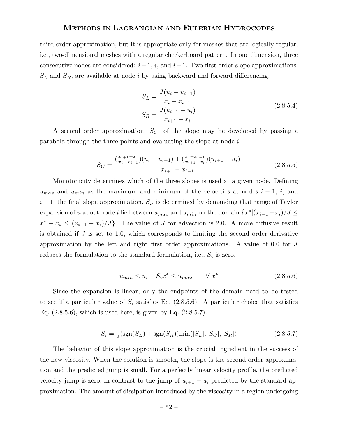third order approximation, but it is appropriate only for meshes that are logically regular, i.e., two-dimensional meshes with a regular checkerboard pattern. In one dimension, three consecutive nodes are considered:  $i-1$ ,  $i$ , and  $i+1$ . Two first order slope approximations,  $S_L$  and  $S_R$ , are available at node i by using backward and forward differencing.

$$
S_L = \frac{J(u_i - u_{i-1})}{x_i - x_{i-1}}
$$
  
\n
$$
S_R = \frac{J(u_{i+1} - u_i)}{x_{i+1} - x_i}
$$
\n(2.8.5.4)

A second order approximation,  $S_C$ , of the slope may be developed by passing a parabola through the three points and evaluating the slope at node  $i$ .

$$
S_C = \frac{\left(\frac{x_{i+1} - x_i}{x_i - x_{i-1}}\right)(u_i - u_{i-1}) + \left(\frac{x_i - x_{i-1}}{x_{i+1} - x_i}\right)(u_{i+1} - u_i)}{x_{i+1} - x_{i-1}}
$$
(2.8.5.5)

Monotonicity determines which of the three slopes is used at a given node. Defining  $u_{max}$  and  $u_{min}$  as the maximum and minimum of the velocities at nodes  $i - 1$ , i, and  $i+1$ , the final slope approximation,  $S_i$ , is determined by demanding that range of Taylor expansion of u about node i lie between  $u_{max}$  and  $u_{min}$  on the domain  $\{x^*|(x_{i-1}-x_i)/J\leq$  $x^* - x_i \leq (x_{i+1} - x_i)/J$ . The value of J for advection is 2.0. A more diffusive result is obtained if  $J$  is set to 1.0, which corresponds to limiting the second order derivative approximation by the left and right first order approximations. A value of 0.0 for J reduces the formulation to the standard formulation, i.e.,  $S_i$  is zero.

$$
u_{min} \le u_i + S_i x^* \le u_{max} \qquad \forall x^* \tag{2.8.5.6}
$$

Since the expansion is linear, only the endpoints of the domain need to be tested to see if a particular value of  $S_i$  satisfies Eq. (2.8.5.6). A particular choice that satisfies Eq.  $(2.8.5.6)$ , which is used here, is given by Eq.  $(2.8.5.7)$ .

$$
S_i = \frac{1}{2}(\text{sgn}(S_L) + \text{sgn}(S_R))\text{min}(|S_L|, |S_C|, |S_R|)
$$
\n(2.8.5.7)

The behavior of this slope approximation is the crucial ingredient in the success of the new viscosity. When the solution is smooth, the slope is the second order approximation and the predicted jump is small. For a perfectly linear velocity profile, the predicted velocity jump is zero, in contrast to the jump of  $u_{i+1} - u_i$  predicted by the standard approximation. The amount of dissipation introduced by the viscosity in a region undergoing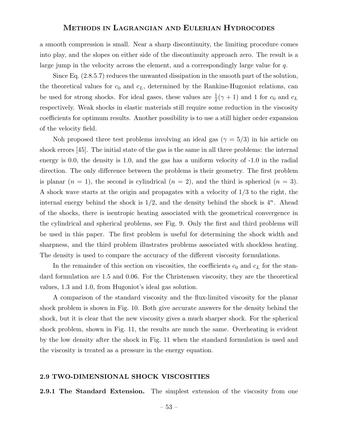a smooth compression is small. Near a sharp discontinuity, the limiting procedure comes into play, and the slopes on either side of the discontinuity approach zero. The result is a large jump in the velocity across the element, and a correspondingly large value for q.

Since Eq. (2.8.5.7) reduces the unwanted dissipation in the smooth part of the solution, the theoretical values for  $c_0$  and  $c_L$ , determined by the Rankine-Hugoniot relations, can be used for strong shocks. For ideal gases, these values are  $\frac{1}{2}(\gamma + 1)$  and 1 for  $c_0$  and  $c_L$ respectively. Weak shocks in elastic materials still require some reduction in the viscosity coefficients for optimum results. Another possibility is to use a still higher order expansion of the velocity field.

Noh proposed three test problems involving an ideal gas ( $\gamma = 5/3$ ) in his article on shock errors [45]. The initial state of the gas is the same in all three problems: the internal energy is 0.0, the density is 1.0, and the gas has a uniform velocity of -1.0 in the radial direction. The only difference between the problems is their geometry. The first problem is planar  $(n = 1)$ , the second is cylindrical  $(n = 2)$ , and the third is spherical  $(n = 3)$ . A shock wave starts at the origin and propagates with a velocity of 1/3 to the right, the internal energy behind the shock is  $1/2$ , and the density behind the shock is  $4^n$ . Ahead of the shocks, there is isentropic heating associated with the geometrical convergence in the cylindrical and spherical problems, see Fig. 9. Only the first and third problems will be used in this paper. The first problem is useful for determining the shock width and sharpness, and the third problem illustrates problems associated with shockless heating. The density is used to compare the accuracy of the different viscosity formulations.

In the remainder of this section on viscosities, the coefficients  $c_0$  and  $c<sub>L</sub>$  for the standard formulation are 1.5 and 0.06. For the Christensen viscosity, they are the theoretical values, 1.3 and 1.0, from Hugoniot's ideal gas solution.

A comparison of the standard viscosity and the flux-limited viscosity for the planar shock problem is shown in Fig. 10. Both give accurate answers for the density behind the shock, but it is clear that the new viscosity gives a much sharper shock. For the spherical shock problem, shown in Fig. 11, the results are much the same. Overheating is evident by the low density after the shock in Fig. 11 when the standard formulation is used and the viscosity is treated as a pressure in the energy equation.

## **2.9 TWO-DIMENSIONAL SHOCK VISCOSITIES**

**2.9.1 The Standard Extension.** The simplest extension of the viscosity from one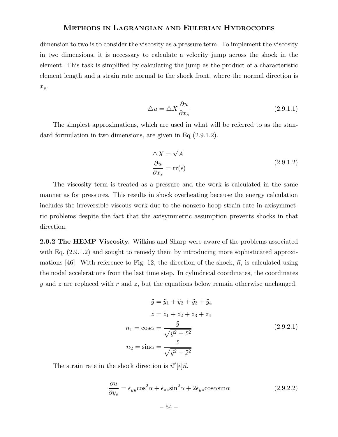dimension to two is to consider the viscosity as a pressure term. To implement the viscosity in two dimensions, it is necessary to calculate a velocity jump across the shock in the element. This task is simplified by calculating the jump as the product of a characteristic element length and a strain rate normal to the shock front, where the normal direction is  $\boldsymbol{x}_s.$ 

$$
\triangle u = \triangle X \frac{\partial u}{\partial x_s} \tag{2.9.1.1}
$$

The simplest approximations, which are used in what will be referred to as the standard formulation in two dimensions, are given in Eq (2.9.1.2).

$$
\Delta X = \sqrt{A}
$$
  
\n
$$
\frac{\partial u}{\partial x_s} = \text{tr}(\dot{\epsilon})
$$
\n(2.9.1.2)

The viscosity term is treated as a pressure and the work is calculated in the same manner as for pressures. This results in shock overheating because the energy calculation includes the irreversible viscous work due to the nonzero hoop strain rate in axisymmetric problems despite the fact that the axisymmetric assumption prevents shocks in that direction.

**2.9.2 The HEMP Viscosity.** Wilkins and Sharp were aware of the problems associated with Eq.  $(2.9.1.2)$  and sought to remedy them by introducing more sophisticated approximations [46]. With reference to Fig. 12, the direction of the shock,  $\vec{n}$ , is calculated using the nodal accelerations from the last time step. In cylindrical coordinates, the coordinates y and z are replaced with r and z, but the equations below remain otherwise unchanged.

$$
\ddot{y} = \ddot{y}_1 + \ddot{y}_2 + \ddot{y}_3 + \ddot{y}_4
$$
\n
$$
\ddot{z} = \ddot{z}_1 + \ddot{z}_2 + \ddot{z}_3 + \ddot{z}_4
$$
\n
$$
n_1 = \cos\alpha = \frac{\ddot{y}}{\sqrt{\ddot{y}^2 + \ddot{z}^2}}
$$
\n
$$
n_2 = \sin\alpha = \frac{\ddot{z}}{\sqrt{\ddot{y}^2 + \ddot{z}^2}}
$$
\n(2.9.2.1)

The strain rate in the shock direction is  $\vec{n}^t[\dot{\epsilon}]\vec{n}$ .

$$
\frac{\partial u}{\partial y_s} = \dot{\epsilon}_{yy} \cos^2 \alpha + \dot{\epsilon}_{zz} \sin^2 \alpha + 2 \dot{\epsilon}_{yz} \cos \alpha \sin \alpha \tag{2.9.2.2}
$$

– 54 –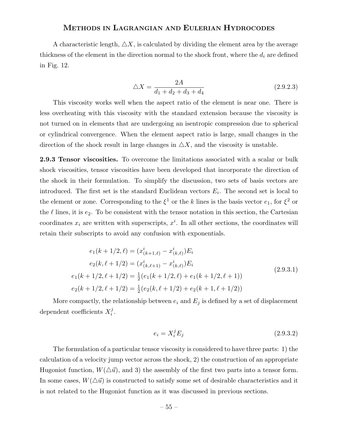A characteristic length,  $\triangle X$ , is calculated by dividing the element area by the average thickness of the element in the direction normal to the shock front, where the  $d_i$  are defined in Fig. 12.

$$
\triangle X = \frac{2A}{d_1 + d_2 + d_3 + d_4} \tag{2.9.2.3}
$$

This viscosity works well when the aspect ratio of the element is near one. There is less overheating with this viscosity with the standard extension because the viscosity is not turned on in elements that are undergoing an isentropic compression due to spherical or cylindrical convergence. When the element aspect ratio is large, small changes in the direction of the shock result in large changes in  $\triangle X$ , and the viscosity is unstable.

**2.9.3 Tensor viscosities.** To overcome the limitations associated with a scalar or bulk shock viscosities, tensor viscosities have been developed that incorporate the direction of the shock in their formulation. To simplify the discussion, two sets of basis vectors are introduced. The first set is the standard Euclidean vectors  $E_i$ . The second set is local to the element or zone. Corresponding to the  $\xi^1$  or the k lines is the basis vector  $e_1$ , for  $\xi^2$  or the  $\ell$  lines, it is  $e_2$ . To be consistent with the tensor notation in this section, the Cartesian coordinates  $x_i$  are written with superscripts,  $x^i$ . In all other sections, the coordinates will retain their subscripts to avoid any confusion with exponentials.

$$
e_1(k + 1/2, \ell) = (x_{(k+1,\ell)}^i - x_{(k,\ell)}^i) E_i
$$
  
\n
$$
e_2(k, \ell + 1/2) = (x_{(k,\ell+1)}^i - x_{(k,\ell)}^i) E_i
$$
  
\n
$$
e_1(k + 1/2, \ell + 1/2) = \frac{1}{2} (e_1(k + 1/2, \ell) + e_1(k + 1/2, \ell + 1))
$$
  
\n
$$
e_2(k + 1/2, \ell + 1/2) = \frac{1}{2} (e_2(k, \ell + 1/2) + e_2(k + 1, \ell + 1/2))
$$
\n(2.9.3.1)

More compactly, the relationship between  $e_i$  and  $E_j$  is defined by a set of displacement dependent coefficients  $X_i^j$ .

$$
e_i = X_i^j E_j \tag{2.9.3.2}
$$

The formulation of a particular tensor viscosity is considered to have three parts: 1) the calculation of a velocity jump vector across the shock, 2) the construction of an appropriate Hugoniot function,  $W(\Delta \vec{u})$ , and 3) the assembly of the first two parts into a tensor form. In some cases,  $W(\triangle \vec{u})$  is constructed to satisfy some set of desirable characteristics and it is not related to the Hugoniot function as it was discussed in previous sections.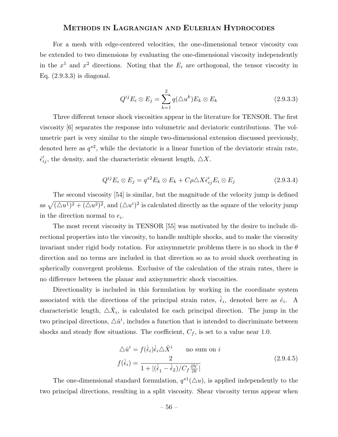For a mesh with edge-centered velocities, the one-dimensional tensor viscosity can be extended to two dimensions by evaluating the one-dimensional viscosity independently in the  $x^1$  and  $x^2$  directions. Noting that the  $E_i$  are orthogonal, the tensor viscosity in Eq. (2.9.3.3) is diagonal.

$$
Q^{ij}E_i \otimes E_j = \sum_{k=1}^2 q(\Delta u^k) E_k \otimes E_k
$$
 (2.9.3.3)

Three different tensor shock viscosities appear in the literature for TENSOR. The first viscosity [6] separates the response into volumetric and deviatoric contributions. The volumetric part is very similar to the simple two-dimensional extension discussed previously, denoted here as  $q^{s2}$ , while the deviatoric is a linear function of the deviatoric strain rate,  $\dot{\epsilon}'_{ij}$ , the density, and the characteristic element length,  $\triangle X$ .

$$
Q^{ij}E_i \otimes E_j = q^{s2}E_k \otimes E_k + C\rho \triangle X \dot{\epsilon}'_{ij} E_i \otimes E_j \qquad (2.9.3.4)
$$

The second viscosity [54] is similar, but the magnitude of the velocity jump is defined as  $\sqrt{(\Delta u^1)^2 + (\Delta u^2)^2}$ , and  $(\Delta u^i)^2$  is calculated directly as the square of the velocity jump in the direction normal to  $e_i$ .

The most recent viscosity in TENSOR [55] was motivated by the desire to include directional properties into the viscosity, to handle multiple shocks, and to make the viscosity invariant under rigid body rotation. For axisymmetric problems there is no shock in the  $\theta$ direction and no terms are included in that direction so as to avoid shock overheating in spherically convergent problems. Exclusive of the calculation of the strain rates, there is no difference between the planar and axisymmetric shock viscosities.

Directionality is included in this formulation by working in the coordinate system associated with the directions of the principal strain rates,  $\dot{\hat{\epsilon}}_i$ , denoted here as  $\hat{e}_i$ . A characteristic length,  $\triangle \hat{X}_i$ , is calculated for each principal direction. The jump in the two principal directions,  $\triangle \hat{u}^i$ , includes a function that is intended to discriminate between shocks and steady flow situations. The coefficient,  $C_f$ , is set to a value near 1.0.

$$
\Delta \hat{u}^i = f(\dot{\hat{\epsilon}}_i) \dot{\hat{\epsilon}}_i \Delta \hat{X}^i \qquad \text{no sum on } i
$$
  

$$
f(\dot{\hat{\epsilon}}_i) = \frac{2}{1 + |(\dot{\hat{\epsilon}}_1 - \dot{\hat{\epsilon}}_2)/C_f \frac{\partial V}{\partial t}|}
$$
(2.9.4.5)

The one-dimensional standard formulation,  $q^{s1}(\Delta u)$ , is applied independently to the two principal directions, resulting in a split viscosity. Shear viscosity terms appear when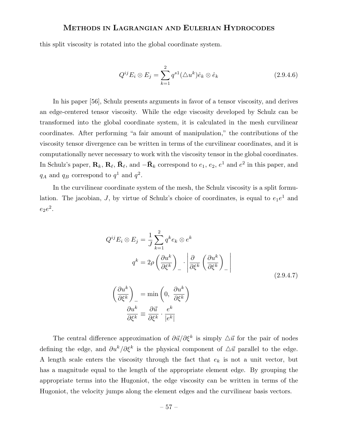this split viscosity is rotated into the global coordinate system.

$$
Q^{ij}E_i \otimes E_j = \sum_{k=1}^2 q^{s1} (\Delta u^k) \hat{e}_k \otimes \hat{e}_k
$$
 (2.9.4.6)

In his paper [56], Schulz presents arguments in favor of a tensor viscosity, and derives an edge-centered tensor viscosity. While the edge viscosity developed by Schulz can be transformed into the global coordinate system, it is calculated in the mesh curvilinear coordinates. After performing "a fair amount of manipulation," the contributions of the viscosity tensor divergence can be written in terms of the curvilinear coordinates, and it is computationally never necessary to work with the viscosity tensor in the global coordinates. In Schulz's paper,  $\mathbf{R}_k$ ,  $\mathbf{R}_\ell$ ,  $\bar{\mathbf{R}}_\ell$ , and  $-\bar{\mathbf{R}}_k$  correspond to  $e_1$ ,  $e_2$ ,  $e^1$  and  $e^2$  in this paper, and  $q_A$  and  $q_B$  correspond to  $q^1$  and  $q^2$ .

In the curvilinear coordinate system of the mesh, the Schulz viscosity is a split formulation. The jacobian, J, by virtue of Schulz's choice of coordinates, is equal to  $e_1e^1$  and  $e_2e^2$ .

$$
Q^{ij}E_i \otimes E_j = \frac{1}{J} \sum_{k=1}^{2} q^k e_k \otimes e^k
$$
  

$$
q^k = 2\rho \left(\frac{\partial u^k}{\partial \xi^k}\right)_- \cdot \left|\frac{\partial}{\partial \xi^k} \left(\frac{\partial u^k}{\partial \xi^k}\right)_-\right|
$$
  

$$
\left(\frac{\partial u^k}{\partial \xi^k}\right)_- = \min\left(0, \frac{\partial u^k}{\partial \xi^k}\right)
$$
  

$$
\frac{\partial u^k}{\partial \xi^k} = \frac{\partial \vec{u}}{\partial \xi^k} \cdot \frac{e^k}{|e^k|}
$$
 (2.9.4.7)

The central difference approximation of  $\partial \vec{u}/\partial \xi^k$  is simply  $\Delta \vec{u}$  for the pair of nodes defining the edge, and  $\partial u^k/\partial \xi^k$  is the physical component of  $\Delta \vec{u}$  parallel to the edge. A length scale enters the viscosity through the fact that  $e_k$  is not a unit vector, but has a magnitude equal to the length of the appropriate element edge. By grouping the appropriate terms into the Hugoniot, the edge viscosity can be written in terms of the Hugoniot, the velocity jumps along the element edges and the curvilinear basis vectors.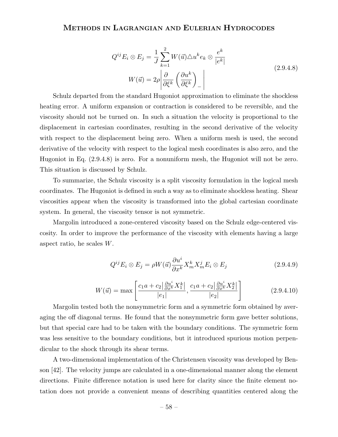$$
Q^{ij}E_i \otimes E_j = \frac{1}{J} \sum_{k=1}^{2} W(\vec{u}) \triangle u^k e_k \otimes \frac{e^k}{|e^k|}
$$
  

$$
W(\vec{u}) = 2\rho \left| \frac{\partial}{\partial \xi^k} \left( \frac{\partial u^k}{\partial \xi^k} \right)_{-} \right|
$$
 (2.9.4.8)

Schulz departed from the standard Hugoniot approximation to eliminate the shockless heating error. A uniform expansion or contraction is considered to be reversible, and the viscosity should not be turned on. In such a situation the velocity is proportional to the displacement in cartesian coordinates, resulting in the second derivative of the velocity with respect to the displacement being zero. When a uniform mesh is used, the second derivative of the velocity with respect to the logical mesh coordinates is also zero, and the Hugoniot in Eq. (2.9.4.8) is zero. For a nonuniform mesh, the Hugoniot will not be zero. This situation is discussed by Schulz.

To summarize, the Schulz viscosity is a split viscosity formulation in the logical mesh coordinates. The Hugoniot is defined in such a way as to eliminate shockless heating. Shear viscosities appear when the viscosity is transformed into the global cartesian coordinate system. In general, the viscosity tensor is not symmetric.

Margolin introduced a zone-centered viscosity based on the Schulz edge-centered viscosity. In order to improve the performance of the viscosity with elements having a large aspect ratio, he scales W.

$$
Q^{ij}E_i \otimes E_j = \rho W(\vec{u}) \frac{\partial u^i}{\partial x^k} X_m^k X_m^j E_i \otimes E_j \qquad (2.9.4.9)
$$

$$
W(\vec{u}) = \max\left[\frac{c_1 a + c_2 \left|\frac{\partial u^i}{\partial x^k} X_1^k\right|}{|e_1|}, \frac{c_1 a + c_2 \left|\frac{\partial u^i}{\partial x^k} X_2^k\right|}{|e_2|}\right] \tag{2.9.4.10}
$$

Margolin tested both the nonsymmetric form and a symmetric form obtained by averaging the off diagonal terms. He found that the nonsymmetric form gave better solutions, but that special care had to be taken with the boundary conditions. The symmetric form was less sensitive to the boundary conditions, but it introduced spurious motion perpendicular to the shock through its shear terms.

A two-dimensional implementation of the Christensen viscosity was developed by Benson [42]. The velocity jumps are calculated in a one-dimensional manner along the element directions. Finite difference notation is used here for clarity since the finite element notation does not provide a convenient means of describing quantities centered along the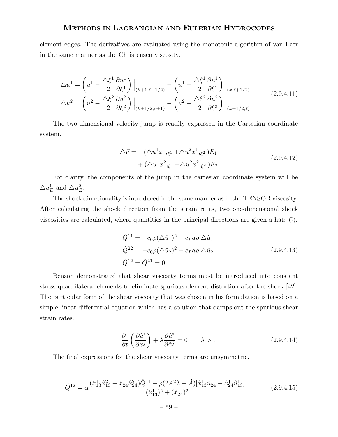element edges. The derivatives are evaluated using the monotonic algorithm of van Leer in the same manner as the Christensen viscosity.

$$
\Delta u^{1} = \left(u^{1} - \frac{\Delta \xi^{1}}{2} \frac{\partial u^{1}}{\partial \xi^{1}}\right)\Big|_{(k+1,\ell+1/2)} - \left(u^{1} + \frac{\Delta \xi^{1}}{2} \frac{\partial u^{1}}{\partial \xi^{1}}\right)\Big|_{(k,\ell+1/2)}
$$
\n
$$
\Delta u^{2} = \left(u^{2} - \frac{\Delta \xi^{2}}{2} \frac{\partial u^{2}}{\partial \xi^{2}}\right)\Big|_{(k+1/2,\ell+1)} - \left(u^{2} + \frac{\Delta \xi^{2}}{2} \frac{\partial u^{2}}{\partial \xi^{2}}\right)\Big|_{(k+1/2,\ell)} \tag{2.9.4.11}
$$

The two-dimensional velocity jump is readily expressed in the Cartesian coordinate system.

$$
\Delta \vec{u} = (\Delta u^1 x^1, \xi^1 + \Delta u^2 x^1, \xi^2) E_1 + (\Delta u^1 x^2, \xi^1 + \Delta u^2 x^2, \xi^2) E_2
$$
\n(2.9.4.12)

For clarity, the components of the jump in the cartesian coordinate system will be  $\triangle u_E^1$  and  $\triangle u_E^2$ .

The shock directionality is introduced in the same manner as in the TENSOR viscosity. After calculating the shock direction from the strain rates, two one-dimensional shock viscosities are calculated, where quantities in the principal directions are given a hat:  $(\hat{\cdot})$ .

$$
\hat{Q}^{11} = -c_0 \rho (\Delta \hat{u}_1)^2 - c_L a \rho |\Delta \hat{u}_1|
$$
  
\n
$$
\hat{Q}^{22} = -c_0 \rho (\Delta \hat{u}_2)^2 - c_L a \rho |\Delta \hat{u}_2|
$$
  
\n
$$
\hat{Q}^{12} = \hat{Q}^{21} = 0
$$
\n(2.9.4.13)

Benson demonstrated that shear viscosity terms must be introduced into constant stress quadrilateral elements to eliminate spurious element distortion after the shock [42]. The particular form of the shear viscosity that was chosen in his formulation is based on a simple linear differential equation which has a solution that damps out the spurious shear strain rates.

$$
\frac{\partial}{\partial t} \left( \frac{\partial \hat{u}^i}{\partial \hat{x}^j} \right) + \lambda \frac{\partial \hat{u}^i}{\partial \hat{x}^j} = 0 \qquad \lambda > 0 \tag{2.9.4.14}
$$

The final expressions for the shear viscosity terms are unsymmetric.

$$
\hat{Q}^{12} = \alpha \frac{(\hat{x}_{13}^1 \hat{x}_{13}^2 + \hat{x}_{24}^1 \hat{x}_{24}^2) \hat{Q}^{11} + \rho (2A^2 \lambda - \hat{A}) [\hat{x}_{13}^1 \hat{u}_{24}^1 - \hat{x}_{24}^1 \hat{u}_{13}^1]}{(\hat{x}_{13}^1)^2 + (\hat{x}_{24}^1)^2}
$$
(2.9.4.15)

$$
-59-
$$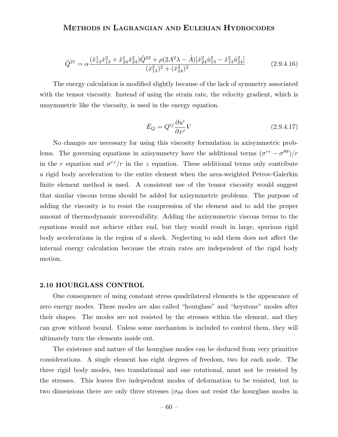$$
\hat{Q}^{21} = \alpha \frac{(\hat{x}_{13}^1 \hat{x}_{13}^2 + \hat{x}_{24}^1 \hat{x}_{24}^2) \hat{Q}^{22} + \rho (2A^2 \lambda - \hat{A}) [\hat{x}_{24}^2 \hat{u}_{13}^2 - \hat{x}_{13}^2 \hat{u}_{24}^2]}{(\hat{x}_{13}^2)^2 + (\hat{x}_{24}^2)^2}
$$
(2.9.4.16)

The energy calculation is modified slightly because of the lack of symmetry associated with the tensor viscosity. Instead of using the strain rate, the velocity gradient, which is unsymmetric like the viscosity, is used in the energy equation.

$$
\dot{E}_Q = Q^{ij} \frac{\partial u^i}{\partial x^j} V \tag{2.9.4.17}
$$

No changes are necessary for using this viscosity formulation in axisymmetric problems. The governing equations in axisymmetry have the additional terms  $(\sigma^{rr} - \sigma^{\theta\theta})/r$ in the r equation and  $\sigma^{rz}/r$  in the z equation. These additional terms only contribute a rigid body acceleration to the entire element when the area-weighted Petrov-Galerkin finite element method is used. A consistent use of the tensor viscosity would suggest that similar viscous terms should be added for axisymmetric problems. The purpose of adding the viscosity is to resist the compression of the element and to add the proper amount of thermodynamic irreversibility. Adding the axisymmetric viscous terms to the equations would not achieve either end, but they would result in large, spurious rigid body accelerations in the region of a shock. Neglecting to add them does not affect the internal energy calculation because the strain rates are independent of the rigid body motion.

#### **2.10 HOURGLASS CONTROL**

One consequence of using constant stress quadrilateral elements is the appearance of zero energy modes. These modes are also called "hourglass" and "keystone" modes after their shapes. The modes are not resisted by the stresses within the element, and they can grow without bound. Unless some mechanism is included to control them, they will ultimately turn the elements inside out.

The existence and nature of the hourglass modes can be deduced from very primitive considerations. A single element has eight degrees of freedom, two for each node. The three rigid body modes, two translational and one rotational, must not be resisted by the stresses. This leaves five independent modes of deformation to be resisted, but in two dimensions there are only three stresses ( $\sigma_{\theta\theta}$  does not resist the hourglass modes in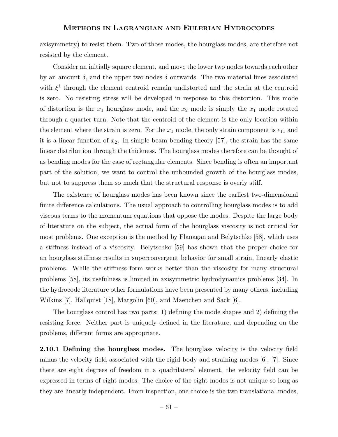axisymmetry) to resist them. Two of those modes, the hourglass modes, are therefore not resisted by the element.

Consider an initially square element, and move the lower two nodes towards each other by an amount  $\delta$ , and the upper two nodes  $\delta$  outwards. The two material lines associated with  $\xi^i$  through the element centroid remain undistorted and the strain at the centroid is zero. No resisting stress will be developed in response to this distortion. This mode of distortion is the  $x_1$  hourglass mode, and the  $x_2$  mode is simply the  $x_1$  mode rotated through a quarter turn. Note that the centroid of the element is the only location within the element where the strain is zero. For the  $x_1$  mode, the only strain component is  $\epsilon_{11}$  and it is a linear function of  $x_2$ . In simple beam bending theory [57], the strain has the same linear distribution through the thickness. The hourglass modes therefore can be thought of as bending modes for the case of rectangular elements. Since bending is often an important part of the solution, we want to control the unbounded growth of the hourglass modes, but not to suppress them so much that the structural response is overly stiff.

The existence of hourglass modes has been known since the earliest two-dimensional finite difference calculations. The usual approach to controlling hourglass modes is to add viscous terms to the momentum equations that oppose the modes. Despite the large body of literature on the subject, the actual form of the hourglass viscosity is not critical for most problems. One exception is the method by Flanagan and Belytschko [58], which uses a stiffness instead of a viscosity. Belytschko [59] has shown that the proper choice for an hourglass stiffness results in superconvergent behavior for small strain, linearly elastic problems. While the stiffness form works better than the viscosity for many structural problems [58], its usefulness is limited in axisymmetric hydrodynamics problems [34]. In the hydrocode literature other formulations have been presented by many others, including Wilkins [7], Hallquist [18], Margolin [60], and Maenchen and Sack [6].

The hourglass control has two parts: 1) defining the mode shapes and 2) defining the resisting force. Neither part is uniquely defined in the literature, and depending on the problems, different forms are appropriate.

**2.10.1 Defining the hourglass modes.** The hourglass velocity is the velocity field minus the velocity field associated with the rigid body and straining modes [6], [7]. Since there are eight degrees of freedom in a quadrilateral element, the velocity field can be expressed in terms of eight modes. The choice of the eight modes is not unique so long as they are linearly independent. From inspection, one choice is the two translational modes,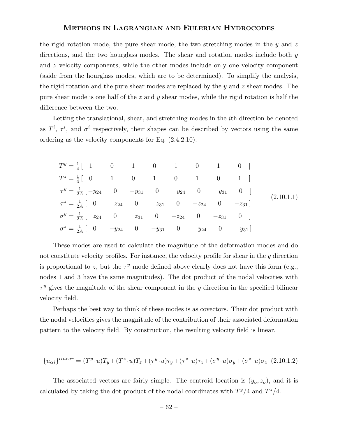the rigid rotation mode, the pure shear mode, the two stretching modes in the  $y$  and  $z$ directions, and the two hourglass modes. The shear and rotation modes include both y and z velocity components, while the other modes include only one velocity component (aside from the hourglass modes, which are to be determined). To simplify the analysis, the rigid rotation and the pure shear modes are replaced by the  $y$  and  $z$  shear modes. The pure shear mode is one half of the z and y shear modes, while the rigid rotation is half the difference between the two.

Letting the translational, shear, and stretching modes in the ith direction be denoted as  $T^i$ ,  $\tau^i$ , and  $\sigma^i$  respectively, their shapes can be described by vectors using the same ordering as the velocity components for Eq. (2.4.2.10).

$$
T^{y} = \frac{1}{4} \begin{bmatrix} 1 & 0 & 1 & 0 & 1 & 0 & 1 & 0 \end{bmatrix}
$$
  
\n
$$
T^{z} = \frac{1}{4} \begin{bmatrix} 0 & 1 & 0 & 1 & 0 & 1 & 0 & 1 \end{bmatrix}
$$
  
\n
$$
\tau^{y} = \frac{1}{2A} \begin{bmatrix} -y_{24} & 0 & -y_{31} & 0 & y_{24} & 0 & y_{31} & 0 \end{bmatrix}
$$
  
\n
$$
\tau^{z} = \frac{1}{2A} \begin{bmatrix} 0 & z_{24} & 0 & z_{31} & 0 & -z_{24} & 0 & -z_{31} \end{bmatrix}
$$
  
\n
$$
\sigma^{y} = \frac{1}{2A} \begin{bmatrix} z_{24} & 0 & z_{31} & 0 & -z_{24} & 0 & -z_{31} & 0 \end{bmatrix}
$$
  
\n
$$
\sigma^{z} = \frac{1}{2A} \begin{bmatrix} 0 & -y_{24} & 0 & -y_{31} & 0 & y_{24} & 0 & y_{31} \end{bmatrix}
$$
  
\n(2.10.1.1)

These modes are used to calculate the magnitude of the deformation modes and do not constitute velocity profiles. For instance, the velocity profile for shear in the y direction is proportional to z, but the  $\tau^y$  mode defined above clearly does not have this form (e.g., nodes 1 and 3 have the same magnitudes). The dot product of the nodal velocities with  $\tau^y$  gives the magnitude of the shear component in the y direction in the specified bilinear velocity field.

Perhaps the best way to think of these modes is as covectors. Their dot product with the nodal velocities gives the magnitude of the contribution of their associated deformation pattern to the velocity field. By construction, the resulting velocity field is linear.

$$
{u_{\alpha i}}^{linear} = (T^y \cdot u)T_y + (T^z \cdot u)T_z + (\tau^y \cdot u)\tau_y + (\tau^z \cdot u)\tau_z + (\sigma^y \cdot u)\sigma_y + (\sigma^z \cdot u)\sigma_z
$$
 (2.10.1.2)

The associated vectors are fairly simple. The centroid location is  $(y_o, z_o)$ , and it is calculated by taking the dot product of the nodal coordinates with  $T^y/4$  and  $T^z/4$ .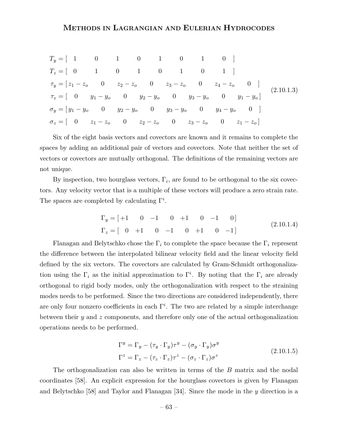$$
T_y = \begin{bmatrix} 1 & 0 & 1 & 0 & 1 & 0 & 1 & 0 & 1 \\ T_z = \begin{bmatrix} 0 & 1 & 0 & 1 & 0 & 1 & 0 & 1 & 1 \\ 0 & 0 & 1 & 0 & 1 & 0 & 1 & 1 \\ 0 & 0 & z_2 - z_0 & 0 & z_3 - z_0 & 0 & z_4 - z_0 & 0 & 1 \\ 0 & 0 & y_1 - y_0 & 0 & y_2 - y_0 & 0 & y_3 - y_0 & 0 & y_1 - y_0 & 1 \\ 0 & 0 & y_2 - y_0 & 0 & y_3 - y_0 & 0 & y_4 - y_0 & 0 & 1 \\ 0 & 0 & z_1 - z_0 & 0 & z_2 - z_0 & 0 & z_3 - z_0 & 0 & z_1 - z_0 & 1 \end{bmatrix}
$$
\n(2.10.1.3)

Six of the eight basis vectors and covectors are known and it remains to complete the spaces by adding an additional pair of vectors and covectors. Note that neither the set of vectors or covectors are mutually orthogonal. The definitions of the remaining vectors are not unique.

By inspection, two hourglass vectors,  $\Gamma_i$ , are found to be orthogonal to the six covectors. Any velocity vector that is a multiple of these vectors will produce a zero strain rate. The spaces are completed by calculating  $\Gamma^i$ .

$$
\Gamma_y = [+1 \quad 0 \quad -1 \quad 0 \quad +1 \quad 0 \quad -1 \quad 0]
$$
  
\n
$$
\Gamma_z = [ \quad 0 \quad +1 \quad 0 \quad -1 \quad 0 \quad +1 \quad 0 \quad -1 ]
$$
\n(2.10.1.4)

Flanagan and Belytschko chose the  $\Gamma_i$  to complete the space because the  $\Gamma_i$  represent the difference between the interpolated bilinear velocity field and the linear velocity field defined by the six vectors. The covectors are calculated by Gram-Schmidt orthogonalization using the  $\Gamma_i$  as the initial approximation to  $\Gamma^i$ . By noting that the  $\Gamma_i$  are already orthogonal to rigid body modes, only the orthogonalization with respect to the straining modes needs to be performed. Since the two directions are considered independently, there are only four nonzero coefficients in each  $\Gamma^i$ . The two are related by a simple interchange between their y and z components, and therefore only one of the actual orthogonalization operations needs to be performed.

$$
\Gamma^{y} = \Gamma_{y} - (\tau_{y} \cdot \Gamma_{y})\tau^{y} - (\sigma_{y} \cdot \Gamma_{y})\sigma^{y}
$$
  
\n
$$
\Gamma^{z} = \Gamma_{z} - (\tau_{z} \cdot \Gamma_{z})\tau^{z} - (\sigma_{z} \cdot \Gamma_{z})\sigma^{z}
$$
\n(2.10.1.5)

The orthogonalization can also be written in terms of the B matrix and the nodal coordinates [58]. An explicit expression for the hourglass covectors is given by Flanagan and Belytschko [58] and Taylor and Flanagan [34]. Since the mode in the y direction is a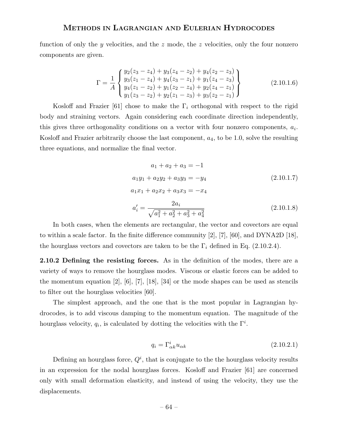function of only the y velocities, and the z mode, the z velocities, only the four nonzero components are given.

$$
\Gamma = \frac{1}{A} \begin{cases} y_2(z_3 - z_4) + y_3(z_4 - z_2) + y_4(z_2 - z_3) \\ y_3(z_1 - z_4) + y_4(z_3 - z_1) + y_1(z_4 - z_3) \\ y_4(z_1 - z_2) + y_1(z_2 - z_4) + y_2(z_4 - z_1) \\ y_1(z_3 - z_2) + y_2(z_1 - z_3) + y_3(z_2 - z_1) \end{cases}
$$
(2.10.1.6)

Kosloff and Frazier [61] chose to make the  $\Gamma_i$  orthogonal with respect to the rigid body and straining vectors. Again considering each coordinate direction independently, this gives three orthogonality conditions on a vector with four nonzero components,  $a_i$ . Kosloff and Frazier arbitrarily choose the last component,  $a_4$ , to be 1.0, solve the resulting three equations, and normalize the final vector.

$$
a_1 + a_2 + a_3 = -1
$$
  
\n
$$
a_1y_1 + a_2y_2 + a_3y_3 = -y_4
$$
  
\n
$$
a_1x_1 + a_2x_2 + a_3x_3 = -x_4
$$
  
\n
$$
a'_i = \frac{2a_i}{\sqrt{a_1^2 + a_2^2 + a_3^2 + a_4^2}}
$$
\n(2.10.1.8)

In both cases, when the elements are rectangular, the vector and covectors are equal to within a scale factor. In the finite difference community [2], [7], [60], and DYNA2D [18], the hourglass vectors and covectors are taken to be the  $\Gamma_i$  defined in Eq. (2.10.2.4).

**2.10.2 Defining the resisting forces.** As in the definition of the modes, there are a variety of ways to remove the hourglass modes. Viscous or elastic forces can be added to the momentum equation [2], [6], [7], [18], [34] or the mode shapes can be used as stencils to filter out the hourglass velocities [60].

The simplest approach, and the one that is the most popular in Lagrangian hydrocodes, is to add viscous damping to the momentum equation. The magnitude of the hourglass velocity,  $q_i$ , is calculated by dotting the velocities with the  $\Gamma^i$ .

$$
q_i = \Gamma^i_{\alpha k} u_{\alpha k} \tag{2.10.2.1}
$$

Defining an hourglass force,  $Q<sup>i</sup>$ , that is conjugate to the the hourglass velocity results in an expression for the nodal hourglass forces. Kosloff and Frazier [61] are concerned only with small deformation elasticity, and instead of using the velocity, they use the displacements.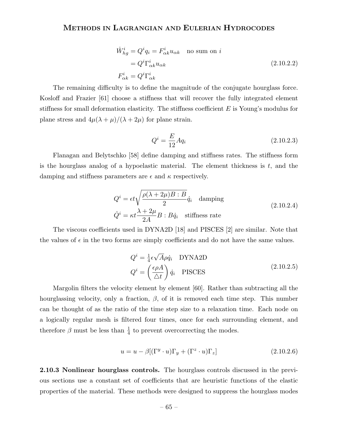$$
\dot{W}_{hg}^i = Q^i q_i = F_{\alpha k}^i u_{\alpha k} \quad \text{no sum on } i
$$
\n
$$
= Q^i \Gamma_{\alpha k}^i u_{\alpha k} \tag{2.10.2.2}
$$
\n
$$
F_{\alpha k}^i = Q^i \Gamma_{\alpha k}^i
$$

The remaining difficulty is to define the magnitude of the conjugate hourglass force. Kosloff and Frazier [61] choose a stiffness that will recover the fully integrated element stiffness for small deformation elasticity. The stiffness coefficient  $E$  is Young's modulus for plane stress and  $4\mu(\lambda + \mu)/(\lambda + 2\mu)$  for plane strain.

$$
Q^i = \frac{E}{12} A q_i \tag{2.10.2.3}
$$

Flanagan and Belytschko [58] define damping and stiffness rates. The stiffness form is the hourglass analog of a hypoelastic material. The element thickness is  $t$ , and the damping and stiffness parameters are  $\epsilon$  and  $\kappa$  respectively.

$$
Q^{i} = \epsilon t \sqrt{\frac{\rho(\lambda + 2\mu)B : B}{2}} \dot{q}_{i} \quad \text{damping}
$$
  

$$
\dot{Q}^{i} = \kappa t \frac{\lambda + 2\mu}{2A} B : B \dot{q}_{i} \quad \text{stiffness rate}
$$
 (2.10.2.4)

The viscous coefficients used in DYNA2D [18] and PISCES [2] are similar. Note that the values of  $\epsilon$  in the two forms are simply coefficients and do not have the same values.

$$
Q^{i} = \frac{1}{4} \epsilon \sqrt{A} \rho \dot{q}_{i} \quad \text{DYNA2D}
$$
  

$$
Q^{i} = \left(\frac{\epsilon \rho A}{\Delta t}\right) \dot{q}_{i} \quad \text{PISCES}
$$
 (2.10.2.5)

Margolin filters the velocity element by element [60]. Rather than subtracting all the hourglassing velocity, only a fraction,  $\beta$ , of it is removed each time step. This number can be thought of as the ratio of the time step size to a relaxation time. Each node on a logically regular mesh is filtered four times, once for each surrounding element, and therefore  $\beta$  must be less than  $\frac{1}{4}$  to prevent overcorrecting the modes.

$$
u = u - \beta [(\Gamma^y \cdot u)\Gamma_y + (\Gamma^z \cdot u)\Gamma_z]
$$
 (2.10.2.6)

**2.10.3 Nonlinear hourglass controls.** The hourglass controls discussed in the previous sections use a constant set of coefficients that are heuristic functions of the elastic properties of the material. These methods were designed to suppress the hourglass modes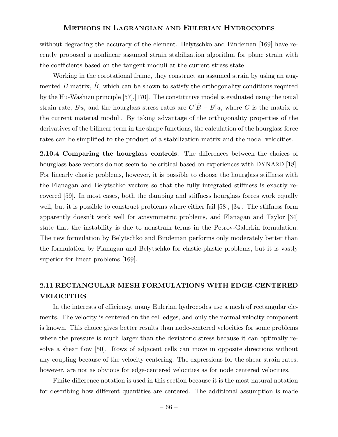without degrading the accuracy of the element. Belytschko and Bindeman [169] have recently proposed a nonlinear assumed strain stabilization algorithm for plane strain with the coefficients based on the tangent moduli at the current stress state.

Working in the corotational frame, they construct an assumed strain by using an augmented B matrix,  $\hat{B}$ , which can be shown to satisfy the orthogonality conditions required by the Hu-Washizu principle [57],[170]. The constitutive model is evaluated using the usual strain rate, Bu, and the hourglass stress rates are  $C[\hat{B} - B]u$ , where C is the matrix of the current material moduli. By taking advantage of the orthogonality properties of the derivatives of the bilinear term in the shape functions, the calculation of the hourglass force rates can be simplified to the product of a stabilization matrix and the nodal velocities.

**2.10.4 Comparing the hourglass controls.** The differences between the choices of hourglass base vectors do not seem to be critical based on experiences with DYNA2D [18]. For linearly elastic problems, however, it is possible to choose the hourglass stiffness with the Flanagan and Belytschko vectors so that the fully integrated stiffness is exactly recovered [59]. In most cases, both the damping and stiffness hourglass forces work equally well, but it is possible to construct problems where either fail [58], [34]. The stiffness form apparently doesn't work well for axisymmetric problems, and Flanagan and Taylor [34] state that the instability is due to nonstrain terms in the Petrov-Galerkin formulation. The new formulation by Belytschko and Bindeman performs only moderately better than the formulation by Flanagan and Belytschko for elastic-plastic problems, but it is vastly superior for linear problems [169].

# **2.11 RECTANGULAR MESH FORMULATIONS WITH EDGE-CENTERED VELOCITIES**

In the interests of efficiency, many Eulerian hydrocodes use a mesh of rectangular elements. The velocity is centered on the cell edges, and only the normal velocity component is known. This choice gives better results than node-centered velocities for some problems where the pressure is much larger than the deviatoric stress because it can optimally resolve a shear flow [50]. Rows of adjacent cells can move in opposite directions without any coupling because of the velocity centering. The expressions for the shear strain rates, however, are not as obvious for edge-centered velocities as for node centered velocities.

Finite difference notation is used in this section because it is the most natural notation for describing how different quantities are centered. The additional assumption is made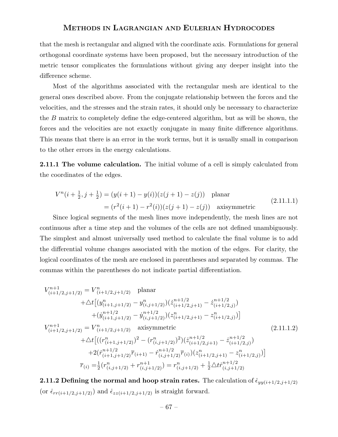that the mesh is rectangular and aligned with the coordinate axis. Formulations for general orthogonal coordinate systems have been proposed, but the necessary introduction of the metric tensor complicates the formulations without giving any deeper insight into the difference scheme.

Most of the algorithms associated with the rectangular mesh are identical to the general ones described above. From the conjugate relationship between the forces and the velocities, and the stresses and the strain rates, it should only be necessary to characterize the B matrix to completely define the edge-centered algorithm, but as will be shown, the forces and the velocities are not exactly conjugate in many finite difference algorithms. This means that there is an error in the work terms, but it is usually small in comparison to the other errors in the energy calculations.

**2.11.1 The volume calculation.** The initial volume of a cell is simply calculated from the coordinates of the edges.

$$
V^{n}(i + \frac{1}{2}, j + \frac{1}{2}) = (y(i + 1) - y(i))(z(j + 1) - z(j))
$$
planar  
= 
$$
(r^{2}(i + 1) - r^{2}(i))(z(j + 1) - z(j))
$$
 axisymmetric (2.11.1.1)

Since logical segments of the mesh lines move independently, the mesh lines are not continuous after a time step and the volumes of the cells are not defined unambiguously. The simplest and almost universally used method to calculate the final volume is to add the differential volume changes associated with the motion of the edges. For clarity, the logical coordinates of the mesh are enclosed in parentheses and separated by commas. The commas within the parentheses do not indicate partial differentiation.

$$
V_{(i+1/2,j+1/2)}^{n+1} = V_{(i+1/2,j+1/2)}^{n}
$$
 planar  
\n
$$
+ \Delta t \left[ (y_{(i+1,j+1/2)}^{n} - y_{(i,j+1/2)}^{n}) (z_{(i+1/2,j+1)}^{n+1/2} - z_{(i+1/2,j)}^{n+1/2}) + (y_{(i+1,j+1/2)}^{n+1/2} - y_{(i,j+1/2)}^{n+1/2}) (z_{(i+1/2,j+1)}^{n} - z_{(i+1/2,j)}^{n}) \right]
$$
  
\n
$$
V_{(i+1/2,j+1/2)}^{n+1} = V_{(i+1/2,j+1/2)}^{n}
$$
 axisymmetric  
\n
$$
+ \Delta t \left[ ((r_{(i+1,j+1/2)}^{n})^{2} - (r_{(i,j+1/2)}^{n})^{2}) (z_{(i+1/2,j+1)}^{n+1/2} - z_{(i+1/2,j)}^{n+1/2}) + 2(r_{(i+1,j+1/2)}^{n+1/2} \overline{r}_{(i+1)} - \overline{r}_{(i,j+1/2)}^{n+1/2} \overline{r}_{(i)}) (z_{(i+1/2,j+1)}^{n} - z_{(i+1/2,j)}^{n}) \right]
$$
  
\n
$$
\overline{r}_{(i)} = \frac{1}{2} (r_{(i,j+1/2)}^{n} + r_{(i,j+1/2)}^{n+1}) = r_{(i,j+1/2)}^{n} + \frac{1}{2} \Delta t \overline{r}_{(i,j+1/2)}^{n+1/2}
$$

**2.11.2 Defining the normal and hoop strain rates.** The calculation of  $\epsilon_{yy(i+1/2,j+1/2)}$ (or  $\dot{\epsilon}_{rr(i+1/2,j+1/2)}$ ) and  $\dot{\epsilon}_{zz(i+1/2,j+1/2)}$  is straight forward.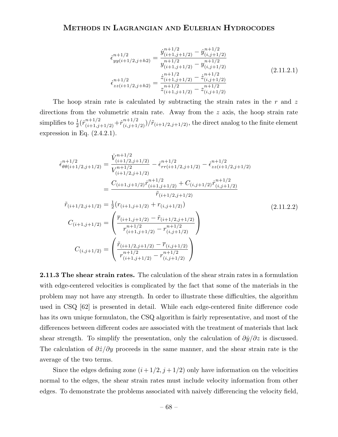$$
\begin{aligned}\n\dot{\epsilon}_{yy(i+1/2,j+h2)}^{n+1/2} &= \frac{\dot{y}_{(i+1,j+1/2)}^{n+1/2} - \dot{y}_{(i,j+1/2)}^{n+1/2}}{y_{(i+1,j+1/2)}^{n+1/2} - y_{(i,j+1/2)}^{n+1/2}} \\
\dot{\epsilon}_{zz(i+1/2,j+h2)}^{n+1/2} &= \frac{\dot{z}_{(i+1,j+1/2)}^{n+1/2} - \dot{z}_{(i,j+1/2)}^{n+1/2}}{z_{(i+1,j+1/2)}^{n+1/2} - z_{(i,j+1/2)}^{n+1/2}}\n\end{aligned} \tag{2.11.2.1}
$$

The hoop strain rate is calculated by subtracting the strain rates in the r and  $z$ directions from the volumetric strain rate. Away from the  $z$  axis, the hoop strain rate simplifies to  $\frac{1}{2}(\dot{r}_{(i+1,j+1/2)}^{n+1/2}+\dot{r}_{(i,j+1/2)}^{n+1/2})/\tilde{r}_{(i+1/2,j+1/2)},$  the direct analog to the finite element expression in Eq.  $(2.4.2.1)$ .

$$
\begin{split}\n\dot{\epsilon}_{\theta\theta(i+1/2,j+1/2)}^{n+1/2} &= \frac{\dot{V}_{(i+1/2,j+1/2)}^{n+1/2}}{V_{(i+1/2,j+1/2)}^{n+1/2}} - \dot{\epsilon}_{rr(i+1/2,j+1/2)}^{n+1/2} - \dot{\epsilon}_{zz(i+1/2,j+1/2)}^{n+1/2} \\
&= \frac{C_{(i+1,j+1/2)}\dot{r}_{(i+1,j+1/2)}^{n+1/2} + C_{(i,j+1/2)}\dot{r}_{(i,j+1/2)}^{n+1/2}}{\tilde{r}_{(i+1/2,j+1/2)}} \\
\dot{\tilde{r}}_{(i+1/2,j+1/2)} &= \frac{1}{2} \left( r_{(i+1,j+1/2)} + r_{(i,j+1/2)} \right) \\
C_{(i+1,j+1/2)} &= \begin{pmatrix} \frac{\overline{r}_{(i+1,j+1/2)} - \tilde{r}_{(i+1/2,j+1/2)}}{\tilde{r}_{(i+1,j+1/2)} - \tilde{r}_{(i,j+1/2)}} \\ \frac{\overline{r}_{(i+1,j+1/2)} - r_{(i,j+1/2)}}{\tilde{r}_{(i+1,j+1/2)}^{n+1/2}} \end{pmatrix} \\
C_{(i,j+1/2)} &= \begin{pmatrix} \frac{\tilde{r}_{(i+1/2,j+1/2)} - \tilde{r}_{(i,j+1/2)}}{\tilde{r}_{(i+1,j+1/2)} - \tilde{r}_{(i,j+1/2)}} \\ \frac{\tilde{r}_{(i+1/2,j+1/2)} - \tilde{r}_{(i,j+1/2)}}{\tilde{r}_{(i+1,j+1/2)}^{n+1/2}} \end{pmatrix}\n\end{split}
$$
\n
$$
(2.11.2.2)
$$

**2.11.3 The shear strain rates.** The calculation of the shear strain rates in a formulation with edge-centered velocities is complicated by the fact that some of the materials in the problem may not have any strength. In order to illustrate these difficulties, the algorithm used in CSQ [62] is presented in detail. While each edge-centered finite difference code has its own unique formulaton, the CSQ algorithm is fairly representative, and most of the differences between different codes are associated with the treatment of materials that lack shear strength. To simplify the presentation, only the calculation of  $\partial \dot{y}/\partial z$  is discussed. The calculation of  $\partial \dot{z}/\partial y$  proceeds in the same manner, and the shear strain rate is the average of the two terms.

Since the edges defining zone  $(i+1/2, j+1/2)$  only have information on the velocities normal to the edges, the shear strain rates must include velocity information from other edges. To demonstrate the problems associated with naively differencing the velocity field,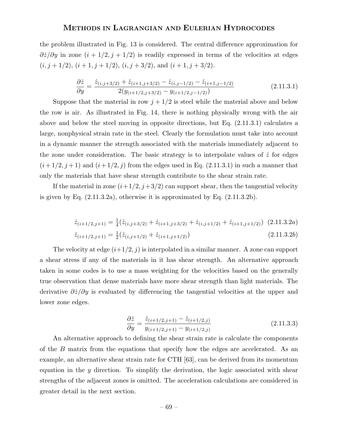the problem illustrated in Fig. 13 is considered. The central difference approximation for  $\partial \dot{z}/\partial y$  in zone  $(i + 1/2, j + 1/2)$  is readily expressed in terms of the velocities at edges  $(i, j + 1/2), (i + 1, j + 1/2), (i, j + 3/2),$  and  $(i + 1, j + 3/2)$ .

$$
\frac{\partial \dot{z}}{\partial y} = \frac{\dot{z}_{(i,j+3/2)} + \dot{z}_{(i+1,j+3/2)} - \dot{z}_{(i,j-1/2)} - \dot{z}_{(i+1,j-1/2)}}{2(y_{(i+1/2,j+3/2)} - y_{(i+1/2,j-1/2)})}
$$
(2.11.3.1)

Suppose that the material in row  $j + 1/2$  is steel while the material above and below the row is air. As illustrated in Fig. 14, there is nothing physically wrong with the air above and below the steel moving in opposite directions, but Eq. (2.11.3.1) calculates a large, nonphysical strain rate in the steel. Clearly the formulation must take into account in a dynamic manner the strength associated with the materials immediately adjacent to the zone under consideration. The basic strategy is to interpolate values of  $\dot{z}$  for edges  $(i+1/2, j+1)$  and  $(i+1/2, j)$  from the edges used in Eq. (2.11.3.1) in such a manner that only the materials that have shear strength contribute to the shear strain rate.

If the material in zone  $(i+1/2, j+3/2)$  can support shear, then the tangential velocity is given by Eq. (2.11.3.2a), otherwise it is approximated by Eq. (2.11.3.2b).

$$
\dot{z}_{(i+1/2,j+1)} = \frac{1}{4} (\dot{z}_{(i,j+3/2)} + \dot{z}_{(i+1,j+3/2)} + \dot{z}_{(i,j+1/2)} + \dot{z}_{(i+1,j+1/2)})
$$
(2.11.3.2a)

$$
\dot{z}_{(i+1/2,j+1)} = \frac{1}{2} (\dot{z}_{(i,j+1/2)} + \dot{z}_{(i+1,j+1/2)})
$$
\n(2.11.3.2b)

The velocity at edge  $(i+1/2, j)$  is interpolated in a similar manner. A zone can support a shear stress if any of the materials in it has shear strength. An alternative approach taken in some codes is to use a mass weighting for the velocities based on the generally true observation that dense materials have more shear strength than light materials. The derivative  $\partial \dot{z}/\partial y$  is evaluated by differencing the tangential velocities at the upper and lower zone edges.

$$
\frac{\partial \dot{z}}{\partial y} = \frac{\dot{z}_{(i+1/2,j+1)} - \dot{z}_{(i+1/2,j)}}{y_{(i+1/2,j+1)} - y_{(i+1/2,j)}}
$$
(2.11.3.3)

An alternative approach to defining the shear strain rate is calculate the components of the B matrix from the equations that specify how the edges are accelerated. As an example, an alternative shear strain rate for CTH [63], can be derived from its momentum equation in the  $y$  direction. To simplify the derivation, the logic associated with shear strengths of the adjacent zones is omitted. The acceleration calculations are considered in greater detail in the next section.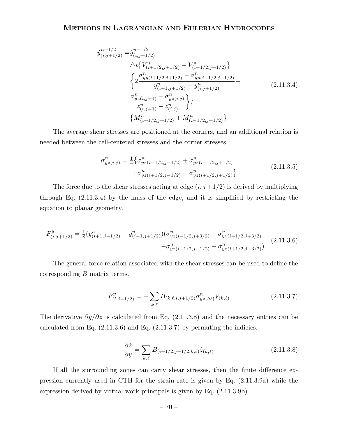$$
\dot{y}_{(i,j+1/2)}^{n+1/2} = \dot{y}_{(i,j+1/2)}^{n-1/2} + \Delta t \{ V_{(i+1/2,j+1/2)}^n + V_{(i-1/2,j+1/2)}^n \}
$$
\n
$$
\left\{ 2 \frac{\sigma_{yy(i+1/2,j+1/2)}^n - \sigma_{yy(i-1/2,j+1/2)}^n}{y_{(i+1,j+1/2)}^n - y_{(i,j+1/2)}^n} + \frac{\sigma_{yz(i,j+1)}^n - \sigma_{yz(i,j)}^n}{z_{(i,j+1)}^n - z_{(i,j)}^n} \right\} / \tag{2.11.3.4}
$$
\n
$$
\left\{ M_{(i+1/2,j+1/2)}^n + M_{(i-1/2,j+1/2)}^n \right\}
$$

The average shear stresses are positioned at the corners, and an additional relation is needed between the cell-centered stresses and the corner stresses.

$$
\sigma_{yz(i,j)}^n = \frac{1}{4} \left\{ \sigma_{yz(i-1/2,j-1/2)}^n + \sigma_{yz(i-1/2,j+1/2)}^n + \sigma_{yz(i+1/2,j-1/2)}^n + \sigma_{yz(i+1/2,j+1/2)}^n \right\}
$$
\n(2.11.3.5)

The force due to the shear stresses acting at edge  $(i, j+1/2)$  is derived by multiplying through Eq. (2.11.3.4) by the mass of the edge, and it is simplified by restricting the equation to planar geometry.

$$
F_{(i,j+1/2)}^y = \frac{1}{8} (y_{(i+1,j+1/2)}^n - y_{(i-1,j+1/2)}^n)(\sigma_{yz(i-1/2,j+3/2)}^n + \sigma_{yz(i+1/2,j+3/2)}^n - \sigma_{yz(i-1/2,j-1/2)}^n - \sigma_{yz(i+1/2,j-3/2)}^n)
$$
(2.11.3.6)

The general force relation associated with the shear stresses can be used to define the corresponding B matrix terms.

$$
F_{(i,j+1/2)}^{y} = -\sum_{k,\ell} B_{(k,\ell,i,j+1/2)} \sigma_{yz(k\ell)}^{n} V_{(k,\ell)}
$$
(2.11.3.7)

The derivative  $\partial \dot{y}/\partial z$  is calculated from Eq. (2.11.3.8) and the necessary entries can be calculated from Eq.  $(2.11.3.6)$  and Eq.  $(2.11.3.7)$  by permuting the indicies.

$$
\frac{\partial \dot{z}}{\partial y} = \sum_{k,\ell} B_{(i+1/2,j+1/2,k,\ell)} \dot{z}_{(k,\ell)} \tag{2.11.3.8}
$$

If all the surrounding zones can carry shear stresses, then the finite difference expression currently used in CTH for the strain rate is given by Eq. (2.11.3.9a) while the expression derived by virtual work principals is given by Eq. (2.11.3.9b).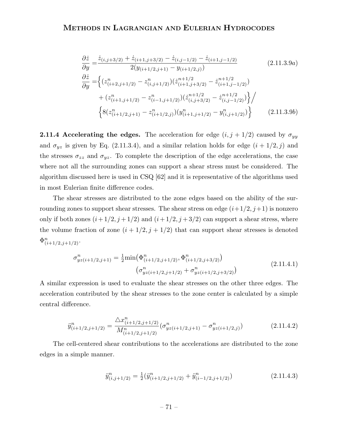$$
\frac{\partial \dot{z}}{\partial y} = \frac{\dot{z}_{(i,j+3/2)} + \dot{z}_{(i+1,j+3/2)} - \dot{z}_{(i,j-1/2)} - \dot{z}_{(i+1,j-1/2)}}{2(y_{(i+1/2,j+1)} - y_{(i+1/2,j)})}
$$
(2.11.3.9a)  

$$
\frac{\partial \dot{z}}{\partial y} = \left\{ (z_{(i+2,j+1/2)}^n - z_{(i,j+1/2)}^n)(\dot{z}_{(i+1,j+3/2)}^{n+1/2} - \dot{z}_{(i+1,j-1/2)}^{n+1/2}) + (z_{(i+1,j+1/2)}^n - z_{(i-1,j+1/2)}^n)(\dot{z}_{(i,j+3/2)}^{n+1/2} - \dot{z}_{(i,j-1/2)}^{n+1/2}) \right\} / \left\{ 8(z_{(i+1/2,j+1)}^n - z_{(i+1/2,j)}^n)(y_{(i+1,j+1/2)}^n - y_{(i,j+1/2)}^n) \right\}
$$
(2.11.3.9b)

**2.11.4 Accelerating the edges.** The acceleration for edge  $(i, j + 1/2)$  caused by  $\sigma_{yy}$ and  $\sigma_{yz}$  is given by Eq. (2.11.3.4), and a similar relation holds for edge  $(i + 1/2, j)$  and the stresses  $\sigma_{zz}$  and  $\sigma_{yz}$ . To complete the description of the edge accelerations, the case where not all the surrounding zones can support a shear stress must be considered. The algorithm discussed here is used in CSQ [62] and it is representative of the algorithms used in most Eulerian finite difference codes.

The shear stresses are distributed to the zone edges based on the ability of the surrounding zones to support shear stresses. The shear stress on edge  $(i+1/2, j+1)$  is nonzero only if both zones  $(i+1/2,j+1/2)$  and  $(i+1/2,j+3/2)$  can support a shear stress, where the volume fraction of zone  $(i + 1/2, j + 1/2)$  that can support shear stresses is denoted  $\Phi_{(i+1/2,j+1/2)}^n$ .

$$
\sigma_{yz(i+1/2,j+1)}^n = \frac{1}{2} \min\left(\Phi_{(i+1/2,j+1/2)}^n, \Phi_{(i+1/2,j+3/2)}^n\right) \tag{2.11.4.1}
$$
\n
$$
\left(\sigma_{yz(i+1/2,j+1/2)}^n + \sigma_{yz(i+1/2,j+3/2)}^n\right)
$$

A similar expression is used to evaluate the shear stresses on the other three edges. The acceleration contributed by the shear stresses to the zone center is calculated by a simple central difference.

$$
\ddot{y}_{(i+1/2,j+1/2)}^n = \frac{\Delta x_{(i+1/2,j+1/2)}^n}{M_{(i+1/2,j+1/2)}^n} \left(\sigma_{yz(i+1/2,j+1)}^n - \sigma_{yz(i+1/2,j)}^n\right)
$$
\n(2.11.4.2)

The cell-centered shear contributions to the accelerations are distributed to the zone edges in a simple manner.

$$
\ddot{y}_{(i,j+1/2)}^n = \frac{1}{2} (\ddot{y}_{(i+1/2,j+1/2)}^n + \ddot{y}_{(i-1/2,j+1/2)}^n)
$$
\n(2.11.4.3)

$$
-71-
$$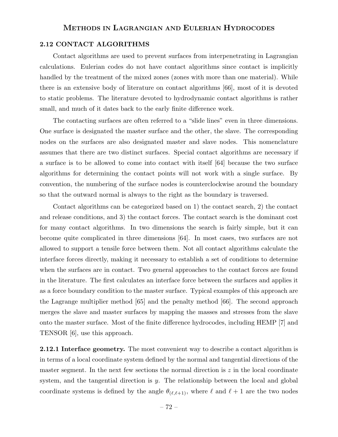#### **2.12 CONTACT ALGORITHMS**

Contact algorithms are used to prevent surfaces from interpenetrating in Lagrangian calculations. Eulerian codes do not have contact algorithms since contact is implicitly handled by the treatment of the mixed zones (zones with more than one material). While there is an extensive body of literature on contact algorithms [66], most of it is devoted to static problems. The literature devoted to hydrodynamic contact algorithms is rather small, and much of it dates back to the early finite difference work.

The contacting surfaces are often referred to a "slide lines" even in three dimensions. One surface is designated the master surface and the other, the slave. The corresponding nodes on the surfaces are also designated master and slave nodes. This nomenclature assumes that there are two distinct surfaces. Special contact algorithms are necessary if a surface is to be allowed to come into contact with itself [64] because the two surface algorithms for determining the contact points will not work with a single surface. By convention, the numbering of the surface nodes is counterclockwise around the boundary so that the outward normal is always to the right as the boundary is traversed.

Contact algorithms can be categorized based on 1) the contact search, 2) the contact and release conditions, and 3) the contact forces. The contact search is the dominant cost for many contact algorithms. In two dimensions the search is fairly simple, but it can become quite complicated in three dimensions [64]. In most cases, two surfaces are not allowed to support a tensile force between them. Not all contact algorithms calculate the interface forces directly, making it necessary to establish a set of conditions to determine when the surfaces are in contact. Two general approaches to the contact forces are found in the literature. The first calculates an interface force between the surfaces and applies it as a force boundary condition to the master surface. Typical examples of this approach are the Lagrange multiplier method [65] and the penalty method [66]. The second approach merges the slave and master surfaces by mapping the masses and stresses from the slave onto the master surface. Most of the finite difference hydrocodes, including HEMP [7] and TENSOR [6], use this approach.

**2.12.1 Interface geometry.** The most convenient way to describe a contact algorithm is in terms of a local coordinate system defined by the normal and tangential directions of the master segment. In the next few sections the normal direction is  $z$  in the local coordinate system, and the tangential direction is  $y$ . The relationship between the local and global coordinate systems is defined by the angle  $\theta_{(\ell,\ell+1)}$ , where  $\ell$  and  $\ell+1$  are the two nodes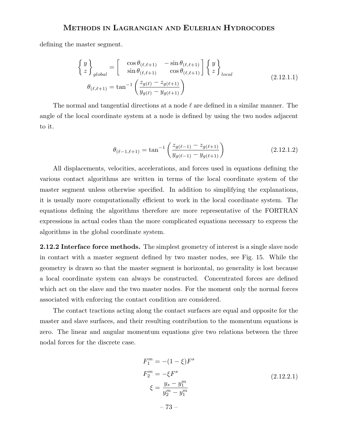defining the master segment.

$$
\begin{aligned}\n\left\{\begin{array}{c}\ny \\
z\n\end{array}\right\}_{global} &= \begin{bmatrix}\n\cos\theta_{(\ell,\ell+1)} & -\sin\theta_{(\ell,\ell+1)} \\
\sin\theta_{(\ell,\ell+1)} & \cos\theta_{(\ell,\ell+1)}\n\end{bmatrix}\n\left\{\begin{array}{c}\ny \\
z\n\end{array}\right\}_{local} \\
\theta_{(\ell,\ell+1)} &= \tan^{-1}\left(\frac{z_{g(\ell)} - z_{g(\ell+1)}}{y_{g(\ell)} - y_{g(\ell+1)}}\right)\n\end{aligned} \tag{2.12.1.1}
$$

The normal and tangential directions at a node  $\ell$  are defined in a similar manner. The angle of the local coordinate system at a node is defined by using the two nodes adjacent to it.

$$
\theta_{(\ell-1,\ell+1)} = \tan^{-1}\left(\frac{z_{g(\ell-1)} - z_{g(\ell+1)}}{y_{g(\ell-1)} - y_{g(\ell+1)}}\right)
$$
\n(2.12.1.2)

All displacements, velocities, accelerations, and forces used in equations defining the various contact algorithms are written in terms of the local coordinate system of the master segment unless otherwise specified. In addition to simplifying the explanations, it is usually more computationally efficient to work in the local coordinate system. The equations defining the algorithms therefore are more representative of the FORTRAN expressions in actual codes than the more complicated equations necessary to express the algorithms in the global coordinate system.

**2.12.2 Interface force methods.** The simplest geometry of interest is a single slave node in contact with a master segment defined by two master nodes, see Fig. 15. While the geometry is drawn so that the master segment is horizontal, no generality is lost because a local coordinate system can always be constructed. Concentrated forces are defined which act on the slave and the two master nodes. For the moment only the normal forces associated with enforcing the contact condition are considered.

The contact tractions acting along the contact surfaces are equal and opposite for the master and slave surfaces, and their resulting contribution to the momentum equations is zero. The linear and angular momentum equations give two relations between the three nodal forces for the discrete case.

$$
F_1^m = -(1 - \xi)F^s
$$
  
\n
$$
F_2^m = -\xi F^s
$$
  
\n
$$
\xi = \frac{y_s - y_1^m}{y_2^m - y_1^m}
$$
  
\n(2.12.2.1)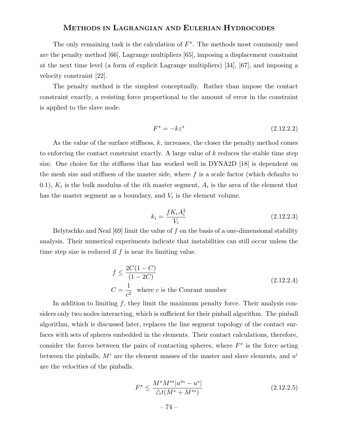The only remaining task is the calculation of  $F<sup>s</sup>$ . The methods most commonly used are the penalty method [66], Lagrange multipliers [65], imposing a displacement constraint at the next time level (a form of explicit Lagrange multipliers) [34], [67], and imposing a velocity constraint [22].

The penalty method is the simplest conceptually. Rather than impose the contact constraint exactly, a resisting force proportional to the amount of error in the constraint is applied to the slave node.

$$
F^s = -kz^s \tag{2.12.2.2}
$$

As the value of the surface stiffness,  $k$ , increases, the closer the penalty method comes to enforcing the contact constraint exactly. A large value of  $k$  reduces the stable time step size. One choice for the stiffness that has worked well in DYNA2D [18] is dependent on the mesh size and stiffness of the master side, where  $f$  is a scale factor (which defaults to 0.1),  $K_i$  is the bulk modulus of the *i*th master segment,  $A_i$  is the area of the element that has the master segment as a boundary, and  $V_i$  is the element volume.

$$
k_i = \frac{f K_i A_i^2}{V_i}
$$
 (2.12.2.3)

Belytschko and Neal  $[69]$  limit the value of f on the basis of a one-dimensional stability analysis. Their numerical experiments indicate that instabilities can still occur unless the time step size is reduced if  $f$  is near its limiting value.

$$
f \le \frac{2C(1 - C)}{(1 - 2C)}
$$
  
\n
$$
C = \frac{1}{c^2}
$$
 where *c* is the Courant number (2.12.2.4)

In addition to limiting  $f$ , they limit the maximum penalty force. Their analysis considers only two nodes interacting, which is sufficient for their pinball algorithm. The pinball algorithm, which is discussed later, replaces the line segment topology of the contact surfaces with sets of spheres embedded in the elements. Their contact calculations, therefore, consider the forces between the pairs of contacting spheres, where  $F<sup>s</sup>$  is the force acting between the pinballs,  $M^i$  are the element masses of the master and slave elements, and  $u^i$ are the velocities of the pinballs.

$$
F^s \le \frac{M^s M^m |u^m - u^s|}{\triangle t (M^s + M^m)}
$$
\n(2.12.2.5)

– 74 –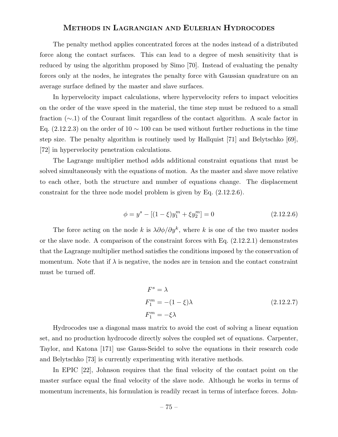The penalty method applies concentrated forces at the nodes instead of a distributed force along the contact surfaces. This can lead to a degree of mesh sensitivity that is reduced by using the algorithm proposed by Simo [70]. Instead of evaluating the penalty forces only at the nodes, he integrates the penalty force with Gaussian quadrature on an average surface defined by the master and slave surfaces.

In hypervelocity impact calculations, where hypervelocity refers to impact velocities on the order of the wave speed in the material, the time step must be reduced to a small fraction (∼.1) of the Courant limit regardless of the contact algorithm. A scale factor in Eq. (2.12.2.3) on the order of 10  $\sim$  100 can be used without further reductions in the time step size. The penalty algorithm is routinely used by Hallquist [71] and Belytschko [69], [72] in hypervelocity penetration calculations.

The Lagrange multiplier method adds additional constraint equations that must be solved simultaneously with the equations of motion. As the master and slave move relative to each other, both the structure and number of equations change. The displacement constraint for the three node model problem is given by Eq. (2.12.2.6).

$$
\phi = y^s - [(1 - \xi)y_1^m + \xi y_2^m] = 0 \tag{2.12.2.6}
$$

The force acting on the node k is  $\lambda \partial \phi / \partial y^k$ , where k is one of the two master nodes or the slave node. A comparison of the constraint forces with Eq.  $(2.12.2.1)$  demonstrates that the Lagrange multiplier method satisfies the conditions imposed by the conservation of momentum. Note that if  $\lambda$  is negative, the nodes are in tension and the contact constraint must be turned off.

$$
F^s = \lambda
$$
  
\n
$$
F_1^m = -(1 - \xi)\lambda
$$
 (2.12.2.7)  
\n
$$
F_1^m = -\xi\lambda
$$

Hydrocodes use a diagonal mass matrix to avoid the cost of solving a linear equation set, and no production hydrocode directly solves the coupled set of equations. Carpenter, Taylor, and Katona [171] use Gauss-Seidel to solve the equations in their research code and Belytschko [73] is currently experimenting with iterative methods.

In EPIC [22], Johnson requires that the final velocity of the contact point on the master surface equal the final velocity of the slave node. Although he works in terms of momentum increments, his formulation is readily recast in terms of interface forces. John-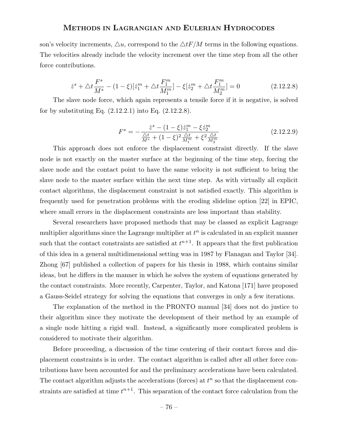son's velocity increments,  $\Delta u$ , correspond to the  $\Delta tF/M$  terms in the following equations. The velocities already include the velocity increment over the time step from all the other force contributions.

$$
\dot{z}^s + \triangle t \frac{F^s}{M^s} - (1 - \xi)[\dot{z}_1^m + \triangle t \frac{F_1^m}{M_1^m}] - \xi[\dot{z}_2^m + \triangle t \frac{F_1^m}{M_2^m}] = 0 \tag{2.12.2.8}
$$

The slave node force, which again represents a tensile force if it is negative, is solved for by substituting Eq. (2.12.2.1) into Eq. (2.12.2.8).

$$
F^{s} = -\frac{\dot{z}^{s} - (1 - \xi)\dot{z}_{1}^{m} - \xi\dot{z}_{2}^{m}}{\frac{\Delta t}{M^{s}} + (1 - \xi)^{2}\frac{\Delta t}{M_{1}^{m}} + \xi^{2}\frac{\Delta t}{M_{2}^{m}}}
$$
(2.12.2.9)

This approach does not enforce the displacement constraint directly. If the slave node is not exactly on the master surface at the beginning of the time step, forcing the slave node and the contact point to have the same velocity is not sufficient to bring the slave node to the master surface within the next time step. As with virtually all explicit contact algorithms, the displacement constraint is not satisfied exactly. This algorithm is frequently used for penetration problems with the eroding slideline option [22] in EPIC, where small errors in the displacement constraints are less important than stability.

Several researchers have proposed methods that may be classed as explicit Lagrange multiplier algorithms since the Lagrange multiplier at  $t^n$  is calculated in an explicit manner such that the contact constraints are satisfied at  $t^{n+1}$ . It appears that the first publication of this idea in a general multidimensional setting was in 1987 by Flanagan and Taylor [34]. Zhong [67] published a collection of papers for his thesis in 1988, which contains similar ideas, but he differs in the manner in which he solves the system of equations generated by the contact constraints. More recently, Carpenter, Taylor, and Katona [171] have proposed a Gauss-Seidel strategy for solving the equations that converges in only a few iterations.

The explanation of the method in the PRONTO manual [34] does not do justice to their algorithm since they motivate the development of their method by an example of a single node hitting a rigid wall. Instead, a significantly more complicated problem is considered to motivate their algorithm.

Before proceeding, a discussion of the time centering of their contact forces and displacement constraints is in order. The contact algorithm is called after all other force contributions have been accounted for and the preliminary accelerations have been calculated. The contact algorithm adjusts the accelerations (forces) at  $t^n$  so that the displacement constraints are satisfied at time  $t^{n+1}$ . This separation of the contact force calculation from the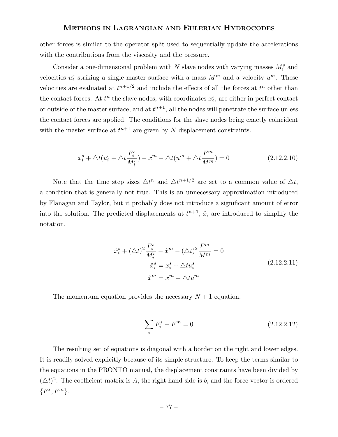other forces is similar to the operator split used to sequentially update the accelerations with the contributions from the viscosity and the pressure.

Consider a one-dimensional problem with  $N$  slave nodes with varying masses  $M_i^s$  and velocities  $u_i^s$  striking a single master surface with a mass  $M^m$  and a velocity  $u^m$ . These velocities are evaluated at  $t^{n+1/2}$  and include the effects of all the forces at  $t^n$  other than the contact forces. At  $t^n$  the slave nodes, with coordinates  $x_i^s$ , are either in perfect contact or outside of the master surface, and at  $t^{n+1}$ , all the nodes will penetrate the surface unless the contact forces are applied. The conditions for the slave nodes being exactly coincident with the master surface at  $t^{n+1}$  are given by N displacement constraints.

$$
x_i^s + \Delta t (u_i^s + \Delta t \frac{F_i^s}{M_i^s}) - x^m - \Delta t (u^m + \Delta t \frac{F^m}{M^m}) = 0
$$
 (2.12.2.10)

Note that the time step sizes  $\triangle t^n$  and  $\triangle t^{n+1/2}$  are set to a common value of  $\triangle t$ , a condition that is generally not true. This is an unnecessary approximation introduced by Flanagan and Taylor, but it probably does not introduce a significant amount of error into the solution. The predicted displacements at  $t^{n+1}$ ,  $\hat{x}$ , are introduced to simplify the notation.

$$
\hat{x}_{i}^{s} + (\Delta t)^{2} \frac{F_{i}^{s}}{M_{i}^{s}} - \hat{x}^{m} - (\Delta t)^{2} \frac{F^{m}}{M^{m}} = 0
$$
\n
$$
\hat{x}_{i}^{s} = x_{i}^{s} + \Delta t u_{i}^{s}
$$
\n
$$
\hat{x}^{m} = x^{m} + \Delta t u^{m}
$$
\n(2.12.2.11)

The momentum equation provides the necessary  $N+1$  equation.

$$
\sum_{i} F_{i}^{s} + F^{m} = 0 \tag{2.12.2.12}
$$

The resulting set of equations is diagonal with a border on the right and lower edges. It is readily solved explicitly because of its simple structure. To keep the terms similar to the equations in the PRONTO manual, the displacement constraints have been divided by  $(\triangle t)^2$ . The coefficient matrix is A, the right hand side is b, and the force vector is ordered  $\{F^s, F^m\}.$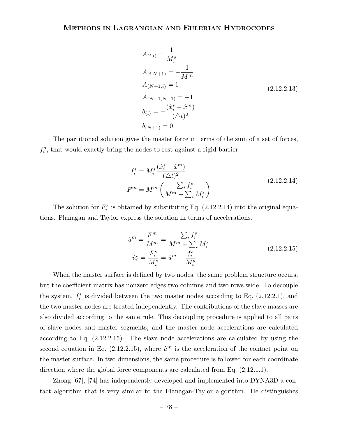$$
A_{(i,i)} = \frac{1}{M_i^s}
$$
  
\n
$$
A_{(i,N+1)} = -\frac{1}{M^m}
$$
  
\n
$$
A_{(N+1,i)} = 1
$$
  
\n
$$
A_{(N+1,N+1)} = -1
$$
  
\n
$$
b_{(i)} = -\frac{(\hat{x}_i^s - \hat{x}^m)}{(\Delta t)^2}
$$
  
\n
$$
b_{(N+1)} = 0
$$
  
\n(2.12.2.13)

The partitioned solution gives the master force in terms of the sum of a set of forces,  $f_i^s$ , that would exactly bring the nodes to rest against a rigid barrier.

$$
f_i^s = M_i^s \frac{(\hat{x}_i^s - \hat{x}^m)}{(\Delta t)^2}
$$
  

$$
F^m = M^m \left(\frac{\sum_i f_i^s}{M^m + \sum_i M_i^s}\right)
$$
 (2.12.2.14)

The solution for  $F_i^s$  is obtained by substituting Eq. (2.12.2.14) into the original equations. Flanagan and Taylor express the solution in terms of accelerations.

$$
\dot{u}^{m} = \frac{F^{m}}{M^{m}} = \frac{\sum_{i} f_{i}^{s}}{M^{m} + \sum_{i} M_{i}^{s}}
$$
\n
$$
\dot{u}_{i}^{s} = \frac{F_{i}^{s}}{M_{i}^{s}} = \dot{u}^{m} - \frac{f_{i}^{s}}{M_{i}^{s}}
$$
\n(2.12.2.15)

When the master surface is defined by two nodes, the same problem structure occurs, but the coefficient matrix has nonzero edges two columns and two rows wide. To decouple the system,  $f_i^s$  is divided between the two master nodes according to Eq. (2.12.2.1), and the two master nodes are treated independently. The contributions of the slave masses are also divided according to the same rule. This decoupling procedure is applied to all pairs of slave nodes and master segments, and the master node accelerations are calculated according to Eq. (2.12.2.15). The slave node accelerations are calculated by using the second equation in Eq. (2.12.2.15), where  $\dot{u}^m$  is the acceleration of the contact point on the master surface. In two dimensions, the same procedure is followed for each coordinate direction where the global force components are calculated from Eq. (2.12.1.1).

Zhong [67], [74] has independently developed and implemented into DYNA3D a contact algorithm that is very similar to the Flanagan-Taylor algorithm. He distinguishes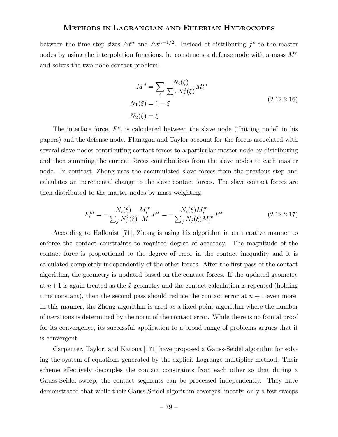between the time step sizes  $\triangle t^n$  and  $\triangle t^{n+1/2}$ . Instead of distributing  $f^s$  to the master nodes by using the interpolation functions, he constructs a defense node with a mass  $M<sup>d</sup>$ and solves the two node contact problem.

$$
M^{d} = \sum_{i} \frac{N_{i}(\xi)}{\sum_{j} N_{j}^{2}(\xi)} M_{i}^{m}
$$
  
\n
$$
N_{1}(\xi) = 1 - \xi
$$
  
\n
$$
N_{2}(\xi) = \xi
$$
\n(2.12.2.16)

The interface force,  $F^s$ , is calculated between the slave node ("hitting node" in his papers) and the defense node. Flanagan and Taylor account for the forces associated with several slave nodes contributing contact forces to a particular master node by distributing and then summing the current forces contributions from the slave nodes to each master node. In contrast, Zhong uses the accumulated slave forces from the previous step and calculates an incremental change to the slave contact forces. The slave contact forces are then distributed to the master nodes by mass weighting.

$$
F_i^m = -\frac{N_i(\xi)}{\sum_j N_j^2(\xi)} \frac{M_i^m}{M} F^s = -\frac{N_i(\xi)M_i^m}{\sum_j N_j(\xi)M_j^m} F^s
$$
(2.12.2.17)

According to Hallquist [71], Zhong is using his algorithm in an iterative manner to enforce the contact constraints to required degree of accuracy. The magnitude of the contact force is proportional to the degree of error in the contact inequality and it is calculated completely independently of the other forces. After the first pass of the contact algorithm, the geometry is updated based on the contact forces. If the updated geometry at  $n+1$  is again treated as the  $\hat{x}$  geometry and the contact calculation is repeated (holding time constant), then the second pass should reduce the contact error at  $n + 1$  even more. In this manner, the Zhong algorithm is used as a fixed point algorithm where the number of iterations is determined by the norm of the contact error. While there is no formal proof for its convergence, its successful application to a broad range of problems argues that it is convergent.

Carpenter, Taylor, and Katona [171] have proposed a Gauss-Seidel algorithm for solving the system of equations generated by the explicit Lagrange multiplier method. Their scheme effectively decouples the contact constraints from each other so that during a Gauss-Seidel sweep, the contact segments can be processed independently. They have demonstrated that while their Gauss-Seidel algorithm coverges linearly, only a few sweeps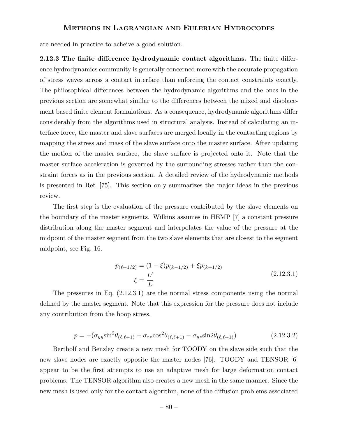are needed in practice to acheive a good solution.

**2.12.3 The finite difference hydrodynamic contact algorithms.** The finite difference hydrodynamics community is generally concerned more with the accurate propagation of stress waves across a contact interface than enforcing the contact constraints exactly. The philosophical differences between the hydrodynamic algorithms and the ones in the previous section are somewhat similar to the differences between the mixed and displacement based finite element formulations. As a consequence, hydrodynamic algorithms differ considerably from the algorithms used in structural analysis. Instead of calculating an interface force, the master and slave surfaces are merged locally in the contacting regions by mapping the stress and mass of the slave surface onto the master surface. After updating the motion of the master surface, the slave surface is projected onto it. Note that the master surface acceleration is governed by the surrounding stresses rather than the constraint forces as in the previous section. A detailed review of the hydrodynamic methods is presented in Ref. [75]. This section only summarizes the major ideas in the previous review.

The first step is the evaluation of the pressure contributed by the slave elements on the boundary of the master segments. Wilkins assumes in HEMP [7] a constant pressure distribution along the master segment and interpolates the value of the pressure at the midpoint of the master segment from the two slave elements that are closest to the segment midpoint, see Fig. 16.

$$
p_{(\ell+1/2)} = (1 - \xi)p_{(k-1/2)} + \xi p_{(k+1/2)}
$$
  

$$
\xi = \frac{L'}{L}
$$
 (2.12.3.1)

The pressures in Eq. (2.12.3.1) are the normal stress components using the normal defined by the master segment. Note that this expression for the pressure does not include any contribution from the hoop stress.

$$
p = -(\sigma_{yy}\sin^2\theta_{(\ell,\ell+1)} + \sigma_{zz}\cos^2\theta_{(\ell,\ell+1)} - \sigma_{yz}\sin2\theta_{(\ell,\ell+1)})
$$
\n(2.12.3.2)

Bertholf and Benzley create a new mesh for TOODY on the slave side such that the new slave nodes are exactly opposite the master nodes [76]. TOODY and TENSOR [6] appear to be the first attempts to use an adaptive mesh for large deformation contact problems. The TENSOR algorithm also creates a new mesh in the same manner. Since the new mesh is used only for the contact algorithm, none of the diffusion problems associated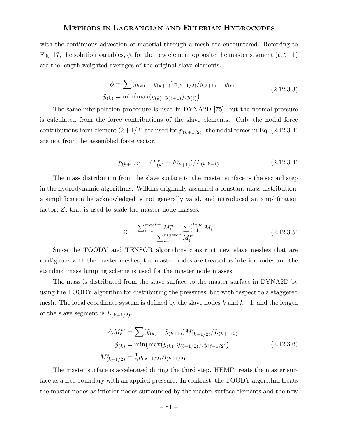with the continuous advection of material through a mesh are encountered. Referring to Fig. 17, the solution variables,  $\phi$ , for the new element opposite the master segment  $(\ell, \ell+1)$ are the length-weighted averages of the original slave elements.

$$
\phi = \sum (\tilde{y}_{(k)} - \tilde{y}_{(k+1)}) \phi_{(k+1/2)} / y_{(\ell+1)} - y_{(\ell)}
$$
  

$$
\tilde{y}_{(k)} = \min(\max(y_{(k)}, y_{(\ell+1)}), y_{(\ell)})
$$
\n(2.12.3.3)

The same interpolation procedure is used in DYNA2D [75], but the normal pressure is calculated from the force contributions of the slave elements. Only the nodal force contributions from element  $(k+1/2)$  are used for  $p_{(k+1/2)}$ ; the nodal forces in Eq. (2.12.3.4) are not from the assembled force vector.

$$
p_{(k+1/2)} = (F_{(k)}^{\sigma} + F_{(k+1)}^{\sigma})/L_{(k,k+1)}
$$
\n(2.12.3.4)

The mass distribution from the slave surface to the master surface is the second step in the hydrodynamic algorithms. Wilkins originally assumed a constant mass distribution, a simplification he acknowledged is not generally valid, and introduced an amplification factor, Z, that is used to scale the master node masses.

$$
Z = \frac{\sum_{i=1}^{master} M_i^m + \sum_{i=1}^{slave} M_i^s}{\sum_{i=1}^{master} M_i^m}
$$
 (2.12.3.5)

Since the TOODY and TENSOR algorithms construct new slave meshes that are contiguous with the master meshes, the master nodes are treated as interior nodes and the standard mass lumping scheme is used for the master node masses.

The mass is distributed from the slave surface to the master surface in DYNA2D by using the TOODY algorithm for distributing the pressures, but with respect to a staggered mesh. The local coordinate system is defined by the slave nodes k and  $k+1$ , and the length of the slave segment is  $L_{(k+1/2)}$ .

$$
\Delta M_{\ell}^{m} = \sum (\tilde{y}_{(k)} - \tilde{y}_{(k+1)}) M_{(k+1/2)}^{s} / L_{(k+1/2)}
$$
  
\n
$$
\tilde{y}_{(k)} = \min(\max(y_{(k)}, y_{(\ell+1/2)}), y_{(\ell-1/2)})
$$
\n
$$
M_{(k+1/2)}^{s} = \frac{1}{2} \rho_{(k+1/2)} A_{(k+1/2)}
$$
\n(2.12.3.6)

The master surface is accelerated during the third step. HEMP treats the master surface as a free boundary with an applied pressure. In contrast, the TOODY algorithm treats the master nodes as interior nodes surrounded by the master surface elements and the new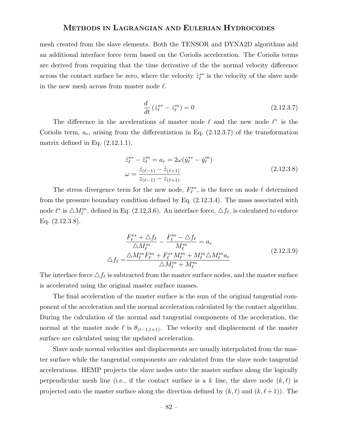mesh created from the slave elements. Both the TENSOR and DYNA2D algorithms add an additional interface force term based on the Coriolis acceleration. The Coriolis terms are derived from requiring that the time derivative of the the normal velocity difference across the contact surface be zero, where the velocity  $\dot{z}_{\ell}^{s*}$  is the velocity of the slave node in the new mesh across from master node  $\ell$ .

$$
\frac{d}{dt}\left(\dot{z}_{\ell}^{s*} - \dot{z}_{\ell}^{m}\right) = 0\tag{2.12.3.7}
$$

The difference in the accelerations of master node  $\ell$  and the new node  $\ell^*$  is the Coriolis term,  $a_c$ , arising from the differentiation in Eq.  $(2.12.3.7)$  of the transformation matrix defined in Eq.  $(2.12.1.1)$ .

$$
\ddot{z}_{\ell}^{s*} - \ddot{z}_{\ell}^{m} = a_{c} = 2\omega(\dot{y}_{\ell}^{s*} - \dot{y}_{\ell}^{m})
$$
  

$$
\omega = \frac{\dot{z}_{(\ell-1)} - \dot{z}_{(\ell+1)}}{z_{(\ell-1)} - z_{(\ell+1)}}
$$
(2.12.3.8)

The stress divergence term for the new node,  $F_{\ell}^{s*}$ , is the force on node  $\ell$  determined from the pressure boundary condition defined by Eq. (2.12.3.4). The mass associated with node  $\ell^*$  is  $\triangle M_{\ell}^m$ , defined in Eq. (2.12.3.6). An interface force,  $\triangle f_{\ell}$ , is calculated to enforce Eq. (2.12.3.8).

$$
\frac{F_{\ell}^{s*} + \Delta f_{\ell}}{\Delta M_{\ell}^{m}} - \frac{F_{\ell}^{m} - \Delta f_{\ell}}{M_{\ell}^{m}} = a_{c}
$$
\n
$$
\Delta f_{\ell} = \frac{\Delta M_{\ell}^{m} F_{\ell}^{m} + F_{\ell}^{s*} M_{\ell}^{m} + M_{\ell}^{m} \Delta M_{\ell}^{m} a_{c}}{\Delta M_{\ell}^{m} + M_{\ell}^{m}}
$$
\n(2.12.3.9)

The interface force  $\triangle f_{\ell}$  is subtracted from the master surface nodes, and the master surface is accelerated using the original master surface masses.

The final acceleration of the master surface is the sum of the original tangential component of the acceleration and the normal acceleration calculated by the contact algorithm. During the calculation of the normal and tangential components of the acceleration, the normal at the master node  $\ell$  is  $\theta_{(l-1,l+1)}$ . The velocity and displacement of the master surface are calculated using the updated acceleration.

Slave node normal velocities and displacements are usually interpolated from the master surface while the tangential components are calculated from the slave node tangential accelerations. HEMP projects the slave nodes onto the master surface along the logically perpendicular mesh line (i.e., if the contact surface is a k line, the slave node  $(k, \ell)$  is projected onto the master surface along the direction defined by  $(k, \ell)$  and  $(k, \ell+1)$ ). The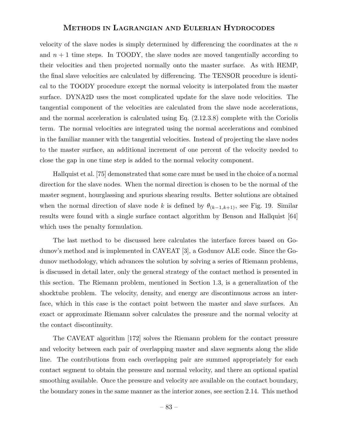velocity of the slave nodes is simply determined by differencing the coordinates at the  $n$ and  $n + 1$  time steps. In TOODY, the slave nodes are moved tangentially according to their velocities and then projected normally onto the master surface. As with HEMP, the final slave velocities are calculated by differencing. The TENSOR procedure is identical to the TOODY procedure except the normal velocity is interpolated from the master surface. DYNA2D uses the most complicated update for the slave node velocities. The tangential component of the velocities are calculated from the slave node accelerations, and the normal acceleration is calculated using Eq. (2.12.3.8) complete with the Coriolis term. The normal velocities are integrated using the normal accelerations and combined in the familiar manner with the tangential velocities. Instead of projecting the slave nodes to the master surface, an additional increment of one percent of the velocity needed to close the gap in one time step is added to the normal velocity component.

Hallquist et al. [75] demonstrated that some care must be used in the choice of a normal direction for the slave nodes. When the normal direction is chosen to be the normal of the master segment, hourglassing and spurious shearing results. Better solutions are obtained when the normal direction of slave node k is defined by  $\theta_{(k-1,k+1)}$ , see Fig. 19. Similar results were found with a single surface contact algorithm by Benson and Hallquist [64] which uses the penalty formulation.

The last method to be discussed here calculates the interface forces based on Godunov's method and is implemented in CAVEAT [3], a Godunov ALE code. Since the Godunov methodology, which advances the solution by solving a series of Riemann problems, is discussed in detail later, only the general strategy of the contact method is presented in this section. The Riemann problem, mentioned in Section 1.3, is a generalization of the shocktube problem. The velocity, density, and energy are discontinuous across an interface, which in this case is the contact point between the master and slave surfaces. An exact or approximate Riemann solver calculates the pressure and the normal velocity at the contact discontinuity.

The CAVEAT algorithm [172] solves the Riemann problem for the contact pressure and velocity between each pair of overlapping master and slave segments along the slide line. The contributions from each overlapping pair are summed appropriately for each contact segment to obtain the pressure and normal velocity, and there an optional spatial smoothing available. Once the pressure and velocity are available on the contact boundary, the boundary zones in the same manner as the interior zones, see section 2.14. This method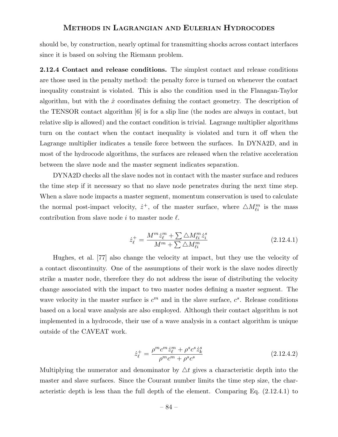should be, by construction, nearly optimal for transmitting shocks across contact interfaces since it is based on solving the Riemann problem.

**2.12.4 Contact and release conditions.** The simplest contact and release conditions are those used in the penalty method: the penalty force is turned on whenever the contact inequality constraint is violated. This is also the condition used in the Flanagan-Taylor algorithm, but with the  $\hat{x}$  coordinates defining the contact geometry. The description of the TENSOR contact algorithm [6] is for a slip line (the nodes are always in contact, but relative slip is allowed) and the contact condition is trivial. Lagrange multiplier algorithms turn on the contact when the contact inequality is violated and turn it off when the Lagrange multiplier indicates a tensile force between the surfaces. In DYNA2D, and in most of the hydrocode algorithms, the surfaces are released when the relative acceleration between the slave node and the master segment indicates separation.

DYNA2D checks all the slave nodes not in contact with the master surface and reduces the time step if it necessary so that no slave node penetrates during the next time step. When a slave node impacts a master segment, momentum conservation is used to calculate the normal post-impact velocity,  $\dot{z}^+$ , of the master surface, where  $\triangle M_{\ell i}^m$  is the mass contribution from slave node  $i$  to master node  $\ell$ .

$$
\dot{z}_{\ell}^{+} = \frac{M^{m}\dot{z}_{\ell}^{m} + \sum \Delta M_{\ell i}^{m} \dot{z}_{i}^{s}}{M^{m} + \sum \Delta M_{\ell i}^{m}}
$$
\n(2.12.4.1)

Hughes, et al. [77] also change the velocity at impact, but they use the velocity of a contact discontinuity. One of the assumptions of their work is the slave nodes directly strike a master node, therefore they do not address the issue of distributing the velocity change associated with the impact to two master nodes defining a master segment. The wave velocity in the master surface is  $c^m$  and in the slave surface,  $c^s$ . Release conditions based on a local wave analysis are also employed. Although their contact algorithm is not implemented in a hydrocode, their use of a wave analysis in a contact algorithm is unique outside of the CAVEAT work.

$$
\dot{z}_{\ell}^{+} = \frac{\rho^{m} c^{m} \dot{z}_{\ell}^{m} + \rho^{s} c^{s} \dot{z}_{k}^{s}}{\rho^{m} c^{m} + \rho^{s} c^{s}}
$$
\n(2.12.4.2)

Multiplying the numerator and denominator by  $\Delta t$  gives a characteristic depth into the master and slave surfaces. Since the Courant number limits the time step size, the characteristic depth is less than the full depth of the element. Comparing Eq. (2.12.4.1) to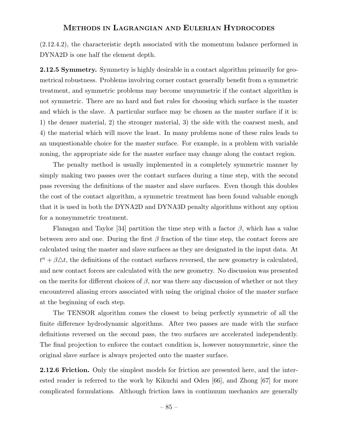(2.12.4.2), the characteristic depth associated with the momentum balance performed in DYNA2D is one half the element depth.

**2.12.5 Symmetry.** Symmetry is highly desirable in a contact algorithm primarily for geometrical robustness. Problems involving corner contact generally benefit from a symmetric treatment, and symmetric problems may become unsymmetric if the contact algorithm is not symmetric. There are no hard and fast rules for choosing which surface is the master and which is the slave. A particular surface may be chosen as the master surface if it is: 1) the denser material, 2) the stronger material, 3) the side with the coarsest mesh, and 4) the material which will move the least. In many problems none of these rules leads to an unquestionable choice for the master surface. For example, in a problem with variable zoning, the appropriate side for the master surface may change along the contact region.

The penalty method is usually implemented in a completely symmetric manner by simply making two passes over the contact surfaces during a time step, with the second pass reversing the definitions of the master and slave surfaces. Even though this doubles the cost of the contact algorithm, a symmetric treatment has been found valuable enough that it is used in both the DYNA2D and DYNA3D penalty algorithms without any option for a nonsymmetric treatment.

Flanagan and Taylor [34] partition the time step with a factor  $\beta$ , which has a value between zero and one. During the first  $\beta$  fraction of the time step, the contact forces are calculated using the master and slave surfaces as they are designated in the input data. At  $t^{n} + \beta \Delta t$ , the definitions of the contact surfaces reversed, the new geometry is calculated, and new contact forces are calculated with the new geometry. No discussion was presented on the merits for different choices of  $\beta$ , nor was there any discussion of whether or not they encountered aliasing errors associated with using the original choice of the master surface at the beginning of each step.

The TENSOR algorithm comes the closest to being perfectly symmetric of all the finite difference hydrodynamic algorithms. After two passes are made with the surface definitions reversed on the second pass, the two surfaces are accelerated independently. The final projection to enforce the contact condition is, however nonsymmetric, since the original slave surface is always projected onto the master surface.

**2.12.6 Friction.** Only the simplest models for friction are presented here, and the interested reader is referred to the work by Kikuchi and Oden [66], and Zhong [67] for more complicated formulations. Although friction laws in continuum mechanics are generally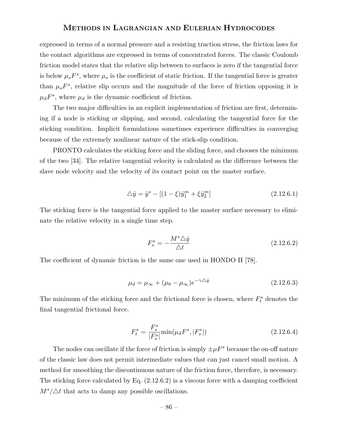expressed in terms of a normal pressure and a resisting traction stress, the friction laws for the contact algorithms are expressed in terms of concentrated forces. The classic Coulomb friction model states that the relative slip between to surfaces is zero if the tangential force is below  $\mu_s F^s$ , where  $\mu_s$  is the coefficient of static friction. If the tangential force is greater than  $\mu_s F^s$ , relative slip occurs and the magnitude of the force of friction opposing it is  $\mu_d F^s$ , where  $\mu_d$  is the dynamic coefficient of friction.

The two major difficulties in an explicit implementation of friction are first, determining if a node is sticking or slipping, and second, calculating the tangential force for the sticking condition. Implicit formulations sometimes experience difficulties in converging because of the extremely nonlinear nature of the stick-slip condition.

PRONTO calculates the sticking force and the sliding force, and chooses the minimum of the two [34]. The relative tangential velocity is calculated as the difference between the slave node velocity and the velocity of its contact point on the master surface.

$$
\Delta \dot{y} = \dot{y}^s - [(1 - \xi)\dot{y}_1^m + \xi \dot{y}_2^m]
$$
\n(2.12.6.1)

The sticking force is the tangential force applied to the master surface necessary to eliminate the relative velocity in a single time step.

$$
F_s^s = -\frac{M^s \Delta \dot{y}}{\Delta t} \tag{2.12.6.2}
$$

The coefficient of dynamic friction is the same one used in HONDO II [78].

$$
\mu_d = \mu_\infty + (\mu_0 - \mu_\infty)e^{-\gamma \Delta \dot{y}} \tag{2.12.6.3}
$$

The minimum of the sticking force and the frictional force is chosen, where  $F_t^s$  denotes the final tangential frictional force.

$$
F_t^s = \frac{F_s^s}{|F_s^s|} \min(\mu_d F^s, |F_s^s|)
$$
 (2.12.6.4)

The nodes can oscillate if the force of friction is simply  $\pm \mu F^s$  because the on-off nature of the classic law does not permit intermediate values that can just cancel small motion. A method for smoothing the discontinuous nature of the friction force, therefore, is necessary. The sticking force calculated by Eq.  $(2.12.6.2)$  is a viscous force with a damping coefficient  $M^s/\Delta t$  that acts to damp any possible oscillations.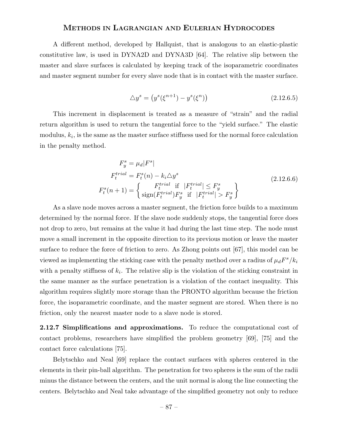A different method, developed by Hallquist, that is analogous to an elastic-plastic constitutive law, is used in DYNA2D and DYNA3D [64]. The relative slip between the master and slave surfaces is calculated by keeping track of the isoparametric coordinates and master segment number for every slave node that is in contact with the master surface.

$$
\triangle y^{s} = (y^{s}(\xi^{n+1}) - y^{s}(\xi^{n})) \tag{2.12.6.5}
$$

This increment in displacement is treated as a measure of "strain" and the radial return algorithm is used to return the tangential force to the "yield surface." The elastic modulus,  $k_i$ , is the same as the master surface stiffness used for the normal force calculation in the penalty method.

$$
F_y^s = \mu_d |F^s|
$$
  
\n
$$
F_t^{trial} = F_t^s(n) - k_i \Delta y^s
$$
  
\n
$$
F_t^s(n+1) = \begin{cases} F_t^{trial} & \text{if } |F_t^{trial}| \le F_y^s\\ \text{sign}(F_t^{trial})F_y^s & \text{if } |F_t^{trial}| > F_y^s \end{cases}
$$
\n(2.12.6.6)

As a slave node moves across a master segment, the friction force builds to a maximum determined by the normal force. If the slave node suddenly stops, the tangential force does not drop to zero, but remains at the value it had during the last time step. The node must move a small increment in the opposite direction to its previous motion or leave the master surface to reduce the force of friction to zero. As Zhong points out [67], this model can be viewed as implementing the sticking case with the penalty method over a radius of  $\mu_dF^s/k_i$ with a penalty stiffness of  $k_i$ . The relative slip is the violation of the sticking constraint in the same manner as the surface penetration is a violation of the contact inequality. This algorithm requires slightly more storage than the PRONTO algorithm because the friction force, the isoparametric coordinate, and the master segment are stored. When there is no friction, only the nearest master node to a slave node is stored.

**2.12.7 Simplifications and approximations.** To reduce the computational cost of contact problems, researchers have simplified the problem geometry [69], [75] and the contact force calculations [75].

Belytschko and Neal [69] replace the contact surfaces with spheres centered in the elements in their pin-ball algorithm. The penetration for two spheres is the sum of the radii minus the distance between the centers, and the unit normal is along the line connecting the centers. Belytschko and Neal take advantage of the simplified geometry not only to reduce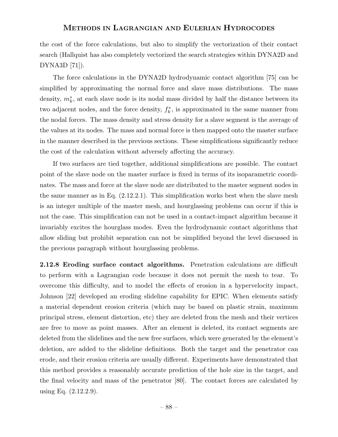the cost of the force calculations, but also to simplify the vectorization of their contact search (Hallquist has also completely vectorized the search strategies within DYNA2D and DYNA3D [71]).

The force calculations in the DYNA2D hydrodynamic contact algorithm [75] can be simplified by approximating the normal force and slave mass distributions. The mass density,  $m_k^*$ , at each slave node is its nodal mass divided by half the distance between its two adjacent nodes, and the force density,  $f_k^*$ , is approximated in the same manner from the nodal forces. The mass density and stress density for a slave segment is the average of the values at its nodes. The mass and normal force is then mapped onto the master surface in the manner described in the previous sections. These simplifications significantly reduce the cost of the calculation without adversely affecting the accuracy.

If two surfaces are tied together, additional simplifications are possible. The contact point of the slave node on the master surface is fixed in terms of its isoparametric coordinates. The mass and force at the slave node are distributed to the master segment nodes in the same manner as in Eq. (2.12.2.1). This simplification works best when the slave mesh is an integer multiple of the master mesh, and hourglassing problems can occur if this is not the case. This simplification can not be used in a contact-impact algorithm because it invariably excites the hourglass modes. Even the hydrodynamic contact algorithms that allow sliding but prohibit separation can not be simplified beyond the level discussed in the previous paragraph without hourglassing problems.

**2.12.8 Eroding surface contact algorithms.** Penetration calculations are difficult to perform with a Lagrangian code because it does not permit the mesh to tear. To overcome this difficulty, and to model the effects of erosion in a hypervelocity impact, Johnson [22] developed an eroding slideline capability for EPIC. When elements satisfy a material dependent erosion criteria (which may be based on plastic strain, maximum principal stress, element distortion, etc) they are deleted from the mesh and their vertices are free to move as point masses. After an element is deleted, its contact segments are deleted from the slidelines and the new free surfaces, which were generated by the element's deletion, are added to the slideline definitions. Both the target and the penetrator can erode, and their erosion criteria are usually different. Experiments have demonstrated that this method provides a reasonably accurate prediction of the hole size in the target, and the final velocity and mass of the penetrator [80]. The contact forces are calculated by using Eq. (2.12.2.9).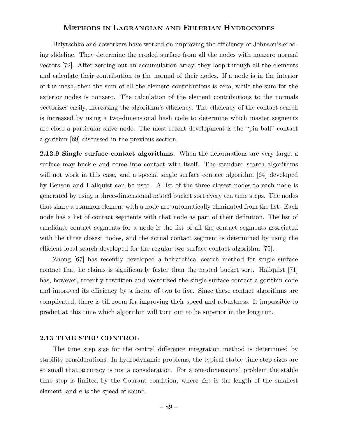Belytschko and coworkers have worked on improving the efficiency of Johnson's eroding slideline. They determine the eroded surface from all the nodes with nonzero normal vectors [72]. After zeroing out an accumulation array, they loop through all the elements and calculate their contribution to the normal of their nodes. If a node is in the interior of the mesh, then the sum of all the element contributions is zero, while the sum for the exterior nodes is nonzero. The calculation of the element contributions to the normals vectorizes easily, increasing the algorithm's efficiency. The efficiency of the contact search is increased by using a two-dimensional hash code to determine which master segments are close a particular slave node. The most recent development is the "pin ball" contact algorithm [69] discussed in the previous section.

**2.12.9 Single surface contact algorithms.** When the deformations are very large, a surface may buckle and come into contact with itself. The standard search algorithms will not work in this case, and a special single surface contact algorithm [64] developed by Benson and Hallquist can be used. A list of the three closest nodes to each node is generated by using a three-dimensional nested bucket sort every ten time steps. The nodes that share a common element with a node are automatically eliminated from the list. Each node has a list of contact segments with that node as part of their definition. The list of candidate contact segments for a node is the list of all the contact segments associated with the three closest nodes, and the actual contact segment is determined by using the efficient local search developed for the regular two surface contact algorithm [75].

Zhong [67] has recently developed a heirarchical search method for single surface contact that he claims is significantly faster than the nested bucket sort. Hallquist [71] has, however, recently rewritten and vectorized the single surface contact algorithm code and improved its efficiency by a factor of two to five. Since these contact algorithms are complicated, there is till room for improving their speed and robustness. It impossible to predict at this time which algorithm will turn out to be superior in the long run.

#### **2.13 TIME STEP CONTROL**

The time step size for the central difference integration method is determined by stability considerations. In hydrodynamic problems, the typical stable time step sizes are so small that accuracy is not a consideration. For a one-dimensional problem the stable time step is limited by the Courant condition, where  $\Delta x$  is the length of the smallest element, and a is the speed of sound.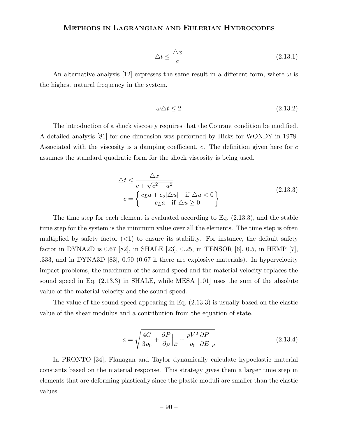$$
\triangle t \le \frac{\triangle x}{a} \tag{2.13.1}
$$

An alternative analysis [12] expresses the same result in a different form, where  $\omega$  is the highest natural frequency in the system.

$$
\omega \Delta t \le 2 \tag{2.13.2}
$$

The introduction of a shock viscosity requires that the Courant condition be modified. A detailed analysis [81] for one dimension was performed by Hicks for WONDY in 1978. Associated with the viscosity is a damping coefficient, c. The definition given here for  $c$ assumes the standard quadratic form for the shock viscosity is being used.

$$
\Delta t \le \frac{\Delta x}{c + \sqrt{c^2 + a^2}}
$$
\n
$$
c = \begin{cases} c_L a + c_o |\Delta u| & \text{if } \Delta u < 0 \\ c_L a & \text{if } \Delta u \ge 0 \end{cases}
$$
\n(2.13.3)

The time step for each element is evaluated according to Eq. (2.13.3), and the stable time step for the system is the minimum value over all the elements. The time step is often multiplied by safety factor  $\left(\langle 1 \rangle \right)$  to ensure its stability. For instance, the default safety factor in DYNA2D is 0.67 [82], in SHALE [23], 0.25, in TENSOR [6], 0.5, in HEMP [7], .333, and in DYNA3D [83], 0.90 (0.67 if there are explosive materials). In hypervelocity impact problems, the maximum of the sound speed and the material velocity replaces the sound speed in Eq.  $(2.13.3)$  in SHALE, while MESA  $|101|$  uses the sum of the absolute value of the material velocity and the sound speed.

The value of the sound speed appearing in Eq. (2.13.3) is usually based on the elastic value of the shear modulus and a contribution from the equation of state.

$$
a = \sqrt{\frac{4G}{3\rho_0} + \frac{\partial P}{\partial \rho}} \Big|_E + \frac{pV^2}{\rho_0} \frac{\partial P}{\partial E} \Big|_{\rho}
$$
 (2.13.4)

In PRONTO [34], Flanagan and Taylor dynamically calculate hypoelastic material constants based on the material response. This strategy gives them a larger time step in elements that are deforming plastically since the plastic moduli are smaller than the elastic values.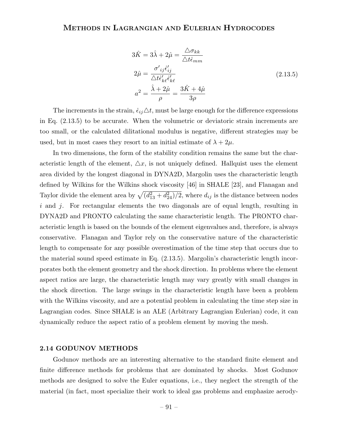$$
3\hat{K} = 3\hat{\lambda} + 2\hat{\mu} = \frac{\Delta \sigma_{kk}}{\Delta t \dot{\epsilon}_{mm}}
$$
  

$$
2\hat{\mu} = \frac{\sigma'_{ij}\dot{\epsilon}'_{ij}}{\Delta t \dot{\epsilon}'_{k\ell}\dot{\epsilon}'_{k\ell}}
$$
  

$$
a^2 = \frac{\hat{\lambda} + 2\hat{\mu}}{\rho} = \frac{3\hat{K} + 4\hat{\mu}}{3\rho}
$$
 (2.13.5)

The increments in the strain,  $\dot{\epsilon}_{ij}\Delta t$ , must be large enough for the difference expressions in Eq. (2.13.5) to be accurate. When the volumetric or deviatoric strain increments are too small, or the calculated dilitational modulus is negative, different strategies may be used, but in most cases they resort to an initial estimate of  $\lambda + 2\mu$ .

In two dimensions, the form of the stability condition remains the same but the characteristic length of the element,  $\Delta x$ , is not uniquely defined. Hallquist uses the element area divided by the longest diagonal in DYNA2D, Margolin uses the characteristic length defined by Wilkins for the Wilkins shock viscosity [46] in SHALE [23], and Flanagan and Taylor divide the element area by  $\sqrt{(d_{13}^2 + d_{24}^2)/2}$ , where  $d_{ij}$  is the distance between nodes  $i$  and  $j$ . For rectangular elements the two diagonals are of equal length, resulting in DYNA2D and PRONTO calculating the same characteristic length. The PRONTO characteristic length is based on the bounds of the element eigenvalues and, therefore, is always conservative. Flanagan and Taylor rely on the conservative nature of the characteristic length to compensate for any possible overestimation of the time step that occurs due to the material sound speed estimate in Eq. (2.13.5). Margolin's characteristic length incorporates both the element geometry and the shock direction. In problems where the element aspect ratios are large, the characteristic length may vary greatly with small changes in the shock direction. The large swings in the characteristic length have been a problem with the Wilkins viscosity, and are a potential problem in calculating the time step size in Lagrangian codes. Since SHALE is an ALE (Arbitrary Lagrangian Eulerian) code, it can dynamically reduce the aspect ratio of a problem element by moving the mesh.

#### **2.14 GODUNOV METHODS**

Godunov methods are an interesting alternative to the standard finite element and finite difference methods for problems that are dominated by shocks. Most Godunov methods are designed to solve the Euler equations, i.e., they neglect the strength of the material (in fact, most specialize their work to ideal gas problems and emphasize aerody-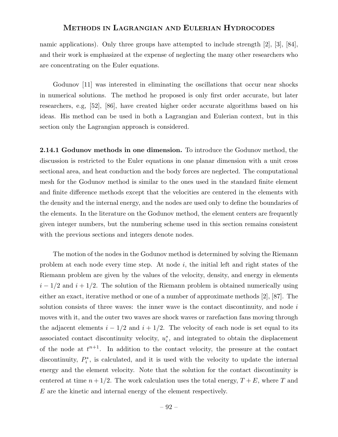namic applications). Only three groups have attempted to include strength [2], [3], [84], and their work is emphasized at the expense of neglecting the many other researchers who are concentrating on the Euler equations.

Godunov [11] was interested in eliminating the oscillations that occur near shocks in numerical solutions. The method he proposed is only first order accurate, but later researchers, e.g, [52], [86], have created higher order accurate algorithms based on his ideas. His method can be used in both a Lagrangian and Eulerian context, but in this section only the Lagrangian approach is considered.

**2.14.1 Godunov methods in one dimension.** To introduce the Godunov method, the discussion is restricted to the Euler equations in one planar dimension with a unit cross sectional area, and heat conduction and the body forces are neglected. The computational mesh for the Godunov method is similar to the ones used in the standard finite element and finite difference methods except that the velocities are centered in the elements with the density and the internal energy, and the nodes are used only to define the boundaries of the elements. In the literature on the Godunov method, the element centers are frequently given integer numbers, but the numbering scheme used in this section remains consistent with the previous sections and integers denote nodes.

The motion of the nodes in the Godunov method is determined by solving the Riemann problem at each node every time step. At node  $i$ , the initial left and right states of the Riemann problem are given by the values of the velocity, density, and energy in elements  $i-1/2$  and  $i+1/2$ . The solution of the Riemann problem is obtained numerically using either an exact, iterative method or one of a number of approximate methods [2], [87]. The solution consists of three waves: the inner wave is the contact discontinuity, and node  $i$ moves with it, and the outer two waves are shock waves or rarefaction fans moving through the adjacent elements  $i - 1/2$  and  $i + 1/2$ . The velocity of each node is set equal to its associated contact discontinuity velocity,  $u_i^*$ , and integrated to obtain the displacement of the node at  $t^{n+1}$ . In addition to the contact velocity, the pressure at the contact discontinuity,  $P_i^*$ , is calculated, and it is used with the velocity to update the internal energy and the element velocity. Note that the solution for the contact discontinuity is centered at time  $n + 1/2$ . The work calculation uses the total energy,  $T + E$ , where T and E are the kinetic and internal energy of the element respectively.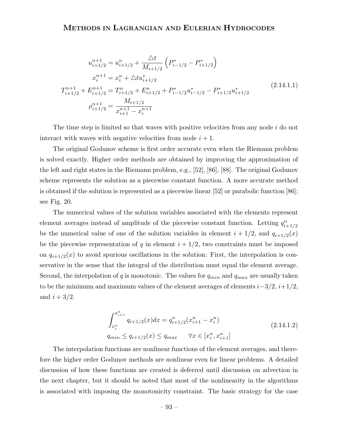$$
u_{i+1/2}^{n+1} = u_{i+1/2}^n + \frac{\Delta t}{M_{i+1/2}} \left( P_{i-1/2}^* - P_{i+1/2}^* \right)
$$
  
\n
$$
x_i^{n+1} = x_i^n + \Delta t u_{i+1/2}^*
$$
  
\n
$$
T_{i+1/2}^{n+1} + E_{i+1/2}^{n+1} = T_{i+1/2}^n + E_{i+1/2}^n + P_{i-1/2}^* u_{i-1/2}^* - P_{i+1/2}^* u_{i+1/2}^*
$$
  
\n
$$
\rho_{i+1/2}^{n+1} = \frac{M_{i+1/2}}{x_{i+1}^{n+1} - x_i^{n+1}}
$$
  
\n(2.14.1.1)

The time step is limited so that waves with positive velocities from any node  $i$  do not interact with waves with negative velocities from node  $i + 1$ .

The original Godunov scheme is first order accurate even when the Riemann problem is solved exactly. Higher order methods are obtained by improving the approximation of the left and right states in the Riemann problem, e.g., [52], [86], [88]. The original Godunov scheme represents the solution as a piecewise constant function. A more accurate method is obtained if the solution is represented as a piecewise linear [52] or parabolic function [86]; see Fig. 20.

The numerical values of the solution variables associated with the elements represent element averages instead of amplitude of the piecewise constant function. Letting  $q_{i+1/2}^n$ be the numerical value of one of the solution variables in element  $i + 1/2$ , and  $q_{i+1/2}(x)$ be the piecewise representation of q in element  $i + 1/2$ , two constraints must be imposed on  $q_{i+1/2}(x)$  to avoid spurious oscillations in the solution: First, the interpolation is conservative in the sense that the integral of the distribution must equal the element average. Second, the interpolation of q is monotonic. The values for  $q_{min}$  and  $q_{max}$  are usually taken to be the minimum and maximum values of the element averages of elements  $i-3/2$ ,  $i+1/2$ , and  $i + 3/2$ .

$$
\int_{x_i^n}^{x_{i+1}^n} q_{i+1/2}(x) dx = q_{i+1/2}^n (x_{i+1}^n - x_i^n)
$$
\n
$$
q_{min} \le q_{i+1/2}(x) \le q_{max} \quad \forall x \in [x_i^n, x_{i+1}^n]
$$
\n(2.14.1.2)

The interpolation functions are nonlinear functions of the element averages, and therefore the higher order Godunov methods are nonlinear even for linear problems. A detailed discussion of how these functions are created is deferred until discussion on advection in the next chapter, but it should be noted that most of the nonlinearity in the algorithms is associated with imposing the monotonicity constraint. The basic strategy for the case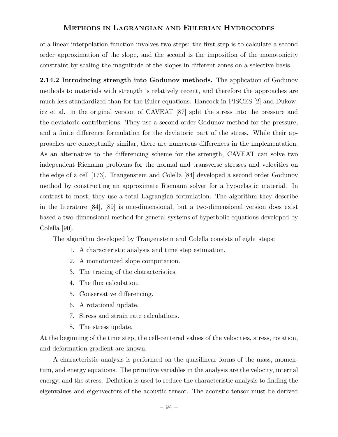of a linear interpolation function involves two steps: the first step is to calculate a second order approximation of the slope, and the second is the imposition of the monotonicity constraint by scaling the magnitude of the slopes in different zones on a selective basis.

**2.14.2 Introducing strength into Godunov methods.** The application of Godunov methods to materials with strength is relatively recent, and therefore the approaches are much less standardized than for the Euler equations. Hancock in PISCES [2] and Dukowicz et al. in the original version of CAVEAT [87] split the stress into the pressure and the deviatoric contributions. They use a second order Godunov method for the pressure, and a finite difference formulation for the deviatoric part of the stress. While their approaches are conceptually similar, there are numerous differences in the implementation. As an alternative to the differencing scheme for the strength, CAVEAT can solve two independent Riemann problems for the normal and transverse stresses and velocities on the edge of a cell [173]. Trangenstein and Colella [84] developed a second order Godunov method by constructing an approximate Riemann solver for a hypoelastic material. In contrast to most, they use a total Lagrangian formulation. The algorithm they describe in the literature [84], [89] is one-dimensional, but a two-dimensional version does exist based a two-dimensional method for general systems of hyperbolic equations developed by Colella [90].

The algorithm developed by Trangenstein and Colella consists of eight steps:

- 1. A characteristic analysis and time step estimation.
- 2. A monotonized slope computation.
- 3. The tracing of the characteristics.
- 4. The flux calculation.
- 5. Conservative differencing.
- 6. A rotational update.
- 7. Stress and strain rate calculations.
- 8. The stress update.

At the beginning of the time step, the cell-centered values of the velocities, stress, rotation, and deformation gradient are known.

A characteristic analysis is performed on the quasilinear forms of the mass, momentum, and energy equations. The primitive variables in the analysis are the velocity, internal energy, and the stress. Deflation is used to reduce the characteristic analysis to finding the eigenvalues and eigenvectors of the acoustic tensor. The acoustic tensor must be derived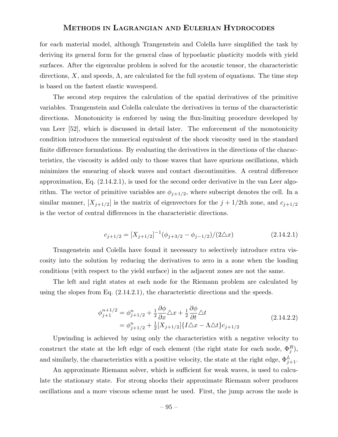for each material model, although Trangenstein and Colella have simplified the task by deriving its general form for the general class of hypoelastic plasticity models with yield surfaces. After the eigenvalue problem is solved for the acoustic tensor, the characteristic directions,  $X$ , and speeds,  $\Lambda$ , are calculated for the full system of equations. The time step is based on the fastest elastic wavespeed.

The second step requires the calculation of the spatial derivatives of the primitive variables. Trangenstein and Colella calculate the derivatives in terms of the characteristic directions. Monotonicity is enforced by using the flux-limiting procedure developed by van Leer [52], which is discussed in detail later. The enforcement of the monotonicity condition introduces the numerical equivalent of the shock viscosity used in the standard finite difference formulations. By evaluating the derivatives in the directions of the characteristics, the viscosity is added only to those waves that have spurious oscillations, which minimizes the smearing of shock waves and contact discontinuities. A central difference approximation, Eq. (2.14.2.1), is used for the second order derivative in the van Leer algorithm. The vector of primitive variables are  $\phi_{j+1/2}$ , where subscript denotes the cell. In a similar manner,  $[X_{j+1/2}]$  is the matrix of eigenvectors for the  $j+1/2$ th zone, and  $c_{j+1/2}$ is the vector of central differences in the characteristic directions.

$$
c_{j+1/2} = [X_{j+1/2}]^{-1} (\phi_{j+3/2} - \phi_{j-1/2})/(2\Delta x)
$$
 (2.14.2.1)

Trangenstein and Colella have found it necessary to selectively introduce extra viscosity into the solution by reducing the derivatives to zero in a zone when the loading conditions (with respect to the yield surface) in the adjacent zones are not the same.

The left and right states at each node for the Riemann problem are calculated by using the slopes from Eq.  $(2.14.2.1)$ , the characteristic directions and the speeds.

$$
\phi_{j+1}^{n+1/2} = \phi_{j+1/2}^n + \frac{1}{2} \frac{\partial \phi}{\partial x} \Delta x + \frac{1}{2} \frac{\partial \phi}{\partial t} \Delta t
$$
\n
$$
= \phi_{j+1/2}^n + \frac{1}{2} [X_{j+1/2}] \{ I \Delta x - \Lambda \Delta t \} c_{j+1/2}
$$
\n(2.14.2.2)

Upwinding is achieved by using only the characteristics with a negative velocity to construct the state at the left edge of each element (the right state for each node,  $\Phi_j^R$ ), and similarly, the characteristics with a positive velocity, the state at the right edge,  $\Phi_{j+1}^L$ .

An approximate Riemann solver, which is sufficient for weak waves, is used to calculate the stationary state. For strong shocks their approximate Riemann solver produces oscillations and a more viscous scheme must be used. First, the jump across the node is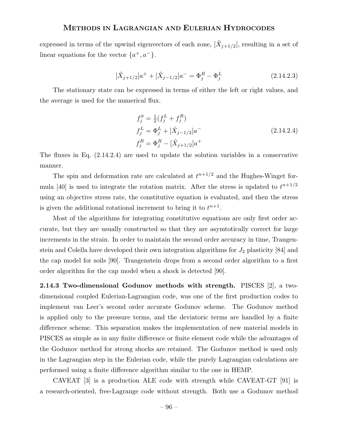expressed in terms of the upwind eigenvectors of each zone,  $[\tilde{X}_{j+1/2}]$ , resulting in a set of linear equations for the vector  $\{a^+, a^-\}$ .

$$
[\tilde{X}_{j+1/2}]a^{+} + [\tilde{X}_{j-1/2}]a^{-} = \Phi_{j}^{R} - \Phi_{j}^{L}
$$
\n(2.14.2.3)

The stationary state can be expressed in terms of either the left or right values, and the average is used for the numerical flux.

$$
f_j^{\phi} = \frac{1}{2} (f_j^L + f_j^R)
$$
  
\n
$$
f_j^L = \Phi_j^L + [\tilde{X}_{j-1/2}] a^-
$$
  
\n
$$
f_j^R = \Phi_j^R - [\tilde{X}_{j+1/2}] a^+
$$
\n(2.14.2.4)

The fluxes in Eq. (2.14.2.4) are used to update the solution variables in a conservative manner.

The spin and deformation rate are calculated at  $t^{n+1/2}$  and the Hughes-Winget formula [40] is used to integrate the rotation matrix. After the stress is updated to  $t^{n+1/2}$ using an objective stress rate, the constitutive equation is evaluated, and then the stress is given the additional rotational increment to bring it to  $t^{n+1}$ .

Most of the algorithms for integrating constitutive equations are only first order accurate, but they are usually constructed so that they are asymtotically correct for large increments in the strain. In order to maintain the second order accuracy in time, Trangenstein and Colella have developed their own integration algorithms for  $J_2$  plasticity [84] and the cap model for soils [90]. Trangenstein drops from a second order algorithm to a first order algorithm for the cap model when a shock is detected [90].

**2.14.3 Two-dimensional Godunov methods with strength.** PISCES [2], a twodimensional coupled Eulerian-Lagrangian code, was one of the first production codes to implement van Leer's second order accurate Godunov scheme. The Godunov method is applied only to the pressure terms, and the deviatoric terms are handled by a finite difference scheme. This separation makes the implementation of new material models in PISCES as simple as in any finite difference or finite element code while the advantages of the Godunov method for strong shocks are retained. The Godunov method is used only in the Lagrangian step in the Eulerian code, while the purely Lagrangian calculations are performed using a finite difference algorithm similar to the one in HEMP.

CAVEAT [3] is a production ALE code with strength while CAVEAT-GT [91] is a research-oriented, free-Lagrange code without strength. Both use a Godunov method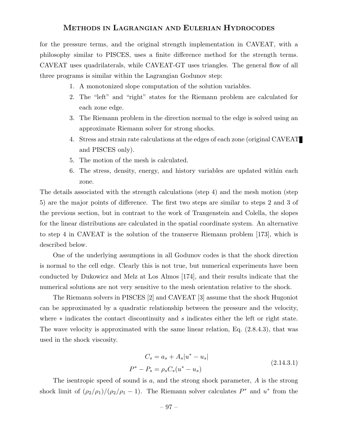for the pressure terms, and the original strength implementation in CAVEAT, with a philosophy similar to PISCES, uses a finite difference method for the strength terms. CAVEAT uses quadrilaterals, while CAVEAT-GT uses triangles. The general flow of all three programs is similar within the Lagrangian Godunov step:

- 1. A monotonized slope computation of the solution variables.
- 2. The "left" and "right" states for the Riemann problem are calculated for each zone edge.
- 3. The Riemann problem in the direction normal to the edge is solved using an approximate Riemann solver for strong shocks.
- 4. Stress and strain rate calculations at the edges of each zone (original CAVEAT and PISCES only).
- 5. The motion of the mesh is calculated.
- 6. The stress, density, energy, and history variables are updated within each zone.

The details associated with the strength calculations (step 4) and the mesh motion (step 5) are the major points of difference. The first two steps are similar to steps 2 and 3 of the previous section, but in contrast to the work of Trangenstein and Colella, the slopes for the linear distributions are calculated in the spatial coordinate system. An alternative to step 4 in CAVEAT is the solution of the transerve Riemann problem  $|173|$ , which is described below.

One of the underlying assumptions in all Godunov codes is that the shock direction is normal to the cell edge. Clearly this is not true, but numerical experiments have been conducted by Dukowicz and Melz at Los Almos [174], and their results indicate that the numerical solutions are not very sensitive to the mesh orientation relative to the shock.

The Riemann solvers in PISCES [2] and CAVEAT [3] assume that the shock Hugoniot can be approximated by a quadratic relationship between the pressure and the velocity, where ∗ indicates the contact discontinuity and s indicates either the left or right state. The wave velocity is approximated with the same linear relation, Eq. (2.8.4.3), that was used in the shock viscosity.

$$
C_s = a_s + A_s |u^* - u_s|
$$
  

$$
P^* - P_s = \rho_s C_s (u^* - u_s)
$$
 (2.14.3.1)

The isentropic speed of sound is  $a$ , and the strong shock parameter,  $A$  is the strong shock limit of  $(\rho_2/\rho_1)/(\rho_2/\rho_1 - 1)$ . The Riemann solver calculates  $P^*$  and  $u^*$  from the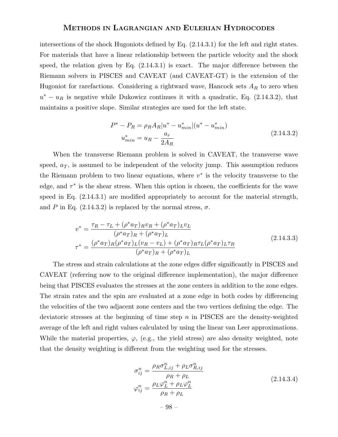intersections of the shock Hugoniots defined by Eq. (2.14.3.1) for the left and right states. For materials that have a linear relationship between the particle velocity and the shock speed, the relation given by Eq.  $(2.14.3.1)$  is exact. The major difference between the Riemann solvers in PISCES and CAVEAT (and CAVEAT-GT) is the extension of the Hugoniot for rarefactions. Considering a rightward wave, Hancock sets  $A_R$  to zero when  $u^* - u_R$  is negative while Dukowicz continues it with a quadratic, Eq. (2.14.3.2), that maintains a positive slope. Similar strategies are used for the left state.

$$
P^* - P_R = \rho_R A_R |u^* - u^*_{min}| (u^* - u^*_{min})
$$
  

$$
u^*_{min} = u_R - \frac{a_r}{2A_R}
$$
 (2.14.3.2)

When the transverse Riemann problem is solved in CAVEAT, the transverse wave speed,  $a_T$ , is assumed to be independent of the velocity jump. This assumption reduces the Riemann problem to two linear equations, where  $v^*$  is the velocity transverse to the edge, and  $\tau^*$  is the shear stress. When this option is chosen, the coefficients for the wave speed in Eq. (2.14.3.1) are modified appropriately to account for the material strength, and P in Eq.  $(2.14.3.2)$  is replaced by the normal stress,  $\sigma$ .

$$
v^* = \frac{\tau_R - \tau_L + (\rho^* a_T)_R v_R + (\rho^* a_T)_L v_L}{(\rho^* a_T)_R + (\rho^* a_T)_L}
$$
  

$$
\tau^* = \frac{(\rho^* a_T)_R (\rho^* a_T)_L (v_R - v_L) + (\rho^* a_T)_R \tau_L (\rho^* a_T)_L \tau_R}{(\rho^* a_T)_R + (\rho^* a_T)_L}
$$
(2.14.3.3)

The stress and strain calculations at the zone edges differ significantly in PISCES and CAVEAT (referring now to the original difference implementation), the major difference being that PISCES evaluates the stresses at the zone centers in addition to the zone edges. The strain rates and the spin are evaluated at a zone edge in both codes by differencing the velocities of the two adjacent zone centers and the two vertices defining the edge. The deviatoric stresses at the beginning of time step  $n$  in PISCES are the density-weighted average of the left and right values calculated by using the linear van Leer approximations. While the material properties,  $\varphi$ , (e.g., the yield stress) are also density weighted, note that the density weighting is different from the weighting used for the stresses.

$$
\sigma_{ij}^{n} = \frac{\rho_R \sigma_{L,ij}^{n} + \rho_L \sigma_{R,ij}^{n}}{\rho_R + \rho_L}
$$
\n
$$
\varphi_{ij}^{n} = \frac{\rho_L \varphi_L^{n} + \rho_L \varphi_L^{n}}{\rho_R + \rho_L}
$$
\n(2.14.3.4)

– 98 –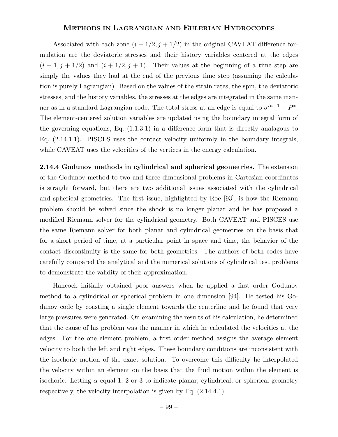Associated with each zone  $(i + 1/2, j + 1/2)$  in the original CAVEAT difference formulation are the deviatoric stresses and their history variables centered at the edges  $(i + 1, j + 1/2)$  and  $(i + 1/2, j + 1)$ . Their values at the beginning of a time step are simply the values they had at the end of the previous time step (assuming the calculation is purely Lagrangian). Based on the values of the strain rates, the spin, the deviatoric stresses, and the history variables, the stresses at the edges are integrated in the same manner as in a standard Lagrangian code. The total stress at an edge is equal to  $\sigma'^{n+1} - P^*$ . The element-centered solution variables are updated using the boundary integral form of the governing equations, Eq.  $(1.1.3.1)$  in a difference form that is directly analagous to Eq. (2.14.1.1). PISCES uses the contact velocity uniformly in the boundary integrals, while CAVEAT uses the velocities of the vertices in the energy calculation.

**2.14.4 Godunov methods in cylindrical and spherical geometries.** The extension of the Godunov method to two and three-dimensional problems in Cartesian coordinates is straight forward, but there are two additional issues associated with the cylindrical and spherical geometries. The first issue, highlighted by Roe [93], is how the Riemann problem should be solved since the shock is no longer planar and he has proposed a modified Riemann solver for the cylindrical geometry. Both CAVEAT and PISCES use the same Riemann solver for both planar and cylindrical geometries on the basis that for a short period of time, at a particular point in space and time, the behavior of the contact discontinuity is the same for both geometries. The authors of both codes have carefully compared the analytical and the numerical solutions of cylindrical test problems to demonstrate the validity of their approximation.

Hancock initially obtained poor answers when he applied a first order Godunov method to a cylindrical or spherical problem in one dimension [94]. He tested his Godunov code by coasting a single element towards the centerline and he found that very large pressures were generated. On examining the results of his calculation, he determined that the cause of his problem was the manner in which he calculated the velocities at the edges. For the one element problem, a first order method assigns the average element velocity to both the left and right edges. These boundary conditions are inconsistent with the isochoric motion of the exact solution. To overcome this difficulty he interpolated the velocity within an element on the basis that the fluid motion within the element is isochoric. Letting  $\alpha$  equal 1, 2 or 3 to indicate planar, cylindrical, or spherical geometry respectively, the velocity interpolation is given by Eq. (2.14.4.1).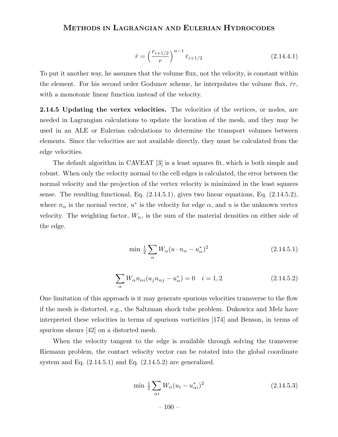$$
\dot{r} = \left(\frac{r_{i+1/2}}{r}\right)^{\alpha - 1} \dot{r}_{i+1/2} \tag{2.14.4.1}
$$

To put it another way, he assumes that the volume flux, not the velocity, is constant within the element. For his second order Godunov scheme, he interpolates the volume flux,  $\dot{r}r$ , with a monotonic linear function instead of the velocity.

**2.14.5 Updating the vertex velocities.** The velocities of the vertices, or nodes, are needed in Lagrangian calculations to update the location of the mesh, and they may be used in an ALE or Eulerian calculations to determine the transport volumes between elements. Since the velocities are not available directly, they must be calculated from the edge velocities.

The default algorithm in CAVEAT [3] is a least squares fit, which is both simple and robust. When only the velocity normal to the cell edges is calculated, the error between the normal velocity and the projection of the vertex velocity is minimized in the least squares sense. The resulting functional, Eq. (2.14.5.1), gives two linear equations, Eq. (2.14.5.2), where  $n_{\alpha}$  is the normal vector,  $u^*$  is the velocity for edge  $\alpha$ , and u is the unknown vertex velocity. The weighting factor,  $W_{\alpha}$ , is the sum of the material densities on either side of the edge.

$$
\min \frac{1}{2} \sum_{\alpha} W_{\alpha} (u \cdot n_{\alpha} - u_{\alpha}^{*})^{2}
$$
\n(2.14.5.1)

$$
\sum_{\alpha} W_{\alpha} n_{\alpha i} (u_j n_{\alpha j} - u_{\alpha}^*) = 0 \quad i = 1, 2
$$
\n(2.14.5.2)

One limitation of this approach is it may generate spurious velocities transverse to the flow if the mesh is distorted, e.g., the Saltzman shock tube problem. Dukowicz and Melz have interpreted these velocities in terms of spurious vorticities [174] and Benson, in terms of spurious shears [42] on a distorted mesh.

When the velocity tangent to the edge is available through solving the transverse Riemann problem, the contact velocity vector can be rotated into the global coordinate system and Eq.  $(2.14.5.1)$  and Eq.  $(2.14.5.2)$  are generalized.

$$
\min \frac{1}{2} \sum_{\alpha i} W_{\alpha} (u_i - u_{\alpha i}^*)^2
$$
\n
$$
- 100 - \tag{2.14.5.3}
$$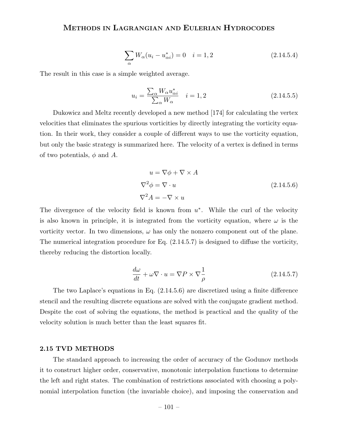$$
\sum_{\alpha} W_{\alpha}(u_i - u_{\alpha i}^*) = 0 \quad i = 1, 2
$$
\n(2.14.5.4)

The result in this case is a simple weighted average.

$$
u_i = \frac{\sum_{\alpha} W_{\alpha} u_{\alpha i}^*}{\sum_{\alpha} W_{\alpha}} \quad i = 1, 2
$$
\n(2.14.5.5)

Dukowicz and Meltz recently developed a new method [174] for calculating the vertex velocities that eliminates the spurious vorticities by directly integrating the vorticity equation. In their work, they consider a couple of different ways to use the vorticity equation, but only the basic strategy is summarized here. The velocity of a vertex is defined in terms of two potentials,  $\phi$  and A.

$$
u = \nabla \phi + \nabla \times A
$$
  

$$
\nabla^2 \phi = \nabla \cdot u
$$
  

$$
\nabla^2 A = -\nabla \times u
$$
  
(2.14.5.6)

The divergence of the velocity field is known from  $u^*$ . While the curl of the velocity is also known in principle, it is integrated from the vorticity equation, where  $\omega$  is the vorticity vector. In two dimensions,  $\omega$  has only the nonzero component out of the plane. The numerical integration procedure for Eq. (2.14.5.7) is designed to diffuse the vorticity, thereby reducing the distortion locally.

$$
\frac{d\omega}{dt} + \omega \nabla \cdot u = \nabla P \times \nabla \frac{1}{\rho}
$$
\n(2.14.5.7)

The two Laplace's equations in Eq. (2.14.5.6) are discretized using a finite difference stencil and the resulting discrete equations are solved with the conjugate gradient method. Despite the cost of solving the equations, the method is practical and the quality of the velocity solution is much better than the least squares fit.

#### **2.15 TVD METHODS**

The standard approach to increasing the order of accuracy of the Godunov methods it to construct higher order, conservative, monotonic interpolation functions to determine the left and right states. The combination of restrictions associated with choosing a polynomial interpolation function (the invariable choice), and imposing the conservation and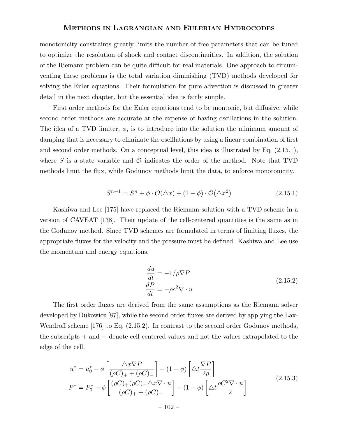monotonicity constraints greatly limits the number of free parameters that can be tuned to optimize the resolution of shock and contact discontinuities. In addition, the solution of the Riemann problem can be quite difficult for real materials. One approach to circumventing these problems is the total variation diminishing (TVD) methods developed for solving the Euler equations. Their formulation for pure advection is discussed in greater detail in the next chapter, but the essential idea is fairly simple.

First order methods for the Euler equations tend to be montonic, but diffusive, while second order methods are accurate at the expense of having oscillations in the solution. The idea of a TVD limiter,  $\phi$ , is to introduce into the solution the minimum amount of damping that is necessary to eliminate the oscillations by using a linear combination of first and second order methods. On a conceptual level, this idea is illustrated by Eq. (2.15.1), where  $S$  is a state variable and  $\mathcal O$  indicates the order of the method. Note that TVD methods limit the flux, while Godunov methods limit the data, to enforce monotonicity.

$$
S^{n+1} = S^n + \phi \cdot \mathcal{O}(\triangle x) + (1 - \phi) \cdot \mathcal{O}(\triangle x^2)
$$
 (2.15.1)

Kashiwa and Lee [175] have replaced the Riemann solution with a TVD scheme in a version of CAVEAT [138]. Their update of the cell-centered quantities is the same as in the Godunov method. Since TVD schemes are formulated in terms of limiting fluxes, the appropriate fluxes for the velocity and the pressure must be defined. Kashiwa and Lee use the momentum and energy equations.

$$
\begin{aligned}\n\frac{du}{dt} &= -1/\rho \nabla P\\
\frac{dP}{dt} &= -\rho c^2 \nabla \cdot u\n\end{aligned} \tag{2.15.2}
$$

The first order fluxes are derived from the same assumptions as the Riemann solver developed by Dukowicz [87], while the second order fluxes are derived by applying the Lax-Wendroff scheme [176] to Eq. (2.15.2). In contrast to the second order Godunov methods, the subscripts + and − denote cell-centered values and not the values extrapolated to the edge of the cell.

$$
u^* = u_0^* - \phi \left[ \frac{\triangle x \nabla P}{(\rho C)_+ + (\rho C)_-} \right] - (1 - \phi) \left[ \triangle t \frac{\nabla P}{2\rho} \right]
$$
  

$$
P^* = P_0^* - \phi \left[ \frac{(\rho C)_+ (\rho C)_- \triangle x \nabla \cdot u}{(\rho C)_+ + (\rho C)_-} \right] - (1 - \phi) \left[ \triangle t \frac{\rho C^2 \nabla \cdot u}{2} \right]
$$
(2.15.3)

– 102 –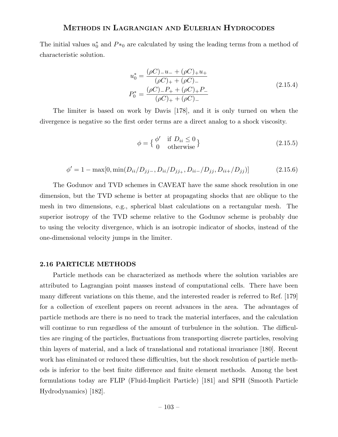The initial values  $u_0^*$  and  $P*_0$  are calculated by using the leading terms from a method of characteristic solution.

$$
u_0^* = \frac{(\rho C)_{-}u_{-} + (\rho C)_{+}u_{+}}{(\rho C)_{+} + (\rho C)_{-}}
$$
  
\n
$$
P_0^* = \frac{(\rho C)_{-}P_{+} + (\rho C)_{+}P_{-}}{(\rho C)_{+} + (\rho C)_{-}}
$$
\n(2.15.4)

The limiter is based on work by Davis [178], and it is only turned on when the divergence is negative so the first order terms are a direct analog to a shock viscosity.

$$
\phi = \left\{ \begin{array}{ll} \phi' & \text{if } D_{ii} \le 0 \\ 0 & \text{otherwise} \end{array} \right\} \tag{2.15.5}
$$

$$
\phi' = 1 - \max[0, \min(D_{ii}/D_{jj-}, D_{ii}/D_{jj+}, D_{ii-}/D_{jj}, D_{ii+}/D_{jj})]
$$
(2.15.6)

The Godunov and TVD schemes in CAVEAT have the same shock resolution in one dimension, but the TVD scheme is better at propagating shocks that are oblique to the mesh in two dimensions, e.g., spherical blast calculations on a rectangular mesh. The superior isotropy of the TVD scheme relative to the Godunov scheme is probably due to using the velocity divergence, which is an isotropic indicator of shocks, instead of the one-dimensional velocity jumps in the limiter.

#### **2.16 PARTICLE METHODS**

Particle methods can be characterized as methods where the solution variables are attributed to Lagrangian point masses instead of computational cells. There have been many different variations on this theme, and the interested reader is referred to Ref. [179] for a collection of excellent papers on recent advances in the area. The advantages of particle methods are there is no need to track the material interfaces, and the calculation will continue to run regardless of the amount of turbulence in the solution. The difficulties are ringing of the particles, fluctuations from transporting discrete particles, resolving thin layers of material, and a lack of translational and rotational invariance [180]. Recent work has eliminated or reduced these difficulties, but the shock resolution of particle methods is inferior to the best finite difference and finite element methods. Among the best formulations today are FLIP (Fluid-Implicit Particle) [181] and SPH (Smooth Particle Hydrodynamics) [182].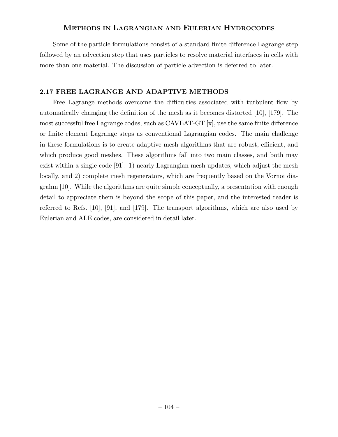Some of the particle formulations consist of a standard finite difference Lagrange step followed by an advection step that uses particles to resolve material interfaces in cells with more than one material. The discussion of particle advection is deferred to later.

# **2.17 FREE LAGRANGE AND ADAPTIVE METHODS**

Free Lagrange methods overcome the difficulties associated with turbulent flow by automatically changing the definition of the mesh as it becomes distorted [10], [179]. The most successful free Lagrange codes, such as CAVEAT-GT [x], use the same finite difference or finite element Lagrange steps as conventional Lagrangian codes. The main challenge in these formulations is to create adaptive mesh algorithms that are robust, efficient, and which produce good meshes. These algorithms fall into two main classes, and both may exist within a single code [91]: 1) nearly Lagrangian mesh updates, which adjust the mesh locally, and 2) complete mesh regenerators, which are frequently based on the Vornoi diagrahm [10]. While the algorithms are quite simple conceptually, a presentation with enough detail to appreciate them is beyond the scope of this paper, and the interested reader is referred to Refs. [10], [91], and [179]. The transport algorithms, which are also used by Eulerian and ALE codes, are considered in detail later.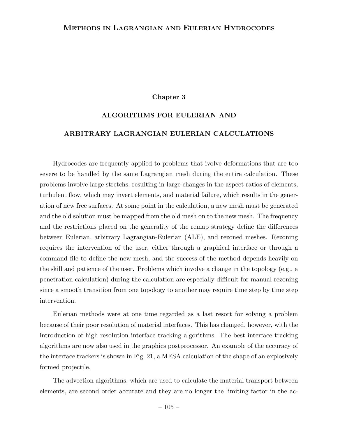#### **Chapter 3**

# **ALGORITHMS FOR EULERIAN AND**

## **ARBITRARY LAGRANGIAN EULERIAN CALCULATIONS**

Hydrocodes are frequently applied to problems that ivolve deformations that are too severe to be handled by the same Lagrangian mesh during the entire calculation. These problems involve large stretchs, resulting in large changes in the aspect ratios of elements, turbulent flow, which may invert elements, and material failure, which results in the generation of new free surfaces. At some point in the calculation, a new mesh must be generated and the old solution must be mapped from the old mesh on to the new mesh. The frequency and the restrictions placed on the generality of the remap strategy define the differences between Eulerian, arbitrary Lagrangian-Eulerian (ALE), and rezoned meshes. Rezoning requires the intervention of the user, either through a graphical interface or through a command file to define the new mesh, and the success of the method depends heavily on the skill and patience of the user. Problems which involve a change in the topology (e.g., a penetration calculation) during the calculation are especially difficult for manual rezoning since a smooth transition from one topology to another may require time step by time step intervention.

Eulerian methods were at one time regarded as a last resort for solving a problem because of their poor resolution of material interfaces. This has changed, however, with the introduction of high resolution interface tracking algorithms. The best interface tracking algorithms are now also used in the graphics postprocessor. An example of the accuracy of the interface trackers is shown in Fig. 21, a MESA calculation of the shape of an explosively formed projectile.

The advection algorithms, which are used to calculate the material transport between elements, are second order accurate and they are no longer the limiting factor in the ac-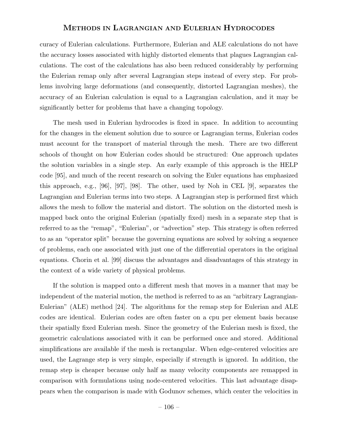curacy of Eulerian calculations. Furthermore, Eulerian and ALE calculations do not have the accuracy losses associated with highly distorted elements that plagues Lagrangian calculations. The cost of the calculations has also been reduced considerably by performing the Eulerian remap only after several Lagrangian steps instead of every step. For problems involving large deformations (and consequently, distorted Lagrangian meshes), the accuracy of an Eulerian calculation is equal to a Lagrangian calculation, and it may be significantly better for problems that have a changing topology.

The mesh used in Eulerian hydrocodes is fixed in space. In addition to accounting for the changes in the element solution due to source or Lagrangian terms, Eulerian codes must account for the transport of material through the mesh. There are two different schools of thought on how Eulerian codes should be structured: One approach updates the solution variables in a single step. An early example of this approach is the HELP code [95], and much of the recent research on solving the Euler equations has emphasized this approach, e.g., [96], [97], [98]. The other, used by Noh in CEL [9], separates the Lagrangian and Eulerian terms into two steps. A Lagrangian step is performed first which allows the mesh to follow the material and distort. The solution on the distorted mesh is mapped back onto the original Eulerian (spatially fixed) mesh in a separate step that is referred to as the "remap", "Eulerian", or "advection" step. This strategy is often referred to as an "operator split" because the governing equations are solved by solving a sequence of problems, each one associated with just one of the differential operators in the original equations. Chorin et al. [99] discuss the advantages and disadvantages of this strategy in the context of a wide variety of physical problems.

If the solution is mapped onto a different mesh that moves in a manner that may be independent of the material motion, the method is referred to as an "arbitrary Lagrangian-Eulerian" (ALE) method [24]. The algorithms for the remap step for Eulerian and ALE codes are identical. Eulerian codes are often faster on a cpu per element basis because their spatially fixed Eulerian mesh. Since the geometry of the Eulerian mesh is fixed, the geometric calculations associated with it can be performed once and stored. Additional simplifications are available if the mesh is rectangular. When edge-centered velocities are used, the Lagrange step is very simple, especially if strength is ignored. In addition, the remap step is cheaper because only half as many velocity components are remapped in comparison with formulations using node-centered velocities. This last advantage disappears when the comparison is made with Godunov schemes, which center the velocities in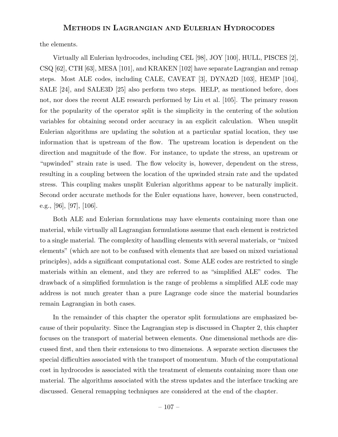the elements.

Virtually all Eulerian hydrocodes, including CEL [98], JOY [100], HULL, PISCES [2], CSQ [62], CTH [63], MESA [101], and KRAKEN [102] have separate Lagrangian and remap steps. Most ALE codes, including CALE, CAVEAT [3], DYNA2D [103], HEMP [104], SALE [24], and SALE3D [25] also perform two steps. HELP, as mentioned before, does not, nor does the recent ALE research performed by Liu et al. [105]. The primary reason for the popularity of the operator split is the simplicity in the centering of the solution variables for obtaining second order accuracy in an explicit calculation. When unsplit Eulerian algorithms are updating the solution at a particular spatial location, they use information that is upstream of the flow. The upstream location is dependent on the direction and magnitude of the flow. For instance, to update the stress, an upstream or "upwinded" strain rate is used. The flow velocity is, however, dependent on the stress, resulting in a coupling between the location of the upwinded strain rate and the updated stress. This coupling makes unsplit Eulerian algorithms appear to be naturally implicit. Second order accurate methods for the Euler equations have, however, been constructed, e.g., [96], [97], [106].

Both ALE and Eulerian formulations may have elements containing more than one material, while virtually all Lagrangian formulations assume that each element is restricted to a single material. The complexity of handling elements with several materials, or "mixed elements" (which are not to be confused with elements that are based on mixed variational principles), adds a significant computational cost. Some ALE codes are restricted to single materials within an element, and they are referred to as "simplified ALE" codes. The drawback of a simplified formulation is the range of problems a simplified ALE code may address is not much greater than a pure Lagrange code since the material boundaries remain Lagrangian in both cases.

In the remainder of this chapter the operator split formulations are emphasized because of their popularity. Since the Lagrangian step is discussed in Chapter 2, this chapter focuses on the transport of material between elements. One dimensional methods are discussed first, and then their extensions to two dimensions. A separate section discusses the special difficulties associated with the transport of momentum. Much of the computational cost in hydrocodes is associated with the treatment of elements containing more than one material. The algorithms associated with the stress updates and the interface tracking are discussed. General remapping techniques are considered at the end of the chapter.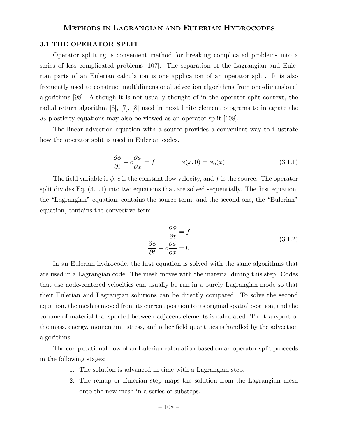#### **3.1 THE OPERATOR SPLIT**

Operator splitting is convenient method for breaking complicated problems into a series of less complicated problems [107]. The separation of the Lagrangian and Eulerian parts of an Eulerian calculation is one application of an operator split. It is also frequently used to construct multidimensional advection algorithms from one-dimensional algorithms [98]. Although it is not usually thought of in the operator split context, the radial return algorithm [6], [7], [8] used in most finite element programs to integrate the  $J_2$  plasticity equations may also be viewed as an operator split [108].

The linear advection equation with a source provides a convenient way to illustrate how the operator split is used in Eulerian codes.

$$
\frac{\partial \phi}{\partial t} + c \frac{\partial \phi}{\partial x} = f \qquad \phi(x,0) = \phi_0(x) \qquad (3.1.1)
$$

The field variable is  $\phi$ , c is the constant flow velocity, and f is the source. The operator split divides Eq. (3.1.1) into two equations that are solved sequentially. The first equation, the "Lagrangian" equation, contains the source term, and the second one, the "Eulerian" equation, contains the convective term.

$$
\frac{\partial \phi}{\partial t} = f
$$
  

$$
\frac{\partial \phi}{\partial t} + c \frac{\partial \phi}{\partial x} = 0
$$
 (3.1.2)

In an Eulerian hydrocode, the first equation is solved with the same algorithms that are used in a Lagrangian code. The mesh moves with the material during this step. Codes that use node-centered velocities can usually be run in a purely Lagrangian mode so that their Eulerian and Lagrangian solutions can be directly compared. To solve the second equation, the mesh is moved from its current position to its original spatial position, and the volume of material transported between adjacent elements is calculated. The transport of the mass, energy, momentum, stress, and other field quantities is handled by the advection algorithms.

The computational flow of an Eulerian calculation based on an operator split proceeds in the following stages:

- 1. The solution is advanced in time with a Lagrangian step.
- 2. The remap or Eulerian step maps the solution from the Lagrangian mesh onto the new mesh in a series of substeps.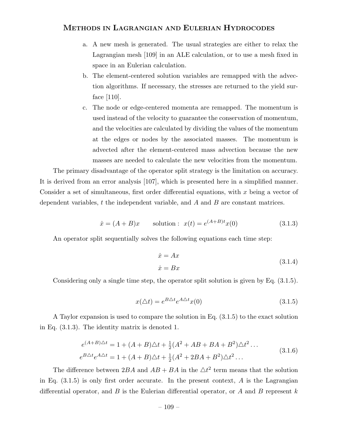- a. A new mesh is generated. The usual strategies are either to relax the Lagrangian mesh [109] in an ALE calculation, or to use a mesh fixed in space in an Eulerian calculation.
- b. The element-centered solution variables are remapped with the advection algorithms. If necessary, the stresses are returned to the yield surface [110].
- c. The node or edge-centered momenta are remapped. The momentum is used instead of the velocity to guarantee the conservation of momentum, and the velocities are calculated by dividing the values of the momentum at the edges or nodes by the associated masses. The momentum is advected after the element-centered mass advection because the new masses are needed to calculate the new velocities from the momentum.

The primary disadvantage of the operator split strategy is the limitation on accuracy. It is derived from an error analysis [107], which is presented here in a simplified manner. Consider a set of simultaneous, first order differential equations, with  $x$  being a vector of dependent variables, t the independent variable, and A and B are constant matrices.

$$
\dot{x} = (A + B)x
$$
 solution:  $x(t) = e^{(A+B)t}x(0)$  (3.1.3)

An operator split sequentially solves the following equations each time step:

$$
\begin{aligned}\n\dot{x} &= Ax \\
\dot{x} &= Bx\n\end{aligned} \tag{3.1.4}
$$

Considering only a single time step, the operator split solution is given by Eq. (3.1.5).

$$
x(\Delta t) = e^{B\Delta t} e^{A\Delta t} x(0)
$$
\n(3.1.5)

A Taylor expansion is used to compare the solution in Eq. (3.1.5) to the exact solution in Eq. (3.1.3). The identity matrix is denoted 1.

$$
e^{(A+B)\Delta t} = 1 + (A+B)\Delta t + \frac{1}{2}(A^2 + AB + BA + B^2)\Delta t^2 \dots
$$
  
\n
$$
e^{B\Delta t}e^{A\Delta t} = 1 + (A+B)\Delta t + \frac{1}{2}(A^2 + 2BA + B^2)\Delta t^2 \dots
$$
\n(3.1.6)

The difference between  $2BA$  and  $AB + BA$  in the  $\Delta t^2$  term means that the solution in Eq.  $(3.1.5)$  is only first order accurate. In the present context, A is the Lagrangian differential operator, and  $B$  is the Eulerian differential operator, or  $A$  and  $B$  represent  $k$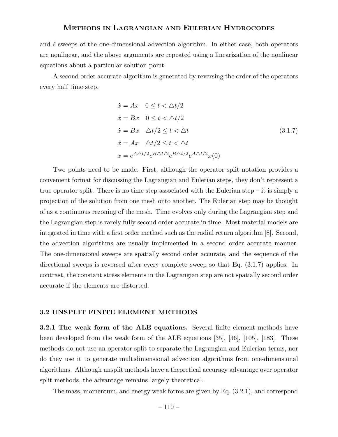and  $\ell$  sweeps of the one-dimensional advection algorithm. In either case, both operators are nonlinear, and the above arguments are repeated using a linearization of the nonlinear equations about a particular solution point.

A second order accurate algorithm is generated by reversing the order of the operators every half time step.

$$
\begin{aligned}\n\dot{x} &= Ax \quad 0 \le t < \Delta t/2 \\
\dot{x} &= Bx \quad 0 \le t < \Delta t/2 \\
\dot{x} &= Bx \quad \Delta t/2 \le t < \Delta t \\
\dot{x} &= Ax \quad \Delta t/2 \le t < \Delta t \\
x &= e^{A\Delta t/2} e^{B\Delta t/2} e^{B\Delta t/2} e^{A\Delta t/2} x(0)\n\end{aligned} \tag{3.1.7}
$$

Two points need to be made. First, although the operator split notation provides a convenient format for discussing the Lagrangian and Eulerian steps, they don't represent a true operator split. There is no time step associated with the Eulerian step – it is simply a projection of the solution from one mesh onto another. The Eulerian step may be thought of as a continuous rezoning of the mesh. Time evolves only during the Lagrangian step and the Lagrangian step is rarely fully second order accurate in time. Most material models are integrated in time with a first order method such as the radial return algorithm [8]. Second, the advection algorithms are usually implemented in a second order accurate manner. The one-dimensional sweeps are spatially second order accurate, and the sequence of the directional sweeps is reversed after every complete sweep so that Eq. (3.1.7) applies. In contrast, the constant stress elements in the Lagrangian step are not spatially second order accurate if the elements are distorted.

#### **3.2 UNSPLIT FINITE ELEMENT METHODS**

**3.2.1 The weak form of the ALE equations.** Several finite element methods have been developed from the weak form of the ALE equations [35], [36], [105], [183]. These methods do not use an operator split to separate the Lagrangian and Eulerian terms, nor do they use it to generate multidimensional advection algorithms from one-dimensional algorithms. Although unsplit methods have a theoretical accuracy advantage over operator split methods, the advantage remains largely theoretical.

The mass, momentum, and energy weak forms are given by Eq. (3.2.1), and correspond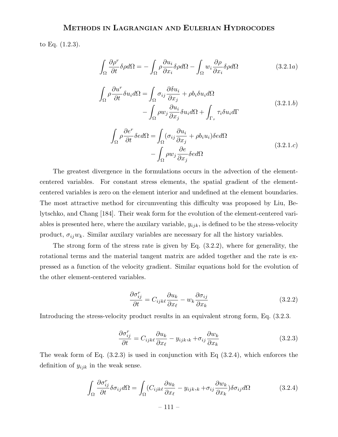to Eq. (1.2.3).

$$
\int_{\Omega} \frac{\partial \rho^r}{\partial t} \delta \rho d\Omega = -\int_{\Omega} \rho \frac{\partial u_i}{\partial x_i} \delta \rho d\Omega - \int_{\Omega} w_i \frac{\partial \rho}{\partial x_i} \delta \rho d\Omega \tag{3.2.1a}
$$

$$
\int_{\Omega} \rho \frac{\partial u^r}{\partial t} \delta u_i d\Omega = \int_{\Omega} \sigma_{ij} \frac{\partial \delta u_i}{\partial x_j} + \rho b_i \delta u_i d\Omega \n- \int_{\Omega} \rho w_j \frac{\partial u_i}{\partial x_j} \delta u_i d\Omega + \int_{\Gamma_{\tau}} \tau_i \delta u_i d\Gamma
$$
\n(3.2.1.b)

$$
\int_{\Omega} \rho \frac{\partial e^r}{\partial t} \delta e d\Omega = \int_{\Omega} (\sigma_{ij} \frac{\partial u_i}{\partial x_j} + \rho b_i u_i) \delta e d\Omega \n- \int_{\Omega} \rho w_j \frac{\partial e}{\partial x_j} \delta e d\Omega
$$
\n(3.2.1.c)

The greatest divergence in the formulations occurs in the advection of the elementcentered variables. For constant stress elements, the spatial gradient of the elementcentered variables is zero on the element interior and undefined at the element boundaries. The most attractive method for circumventing this difficulty was proposed by Liu, Belytschko, and Chang [184]. Their weak form for the evolution of the element-centered variables is presented here, where the auxilary variable,  $y_{ijk}$ , is defined to be the stress-velocity product,  $\sigma_{ij}w_k$ . Similar auxilary variables are necessary for all the history variables.

The strong form of the stress rate is given by Eq. (3.2.2), where for generality, the rotational terms and the material tangent matrix are added together and the rate is expressed as a function of the velocity gradient. Similar equations hold for the evolution of the other element-centered variables.

$$
\frac{\partial \sigma_{ij}^r}{\partial t} = C_{ijk\ell} \frac{\partial u_k}{\partial x_\ell} - w_k \frac{\partial \sigma_{ij}}{\partial x_k}
$$
(3.2.2)

Introducing the stress-velocity product results in an equivalent strong form, Eq. (3.2.3.

$$
\frac{\partial \sigma_{ij}^r}{\partial t} = C_{ijk\ell} \frac{\partial u_k}{\partial x_\ell} - y_{ijk,k} + \sigma_{ij} \frac{\partial w_k}{\partial x_k}
$$
(3.2.3)

The weak form of Eq. (3.2.3) is used in conjunction with Eq (3.2.4), which enforces the definition of  $y_{ijk}$  in the weak sense.

$$
\int_{\Omega} \frac{\partial \sigma_{ij}^r}{\partial t} \delta \sigma_{ij} d\Omega = \int_{\Omega} (C_{ijk\ell} \frac{\partial u_k}{\partial x_\ell} - y_{ijk,k} + \sigma_{ij} \frac{\partial w_k}{\partial x_k}) \delta \sigma_{ij} d\Omega \tag{3.2.4}
$$

– 111 –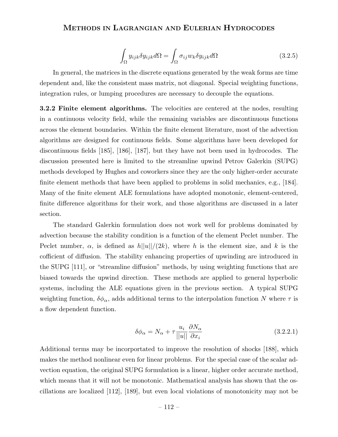$$
\int_{\Omega} y_{ijk} \delta y_{ijk} d\Omega = \int_{\Omega} \sigma_{ij} w_k \delta y_{ijk} d\Omega \tag{3.2.5}
$$

In general, the matrices in the discrete equations generated by the weak forms are time dependent and, like the consistent mass matrix, not diagonal. Special weighting functions, integration rules, or lumping procedures are necessary to decouple the equations.

**3.2.2 Finite element algorithms.** The velocities are centered at the nodes, resulting in a continuous velocity field, while the remaining variables are discontinuous functions across the element boundaries. Within the finite element literature, most of the advection algorithms are designed for continuous fields. Some algorithms have been developed for discontinuous fields [185], [186], [187], but they have not been used in hydrocodes. The discussion presented here is limited to the streamline upwind Petrov Galerkin (SUPG) methods developed by Hughes and coworkers since they are the only higher-order accurate finite element methods that have been applied to problems in solid mechanics, e.g., [184]. Many of the finite element ALE formulations have adopted monotonic, element-centered, finite difference algorithms for their work, and those algorithms are discussed in a later section.

The standard Galerkin formulation does not work well for problems dominated by advection because the stability condition is a function of the element Peclet number. The Peclet number,  $\alpha$ , is defined as  $h||u||/(2k)$ , where h is the element size, and k is the cofficient of diffusion. The stability enhancing properties of upwinding are introduced in the SUPG [111], or "streamline diffusion" methods, by using weighting functions that are biased towards the upwind direction. These methods are applied to general hyperbolic systems, including the ALE equations given in the previous section. A typical SUPG weighting function,  $\delta\phi_{\alpha}$ , adds additional terms to the interpolation function N where  $\tau$  is a flow dependent function.

$$
\delta\phi_{\alpha} = N_{\alpha} + \tau \frac{u_i}{||u||} \frac{\partial N_{\alpha}}{\partial x_i}
$$
\n(3.2.2.1)

Additional terms may be incorportated to improve the resolution of shocks [188], which makes the method nonlinear even for linear problems. For the special case of the scalar advection equation, the original SUPG formulation is a linear, higher order accurate method, which means that it will not be monotonic. Mathematical analysis has shown that the oscillations are localized [112], [189], but even local violations of monotonicity may not be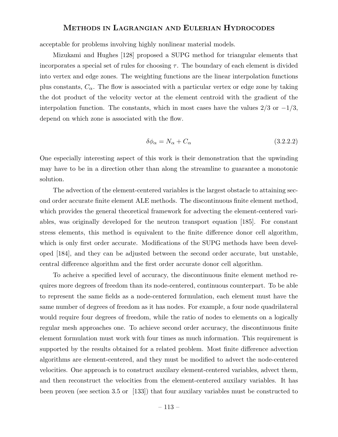acceptable for problems involving highly nonlinear material models.

Mizukami and Hughes [128] proposed a SUPG method for triangular elements that incorporates a special set of rules for choosing  $\tau$ . The boundary of each element is divided into vertex and edge zones. The weighting functions are the linear interpolation functions plus constants,  $C_{\alpha}$ . The flow is associated with a particular vertex or edge zone by taking the dot product of the velocity vector at the element centroid with the gradient of the interpolation function. The constants, which in most cases have the values  $2/3$  or  $-1/3$ , depend on which zone is associated with the flow.

$$
\delta\phi_{\alpha} = N_{\alpha} + C_{\alpha} \tag{3.2.2.2}
$$

One especially interesting aspect of this work is their demonstration that the upwinding may have to be in a direction other than along the streamline to guarantee a monotonic solution.

The advection of the element-centered variables is the largest obstacle to attaining second order accurate finite element ALE methods. The discontinuous finite element method, which provides the general theoretical framework for advecting the element-centered variables, was originally developed for the neutron transport equation [185]. For constant stress elements, this method is equivalent to the finite difference donor cell algorithm, which is only first order accurate. Modifications of the SUPG methods have been developed [184], and they can be adjusted between the second order accurate, but unstable, central difference algorithm and the first order accurate donor cell algorithm.

To acheive a specified level of accuracy, the discontinuous finite element method requires more degrees of freedom than its node-centered, continuous counterpart. To be able to represent the same fields as a node-centered formulation, each element must have the same number of degrees of freedom as it has nodes. For example, a four node quadrilateral would require four degrees of freedom, while the ratio of nodes to elements on a logically regular mesh approaches one. To achieve second order accuracy, the discontinuous finite element formulation must work with four times as much information. This requirement is supported by the results obtained for a related problem. Most finite difference advection algorithms are element-centered, and they must be modified to advect the node-centered velocities. One approach is to construct auxilary element-centered variables, advect them, and then reconstruct the velocities from the element-centered auxilary variables. It has been proven (see section 3.5 or [133]) that four auxilary variables must be constructed to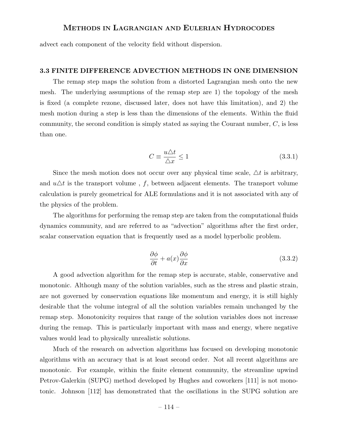advect each component of the velocity field without dispersion.

#### **3.3 FINITE DIFFERENCE ADVECTION METHODS IN ONE DIMENSION**

The remap step maps the solution from a distorted Lagrangian mesh onto the new mesh. The underlying assumptions of the remap step are 1) the topology of the mesh is fixed (a complete rezone, discussed later, does not have this limitation), and 2) the mesh motion during a step is less than the dimensions of the elements. Within the fluid community, the second condition is simply stated as saying the Courant number,  $C$ , is less than one.

$$
C \equiv \frac{u\Delta t}{\Delta x} \le 1\tag{3.3.1}
$$

Since the mesh motion does not occur over any physical time scale,  $\Delta t$  is arbitrary, and  $u\Delta t$  is the transport volume, f, between adjacent elements. The transport volume calculation is purely geometrical for ALE formulations and it is not associated with any of the physics of the problem.

The algorithms for performing the remap step are taken from the computational fluids dynamics community, and are referred to as "advection" algorithms after the first order, scalar conservation equation that is frequently used as a model hyperbolic problem.

$$
\frac{\partial \phi}{\partial t} + a(x) \frac{\partial \phi}{\partial x} \tag{3.3.2}
$$

A good advection algorithm for the remap step is accurate, stable, conservative and monotonic. Although many of the solution variables, such as the stress and plastic strain, are not governed by conservation equations like momentum and energy, it is still highly desirable that the volume integral of all the solution variables remain unchanged by the remap step. Monotonicity requires that range of the solution variables does not increase during the remap. This is particularly important with mass and energy, where negative values would lead to physically unrealistic solutions.

Much of the research on advection algorithms has focused on developing monotonic algorithms with an accuracy that is at least second order. Not all recent algorithms are monotonic. For example, within the finite element community, the streamline upwind Petrov-Galerkin (SUPG) method developed by Hughes and coworkers [111] is not monotonic. Johnson [112] has demonstrated that the oscillations in the SUPG solution are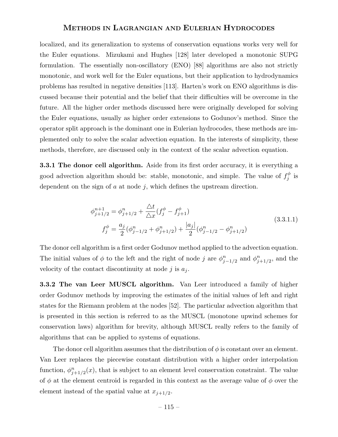localized, and its generalization to systems of conservation equations works very well for the Euler equations. Mizukami and Hughes [128] later developed a monotonic SUPG formulation. The essentially non-oscillatory (ENO) [88] algorithms are also not strictly monotonic, and work well for the Euler equations, but their application to hydrodynamics problems has resulted in negative densities [113]. Harten's work on ENO algorithms is discussed because their potential and the belief that their difficulties will be overcome in the future. All the higher order methods discussed here were originally developed for solving the Euler equations, usually as higher order extensions to Godunov's method. Since the operator split approach is the dominant one in Eulerian hydrocodes, these methods are implemented only to solve the scalar advection equation. In the interests of simplicity, these methods, therefore, are discussed only in the context of the scalar advection equation.

**3.3.1 The donor cell algorithm.** Aside from its first order accuracy, it is everything a good advection algorithm should be: stable, monotonic, and simple. The value of  $f_j^{\phi}$  is dependent on the sign of a at node j, which defines the upstream direction.

$$
\phi_{j+1/2}^{n+1} = \phi_{j+1/2}^n + \frac{\Delta t}{\Delta x} (f_j^{\phi} - f_{j+1}^{\phi})
$$
\n
$$
f_j^{\phi} = \frac{a_j}{2} (\phi_{j-1/2}^n + \phi_{j+1/2}^n) + \frac{|a_j|}{2} (\phi_{j-1/2}^n - \phi_{j+1/2}^n)
$$
\n(3.3.1.1)

The donor cell algorithm is a first order Godunov method applied to the advection equation. The initial values of  $\phi$  to the left and the right of node j are  $\phi_{j-1/2}^n$  and  $\phi_{j+1/2}^n$ , and the velocity of the contact discontinuity at node j is  $a_i$ .

**3.3.2 The van Leer MUSCL algorithm.** Van Leer introduced a family of higher order Godunov methods by improving the estimates of the initial values of left and right states for the Riemann problem at the nodes [52]. The particular advection algorithm that is presented in this section is referred to as the MUSCL (monotone upwind schemes for conservation laws) algorithm for brevity, although MUSCL really refers to the family of algorithms that can be applied to systems of equations.

The donor cell algorithm assumes that the distribution of  $\phi$  is constant over an element. Van Leer replaces the piecewise constant distribution with a higher order interpolation function,  $\phi_{j+1/2}^n(x)$ , that is subject to an element level conservation constraint. The value of  $\phi$  at the element centroid is regarded in this context as the average value of  $\phi$  over the element instead of the spatial value at  $x_{j+1/2}$ .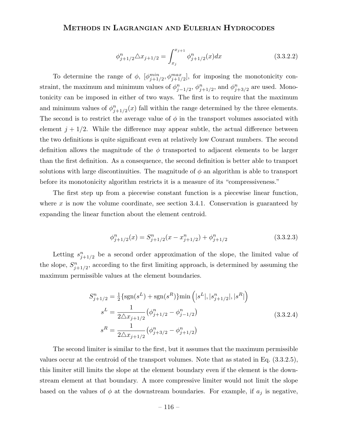$$
\phi_{j+1/2}^n \triangle x_{j+1/2} = \int_{x_j}^{x_{j+1}} \phi_{j+1/2}^n(x) dx \tag{3.3.2.2}
$$

To determine the range of  $\phi$ ,  $[\phi_{j+1/2}^{min}, \phi_{j+1/2}^{max}]$ , for imposing the monotonicity constraint, the maximum and minimum values of  $\phi_{j-1/2}^n$ ,  $\phi_{j+1/2}^n$ , and  $\phi_{j+3/2}^n$  are used. Monotonicity can be imposed in either of two ways. The first is to require that the maximum and minimum values of  $\phi_{j+1/2}^n(x)$  fall within the range determined by the three elements. The second is to restrict the average value of  $\phi$  in the transport volumes associated with element  $j + 1/2$ . While the difference may appear subtle, the actual difference between the two definitions is quite significant even at relatively low Courant numbers. The second definition allows the magnitude of the  $\phi$  transported to adjacent elements to be larger than the first definition. As a consequence, the second definition is better able to tranport solutions with large discontinuities. The magnitude of  $\phi$  an algorithm is able to transport before its monotonicity algorithm restricts it is a measure of its "compressiveness."

The first step up from a piecewise constant function is a piecewise linear function, where  $x$  is now the volume coordinate, see section 3.4.1. Conservation is guaranteed by expanding the linear function about the element centroid.

$$
\phi_{j+1/2}^n(x) = S_{j+1/2}^n(x - x_{j+1/2}^n) + \phi_{j+1/2}^n \tag{3.3.2.3}
$$

Letting  $s_{j+1/2}^n$  be a second order approximation of the slope, the limited value of the slope,  $S_{j+1/2}^n$ , according to the first limiting approach, is determined by assuming the maximum permissible values at the element boundaries.

$$
S_{j+1/2}^{n} = \frac{1}{2} \{ \text{sgn}(s^{L}) + \text{sgn}(s^{R}) \} \min\left( |s^{L}|, |s_{j+1/2}^{n}|, |s^{R}| \right)
$$
  

$$
s^{L} = \frac{1}{2 \Delta x_{j+1/2}} \left( \phi_{j+1/2}^{n} - \phi_{j-1/2}^{n} \right)
$$
  

$$
s^{R} = \frac{1}{2 \Delta x_{j+1/2}} \left( \phi_{j+3/2}^{n} - \phi_{j+1/2}^{n} \right)
$$
 (3.3.2.4)

The second limiter is similar to the first, but it assumes that the maximum permissible values occur at the centroid of the transport volumes. Note that as stated in Eq. (3.3.2.5), this limiter still limits the slope at the element boundary even if the element is the downstream element at that boundary. A more compressive limiter would not limit the slope based on the values of  $\phi$  at the downstream boundaries. For example, if  $a_i$  is negative,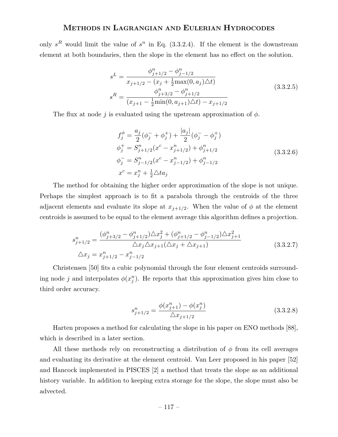only  $s^R$  would limit the value of  $s^n$  in Eq. (3.3.2.4). If the element is the downstream element at both boundaries, then the slope in the element has no effect on the solution.

$$
s^{L} = \frac{\phi_{j+1/2}^{n} - \phi_{j-1/2}^{n}}{x_{j+1/2} - (x_{j} + \frac{1}{2} \max(0, a_{j}) \triangle t)}
$$
  
\n
$$
s^{R} = \frac{\phi_{j+3/2}^{n} - \phi_{j+1/2}^{n}}{(x_{j+1} - \frac{1}{2} \min(0, a_{j+1}) \triangle t) - x_{j+1/2}}
$$
\n(3.3.2.5)

The flux at node j is evaluated using the upstream approximation of  $\phi$ .

$$
f_j^{\phi} = \frac{a_j}{2} (\phi_j^- + \phi_j^+) + \frac{|a_j|}{2} (\phi_j^- - \phi_j^+)
$$
  
\n
$$
\phi_j^+ = S_{j+1/2}^n (x^c - x_{j+1/2}^n) + \phi_{j+1/2}^n
$$
  
\n
$$
\phi_j^- = S_{j-1/2}^n (x^c - x_{j-1/2}^n) + \phi_{j-1/2}^n
$$
  
\n
$$
x^c = x_j^n + \frac{1}{2} \triangle t a_j
$$
\n(3.3.2.6)

The method for obtaining the higher order approximation of the slope is not unique. Perhaps the simplest approach is to fit a parabola through the centroids of the three adjacent elements and evaluate its slope at  $x_{j+1/2}$ . When the value of  $\phi$  at the element centroids is assumed to be equal to the element average this algorithm defines a projection.

$$
s_{j+1/2}^n = \frac{(\phi_{j+3/2}^n - \phi_{j+1/2}^n) \Delta x_j^2 + (\phi_{j+1/2}^n - \phi_{j-1/2}^n) \Delta x_{j+1}^2}{\Delta x_j \Delta x_{j+1} (\Delta x_j + \Delta x_{j+1})}
$$
(3.3.2.7)  

$$
\Delta x_j = x_{j+1/2}^n - x_{j-1/2}^n
$$

Christensen [50] fits a cubic polynomial through the four element centroids surrounding node j and interpolates  $\phi(x_j^n)$ . He reports that this approximation gives him close to third order accuracy.

$$
s_{j+1/2}^n = \frac{\phi(x_{j+1}^n) - \phi(x_j^n)}{\Delta x_{j+1/2}}
$$
\n(3.3.2.8)

Harten proposes a method for calculating the slope in his paper on ENO methods [88], which is described in a later section.

All these methods rely on reconstructing a distribution of  $\phi$  from its cell averages and evaluating its derivative at the element centroid. Van Leer proposed in his paper [52] and Hancock implemented in PISCES [2] a method that treats the slope as an additional history variable. In addition to keeping extra storage for the slope, the slope must also be advected.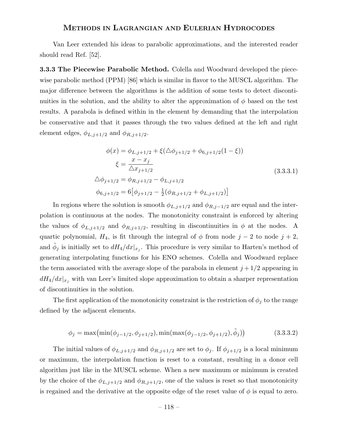Van Leer extended his ideas to parabolic approximations, and the interested reader should read Ref. [52].

**3.3.3 The Piecewise Parabolic Method.** Colella and Woodward developed the piecewise parabolic method (PPM) [86] which is similar in flavor to the MUSCL algorithm. The major difference between the algorithms is the addition of some tests to detect discontinuities in the solution, and the ability to alter the approximation of  $\phi$  based on the test results. A parabola is defined within in the element by demanding that the interpolation be conservative and that it passes through the two values defined at the left and right element edges,  $\phi_{L,j+1/2}$  and  $\phi_{R,j+1/2}$ .

$$
\phi(x) = \phi_{L,j+1/2} + \xi(\Delta\phi_{j+1/2} + \phi_{6,j+1/2}(1-\xi))
$$
  
\n
$$
\xi = \frac{x - x_j}{\Delta x_{j+1/2}}
$$
  
\n
$$
\Delta\phi_{j+1/2} = \phi_{R,j+1/2} - \phi_{L,j+1/2}
$$
  
\n
$$
\phi_{6,j+1/2} = 6[\phi_{j+1/2} - \frac{1}{2}(\phi_{R,j+1/2} + \phi_{L,j+1/2})]
$$
\n(3.3.3.1)

In regions where the solution is smooth  $\phi_{L,j+1/2}$  and  $\phi_{R,j-1/2}$  are equal and the interpolation is continuous at the nodes. The monotonicity constraint is enforced by altering the values of  $\phi_{L,j+1/2}$  and  $\phi_{R,j+1/2}$ , resulting in discontinuities in  $\phi$  at the nodes. A quartic polynomial,  $H_4$ , is fit through the integral of  $\phi$  from node  $j - 2$  to node  $j + 2$ , and  $\phi_j$  is initially set to  $dH_4/dx|_{x_j}$ . This procedure is very similar to Harten's method of generating interpolating functions for his ENO schemes. Colella and Woodward replace the term associated with the average slope of the parabola in element  $j + 1/2$  appearing in  $dH_4/dx|_{x_i}$  with van Leer's limited slope approximation to obtain a sharper representation of discontinuities in the solution.

The first application of the monotonicity constraint is the restriction of  $\phi_j$  to the range defined by the adjacent elements.

$$
\phi_j = \max\left(\min(\phi_{j-1/2}, \phi_{j+1/2}), \min(\max(\phi_{j-1/2}, \phi_{j+1/2}), \tilde{\phi}_j)\right) \tag{3.3.3.2}
$$

The initial values of  $\phi_{L,j+1/2}$  and  $\phi_{R,j+1/2}$  are set to  $\phi_j$ . If  $\phi_{j+1/2}$  is a local minimum or maximum, the interpolation function is reset to a constant, resulting in a donor cell algorithm just like in the MUSCL scheme. When a new maximum or minimum is created by the choice of the  $\phi_{L,j+1/2}$  and  $\phi_{R,j+1/2}$ , one of the values is reset so that monotonicity is regained and the derivative at the opposite edge of the reset value of  $\phi$  is equal to zero.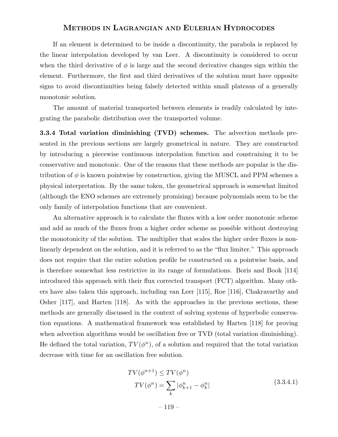If an element is determined to be inside a discontinuity, the parabola is replaced by the linear interpolation developed by van Leer. A discontinuity is considered to occur when the third derivative of  $\phi$  is large and the second derivative changes sign within the element. Furthermore, the first and third derivatives of the solution must have opposite signs to avoid discontinuities being falsely detected within small plateaus of a generally monotonic solution.

The amount of material transported between elements is readily calculated by integrating the parabolic distribution over the transported volume.

**3.3.4 Total variation diminishing (TVD) schemes.** The advection methods presented in the previous sections are largely geometrical in nature. They are constructed by introducing a piecewise continuous interpolation function and constraining it to be conservative and monotonic. One of the reasons that these methods are popular is the distribution of  $\phi$  is known pointwise by construction, giving the MUSCL and PPM schemes a physical interpretation. By the same token, the geometrical approach is somewhat limited (although the ENO schemes are extremely promising) because polynomials seem to be the only family of interpolation functions that are convenient.

An alternative approach is to calculate the fluxes with a low order monotonic scheme and add as much of the fluxes from a higher order scheme as possible without destroying the monotonicity of the solution. The multiplier that scales the higher order fluxes is nonlinearly dependent on the solution, and it is referred to as the "flux limiter." This approach does not require that the entire solution profile be constructed on a pointwise basis, and is therefore somewhat less restrictive in its range of formulations. Boris and Book [114] introduced this approach with their flux corrected transport (FCT) algorithm. Many others have also taken this approach, including van Leer [115], Roe [116], Chakravarthy and Osher [117], and Harten [118]. As with the approaches in the previous sections, these methods are generally discussed in the context of solving systems of hyperbolic conservation equations. A mathematical framework was established by Harten [118] for proving when advection algorithms would be oscillation free or TVD (total variation diminishing). He defined the total variation,  $TV(\phi^n)$ , of a solution and required that the total variation decrease with time for an oscillation free solution.

$$
TV(\phi^{n+1}) \leq TV(\phi^n)
$$
  
\n
$$
TV(\phi^n) = \sum_k |\phi_{k+1}^n - \phi_k^n|
$$
\n(3.3.4.1)

– 119 –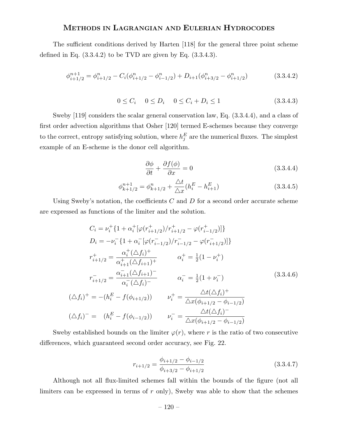The sufficient conditions derived by Harten [118] for the general three point scheme defined in Eq.  $(3.3.4.2)$  to be TVD are given by Eq.  $(3.3.4.3)$ .

$$
\phi_{i+1/2}^{n+1} = \phi_{i+1/2}^n - C_i(\phi_{i+1/2}^n - \phi_{i-1/2}^n) + D_{i+1}(\phi_{i+3/2}^n - \phi_{i+1/2}^n)
$$
(3.3.4.2)

$$
0 \le C_i \quad 0 \le D_i \quad 0 \le C_i + D_i \le 1 \tag{3.3.4.3}
$$

Sweby [119] considers the scalar general conservation law, Eq. (3.3.4.4), and a class of first order advection algorithms that Osher [120] termed E-schemes because they converge to the correct, entropy satisfying solution, where  $h_j^E$  are the numerical fluxes. The simplest example of an E-scheme is the donor cell algorithm.

$$
\frac{\partial \phi}{\partial t} + \frac{\partial f(\phi)}{\partial x} = 0 \tag{3.3.4.4}
$$

$$
\phi_{k+1/2}^{n+1} = \phi_{k+1/2}^n + \frac{\Delta t}{\Delta x} (h_i^E - h_{i+1}^E) \tag{3.3.4.5}
$$

Using Sweby's notation, the coefficients  $C$  and  $D$  for a second order accurate scheme are expressed as functions of the limiter and the solution.

$$
C_{i} = \nu_{i}^{+} \{ 1 + \alpha_{i}^{+} [\varphi(r_{i+1/2}^{+})/r_{i+1/2}^{+} - \varphi(r_{i-1/2}^{+})] \}
$$
\n
$$
D_{i} = -\nu_{i}^{-} \{ 1 + \alpha_{i}^{-} [\varphi(r_{i-1/2}^{-})/r_{i-1/2}^{-} - \varphi(r_{i+1/2}^{-})] \}
$$
\n
$$
r_{i+1/2}^{+} = \frac{\alpha_{i}^{+} (\Delta f_{i})^{+}}{\alpha_{i+1}^{+} (\Delta f_{i+1})^{+}} \qquad \alpha_{i}^{+} = \frac{1}{2} (1 - \nu_{i}^{+})
$$
\n
$$
r_{i+1/2}^{-} = \frac{\alpha_{i+1}^{-} (\Delta f_{i+1})^{-}}{\alpha_{i}^{-} (\Delta f_{i})^{-}} \qquad \alpha_{i}^{-} = \frac{1}{2} (1 + \nu_{i}^{-}) \qquad (3.3.4.6)
$$
\n
$$
(\Delta f_{i})^{+} = -(h_{i}^{E} - f(\phi_{i+1/2})) \qquad \nu_{i}^{+} = \frac{\Delta t (\Delta f_{i})^{+}}{\Delta x (\phi_{i+1/2} - \phi_{i-1/2})}
$$
\n
$$
(\Delta f_{i})^{-} = (h_{i}^{E} - f(\phi_{i-1/2})) \qquad \nu_{i}^{-} = \frac{\Delta t (\Delta f_{i})^{-}}{\Delta x (\phi_{i+1/2} - \phi_{i-1/2})}
$$
\n
$$
(4.4.4)
$$

Sweby established bounds on the limiter  $\varphi(r)$ , where r is the ratio of two consecutive differences, which guaranteed second order accuracy, see Fig. 22.

$$
r_{i+1/2} = \frac{\phi_{i+1/2} - \phi_{i-1/2}}{\phi_{i+3/2} - \phi_{i+1/2}}
$$
(3.3.4.7)

Although not all flux-limited schemes fall within the bounds of the figure (not all limiters can be expressed in terms of  $r$  only), Sweby was able to show that the schemes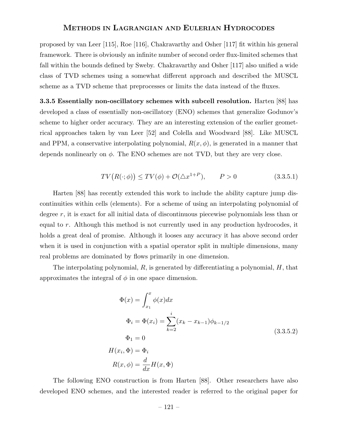proposed by van Leer [115], Roe [116], Chakravarthy and Osher [117] fit within his general framework. There is obviously an infinite number of second order flux-limited schemes that fall within the bounds defined by Sweby. Chakravarthy and Osher [117] also unified a wide class of TVD schemes using a somewhat different approach and described the MUSCL scheme as a TVD scheme that preprocesses or limits the data instead of the fluxes.

**3.3.5 Essentially non-oscillatory schemes with subcell resolution.** Harten [88] has developed a class of essentially non-oscillatory (ENO) schemes that generalize Godunov's scheme to higher order accuracy. They are an interesting extension of the earlier geometrical approaches taken by van Leer [52] and Colella and Woodward [88]. Like MUSCL and PPM, a conservative interpolating polynomial,  $R(x, \phi)$ , is generated in a manner that depends nonlinearly on  $\phi$ . The ENO schemes are not TVD, but they are very close.

$$
TV(R(\cdot; \phi)) \le TV(\phi) + \mathcal{O}(\triangle x^{1+P}), \qquad P > 0 \tag{3.3.5.1}
$$

Harten [88] has recently extended this work to include the ability capture jump discontinuities within cells (elements). For a scheme of using an interpolating polynomial of degree r, it is exact for all initial data of discontinuous piecewise polynomials less than or equal to r. Although this method is not currently used in any production hydrocodes, it holds a great deal of promise. Although it looses any accuracy it has above second order when it is used in conjunction with a spatial operator split in multiple dimensions, many real problems are dominated by flows primarily in one dimension.

The interpolating polynomial,  $R$ , is generated by differentiating a polynomial,  $H$ , that approximates the integral of  $\phi$  in one space dimension.

$$
\Phi(x) = \int_{x_1}^x \phi(x) dx
$$
  
\n
$$
\Phi_i = \Phi(x_i) = \sum_{k=2}^i (x_k - x_{k-1}) \phi_{k-1/2}
$$
  
\n
$$
\Phi_1 = 0
$$
  
\n
$$
H(x_i, \Phi) = \Phi_i
$$
  
\n
$$
R(x, \phi) = \frac{d}{dx} H(x, \Phi)
$$
\n(3.3.5.2)

The following ENO construction is from Harten [88]. Other researchers have also developed ENO schemes, and the interested reader is referred to the original paper for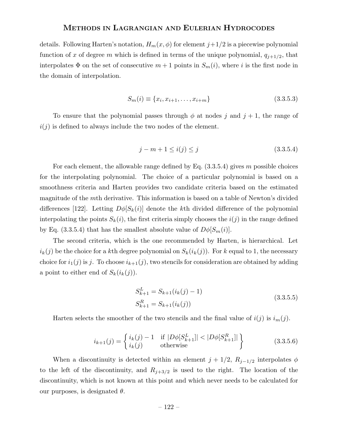details. Following Harten's notation,  $H_m(x, \phi)$  for element  $j+1/2$  is a piecewise polynomial function of x of degree m which is defined in terms of the unique polynomial,  $q_{i+1/2}$ , that interpolates  $\Phi$  on the set of consecutive  $m+1$  points in  $S_m(i)$ , where i is the first node in the domain of interpolation.

$$
S_m(i) \equiv \{x_i, x_{i+1}, \dots, x_{i+m}\}\tag{3.3.5.3}
$$

To ensure that the polynomial passes through  $\phi$  at nodes j and  $j + 1$ , the range of  $i(j)$  is defined to always include the two nodes of the element.

$$
j - m + 1 \le i(j) \le j \tag{3.3.5.4}
$$

For each element, the allowable range defined by Eq.  $(3.3.5.4)$  gives m possible choices for the interpolating polynomial. The choice of a particular polynomial is based on a smoothness criteria and Harten provides two candidate criteria based on the estimated magnitude of the mth derivative. This information is based on a table of Newton's divided differences [122]. Letting  $D\phi[S_k(i)]$  denote the kth divided difference of the polynomial interpolating the points  $S_k(i)$ , the first criteria simply chooses the  $i(j)$  in the range defined by Eq. (3.3.5.4) that has the smallest absolute value of  $D\phi[S_m(i)]$ .

The second criteria, which is the one recommended by Harten, is hierarchical. Let  $i_k(j)$  be the choice for a kth degree polynomial on  $S_k(i_k(j))$ . For k equal to 1, the necessary choice for  $i_1(j)$  is j. To choose  $i_{k+1}(j)$ , two stencils for consideration are obtained by adding a point to either end of  $S_k(i_k(j))$ .

$$
S_{k+1}^{L} = S_{k+1}(i_k(j) - 1)
$$
  
\n
$$
S_{k+1}^{R} = S_{k+1}(i_k(j))
$$
\n(3.3.5.5)

Harten selects the smoother of the two stencils and the final value of  $i(j)$  is  $i_m(j)$ .

$$
i_{k+1}(j) = \begin{cases} i_k(j) - 1 & \text{if } |D\phi[S_{k+1}^L]| < |D\phi[S_{k+1}^R]| \\ i_k(j) & \text{otherwise} \end{cases}
$$
 (3.3.5.6)

When a discontinuity is detected within an element  $j + 1/2$ ,  $R_{j-1/2}$  interpolates  $\phi$ to the left of the discontinuity, and  $R_{j+3/2}$  is used to the right. The location of the discontinuity, which is not known at this point and which never needs to be calculated for our purposes, is designated  $\theta$ .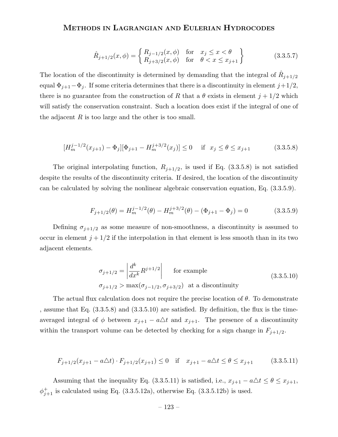$$
\hat{R}_{j+1/2}(x,\phi) = \begin{cases} R_{j-1/2}(x,\phi) & \text{for } x_j \le x < \theta \\ R_{j+3/2}(x,\phi) & \text{for } \theta < x \le x_{j+1} \end{cases}
$$
(3.3.5.7)

The location of the discontinuity is determined by demanding that the integral of  $R_{j+1/2}$ equal  $\Phi_{j+1}-\Phi_j$ . If some criteria determines that there is a discontinuity in element  $j+1/2$ , there is no guarantee from the construction of R that a  $\theta$  exists in element  $j + 1/2$  which will satisfy the conservation constraint. Such a location does exist if the integral of one of the adjacent  $R$  is too large and the other is too small.

$$
[H_m^{j-1/2}(x_{j+1}) - \Phi_j][\Phi_{j+1} - H_m^{j+3/2}(x_j)] \le 0 \quad \text{if} \quad x_j \le \theta \le x_{j+1} \tag{3.3.5.8}
$$

The original interpolating function,  $R_{j+1/2}$ , is used if Eq. (3.3.5.8) is not satisfied despite the results of the discontinuity criteria. If desired, the location of the discontinuity can be calculated by solving the nonlinear algebraic conservation equation, Eq. (3.3.5.9).

$$
F_{j+1/2}(\theta) = H_m^{j-1/2}(\theta) - H_m^{j+3/2}(\theta) - (\Phi_{j+1} - \Phi_j) = 0
$$
\n(3.3.5.9)

Defining  $\sigma_{j+1/2}$  as some measure of non-smoothness, a discontinuity is assumed to occur in element  $j + 1/2$  if the interpolation in that element is less smooth than in its two adjacent elements.

$$
\sigma_{j+1/2} = \left| \frac{d^k}{dx^k} R^{j+1/2} \right| \quad \text{for example}
$$
\n
$$
\sigma_{j+1/2} > \max(\sigma_{j-1/2}, \sigma_{j+3/2}) \quad \text{at a discontinuity}
$$
\n(3.3.5.10)

The actual flux calculation does not require the precise location of  $\theta$ . To demonstrate , assume that Eq. (3.3.5.8) and (3.3.5.10) are satisfied. By definition, the flux is the timeaveraged integral of  $\phi$  between  $x_{j+1} - a\Delta t$  and  $x_{j+1}$ . The presence of a discontinuity within the transport volume can be detected by checking for a sign change in  $F_{j+1/2}$ .

$$
F_{j+1/2}(x_{j+1} - a\triangle t) \cdot F_{j+1/2}(x_{j+1}) \le 0 \quad \text{if} \quad x_{j+1} - a\triangle t \le \theta \le x_{j+1} \tag{3.3.5.11}
$$

Assuming that the inequality Eq. (3.3.5.11) is satisfied, i.e.,  $x_{j+1} - a\Delta t \le \theta \le x_{j+1}$ ,  $\phi_{j+1}^+$  is calculated using Eq. (3.3.5.12a), otherwise Eq. (3.3.5.12b) is used.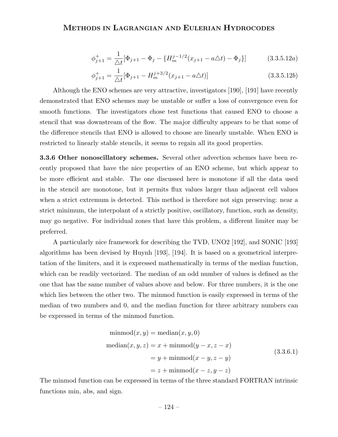$$
\phi_{j+1}^+ = \frac{1}{\triangle t} [\Phi_{j+1} - \Phi_j - \{H_m^{j-1/2}(x_{j+1} - a\triangle t) - \Phi_j\}] \tag{3.3.5.12a}
$$

$$
\phi_{j+1}^+ = \frac{1}{\triangle t} [\Phi_{j+1} - H_m^{j+3/2} (x_{j+1} - a \triangle t)] \tag{3.3.5.12b}
$$

Although the ENO schemes are very attractive, investigators [190], [191] have recently demonstrated that ENO schemes may be unstable or suffer a loss of convergence even for smooth functions. The investigators chose test functions that caused ENO to choose a stencil that was downstream of the flow. The major difficulty appears to be that some of the difference stencils that ENO is allowed to choose are linearly unstable. When ENO is restricted to linearly stable stencils, it seems to regain all its good properties.

**3.3.6 Other nonoscillatory schemes.** Several other advection schemes have been recently proposed that have the nice properties of an ENO scheme, but which appear to be more efficient and stable. The one discussed here is monotone if all the data used in the stencil are monotone, but it permits flux values larger than adjacent cell values when a strict extremum is detected. This method is therefore not sign preserving: near a strict minimum, the interpolant of a strictly positive, oscillatory, function, such as density, may go negative. For individual zones that have this problem, a different limiter may be preferred.

A particularly nice framework for describing the TVD, UNO2 [192], and SONIC [193] algorithms has been devised by Huynh [193], [194]. It is based on a geometrical interpretation of the limiters, and it is expressed mathematically in terms of the median function, which can be readily vectorized. The median of an odd number of values is defined as the one that has the same number of values above and below. For three numbers, it is the one which lies between the other two. The minmod function is easily expressed in terms of the median of two numbers and 0, and the median function for three arbitrary numbers can be expressed in terms of the minmod function.

$$
\begin{aligned}\n\text{minmod}(x, y) &= \text{median}(x, y, 0) \\
\text{median}(x, y, z) &= x + \text{minmod}(y - x, z - x) \\
&= y + \text{minmod}(x - y, z - y) \\
&= z + \text{minmod}(x - z, y - z)\n\end{aligned} \tag{3.3.6.1}
$$

The minmod function can be expressed in terms of the three standard FORTRAN intrinsic functions min, abs, and sign.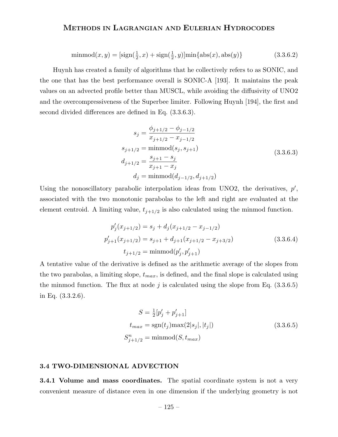$$
\text{minmod}(x, y) = [\text{sign}(\frac{1}{2}, x) + \text{sign}(\frac{1}{2}, y)] \text{min}\{\text{abs}(x), \text{abs}(y)\}\tag{3.3.6.2}
$$

Huynh has created a family of algorithms that he collectively refers to as SONIC, and the one that has the best performance overall is SONIC-A [193]. It maintains the peak values on an advected profile better than MUSCL, while avoiding the diffusivity of UNO2 and the overcompressiveness of the Superbee limiter. Following Huynh [194], the first and second divided differences are defined in Eq. (3.3.6.3).

$$
s_j = \frac{\phi_{j+1/2} - \phi_{j-1/2}}{x_{j+1/2} - x_{j-1/2}}
$$
  
\n
$$
s_{j+1/2} = \text{minmod}(s_j, s_{j+1})
$$
  
\n
$$
d_{j+1/2} = \frac{s_{j+1} - s_j}{x_{j+1} - x_j}
$$
  
\n
$$
d_j = \text{minmod}(d_{j-1/2}, d_{j+1/2})
$$
\n(3.3.6.3)

Using the nonoscillatory parabolic interpolation ideas from UNO2, the derivatives,  $p'$ , associated with the two monotonic parabolas to the left and right are evaluated at the element centroid. A limiting value,  $t_{j+1/2}$  is also calculated using the minmod function.

$$
p'_{j}(x_{j+1/2}) = s_{j} + d_{j}(x_{j+1/2} - x_{j-1/2})
$$
  
\n
$$
p'_{j+1}(x_{j+1/2}) = s_{j+1} + d_{j+1}(x_{j+1/2} - x_{j+3/2})
$$
  
\n
$$
t_{j+1/2} = \text{minmod}(p'_{j}, p'_{j+1})
$$
\n(3.3.6.4)

A tentative value of the derivative is defined as the arithmetic average of the slopes from the two parabolas, a limiting slope,  $t_{max}$ , is defined, and the final slope is calculated using the minmod function. The flux at node j is calculated using the slope from Eq.  $(3.3.6.5)$ in Eq. (3.3.2.6).

$$
S = \frac{1}{2} [p'_j + p'_{j+1}]
$$
  
\n
$$
t_{max} = \text{sgn}(t_j) \text{max}(2|s_j|, |t_j|)
$$
  
\n
$$
S_{j+1/2}^n = \text{minmod}(S, t_{max})
$$
\n(3.3.6.5)

#### **3.4 TWO-DIMENSIONAL ADVECTION**

**3.4.1 Volume and mass coordinates.** The spatial coordinate system is not a very convenient measure of distance even in one dimension if the underlying geometry is not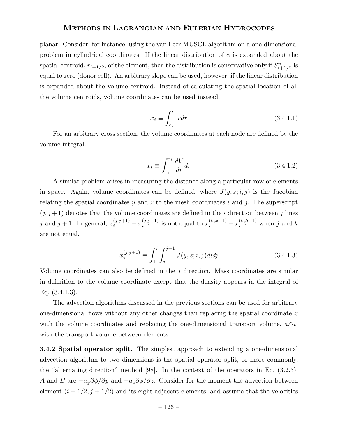planar. Consider, for instance, using the van Leer MUSCL algorithm on a one-dimensional problem in cylindrical coordinates. If the linear distribution of  $\phi$  is expanded about the spatial centroid,  $r_{i+1/2}$ , of the element, then the distribution is conservative only if  $S_{i+1/2}^n$  is equal to zero (donor cell). An arbitrary slope can be used, however, if the linear distribution is expanded about the volume centroid. Instead of calculating the spatial location of all the volume centroids, volume coordinates can be used instead.

$$
x_i \equiv \int_{r_1}^{r_i} r dr \tag{3.4.1.1}
$$

For an arbitrary cross section, the volume coordinates at each node are defined by the volume integral.

$$
x_i \equiv \int_{r_1}^{r_i} \frac{dV}{dr} dr \tag{3.4.1.2}
$$

A similar problem arises in measuring the distance along a particular row of elements in space. Again, volume coordinates can be defined, where  $J(y, z; i, j)$  is the Jacobian relating the spatial coordinates y and z to the mesh coordinates i and j. The superscript  $(j, j + 1)$  denotes that the volume coordinates are defined in the *i* direction between *j* lines j and j + 1. In general,  $x_i^{(j,j+1)} - x_{i-1}^{(j,j+1)}$  is not equal to  $x_i^{(k,k+1)} - x_{i-1}^{(k,k+1)}$  when j and k are not equal.

$$
x_i^{(j,j+1)} \equiv \int_1^i \int_j^{j+1} J(y,z;i,j) \, di\,ij \tag{3.4.1.3}
$$

Volume coordinates can also be defined in the  $j$  direction. Mass coordinates are similar in definition to the volume coordinate except that the density appears in the integral of Eq. (3.4.1.3).

The advection algorithms discussed in the previous sections can be used for arbitrary one-dimensional flows without any other changes than replacing the spatial coordinate  $x$ with the volume coordinates and replacing the one-dimensional transport volume,  $a\Delta t$ , with the transport volume between elements.

**3.4.2 Spatial operator split.** The simplest approach to extending a one-dimensional advection algorithm to two dimensions is the spatial operator split, or more commonly, the "alternating direction" method [98]. In the context of the operators in Eq. (3.2.3), A and B are  $-a_y\partial\phi/\partial y$  and  $-a_z\partial\phi/\partial z$ . Consider for the moment the advection between element  $(i + 1/2, j + 1/2)$  and its eight adjacent elements, and assume that the velocities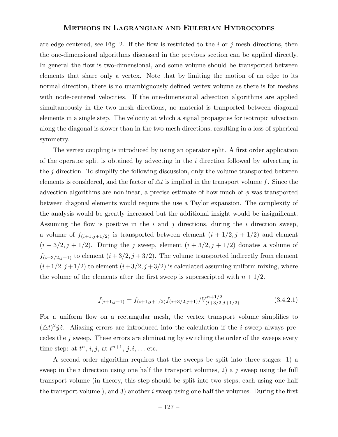are edge centered, see Fig. 2. If the flow is restricted to the  $i$  or  $j$  mesh directions, then the one-dimensional algorithms discussed in the previous section can be applied directly. In general the flow is two-dimensional, and some volume should be transported between elements that share only a vertex. Note that by limiting the motion of an edge to its normal direction, there is no unambiguously defined vertex volume as there is for meshes with node-centered velocities. If the one-dimensional advection algorithms are applied simultaneously in the two mesh directions, no material is tranported between diagonal elements in a single step. The velocity at which a signal propagates for isotropic advection along the diagonal is slower than in the two mesh directions, resulting in a loss of spherical symmetry.

The vertex coupling is introduced by using an operator split. A first order application of the operator split is obtained by advecting in the  $i$  direction followed by advecting in the  $j$  direction. To simplify the following discussion, only the volume transported between elements is considered, and the factor of  $\triangle t$  is implied in the transport volume f. Since the advection algorithms are nonlinear, a precise estimate of how much of  $\phi$  was transported between diagonal elements would require the use a Taylor expansion. The complexity of the analysis would be greatly increased but the additional insight would be insignificant. Assuming the flow is positive in the  $i$  and  $j$  directions, during the  $i$  direction sweep, a volume of  $f_{(i+1,j+1/2)}$  is transported between element  $(i+1/2, j+1/2)$  and element  $(i + 3/2, j + 1/2)$ . During the j sweep, element  $(i + 3/2, j + 1/2)$  donates a volume of  $f_{(i+3/2,j+1)}$  to element  $(i+3/2,j+3/2)$ . The volume transported indirectly from element  $(i+1/2, j+1/2)$  to element  $(i+3/2, j+3/2)$  is calculated assuming uniform mixing, where the volume of the elements after the first sweep is superscripted with  $n + 1/2$ .

$$
f_{(i+1,j+1)} = f_{(i+1,j+1/2)} f_{(i+3/2,j+1)} / V_{(i+3/2,j+1/2)}^{n+1/2}
$$
\n(3.4.2.1)

For a uniform flow on a rectangular mesh, the vertex transport volume simplifies to  $(\triangle t)^2 \dot{y}\dot{z}$ . Aliasing errors are introduced into the calculation if the *i* sweep always precedes the  $j$  sweep. These errors are eliminating by switching the order of the sweeps every time step: at  $t^n$ , i, j, at  $t^{n+1}$ , j, i, ... etc.

A second order algorithm requires that the sweeps be split into three stages: 1) a sweep in the i direction using one half the transport volumes, 2) a j sweep using the full transport volume (in theory, this step should be split into two steps, each using one half the transport volume), and 3) another  $i$  sweep using one half the volumes. During the first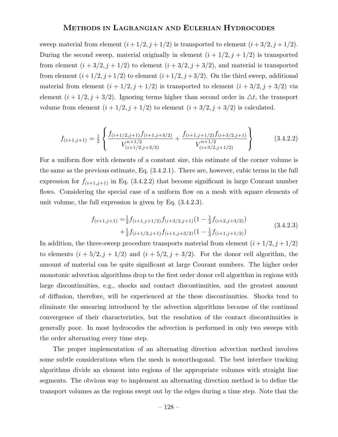sweep material from element  $(i + 1/2, j + 1/2)$  is transported to element  $(i + 3/2, j + 1/2)$ . During the second sweep, material originally in element  $(i + 1/2, j + 1/2)$  is transported from element  $(i + 3/2, j + 1/2)$  to element  $(i + 3/2, j + 3/2)$ , and material is transported from element  $(i+1/2, j+1/2)$  to element  $(i+1/2, j+3/2)$ . On the third sweep, additional material from element  $(i + 1/2, j + 1/2)$  is transported to element  $(i + 3/2, j + 3/2)$  via element  $(i + 1/2, j + 3/2)$ . Ignoring terms higher than second order in  $\triangle t$ , the transport volume from element  $(i + 1/2, j + 1/2)$  to element  $(i + 3/2, j + 3/2)$  is calculated.

$$
f_{(i+1,j+1)} = \frac{1}{2} \left\{ \frac{f_{(i+1/2,j+1)} f_{(i+1,j+3/2)}}{V_{(i+1/2,j+3/2)}^{n+1/2}} + \frac{f_{(i+1,j+1/2)} f_{(i+3/2,j+1)}}{V_{(i+3/2,j+1/2)}^{n+1/2}} \right\}
$$
(3.4.2.2)

For a uniform flow with elements of a constant size, this estimate of the corner volume is the same as the previous estimate, Eq. (3.4.2.1). There are, however, cubic terms in the full expression for  $f_{(i+1,j+1)}$  in Eq. (3.4.2.2) that become significant in large Courant number flows. Considering the special case of a uniform flow on a mesh with square elements of unit volume, the full expression is given by Eq. (3.4.2.3).

$$
f_{(i+1,j+1)} = \frac{1}{2} f_{(i+1,j+1/2)} f_{(i+3/2,j+1)} (1 - \frac{1}{2} f_{(i+2,j+3/2)}) + \frac{1}{2} f_{(i+1/2,j+1)} f_{(i+1,j+3/2)} (1 - \frac{1}{2} f_{(i+1,j+1/2)})
$$
(3.4.2.3)

In addition, the three-sweep procedure transports material from element  $(i+1/2, j+1/2)$ to elements  $(i + 5/2, j + 1/2)$  and  $(i + 5/2, j + 3/2)$ . For the donor cell algorithm, the amount of material can be quite significant at large Courant numbers. The higher order monotonic advection algorithms drop to the first order donor cell algorithm in regions with large discontinuities, e.g., shocks and contact discontinuities, and the greatest amount of diffusion, therefore, will be experienced at the these discontinuities. Shocks tend to eliminate the smearing introduced by the advection algorithms because of the continual convergence of their characteristics, but the resolution of the contact discontinuities is generally poor. In most hydrocodes the advection is performed in only two sweeps with the order alternating every time step.

The proper implementation of an alternating direction advection method involves some subtle considerations when the mesh is nonorthogonal. The best interface tracking algorithms divide an element into regions of the appropriate volumes with straight line segments. The obvious way to implement an alternating direction method is to define the transport volumes as the regions swept out by the edges during a time step. Note that the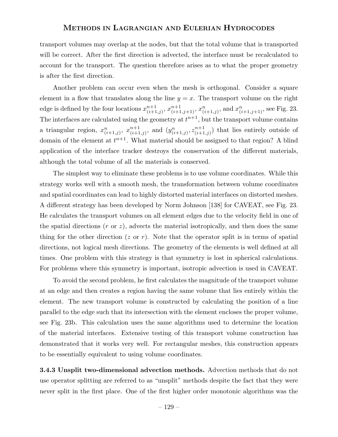transport volumes may overlap at the nodes, but that the total volume that is transported will be correct. After the first direction is advected, the interface must be recalculated to account for the transport. The question therefore arises as to what the proper geometry is after the first direction.

Another problem can occur even when the mesh is orthogonal. Consider a square element in a flow that translates along the line  $y = x$ . The transport volume on the right edge is defined by the four locations  $x_{(i+1,j)}^{n+1}$ ,  $x_{(i+1,j+1)}^{n+1}$ ,  $x_{(i+1,j)}^n$ , and  $x_{(i+1,j+1)}^n$ , see Fig. 23. The interfaces are calculated using the geometry at  $t^{n+1}$ , but the transport volume contains a triangular region,  $x_{(i+1,j)}^n$ ,  $x_{(i+1,j)}^{n+1}$ , and  $(y_{(i+1,j)}^n, z_{(i+1,j)}^{n+1})$  that lies entirely outside of domain of the element at  $t^{n+1}$ . What material should be assigned to that region? A blind application of the interface tracker destroys the conservation of the different materials, although the total volume of all the materials is conserved.

The simplest way to eliminate these problems is to use volume coordinates. While this strategy works well with a smooth mesh, the transformation between volume coordinates and spatial coordinates can lead to highly distorted material interfaces on distorted meshes. A different strategy has been developed by Norm Johnson [138] for CAVEAT, see Fig. 23. He calculates the transport volumes on all element edges due to the velocity field in one of the spatial directions  $(r \text{ or } z)$ , advects the material isotropically, and then does the same thing for the other direction  $(z \text{ or } r)$ . Note that the operator split is in terms of spatial directions, not logical mesh directions. The geometry of the elements is well defined at all times. One problem with this strategy is that symmetry is lost in spherical calculations. For problems where this symmetry is important, isotropic advection is used in CAVEAT.

To avoid the second problem, he first calculates the magnitude of the transport volume at an edge and then creates a region having the same volume that lies entirely within the element. The new transport volume is constructed by calculating the position of a line parallel to the edge such that its intersection with the element encloses the proper volume, see Fig. 23b. This calculation uses the same algorithms used to determine the location of the material interfaces. Extensive testing of this transport volume construction has demonstrated that it works very well. For rectangular meshes, this construction appears to be essentially equivalent to using volume coordinates.

**3.4.3 Unsplit two-dimensional advection methods.** Advection methods that do not use operator splitting are referred to as "unsplit" methods despite the fact that they were never split in the first place. One of the first higher order monotonic algorithms was the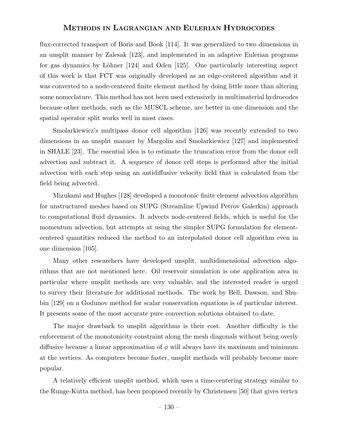flux-corrected transport of Boris and Book [114]. It was generalized to two dimensions in an unsplit manner by Zalesak [123], and implemented in an adaptive Eulerian programs for gas dynamics by Löhner  $[124]$  and Oden  $[125]$ . One particularly interesting aspect of this work is that FCT was originally developed as an edge-centered algorithm and it was converted to a node-centered finite element method by doing little more than altering some nomeclature. This method has not been used extensively in multimaterial hydrocodes because other methods, such as the MUSCL scheme, are better in one dimension and the spatial operator split works well in most cases.

Smolarkiewicz's multipass donor cell algorithm [126] was recently extended to two dimensions in an unsplit manner by Margolin and Smolarkiewicz [127] and implemented in SHALE [23]. The essential idea is to estimate the truncation error from the donor cell advection and subtract it. A sequence of donor cell steps is performed after the initial advection with each step using an antidiffusive velocity field that is calculated from the field being advected.

Mizukami and Hughes [128] developed a monotonic finite element advection algorithm for unstructured meshes based on SUPG (Streamline Upwind Petrov Galerkin) approach to computational fluid dynamics. It advects node-centered fields, which is useful for the momentum advection, but attempts at using the simpler SUPG formulation for elementcentered quantities reduced the method to an interpolated donor cell algorithm even in one dimension [105].

Many other researchers have developed unsplit, multidimensional advection algorithms that are not mentioned here. Oil reservoir simulation is one application area in particular where unsplit methods are very valuable, and the interested reader is urged to survey their literature for additional methods. The work by Bell, Dawson, and Shubin [129] on a Godunov method for scalar conservation equations is of particular interest. It presents some of the most accurate pure convection solutions obtained to date.

The major drawback to unsplit algorithms is their cost. Another difficulty is the enforcement of the monotonicity constraint along the mesh diagonals without being overly diffusive because a linear approximation of  $\phi$  will always have its maximum and minimum at the vertices. As computers become faster, unsplit methods will probably become more popular.

A relatively efficient unsplit method, which uses a time-centering strategy similar to the Runge-Kutta method, has been proposed recently by Christensen [50] that gives vertex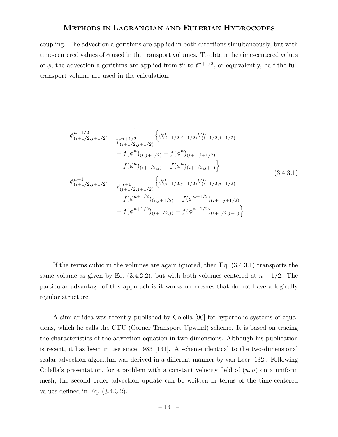coupling. The advection algorithms are applied in both directions simultaneously, but with time-centered values of  $\phi$  used in the transport volumes. To obtain the time-centered values of  $\phi$ , the advection algorithms are applied from  $t^n$  to  $t^{n+1/2}$ , or equivalently, half the full transport volume are used in the calculation.

$$
\phi_{(i+1/2,j+1/2)}^{n+1/2} = \frac{1}{V_{(i+1/2,j+1/2)}^{n+1/2}} \left\{ \phi_{(i+1/2,j+1/2)}^n V_{(i+1/2,j+1/2)}^n + f(\phi^n)_{(i,j+1/2)} - f(\phi^n)_{(i+1,j+1/2)} \right.\n+ f(\phi^n)_{(i+1/2,j)} - f(\phi^n)_{(i+1/2,j+1)} \left\}
$$
\n
$$
\phi_{(i+1/2,j+1/2)}^{n+1} = \frac{1}{V_{(i+1/2,j+1/2)}^{n+1}} \left\{ \phi_{(i+1/2,j+1/2)}^n V_{(i+1/2,j+1/2)}^n + f(\phi^{n+1/2})_{(i,j+1/2)} - f(\phi^{n+1/2})_{(i+1,j+1/2)} + f(\phi^{n+1/2})_{(i+1/2,j)} - f(\phi^{n+1/2})_{(i+1/2,j+1)} \right\}
$$
\n(3.4.3.1)

If the terms cubic in the volumes are again ignored, then Eq. (3.4.3.1) transports the same volume as given by Eq.  $(3.4.2.2)$ , but with both volumes centered at  $n + 1/2$ . The particular advantage of this approach is it works on meshes that do not have a logically regular structure.

A similar idea was recently published by Colella [90] for hyperbolic systems of equations, which he calls the CTU (Corner Transport Upwind) scheme. It is based on tracing the characteristics of the advection equation in two dimensions. Although his publication is recent, it has been in use since 1983 [131]. A scheme identical to the two-dimensional scalar advection algorithm was derived in a different manner by van Leer [132]. Following Colella's presentation, for a problem with a constant velocity field of  $(u, v)$  on a uniform mesh, the second order advection update can be written in terms of the time-centered values defined in Eq. (3.4.3.2).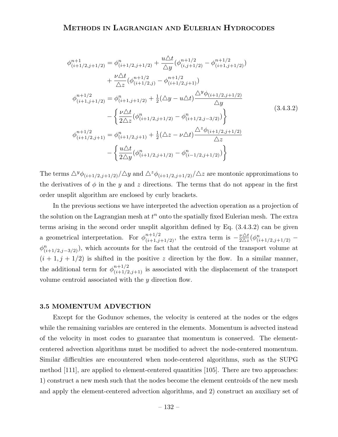$$
\phi_{(i+1/2,j+1/2)}^{n+1} = \phi_{(i+1/2,j+1/2)}^{n} + \frac{u\Delta t}{\Delta y} (\phi_{(i,j+1/2)}^{n+1/2} - \phi_{(i+1,j+1/2)}^{n+1/2})
$$
  
+ 
$$
\frac{\nu\Delta t}{\Delta z} (\phi_{(i+1/2,j)}^{n+1/2} - \phi_{(i+1/2,j+1)}^{n+1/2})
$$
  

$$
\phi_{(i+1,j+1/2)}^{n+1/2} = \phi_{(i+1,j+1/2)}^{n} + \frac{1}{2} (\Delta y - u\Delta t) \frac{\Delta^y \phi_{(i+1/2,j+1/2)}}{\Delta y}
$$
  

$$
- \left\{ \frac{\nu\Delta t}{2\Delta z} (\phi_{(i+1/2,j+1/2)}^n - \phi_{(i+1/2,j-3/2)}^n) \right\}
$$
  

$$
\phi_{(i+1/2,j+1)}^{n+1/2} = \phi_{(i+1/2,j+1)}^n + \frac{1}{2} (\Delta z - \nu\Delta t) \frac{\Delta^z \phi_{(i+1/2,j+1/2)}}{\Delta z}
$$
  

$$
- \left\{ \frac{u\Delta t}{2\Delta y} (\phi_{(i+1/2,j+1/2)}^n - \phi_{(i-1/2,j+1/2)}^n) \right\}
$$
 (3.4.3.2)

The terms  $\Delta^y \phi_{(i+1/2,j+1/2)}/\Delta y$  and  $\Delta^z \phi_{(i+1/2,j+1/2)}/\Delta z$  are montonic approximations to the derivatives of  $\phi$  in the y and z directions. The terms that do not appear in the first order unsplit algorithm are enclosed by curly brackets.

In the previous sections we have interpreted the advection operation as a projection of the solution on the Lagrangian mesh at  $t^n$  onto the spatially fixed Eulerian mesh. The extra terms arising in the second order unsplit algorithm defined by Eq. (3.4.3.2) can be given a geometrical interpretation. For  $\phi_{(i+1,j+1/2)}^{n+1/2}$ , the extra term is  $-\frac{\nu \Delta t}{2\Delta z}(\phi_{(i+1/2,j+1/2)}^n \phi_{(i+1/2,j-3/2)}^n$ , which accounts for the fact that the centroid of the transport volume at  $(i + 1, j + 1/2)$  is shifted in the positive z direction by the flow. In a similar manner, the additional term for  $\phi^{n+1/2}_{(i+1/2,j+1)}$  is associated with the displacement of the transport volume centroid associated with the y direction flow.

#### **3.5 MOMENTUM ADVECTION**

Except for the Godunov schemes, the velocity is centered at the nodes or the edges while the remaining variables are centered in the elements. Momentum is advected instead of the velocity in most codes to guarantee that momentum is conserved. The elementcentered advection algorithms must be modified to advect the node-centered momentum. Similar difficulties are encountered when node-centered algorithms, such as the SUPG method [111], are applied to element-centered quantities [105]. There are two approaches: 1) construct a new mesh such that the nodes become the element centroids of the new mesh and apply the element-centered advection algorithms, and 2) construct an auxiliary set of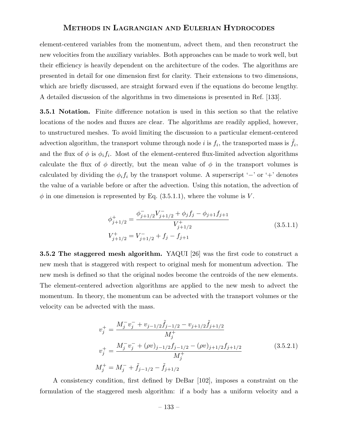element-centered variables from the momentum, advect them, and then reconstruct the new velocities from the auxiliary variables. Both approaches can be made to work well, but their efficiency is heavily dependent on the architecture of the codes. The algorithms are presented in detail for one dimension first for clarity. Their extensions to two dimensions, which are briefly discussed, are straight forward even if the equations do become lengthy. A detailed discussion of the algorithms in two dimensions is presented in Ref. [133].

**3.5.1 Notation.** Finite difference notation is used in this section so that the relative locations of the nodes and fluxes are clear. The algorithms are readily applied, however, to unstructured meshes. To avoid limiting the discussion to a particular element-centered advection algorithm, the transport volume through node i is  $f_i$ , the transported mass is  $f_i$ , and the flux of  $\phi$  is  $\phi_i f_i$ . Most of the element-centered flux-limited advection algorithms calculate the flux of  $\phi$  directly, but the mean value of  $\phi$  in the transport volumes is calculated by dividing the  $\phi_i f_i$  by the transport volume. A superscript '−' or '+' denotes the value of a variable before or after the advection. Using this notation, the advection of  $\phi$  in one dimension is represented by Eq. (3.5.1.1), where the volume is V.

$$
\phi_{j+1/2}^{+} = \frac{\phi_{j+1/2}^{-} V_{j+1/2}^{-} + \phi_j f_j - \phi_{j+1} f_{j+1}}{V_{j+1/2}^{+}}
$$
\n
$$
V_{j+1/2}^{+} = V_{j+1/2}^{-} + f_j - f_{j+1}
$$
\n(3.5.1.1)

**3.5.2 The staggered mesh algorithm.** YAQUI [26] was the first code to construct a new mesh that is staggered with respect to original mesh for momentum advection. The new mesh is defined so that the original nodes become the centroids of the new elements. The element-centered advection algorithms are applied to the new mesh to advect the momentum. In theory, the momentum can be advected with the transport volumes or the velocity can be advected with the mass.

$$
v_j^+ = \frac{M_j^- v_j^- + v_{j-1/2} \tilde{f}_{j-1/2} - v_{j+1/2} \tilde{f}_{j+1/2}}{M_j^+}
$$
  
\n
$$
v_j^+ = \frac{M_j^- v_j^- + (\rho v)_{j-1/2} f_{j-1/2} - (\rho v)_{j+1/2} f_{j+1/2}}{M_j^+}
$$
  
\n
$$
M_j^+ = M_j^- + \tilde{f}_{j-1/2} - \tilde{f}_{j+1/2}
$$
\n(3.5.2.1)

A consistency condition, first defined by DeBar [102], imposes a constraint on the formulation of the staggered mesh algorithm: if a body has a uniform velocity and a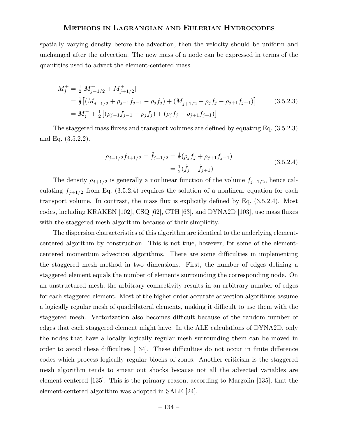spatially varying density before the advection, then the velocity should be uniform and unchanged after the advection. The new mass of a node can be expressed in terms of the quantities used to advect the element-centered mass.

$$
M_j^+ = \frac{1}{2} [M_{j-1/2}^+ + M_{j+1/2}^+]
$$
  
=  $\frac{1}{2} [(M_{j-1/2}^- + \rho_{j-1} f_{j-1} - \rho_j f_j) + (M_{j+1/2}^- + \rho_j f_j - \rho_{j+1} f_{j+1})]$  (3.5.2.3)  
=  $M_j^- + \frac{1}{2} [(\rho_{j-1} f_{j-1} - \rho_j f_j) + (\rho_j f_j - \rho_{j+1} f_{j+1})]$ 

The staggered mass fluxes and transport volumes are defined by equating Eq. (3.5.2.3) and Eq. (3.5.2.2).

$$
\rho_{j+1/2} f_{j+1/2} = \tilde{f}_{j+1/2} = \frac{1}{2} (\rho_j f_j + \rho_{j+1} f_{j+1})
$$
  
=  $\frac{1}{2} (\tilde{f}_j + \tilde{f}_{j+1})$  (3.5.2.4)

The density  $\rho_{j+1/2}$  is generally a nonlinear function of the volume  $f_{j+1/2}$ , hence calculating  $f_{j+1/2}$  from Eq. (3.5.2.4) requires the solution of a nonlinear equation for each transport volume. In contrast, the mass flux is explicitly defined by Eq. (3.5.2.4). Most codes, including KRAKEN [102], CSQ [62], CTH [63], and DYNA2D [103], use mass fluxes with the staggered mesh algorithm because of their simplicity.

The dispersion characteristics of this algorithm are identical to the underlying elementcentered algorithm by construction. This is not true, however, for some of the elementcentered momentum advection algorithms. There are some difficulties in implementing the staggered mesh method in two dimensions. First, the number of edges defining a staggered element equals the number of elements surrounding the corresponding node. On an unstructured mesh, the arbitrary connectivity results in an arbitrary number of edges for each staggered element. Most of the higher order accurate advection algorithms assume a logically regular mesh of quadrilateral elements, making it difficult to use them with the staggered mesh. Vectorization also becomes difficult because of the random number of edges that each staggered element might have. In the ALE calculations of DYNA2D, only the nodes that have a locally logically regular mesh surrounding them can be moved in order to avoid these difficulties [134]. These difficulties do not occur in finite difference codes which process logically regular blocks of zones. Another criticism is the staggered mesh algorithm tends to smear out shocks because not all the advected variables are element-centered [135]. This is the primary reason, according to Margolin [135], that the element-centered algorithm was adopted in SALE [24].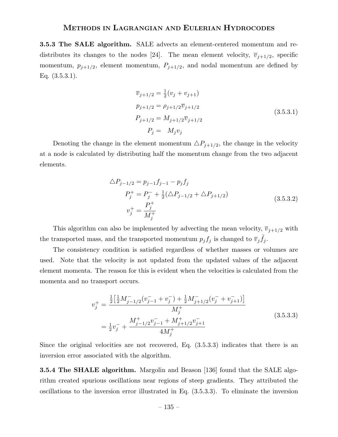**3.5.3 The SALE algorithm.** SALE advects an element-centered momentum and redistributes its changes to the nodes [24]. The mean element velocity,  $\overline{v}_{i+1/2}$ , specific momentum,  $p_{j+1/2}$ , element momentum,  $P_{j+1/2}$ , and nodal momentum are defined by Eq. (3.5.3.1).

$$
\overline{v}_{j+1/2} = \frac{1}{2} (v_j + v_{j+1})
$$
  
\n
$$
p_{j+1/2} = \rho_{j+1/2} \overline{v}_{j+1/2}
$$
  
\n
$$
P_{j+1/2} = M_{j+1/2} \overline{v}_{j+1/2}
$$
  
\n
$$
P_j = M_j v_j
$$
\n(3.5.3.1)

Denoting the change in the element momentum  $\Delta P_{j+1/2}$ , the change in the velocity at a node is calculated by distributing half the momentum change from the two adjacent elements.

$$
\Delta P_{j-1/2} = p_{j-1} f_{j-1} - p_j f_j
$$
  
\n
$$
P_j^+ = P_j^- + \frac{1}{2} (\Delta P_{j-1/2} + \Delta P_{j+1/2})
$$
  
\n
$$
v_j^+ = \frac{P_j^+}{M_j^+}
$$
\n(3.5.3.2)

This algorithm can also be implemented by advecting the mean velocity,  $\overline{v}_{j+1/2}$  with the transported mass, and the transported momentum  $p_j f_j$  is changed to  $\overline{v}_j f_j$ .

The consistency condition is satisfied regardless of whether masses or volumes are used. Note that the velocity is not updated from the updated values of the adjacent element momenta. The reason for this is evident when the velocities is calculated from the momenta and no transport occurs.

$$
v_j^+ = \frac{\frac{1}{2} \left[ \frac{1}{2} M_{j-1/2}^- (v_{j-1}^- + v_j^-) + \frac{1}{2} M_{j+1/2}^- (v_j^- + v_{j+1}^-) \right]}{M_j^+}
$$
  
=  $\frac{1}{2} v_j^- + \frac{M_{j-1/2}^+ v_{j-1}^- + M_{j+1/2}^+ v_{j+1}^-}{4M_j^+}$  (3.5.3.3)

Since the original velocities are not recovered, Eq. (3.5.3.3) indicates that there is an inversion error associated with the algorithm.

**3.5.4 The SHALE algorithm.** Margolin and Beason [136] found that the SALE algorithm created spurious oscillations near regions of steep gradients. They attributed the oscillations to the inversion error illustrated in Eq. (3.5.3.3). To eliminate the inversion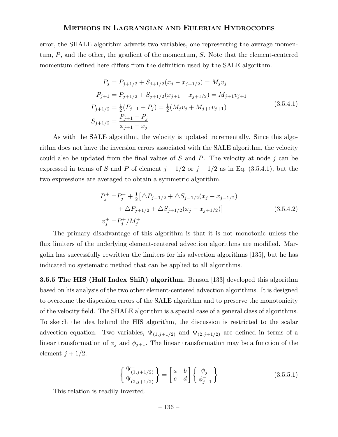error, the SHALE algorithm advects two variables, one representing the average momentum, P, and the other, the gradient of the momentum, S. Note that the element-centered momentum defined here differs from the definition used by the SALE algorithm.

$$
P_j = P_{j+1/2} + S_{j+1/2}(x_j - x_{j+1/2}) = M_j v_j
$$
  
\n
$$
P_{j+1} = P_{j+1/2} + S_{j+1/2}(x_{j+1} - x_{j+1/2}) = M_{j+1} v_{j+1}
$$
  
\n
$$
P_{j+1/2} = \frac{1}{2}(P_{j+1} + P_j) = \frac{1}{2}(M_j v_j + M_{j+1} v_{j+1})
$$
  
\n
$$
S_{j+1/2} = \frac{P_{j+1} - P_j}{x_{j+1} - x_j}
$$
\n(3.5.4.1)

As with the SALE algorithm, the velocity is updated incrementally. Since this algorithm does not have the inversion errors associated with the SALE algorithm, the velocity could also be updated from the final values of  $S$  and  $P$ . The velocity at node  $j$  can be expressed in terms of S and P of element  $j + 1/2$  or  $j - 1/2$  as in Eq. (3.5.4.1), but the two expressions are averaged to obtain a symmetric algorithm.

$$
P_j^+ = P_j^- + \frac{1}{2} \left[ \Delta P_{j-1/2} + \Delta S_{j-1/2} (x_j - x_{j-1/2}) + \Delta P_{j+1/2} + \Delta S_{j+1/2} (x_j - x_{j+1/2}) \right]
$$
\n
$$
v_j^+ = P_j^+ / M_j^+ \tag{3.5.4.2}
$$

The primary disadvantage of this algorithm is that it is not monotonic unless the flux limiters of the underlying element-centered advection algorithms are modified. Margolin has successfully rewritten the limiters for his advection algorithms [135], but he has indicated no systematic method that can be applied to all algorithms.

**3.5.5 The HIS (Half Index Shift) algorithm.** Benson [133] developed this algorithm based on his analysis of the two other element-centered advection algorithms. It is designed to overcome the dispersion errors of the SALE algorithm and to preserve the monotonicity of the velocity field. The SHALE algorithm is a special case of a general class of algorithms. To sketch the idea behind the HIS algorithm, the discussion is restricted to the scalar advection equation. Two variables,  $\Psi_{(1,j+1/2)}$  and  $\Psi_{(2,j+1/2)}$  are defined in terms of a linear transformation of  $\phi_j$  and  $\phi_{j+1}$ . The linear transformation may be a function of the element  $j + 1/2$ .

$$
\begin{Bmatrix}\n\Psi_{(1,j+1/2)}^{-} \\
\Psi_{(2,j+1/2)}^{-}\n\end{Bmatrix} = \begin{bmatrix}\na & b \\
c & d\n\end{bmatrix} \begin{Bmatrix}\n\phi_j^{-} \\
\phi_{j+1}^{-}\n\end{Bmatrix}
$$
\n(3.5.5.1)

This relation is readily inverted.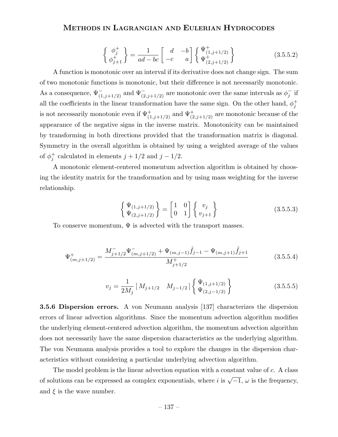$$
\begin{Bmatrix} \phi_j^+ \\ \phi_{j+1}^+ \end{Bmatrix} = \frac{1}{ad - bc} \begin{bmatrix} d & -b \\ -c & a \end{bmatrix} \begin{Bmatrix} \Psi^+_{(1,j+1/2)} \\ \Psi^+_{(2,j+1/2)} \end{Bmatrix}
$$
(3.5.5.2)

A function is monotonic over an interval if its derivative does not change sign. The sum of two monotonic functions is monotonic, but their difference is not necessarily monotonic. As a consequence,  $\Psi^-_{(1,j+1/2)}$  and  $\Psi^-_{(2,j+1/2)}$  are monotonic over the same intervals as  $\phi^-_j$  if all the coefficients in the linear transformation have the same sign. On the other hand,  $\phi_j^+$ is not necessarily monotonic even if  $\Psi^+_{(1,j+1/2)}$  and  $\Psi^+_{(2,j+1/2)}$  are monotonic because of the appearance of the negative signs in the inverse matrix. Monotonicity can be maintained by transforming in both directions provided that the transformation matrix is diagonal. Symmetry in the overall algorithm is obtained by using a weighted average of the values of  $\phi_j^+$  calculated in elements  $j + 1/2$  and  $j - 1/2$ .

A monotonic element-centered momentum advection algorithm is obtained by choosing the identity matrix for the transformation and by using mass weighting for the inverse relationship.

$$
\begin{Bmatrix} \Psi_{(1,j+1/2)} \\ \Psi_{(2,j+1/2)} \end{Bmatrix} = \begin{bmatrix} 1 & 0 \\ 0 & 1 \end{bmatrix} \begin{Bmatrix} v_j \\ v_{j+1} \end{Bmatrix}
$$
\n(3.5.5.3)

To conserve momentum,  $\Psi$  is advected with the transport masses.

$$
\Psi^+_{(m,j+1/2)} = \frac{M^-_{j+1/2}\Psi^-_{(m,j+1/2)} + \Psi_{(m,j-1)}\tilde{f}_{j-1} - \Psi_{(m,j+1)}\tilde{f}_{j+1}}{M^+_{j+1/2}}
$$
(3.5.5.4)

$$
v_j = \frac{1}{2M_j} \left[ M_{j+1/2} \quad M_{j-1/2} \right] \left\{ \frac{\Psi_{(1,j+1/2)}}{\Psi_{(2,j-1/2)}} \right\} \tag{3.5.5.5}
$$

**3.5.6 Dispersion errors.** A von Neumann analysis [137] characterizes the dispersion errors of linear advection algorithms. Since the momentum advection algorithm modifies the underlying element-centered advection algorithm, the momentum advection algorithm does not necessarily have the same dispersion characteristics as the underlying algorithm. The von Neumann analysis provides a tool to explore the changes in the dispersion characteristics without considering a particular underlying advection algorithm.

The model problem is the linear advection equation with a constant value of c. A class of solutions can be expressed as complex exponentials, where i is  $\sqrt{-1}$ ,  $\omega$  is the frequency, and  $\xi$  is the wave number.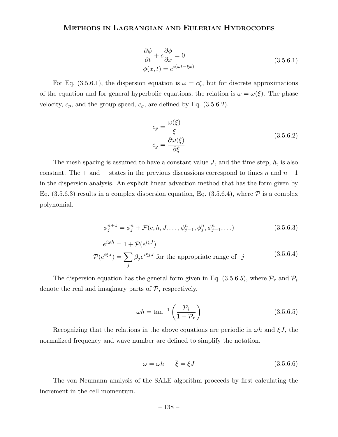$$
\frac{\partial \phi}{\partial t} + c \frac{\partial \phi}{\partial x} = 0
$$
  
\n
$$
\phi(x, t) = e^{i(\omega t - \xi x)}
$$
\n(3.5.6.1)

For Eq. (3.5.6.1), the dispersion equation is  $\omega = c\xi$ , but for discrete approximations of the equation and for general hyperbolic equations, the relation is  $\omega = \omega(\xi)$ . The phase velocity,  $c_p$ , and the group speed,  $c_g$ , are defined by Eq. (3.5.6.2).

$$
c_p = \frac{\omega(\xi)}{\xi}
$$
  
\n
$$
c_g = \frac{\partial \omega(\xi)}{\partial \xi}
$$
\n(3.5.6.2)

The mesh spacing is assumed to have a constant value  $J$ , and the time step,  $h$ , is also constant. The + and  $-$  states in the previous discussions correspond to times n and  $n+1$ in the dispersion analysis. An explicit linear advection method that has the form given by Eq.  $(3.5.6.3)$  results in a complex dispersion equation, Eq.  $(3.5.6.4)$ , where  $P$  is a complex polynomial.

$$
\phi_j^{n+1} = \phi_j^n + \mathcal{F}(c, h, J, \dots, \phi_{j-1}^n, \phi_j^n, \phi_{j+1}^n, \dots)
$$
\n(3.5.6.3)

$$
e^{i\omega h} = 1 + \mathcal{P}(e^{i\xi J})
$$
  

$$
\mathcal{P}(e^{i\xi J}) = \sum_{j} \beta_j e^{i\xi j J} \text{ for the appropriate range of } j \qquad (3.5.6.4)
$$

The dispersion equation has the general form given in Eq. (3.5.6.5), where  $P_r$  and  $P_i$ denote the real and imaginary parts of  $P$ , respectively.

$$
\omega h = \tan^{-1}\left(\frac{\mathcal{P}_i}{1 + \mathcal{P}_r}\right) \tag{3.5.6.5}
$$

Recognizing that the relations in the above equations are periodic in  $\omega h$  and  $\xi J$ , the normalized frequency and wave number are defined to simplify the notation.

$$
\overline{\omega} = \omega h \qquad \overline{\xi} = \xi J \tag{3.5.6.6}
$$

The von Neumann analysis of the SALE algorithm proceeds by first calculating the increment in the cell momentum.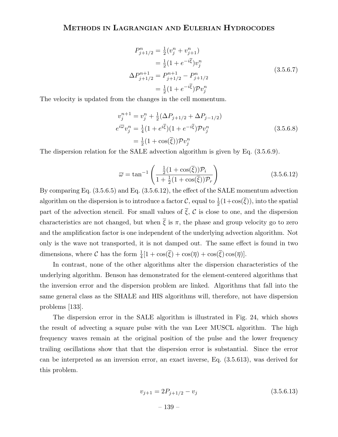$$
P_{j+1/2}^{n} = \frac{1}{2} (v_j^{n} + v_{j+1}^{n})
$$
  
\n
$$
= \frac{1}{2} (1 + e^{-i\overline{\xi}}) v_j^{n}
$$
  
\n
$$
\Delta P_{j+1/2}^{n+1} = P_{j+1/2}^{n+1} - P_{j+1/2}^{n}
$$
  
\n
$$
= \frac{1}{2} (1 + e^{-i\overline{\xi}}) \mathcal{P} v_j^{n}
$$
  
\n(3.5.6.7)

The velocity is updated from the changes in the cell momentum.

$$
v_j^{n+1} = v_j^n + \frac{1}{2} (\Delta P_{j+1/2} + \Delta P_{j-1/2})
$$
  
\n
$$
e^{i\overline{\omega}} v_j^n = \frac{1}{4} (1 + e^{i\overline{\xi}}) (1 + e^{-i\overline{\xi}}) \mathcal{P} v_j^n
$$
  
\n
$$
= \frac{1}{2} (1 + \cos(\overline{\xi})) \mathcal{P} v_j^n
$$
\n(3.5.6.8)

The dispersion relation for the SALE advection algorithm is given by Eq. (3.5.6.9).

$$
\overline{\omega} = \tan^{-1} \left( \frac{\frac{1}{2} (1 + \cos(\overline{\xi})) \mathcal{P}_i}{1 + \frac{1}{2} (1 + \cos(\overline{\xi})) \mathcal{P}_r} \right) \tag{3.5.6.12}
$$

By comparing Eq. (3.5.6.5) and Eq. (3.5.6.12), the effect of the SALE momentum advection algorithm on the dispersion is to introduce a factor  $C$ , equal to  $\frac{1}{2}(1+\cos(\overline{\xi}))$ , into the spatial part of the advection stencil. For small values of  $\overline{\xi}$ , C is close to one, and the dispersion characteristics are not changed, but when  $\overline{\xi}$  is  $\pi$ , the phase and group velocity go to zero and the amplification factor is one independent of the underlying advection algorithm. Not only is the wave not transported, it is not damped out. The same effect is found in two dimensions, where C has the form  $\frac{1}{4}[1 + \cos(\overline{\xi}) + \cos(\overline{\eta}) + \cos(\overline{\xi})\cos(\overline{\eta})]$ .

In contrast, none of the other algorithms alter the dispersion characteristics of the underlying algorithm. Benson has demonstrated for the element-centered algorithms that the inversion error and the dispersion problem are linked. Algorithms that fall into the same general class as the SHALE and HIS algorithms will, therefore, not have dispersion problems [133].

The dispersion error in the SALE algorithm is illustrated in Fig. 24, which shows the result of advecting a square pulse with the van Leer MUSCL algorithm. The high frequency waves remain at the original position of the pulse and the lower frequency trailing oscillations show that that the dispersion error is substantial. Since the error can be interpreted as an inversion error, an exact inverse, Eq. (3.5.613), was derived for this problem.

$$
v_{j+1} = 2P_{j+1/2} - v_j \tag{3.5.6.13}
$$

$$
-139-
$$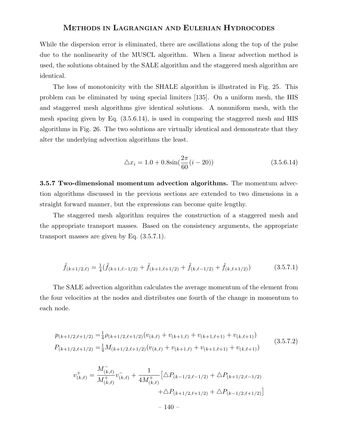While the dispersion error is eliminated, there are oscillations along the top of the pulse due to the nonlinearity of the MUSCL algorithm. When a linear advection method is used, the solutions obtained by the SALE algorithm and the staggered mesh algorithm are identical.

The loss of monotonicity with the SHALE algorithm is illustrated in Fig. 25. This problem can be eliminated by using special limiters [135]. On a uniform mesh, the HIS and staggered mesh algorithms give identical solutions. A nonuniform mesh, with the mesh spacing given by Eq. (3.5.6.14), is used in comparing the staggered mesh and HIS algorithms in Fig. 26. The two solutions are virtually identical and demonstrate that they alter the underlying advection algorithms the least.

$$
\triangle x_i = 1.0 + 0.8 \sin(\frac{2\pi}{60}(i - 20))
$$
\n(3.5.6.14)

**3.5.7 Two-dimensional momentum advection algorithms.** The momentum advection algorithms discussed in the previous sections are extended to two dimensions in a straight forward manner, but the expressions can become quite lengthy.

The staggered mesh algorithm requires the construction of a staggered mesh and the appropriate transport masses. Based on the consistency arguments, the appropriate transport masses are given by Eq. (3.5.7.1).

$$
\tilde{f}_{(k+1/2,\ell)} = \frac{1}{4}(\tilde{f}_{(k+1,\ell-1/2)} + \tilde{f}_{(k+1,\ell+1/2)} + \tilde{f}_{(k,\ell-1/2)} + \tilde{f}_{(k,\ell+1/2)})
$$
\n(3.5.7.1)

The SALE advection algorithm calculates the average momentum of the element from the four velocities at the nodes and distributes one fourth of the change in momentum to each node.

$$
p_{(k+1/2,\ell+1/2)} = \frac{1}{4} \rho_{(k+1/2,\ell+1/2)} (v_{(k,\ell)} + v_{(k+1,\ell)} + v_{(k+1,\ell+1)} + v_{(k,\ell+1)})
$$
  
\n
$$
P_{(k+1/2,\ell+1/2)} = \frac{1}{4} M_{(k+1/2,\ell+1/2)} (v_{(k,\ell)} + v_{(k+1,\ell)} + v_{(k+1,\ell+1)} + v_{(k,\ell+1)})
$$
\n(3.5.7.2)

$$
v_{(k,\ell)}^{+} = \frac{M_{(k,\ell)}^{-}}{M_{(k,\ell)}^{+}} v_{(k,\ell)}^{-} + \frac{1}{4M_{(k,\ell)}^{+}} \left[ \Delta P_{(k-1/2,\ell-1/2)} + \Delta P_{(k+1/2,\ell-1/2)} + \Delta P_{(k-1/2,\ell+1/2)} \right]
$$
  
- 140 -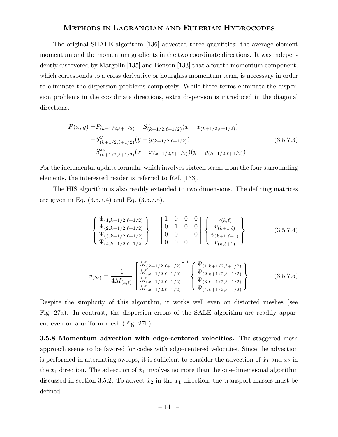The original SHALE algorithm [136] advected three quantities: the average element momentum and the momentum gradients in the two coordinate directions. It was independently discovered by Margolin [135] and Benson [133] that a fourth momentum component, which corresponds to a cross derivative or hourglass momentum term, is necessary in order to eliminate the dispersion problems completely. While three terms eliminate the dispersion problems in the coordinate directions, extra dispersion is introduced in the diagonal directions.

$$
P(x,y) = P_{(k+1/2,\ell+1/2)} + S_{(k+1/2,\ell+1/2)}^x(x - x_{(k+1/2,\ell+1/2)})
$$
  
+
$$
S_{(k+1/2,\ell+1/2)}^y(y - y_{(k+1/2,\ell+1/2)})
$$
  
+
$$
S_{(k+1/2,\ell+1/2)}^x(x - x_{(k+1/2,\ell+1/2)})(y - y_{(k+1/2,\ell+1/2)})
$$
\n(3.5.7.3)

For the incremental update formula, which involves sixteen terms from the four surrounding elements, the interested reader is referred to Ref. [133].

The HIS algorithm is also readily extended to two dimensions. The defining matrices are given in Eq. (3.5.7.4) and Eq. (3.5.7.5).

$$
\begin{Bmatrix}\n\Psi_{(1,k+1/2,\ell+1/2)} \\
\Psi_{(2,k+1/2,\ell+1/2)} \\
\Psi_{(3,k+1/2,\ell+1/2)} \\
\Psi_{(4,k+1/2,\ell+1/2)}\n\end{Bmatrix} = \begin{bmatrix}\n1 & 0 & 0 & 0 \\
0 & 1 & 0 & 0 \\
0 & 0 & 1 & 0 \\
0 & 0 & 0 & 1\n\end{bmatrix} \begin{Bmatrix}\nv_{(k,\ell)} \\
v_{(k+1,\ell)} \\
v_{(k+1,\ell+1)} \\
v_{(k,\ell+1)}\n\end{Bmatrix}
$$
\n(3.5.7.4)

$$
v_{(k\ell)} = \frac{1}{4M_{(k,\ell)}} \begin{bmatrix} M_{(k+1/2,\ell+1/2)} \\ M_{(k+1/2,\ell-1/2)} \\ M_{(k-1/2,\ell-1/2)} \\ M_{(k+1/2,\ell-1/2)} \end{bmatrix}^t \begin{Bmatrix} \Psi_{(1,k+1/2,\ell+1/2)} \\ \Psi_{(2,k+1/2,\ell-1/2)} \\ \Psi_{(3,k-1/2,\ell-1/2)} \\ \Psi_{(4,k+1/2,\ell-1/2)} \end{Bmatrix}
$$
(3.5.7.5)

Despite the simplicity of this algorithm, it works well even on distorted meshes (see Fig. 27a). In contrast, the dispersion errors of the SALE algorithm are readily apparent even on a uniform mesh (Fig. 27b).

**3.5.8 Momentum advection with edge-centered velocities.** The staggered mesh approach seems to be favored for codes with edge-centered velocities. Since the advection is performed in alternating sweeps, it is sufficient to consider the advection of  $\dot{x}_1$  and  $\dot{x}_2$  in the  $x_1$  direction. The advection of  $\dot{x}_1$  involves no more than the one-dimensional algorithm discussed in section 3.5.2. To advect  $\dot{x}_2$  in the  $x_1$  direction, the transport masses must be defined.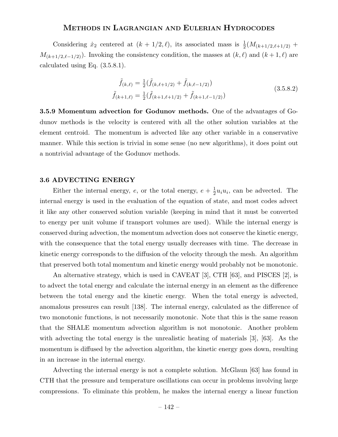Considering  $\dot{x}_2$  centered at  $(k + 1/2, \ell)$ , its associated mass is  $\frac{1}{2}(M_{(k+1/2,\ell+1/2)} +$  $M_{(k+1/2,\ell-1/2)}$ ). Invoking the consistency condition, the masses at  $(k,\ell)$  and  $(k+1,\ell)$  are calculated using Eq. (3.5.8.1).

$$
\tilde{f}_{(k,\ell)} = \frac{1}{2} (\tilde{f}_{(k,\ell+1/2)} + \tilde{f}_{(k,\ell-1/2)})
$$
\n
$$
\tilde{f}_{(k+1,\ell)} = \frac{1}{2} (\tilde{f}_{(k+1,\ell+1/2)} + \tilde{f}_{(k+1,\ell-1/2)})
$$
\n(3.5.8.2)

**3.5.9 Momentum advection for Godunov methods.** One of the advantages of Godunov methods is the velocity is centered with all the other solution variables at the element centroid. The momentum is advected like any other variable in a conservative manner. While this section is trivial in some sense (no new algorithms), it does point out a nontrivial advantage of the Godunov methods.

#### **3.6 ADVECTING ENERGY**

Either the internal energy, e, or the total energy,  $e + \frac{1}{2}u_iu_i$ , can be advected. The internal energy is used in the evaluation of the equation of state, and most codes advect it like any other conserved solution variable (keeping in mind that it must be converted to energy per unit volume if transport volumes are used). While the internal energy is conserved during advection, the momentum advection does not conserve the kinetic energy, with the consequence that the total energy usually decreases with time. The decrease in kinetic energy corresponds to the diffusion of the velocity through the mesh. An algorithm that preserved both total momentum and kinetic energy would probably not be monotonic.

An alternative strategy, which is used in CAVEAT [3], CTH [63], and PISCES [2], is to advect the total energy and calculate the internal energy in an element as the difference between the total energy and the kinetic energy. When the total energy is advected, anomalous pressures can result [138]. The internal energy, calculated as the difference of two monotonic functions, is not necessarily monotonic. Note that this is the same reason that the SHALE momentum advection algorithm is not monotonic. Another problem with advecting the total energy is the unrealistic heating of materials [3], [63]. As the momentum is diffused by the advection algorithm, the kinetic energy goes down, resulting in an increase in the internal energy.

Advecting the internal energy is not a complete solution. McGlaun [63] has found in CTH that the pressure and temperature oscillations can occur in problems involving large compressions. To eliminate this problem, he makes the internal energy a linear function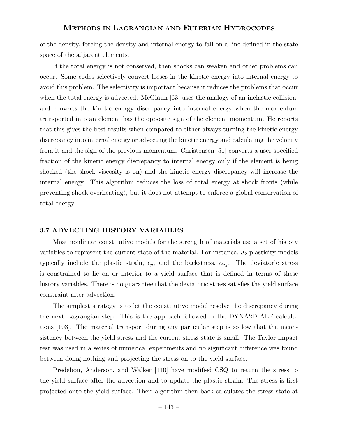of the density, forcing the density and internal energy to fall on a line defined in the state space of the adjacent elements.

If the total energy is not conserved, then shocks can weaken and other problems can occur. Some codes selectively convert losses in the kinetic energy into internal energy to avoid this problem. The selectivity is important because it reduces the problems that occur when the total energy is advected. McGlaun [63] uses the analogy of an inelastic collision, and converts the kinetic energy discrepancy into internal energy when the momentum transported into an element has the opposite sign of the element momentum. He reports that this gives the best results when compared to either always turning the kinetic energy discrepancy into internal energy or advecting the kinetic energy and calculating the velocity from it and the sign of the previous momentum. Christensen [51] converts a user-specified fraction of the kinetic energy discrepancy to internal energy only if the element is being shocked (the shock viscosity is on) and the kinetic energy discrepancy will increase the internal energy. This algorithm reduces the loss of total energy at shock fronts (while preventing shock overheating), but it does not attempt to enforce a global conservation of total energy.

#### **3.7 ADVECTING HISTORY VARIABLES**

Most nonlinear constitutive models for the strength of materials use a set of history variables to represent the current state of the material. For instance,  $J_2$  plasticity models typically include the plastic strain,  $\epsilon_p$ , and the backstress,  $\alpha_{ij}$ . The deviatoric stress is constrained to lie on or interior to a yield surface that is defined in terms of these history variables. There is no guarantee that the deviatoric stress satisfies the yield surface constraint after advection.

The simplest strategy is to let the constitutive model resolve the discrepancy during the next Lagrangian step. This is the approach followed in the DYNA2D ALE calculations [103]. The material transport during any particular step is so low that the inconsistency between the yield stress and the current stress state is small. The Taylor impact test was used in a series of numerical experiments and no significant difference was found between doing nothing and projecting the stress on to the yield surface.

Predebon, Anderson, and Walker [110] have modified CSQ to return the stress to the yield surface after the advection and to update the plastic strain. The stress is first projected onto the yield surface. Their algorithm then back calculates the stress state at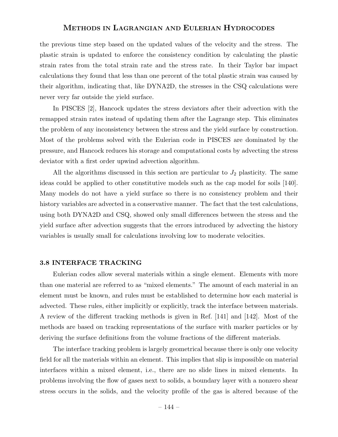the previous time step based on the updated values of the velocity and the stress. The plastic strain is updated to enforce the consistency condition by calculating the plastic strain rates from the total strain rate and the stress rate. In their Taylor bar impact calculations they found that less than one percent of the total plastic strain was caused by their algorithm, indicating that, like DYNA2D, the stresses in the CSQ calculations were never very far outside the yield surface.

In PISCES [2], Hancock updates the stress deviators after their advection with the remapped strain rates instead of updating them after the Lagrange step. This eliminates the problem of any inconsistency between the stress and the yield surface by construction. Most of the problems solved with the Eulerian code in PISCES are dominated by the pressure, and Hancock reduces his storage and computational costs by advecting the stress deviator with a first order upwind advection algorithm.

All the algorithms discussed in this section are particular to  $J_2$  plasticity. The same ideas could be applied to other constitutive models such as the cap model for soils [140]. Many models do not have a yield surface so there is no consistency problem and their history variables are advected in a conservative manner. The fact that the test calculations, using both DYNA2D and CSQ, showed only small differences between the stress and the yield surface after advection suggests that the errors introduced by advecting the history variables is usually small for calculations involving low to moderate velocities.

#### **3.8 INTERFACE TRACKING**

Eulerian codes allow several materials within a single element. Elements with more than one material are referred to as "mixed elements." The amount of each material in an element must be known, and rules must be established to determine how each material is advected. These rules, either implicitly or explicitly, track the interface between materials. A review of the different tracking methods is given in Ref. [141] and [142]. Most of the methods are based on tracking representations of the surface with marker particles or by deriving the surface definitions from the volume fractions of the different materials.

The interface tracking problem is largely geometrical because there is only one velocity field for all the materials within an element. This implies that slip is impossible on material interfaces within a mixed element, i.e., there are no slide lines in mixed elements. In problems involving the flow of gases next to solids, a boundary layer with a nonzero shear stress occurs in the solids, and the velocity profile of the gas is altered because of the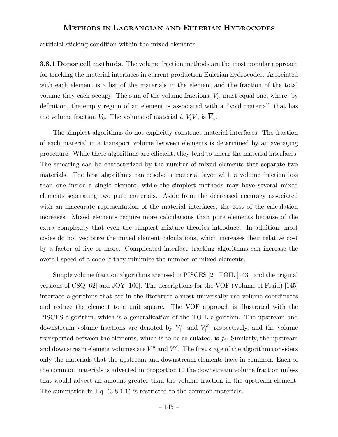artificial sticking condition within the mixed elements.

**3.8.1 Donor cell methods.** The volume fraction methods are the most popular approach for tracking the material interfaces in current production Eulerian hydrocodes. Associated with each element is a list of the materials in the element and the fraction of the total volume they each occupy. The sum of the volume fractions,  $V_i$ , must equal one, where, by definition, the empty region of an element is associated with a "void material" that has the volume fraction  $V_0$ . The volume of material i,  $V_iV$ , is  $V_i$ .

The simplest algorithms do not explicitly construct material interfaces. The fraction of each material in a transport volume between elements is determined by an averaging procedure. While these algorithms are efficient, they tend to smear the material interfaces. The smearing can be characterized by the number of mixed elements that separate two materials. The best algorithms can resolve a material layer with a volume fraction less than one inside a single element, while the simplest methods may have several mixed elements separating two pure materials. Aside from the decreased accuracy associated with an inaccurate representation of the material interfaces, the cost of the calculation increases. Mixed elements require more calculations than pure elements because of the extra complexity that even the simplest mixture theories introduce. In addition, most codes do not vectorize the mixed element calculations, which increases their relative cost by a factor of five or more. Complicated interface tracking algorithms can increase the overall speed of a code if they minimize the number of mixed elements.

Simple volume fraction algorithms are used in PISCES [2], TOIL [143], and the original versions of CSQ [62] and JOY [100]. The descriptions for the VOF (Volume of Fluid) [145] interface algorithms that are in the literature almost universally use volume coordinates and reduce the element to a unit square. The VOF approach is illustrated with the PISCES algorithm, which is a generalization of the TOIL algorithm. The upstream and downstream volume fractions are denoted by  $V_i^u$  and  $V_i^d$ , respectively, and the volume transported between the elements, which is to be calculated, is  $f_i$ . Similarly, the upstream and downstream element volumes are  $V^u$  and  $V^d$ . The first stage of the algorithm considers only the materials that the upstream and downstream elements have in common. Each of the common materials is advected in proportion to the downstream volume fraction unless that would advect an amount greater than the volume fraction in the upstream element. The summation in Eq. (3.8.1.1) is restricted to the common materials.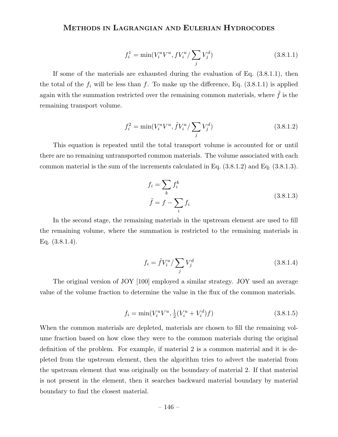$$
f_i^1 = \min(V_i^u V^u, fV_i^u / \sum_j V_j^d)
$$
\n(3.8.1.1)

If some of the materials are exhausted during the evaluation of Eq. (3.8.1.1), then the total of the  $f_i$  will be less than f. To make up the difference, Eq. (3.8.1.1) is applied again with the summation restricted over the remaining common materials, where  $f$  is the remaining transport volume.

$$
f_i^2 = \min(V_i^u V^u, \tilde{f} V_i^u / \sum_j V_j^d)
$$
 (3.8.1.2)

This equation is repeated until the total transport volume is accounted for or until there are no remaining untransported common materials. The volume associated with each common material is the sum of the increments calculated in Eq. (3.8.1.2) and Eq. (3.8.1.3).

$$
f_i = \sum_k f_i^k
$$
  

$$
\tilde{f} = f - \sum_i f_i
$$
 (3.8.1.3)

In the second stage, the remaining materials in the upstream element are used to fill the remaining volume, where the summation is restricted to the remaining materials in Eq. (3.8.1.4).

$$
f_i = \tilde{f}V_i^u / \sum_j V_j^d \tag{3.8.1.4}
$$

The original version of JOY [100] employed a similar strategy. JOY used an average value of the volume fraction to determine the value in the flux of the common materials.

$$
f_i = \min(V_i^u V^u, \frac{1}{2}(V_i^u + V_i^d)f) \tag{3.8.1.5}
$$

When the common materials are depleted, materials are chosen to fill the remaining volume fraction based on how close they were to the common materials during the original definition of the problem. For example, if material 2 is a common material and it is depleted from the upstream element, then the algorithm tries to advect the material from the upstream element that was originally on the boundary of material 2. If that material is not present in the element, then it searches backward material boundary by material boundary to find the closest material.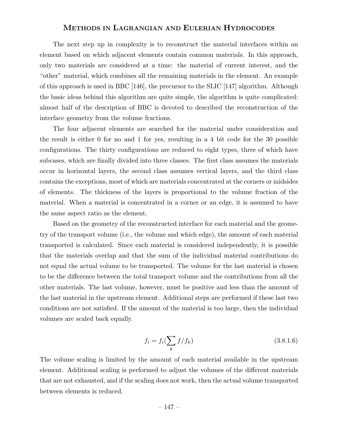The next step up in complexity is to reconstruct the material interfaces within an element based on which adjacent elements contain common materials. In this approach, only two materials are considered at a time: the material of current interest, and the "other" material, which combines all the remaining materials in the element. An example of this approach is used in BBC [146], the precursor to the SLIC [147] algorithm. Although the basic ideas behind this algorithm are quite simple, the algorithm is quite complicated: almost half of the description of BBC is devoted to described the reconstruction of the interface geometry from the volume fractions.

The four adjacent elements are searched for the material under consideration and the result is either 0 for no and 1 for yes, resulting in a 4 bit code for the 30 possible configurations. The thirty configurations are reduced to eight types, three of which have subcases, which are finally divided into three classes. The first class assumes the materials occur in horizontal layers, the second class assumes vertical layers, and the third class contains the exceptions, most of which are materials concentrated at the corners or midsides of elements. The thickness of the layers is proportional to the volume fraction of the material. When a material is concentrated in a corner or an edge, it is assumed to have the same aspect ratio as the element.

Based on the geometry of the reconstructed interface for each material and the geometry of the transport volume (i.e., the volume and which edge), the amount of each material transported is calculated. Since each material is considered independently, it is possible that the materials overlap and that the sum of the individual material contributions do not equal the actual volume to be transported. The volume for the last material is chosen to be the difference between the total transport volume and the contributions from all the other materials. The last volume, however, must be positive and less than the amount of the last material in the upstream element. Additional steps are performed if these last two conditions are not satisfied. If the amount of the material is too large, then the individual volumes are scaled back equally.

$$
f_i = f_i(\sum_k f/f_k) \tag{3.8.1.6}
$$

The volume scaling is limited by the amount of each material available in the upstream element. Additional scaling is performed to adjust the volumes of the different materials that are not exhausted, and if the scaling does not work, then the actual volume transported between elements is reduced.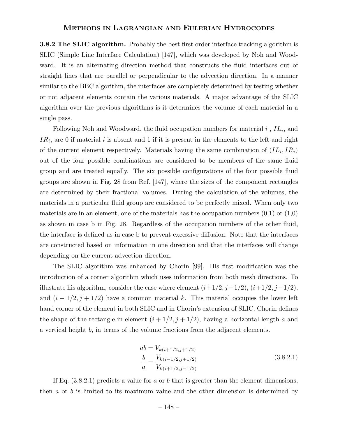**3.8.2 The SLIC algorithm.** Probably the best first order interface tracking algorithm is SLIC (Simple Line Interface Calculation) [147], which was developed by Noh and Woodward. It is an alternating direction method that constructs the fluid interfaces out of straight lines that are parallel or perpendicular to the advection direction. In a manner similar to the BBC algorithm, the interfaces are completely determined by testing whether or not adjacent elements contain the various materials. A major advantage of the SLIC algorithm over the previous algorithms is it determines the volume of each material in a single pass.

Following Noh and Woodward, the fluid occupation numbers for material  $i$ ,  $IL_i$ , and  $IR_i$ , are 0 if material i is absent and 1 if it is present in the elements to the left and right of the current element respectively. Materials having the same combination of  $(IL_i,IR_i)$ out of the four possible combinations are considered to be members of the same fluid group and are treated equally. The six possible configurations of the four possible fluid groups are shown in Fig. 28 from Ref. [147], where the sizes of the component rectangles are determined by their fractional volumes. During the calculation of the volumes, the materials in a particular fluid group are considered to be perfectly mixed. When only two materials are in an element, one of the materials has the occupation numbers  $(0,1)$  or  $(1,0)$ as shown in case b in Fig. 28. Regardless of the occupation numbers of the other fluid, the interface is defined as in case b to prevent excessive diffusion. Note that the interfaces are constructed based on information in one direction and that the interfaces will change depending on the current advection direction.

The SLIC algorithm was enhanced by Chorin [99]. His first modification was the introduction of a corner algorithm which uses information from both mesh directions. To illustrate his algorithm, consider the case where element  $(i+1/2, j+1/2)$ ,  $(i+1/2, j-1/2)$ , and  $(i - 1/2, j + 1/2)$  have a common material k. This material occupies the lower left hand corner of the element in both SLIC and in Chorin's extension of SLIC. Chorin defines the shape of the rectangle in element  $(i + 1/2, j + 1/2)$ , having a horizontal length a and a vertical height b, in terms of the volume fractions from the adjacent elements.

$$
ab = V_{k(i+1/2,j+1/2)}
$$
  
\n
$$
\frac{b}{a} = \frac{V_{k(i-1/2,j+1/2)}}{V_{k(i+1/2,j-1/2)}}
$$
\n(3.8.2.1)

If Eq.  $(3.8.2.1)$  predicts a value for a or b that is greater than the element dimensions, then a or b is limited to its maximum value and the other dimension is determined by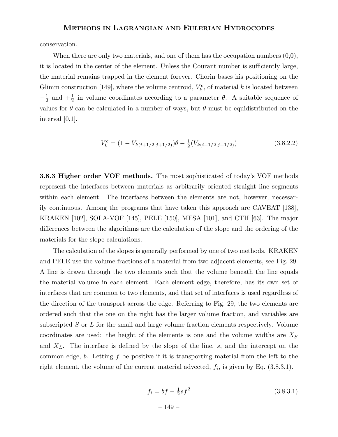conservation.

When there are only two materials, and one of them has the occupation numbers  $(0,0)$ , it is located in the center of the element. Unless the Courant number is sufficiently large, the material remains trapped in the element forever. Chorin bases his positioning on the Glimm construction [149], where the volume centroid,  $V_k^c$ , of material k is located between  $-\frac{1}{2}$  and  $+\frac{1}{2}$  in volume coordinates according to a parameter  $\theta$ . A suitable sequence of values for  $\theta$  can be calculated in a number of ways, but  $\theta$  must be equidistributed on the interval [0,1].

$$
V_k^c = (1 - V_{k(i+1/2,j+1/2)})\theta - \frac{1}{2}(V_{k(i+1/2,j+1/2)})
$$
\n(3.8.2.2)

**3.8.3 Higher order VOF methods.** The most sophisticated of today's VOF methods represent the interfaces between materials as arbitrarily oriented straight line segments within each element. The interfaces between the elements are not, however, necessarily continuous. Among the programs that have taken this approach are CAVEAT [138], KRAKEN [102], SOLA-VOF [145], PELE [150], MESA [101], and CTH [63]. The major differences between the algorithms are the calculation of the slope and the ordering of the materials for the slope calculations.

The calculation of the slopes is generally performed by one of two methods. KRAKEN and PELE use the volume fractions of a material from two adjacent elements, see Fig. 29. A line is drawn through the two elements such that the volume beneath the line equals the material volume in each element. Each element edge, therefore, has its own set of interfaces that are common to two elements, and that set of interfaces is used regardless of the direction of the transport across the edge. Referring to Fig. 29, the two elements are ordered such that the one on the right has the larger volume fraction, and variables are subscripted  $S$  or  $L$  for the small and large volume fraction elements respectively. Volume coordinates are used: the height of the elements is one and the volume widths are  $X<sub>S</sub>$ and  $X_L$ . The interface is defined by the slope of the line, s, and the intercept on the common edge,  $b$ . Letting  $f$  be positive if it is transporting material from the left to the right element, the volume of the current material advected,  $f_i$ , is given by Eq. (3.8.3.1).

$$
f_i = bf - \frac{1}{2}sf^2 \tag{3.8.3.1}
$$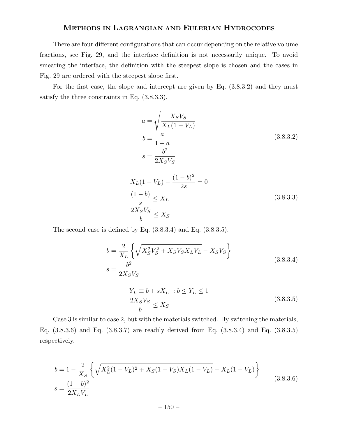There are four different configurations that can occur depending on the relative volume fractions, see Fig. 29, and the interface definition is not necessarily unique. To avoid smearing the interface, the definition with the steepest slope is chosen and the cases in Fig. 29 are ordered with the steepest slope first.

For the first case, the slope and intercept are given by Eq. (3.8.3.2) and they must satisfy the three constraints in Eq. (3.8.3.3).

$$
a = \sqrt{\frac{X_S V_S}{X_L (1 - V_L)}}
$$
  
\n
$$
b = \frac{a}{1 + a}
$$
  
\n
$$
s = \frac{b^2}{2X_S V_S}
$$
\n(3.8.3.2)

$$
X_L(1 - V_L) - \frac{(1 - b)^2}{2s} = 0
$$
  

$$
\frac{(1 - b)}{s} \le X_L
$$
  

$$
\frac{2X_S V_S}{b} \le X_S
$$
 (3.8.3.3)

The second case is defined by Eq.  $(3.8.3.4)$  and Eq.  $(3.8.3.5)$ .

$$
b = \frac{2}{X_L} \left\{ \sqrt{X_S^2 V_S^2 + X_S V_S X_L V_L} - X_S V_S \right\}
$$
  
\n
$$
s = \frac{b^2}{2X_S V_S}
$$
  
\n
$$
Y_L \equiv b + sX_L : b \le Y_L \le 1
$$
  
\n
$$
2X_S V_S \ge \mathbf{v}
$$
  
\n(3.8.3.5)

Case 3 is similar to case 2, but with the materials switched. By switching the materials, Eq. 
$$
(3.8.3.6)
$$
 and Eq.  $(3.8.3.7)$  are readily derived from Eq.  $(3.8.3.4)$  and Eq.  $(3.8.3.5)$  respectively.

 $\frac{s \cdot s}{b} \leq X_s$ 

$$
b = 1 - \frac{2}{X_S} \left\{ \sqrt{X_L^2 (1 - V_L)^2 + X_S (1 - V_S) X_L (1 - V_L)} - X_L (1 - V_L) \right\}
$$
  
\n
$$
s = \frac{(1 - b)^2}{2X_L V_L}
$$
\n(3.8.3.6)

 $-150-$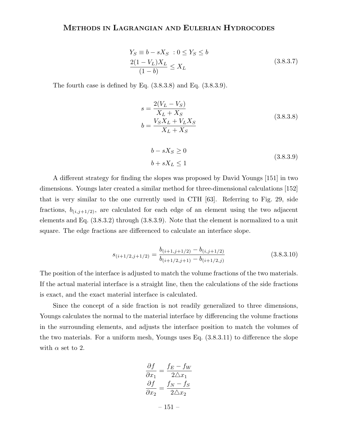$$
Y_S \equiv b - sX_S : 0 \le Y_S \le b
$$
  

$$
\frac{2(1 - V_L)X_L}{(1 - b)} \le X_L
$$
 (3.8.3.7)

The fourth case is defined by Eq. (3.8.3.8) and Eq. (3.8.3.9).

$$
s = \frac{2(V_L - V_S)}{X_L + X_S}
$$
  

$$
b = \frac{V_S X_L + V_L X_S}{X_L + X_S}
$$
 (3.8.3.8)

$$
b - sX_S \ge 0
$$
  

$$
b + sX_L \le 1
$$
 (3.8.3.9)

A different strategy for finding the slopes was proposed by David Youngs [151] in two dimensions. Youngs later created a similar method for three-dimensional calculations [152] that is very similar to the one currently used in CTH [63]. Referring to Fig. 29, side fractions,  $b_{(i,j+1/2)}$ , are calculated for each edge of an element using the two adjacent elements and Eq. (3.8.3.2) through (3.8.3.9). Note that the element is normalized to a unit square. The edge fractions are differenced to calculate an interface slope.

$$
s_{(i+1/2,j+1/2)} = \frac{b_{(i+1,j+1/2)} - b_{(i,j+1/2)}}{b_{(i+1/2,j+1)} - b_{(i+1/2,j)}}
$$
(3.8.3.10)

The position of the interface is adjusted to match the volume fractions of the two materials. If the actual material interface is a straight line, then the calculations of the side fractions is exact, and the exact material interface is calculated.

Since the concept of a side fraction is not readily generalized to three dimensions, Youngs calculates the normal to the material interface by differencing the volume fractions in the surrounding elements, and adjusts the interface position to match the volumes of the two materials. For a uniform mesh, Youngs uses Eq. (3.8.3.11) to difference the slope with  $\alpha$  set to 2.

$$
\frac{\partial f}{\partial x_1} = \frac{f_E - f_W}{2\triangle x_1}
$$

$$
\frac{\partial f}{\partial x_2} = \frac{f_N - f_S}{2\triangle x_2}
$$

 $-151-$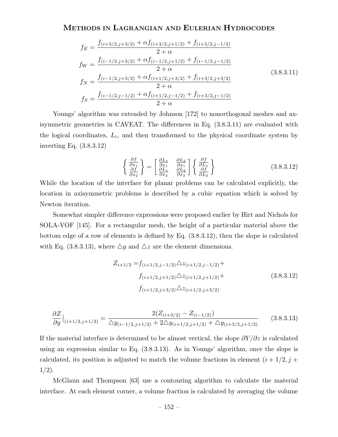$$
f_E = \frac{f_{(i+3/2,j+3/2)} + \alpha f_{(i+3/2,j+1/2)} + f_{(i+3/2,j-1/2)}}{2+\alpha}
$$
  
\n
$$
f_W = \frac{f_{(i-1/2,j+3/2)} + \alpha f_{(i-1/2,j+1/2)} + f_{(i-1/2,j-1/2)}}{2+\alpha}
$$
  
\n
$$
f_N = \frac{f_{(i-1/2,j+3/2)} + \alpha f_{(i+1/2,j+3/2)} + f_{(i+3/2,j+3/2)}}{2+\alpha}
$$
  
\n
$$
f_S = \frac{f_{(i-1/2,j-1/2)} + \alpha f_{(i+1/2,j-1/2)} + f_{(i+3/2,j-1/2)}}{2+\alpha}
$$
\n(3.8.3.11)

Youngs' algorithm was extended by Johnson [172] to nonorthogonal meshes and axisymmetric geometries in CAVEAT. The differences in Eq. (3.8.3.11) are evaluated with the logical coordinates,  $L_i$ , and then transformed to the physical coordinate system by inverting Eq. (3.8.3.12)

$$
\begin{Bmatrix}\n\frac{\partial f}{\partial x_1} \\
\frac{\partial f}{\partial x_2}\n\end{Bmatrix} = \begin{bmatrix}\n\frac{\partial L_1}{\partial x_1} & \frac{\partial L_2}{\partial x_1} \\
\frac{\partial L_1}{\partial x_2} & \frac{\partial L_2}{\partial x_2}\n\end{bmatrix} \begin{Bmatrix}\n\frac{\partial f}{\partial L_1} \\
\frac{\partial f}{\partial L_2}\n\end{Bmatrix}
$$
\n(3.8.3.12)

While the location of the interface for planar problems can be calculated explicitly, the location in axisymmetric problems is described by a cubic equation which is solved by Newton iteration.

Somewhat simpler difference expressions were proposed earlier by Hirt and Nichols for SOLA-VOF [145]. For a rectangular mesh, the height of a particular material above the bottom edge of a row of elements is defined by Eq. (3.8.3.12), then the slope is calculated with Eq. (3.8.3.13), where  $\triangle y$  and  $\triangle z$  are the element dimensions.

$$
Z_{i+1/2} = f_{(i+1/2,j-1/2)} \Delta z_{(i+1/2,j-1/2)} +
$$
  
\n
$$
f_{(i+1/2,j+1/2)} \Delta z_{(i+1/2,j+1/2)} +
$$
  
\n
$$
f_{(i+1/2,j+3/2)} \Delta z_{(i+1/2,j+3/2)}
$$
\n(3.8.3.12)

$$
\frac{\partial Z}{\partial y}\Big|_{(i+1/2,j+1/2)} = \frac{2(Z_{(i+3/2)} - Z_{(i-1/2)})}{\Delta y_{(i-1/2,j+1/2)} + 2\Delta y_{(i+1/2,j+1/2)} + \Delta y_{(i+3/2,j+1/2)}} \tag{3.8.3.13}
$$

If the material interface is determined to be almost vertical, the slope  $\partial Y/\partial z$  is calculated using an expression similar to Eq. (3.8.3.13). As in Youngs' algorithm, once the slope is calculated, its position is adjusted to match the volume fractions in element  $(i + 1/2, j + 1)$  $1/2$ ).

McGlaun and Thompson [63] use a contouring algorithm to calculate the material interface. At each element corner, a volume fraction is calculated by averaging the volume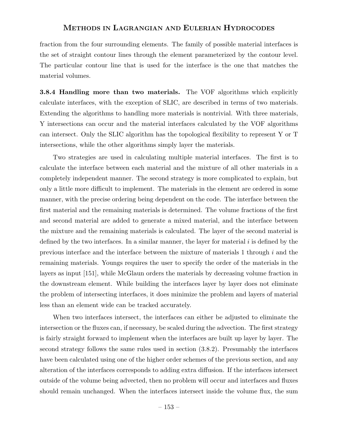fraction from the four surrounding elements. The family of possible material interfaces is the set of straight contour lines through the element parameterized by the contour level. The particular contour line that is used for the interface is the one that matches the material volumes.

**3.8.4 Handling more than two materials.** The VOF algorithms which explicitly calculate interfaces, with the exception of SLIC, are described in terms of two materials. Extending the algorithms to handling more materials is nontrivial. With three materials, Y intersections can occur and the material interfaces calculated by the VOF algorithms can intersect. Only the SLIC algorithm has the topological flexibility to represent Y or T intersections, while the other algorithms simply layer the materials.

Two strategies are used in calculating multiple material interfaces. The first is to calculate the interface between each material and the mixture of all other materials in a completely independent manner. The second strategy is more complicated to explain, but only a little more difficult to implement. The materials in the element are ordered in some manner, with the precise ordering being dependent on the code. The interface between the first material and the remaining materials is determined. The volume fractions of the first and second material are added to generate a mixed material, and the interface between the mixture and the remaining materials is calculated. The layer of the second material is defined by the two interfaces. In a similar manner, the layer for material  $i$  is defined by the previous interface and the interface between the mixture of materials 1 through i and the remaining materials. Youngs requires the user to specify the order of the materials in the layers as input [151], while McGlaun orders the materials by decreasing volume fraction in the downstream element. While building the interfaces layer by layer does not eliminate the problem of intersecting interfaces, it does minimize the problem and layers of material less than an element wide can be tracked accurately.

When two interfaces intersect, the interfaces can either be adjusted to eliminate the intersection or the fluxes can, if necessary, be scaled during the advection. The first strategy is fairly straight forward to implement when the interfaces are built up layer by layer. The second strategy follows the same rules used in section (3.8.2). Presumably the interfaces have been calculated using one of the higher order schemes of the previous section, and any alteration of the interfaces corresponds to adding extra diffusion. If the interfaces intersect outside of the volume being advected, then no problem will occur and interfaces and fluxes should remain unchanged. When the interfaces intersect inside the volume flux, the sum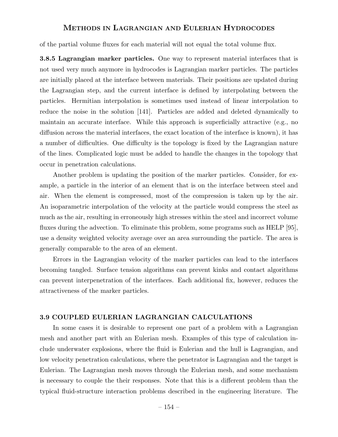of the partial volume fluxes for each material will not equal the total volume flux.

**3.8.5 Lagrangian marker particles.** One way to represent material interfaces that is not used very much anymore in hydrocodes is Lagrangian marker particles. The particles are initially placed at the interface between materials. Their positions are updated during the Lagrangian step, and the current interface is defined by interpolating between the particles. Hermitian interpolation is sometimes used instead of linear interpolation to reduce the noise in the solution [141]. Particles are added and deleted dynamically to maintain an accurate interface. While this approach is superficially attractive (e.g., no diffusion across the material interfaces, the exact location of the interface is known), it has a number of difficulties. One difficulty is the topology is fixed by the Lagrangian nature of the lines. Complicated logic must be added to handle the changes in the topology that occur in penetration calculations.

Another problem is updating the position of the marker particles. Consider, for example, a particle in the interior of an element that is on the interface between steel and air. When the element is compressed, most of the compression is taken up by the air. An isoparametric interpolation of the velocity at the particle would compress the steel as much as the air, resulting in erroneously high stresses within the steel and incorrect volume fluxes during the advection. To eliminate this problem, some programs such as HELP [95], use a density weighted velocity average over an area surrounding the particle. The area is generally comparable to the area of an element.

Errors in the Lagrangian velocity of the marker particles can lead to the interfaces becoming tangled. Surface tension algorithms can prevent kinks and contact algorithms can prevent interpenetration of the interfaces. Each additional fix, however, reduces the attractiveness of the marker particles.

#### **3.9 COUPLED EULERIAN LAGRANGIAN CALCULATIONS**

In some cases it is desirable to represent one part of a problem with a Lagrangian mesh and another part with an Eulerian mesh. Examples of this type of calculation include underwater explosions, where the fluid is Eulerian and the hull is Lagrangian, and low velocity penetration calculations, where the penetrator is Lagrangian and the target is Eulerian. The Lagrangian mesh moves through the Eulerian mesh, and some mechanism is necessary to couple the their responses. Note that this is a different problem than the typical fluid-structure interaction problems described in the engineering literature. The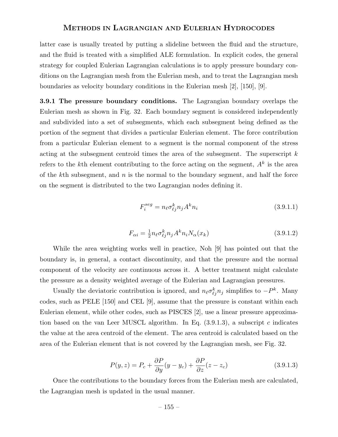latter case is usually treated by putting a slideline between the fluid and the structure, and the fluid is treated with a simplified ALE formulation. In explicit codes, the general strategy for coupled Eulerian Lagrangian calculations is to apply pressure boundary conditions on the Lagrangian mesh from the Eulerian mesh, and to treat the Lagrangian mesh boundaries as velocity boundary conditions in the Eulerian mesh [2], [150], [9].

**3.9.1 The pressure boundary conditions.** The Lagrangian boundary overlaps the Eulerian mesh as shown in Fig. 32. Each boundary segment is considered independently and subdivided into a set of subsegments, which each subsegment being defined as the portion of the segment that divides a particular Eulerian element. The force contribution from a particular Eulerian element to a segment is the normal component of the stress acting at the subsegment centroid times the area of the subsegment. The superscript  $k$ refers to the kth element contributing to the force acting on the segment,  $A^k$  is the area of the kth subsegment, and  $n$  is the normal to the boundary segment, and half the force on the segment is distributed to the two Lagrangian nodes defining it.

$$
F_i^{seg} = n_\ell \sigma_{\ell j}^k n_j A^k n_i \tag{3.9.1.1}
$$

$$
F_{\alpha i} = \frac{1}{2} n_{\ell} \sigma_{\ell j}^k n_j A^k n_i N_{\alpha}(x_k)
$$
\n(3.9.1.2)

While the area weighting works well in practice, Noh [9] has pointed out that the boundary is, in general, a contact discontinuity, and that the pressure and the normal component of the velocity are continuous across it. A better treatment might calculate the pressure as a density weighted average of the Eulerian and Lagrangian pressures.

Usually the deviatoric contribution is ignored, and  $n_{\ell} \sigma_{\ell j}^k n_j$  simplifies to  $-P^k$ . Many codes, such as PELE [150] and CEL [9], assume that the pressure is constant within each Eulerian element, while other codes, such as PISCES [2], use a linear pressure approximation based on the van Leer MUSCL algorithm. In Eq.  $(3.9.1.3)$ , a subscript c indicates the value at the area centroid of the element. The area centroid is calculated based on the area of the Eulerian element that is not covered by the Lagrangian mesh, see Fig. 32.

$$
P(y,z) = P_c + \frac{\partial P}{\partial y}(y - y_c) + \frac{\partial P}{\partial z}(z - z_c)
$$
 (3.9.1.3)

Once the contributions to the boundary forces from the Eulerian mesh are calculated, the Lagrangian mesh is updated in the usual manner.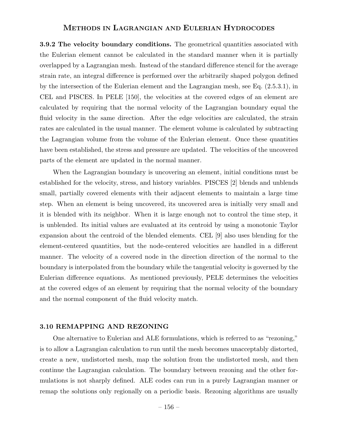**3.9.2 The velocity boundary conditions.** The geometrical quantities associated with the Eulerian element cannot be calculated in the standard manner when it is partially overlapped by a Lagrangian mesh. Instead of the standard difference stencil for the average strain rate, an integral difference is performed over the arbitrarily shaped polygon defined by the intersection of the Eulerian element and the Lagrangian mesh, see Eq. (2.5.3.1), in CEL and PISCES. In PELE [150], the velocities at the covered edges of an element are calculated by requiring that the normal velocity of the Lagrangian boundary equal the fluid velocity in the same direction. After the edge velocities are calculated, the strain rates are calculated in the usual manner. The element volume is calculated by subtracting the Lagrangian volume from the volume of the Eulerian element. Once these quantities have been established, the stress and pressure are updated. The velocities of the uncovered parts of the element are updated in the normal manner.

When the Lagrangian boundary is uncovering an element, initial conditions must be established for the velocity, stress, and history variables. PISCES [2] blends and unblends small, partially covered elements with their adjacent elements to maintain a large time step. When an element is being uncovered, its uncovered area is initially very small and it is blended with its neighbor. When it is large enough not to control the time step, it is unblended. Its initial values are evaluated at its centroid by using a monotonic Taylor expansion about the centroid of the blended elements. CEL [9] also uses blending for the element-centered quantities, but the node-centered velocities are handled in a different manner. The velocity of a covered node in the direction direction of the normal to the boundary is interpolated from the boundary while the tangential velocity is governed by the Eulerian difference equations. As mentioned previously, PELE determines the velocities at the covered edges of an element by requiring that the normal velocity of the boundary and the normal component of the fluid velocity match.

#### **3.10 REMAPPING AND REZONING**

One alternative to Eulerian and ALE formulations, which is referred to as "rezoning," is to allow a Lagrangian calculation to run until the mesh becomes unacceptably distorted, create a new, undistorted mesh, map the solution from the undistorted mesh, and then continue the Lagrangian calculation. The boundary between rezoning and the other formulations is not sharply defined. ALE codes can run in a purely Lagrangian manner or remap the solutions only regionally on a periodic basis. Rezoning algorithms are usually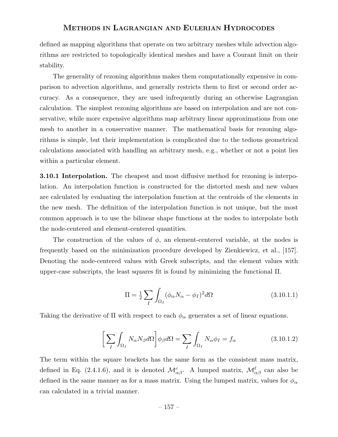defined as mapping algorithms that operate on two arbitrary meshes while advection algorithms are restricted to topologically identical meshes and have a Courant limit on their stability.

The generality of rezoning algorithms makes them computationally expensive in comparison to advection algorithms, and generally restricts them to first or second order accuracy. As a consequence, they are used infrequently during an otherwise Lagrangian calculation. The simplest rezoning algorithms are based on interpolation and are not conservative, while more expensive algorithms map arbitrary linear approximations from one mesh to another in a conservative manner. The mathematical basis for rezoning algorithms is simple, but their implementation is complicated due to the tedious geometrical calculations associated with handling an arbitrary mesh, e.g., whether or not a point lies within a particular element.

**3.10.1 Interpolation.** The cheapest and most diffusive method for rezoning is interpolation. An interpolation function is constructed for the distorted mesh and new values are calculated by evaluating the interpolation function at the centroids of the elements in the new mesh. The definition of the interpolation function is not unique, but the most common approach is to use the bilinear shape functions at the nodes to interpolate both the node-centered and element-centered quantities.

The construction of the values of  $\phi$ , an element-centered variable, at the nodes is frequently based on the minimization procedure developed by Zienkiewicz, et al., [157]. Denoting the node-centered values with Greek subscripts, and the element values with upper-case subscripts, the least squares fit is found by minimizing the functional Π.

$$
\Pi = \frac{1}{2} \sum_{I} \int_{\Omega_{I}} (\phi_{\alpha} N_{\alpha} - \phi_{I})^{2} d\Omega \qquad (3.10.1.1)
$$

Taking the derivative of  $\Pi$  with respect to each  $\phi_{\alpha}$  generates a set of linear equations.

$$
\left[\sum_{I} \int_{\Omega_{I}} N_{\alpha} N_{\beta} d\Omega \right] \phi_{\beta} d\Omega = \sum_{I} \int_{\Omega_{I}} N_{\alpha} \phi_{I} = f_{\alpha}
$$
\n(3.10.1.2)

The term within the square brackets has the same form as the consistent mass matrix, defined in Eq. (2.4.1.6), and it is denoted  $\mathcal{M}_{\alpha\beta}^c$ . A lumped matrix,  $\mathcal{M}_{\alpha\beta}^{\ell}$  can also be defined in the same manner as for a mass matrix. Using the lumped matrix, values for  $\phi_{\alpha}$ can calculated in a trivial manner.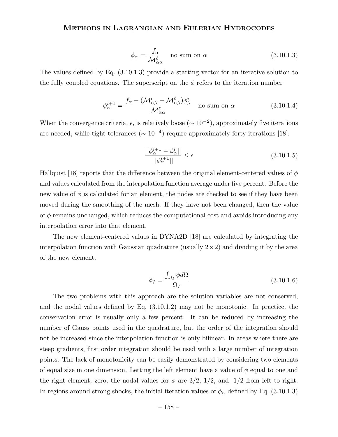$$
\phi_{\alpha} = \frac{f_{\alpha}}{\mathcal{M}_{\alpha\alpha}^{\ell}} \quad \text{no sum on } \alpha \tag{3.10.1.3}
$$

The values defined by Eq. (3.10.1.3) provide a starting vector for an iterative solution to the fully coupled equations. The superscript on the  $\phi$  refers to the iteration number

$$
\phi_{\alpha}^{i+1} = \frac{f_{\alpha} - (\mathcal{M}_{\alpha\beta}^c - \mathcal{M}_{\alpha\beta}^{\ell})\phi_{\beta}^i}{\mathcal{M}_{\alpha\alpha}^{\ell}} \quad \text{no sum on } \alpha \tag{3.10.1.4}
$$

When the convergence criteria,  $\epsilon$ , is relatively loose ( $\sim 10^{-2}$ ), approximately five iterations are needed, while tight tolerances ( $\sim 10^{-4}$ ) require approximately forty iterations [18].

$$
\frac{||\phi_{\alpha}^{i+1} - \phi_{\alpha}^{i}||}{||\phi_{\alpha}^{i+1}||} \le \epsilon
$$
\n(3.10.1.5)

Hallquist [18] reports that the difference between the original element-centered values of  $\phi$ and values calculated from the interpolation function average under five percent. Before the new value of  $\phi$  is calculated for an element, the nodes are checked to see if they have been moved during the smoothing of the mesh. If they have not been changed, then the value of  $\phi$  remains unchanged, which reduces the computational cost and avoids introducing any interpolation error into that element.

The new element-centered values in DYNA2D [18] are calculated by integrating the interpolation function with Gaussian quadrature (usually  $2\times 2$ ) and dividing it by the area of the new element.

$$
\phi_I = \frac{\int_{\Omega_I} \phi d\Omega}{\Omega_I} \tag{3.10.1.6}
$$

The two problems with this approach are the solution variables are not conserved, and the nodal values defined by Eq. (3.10.1.2) may not be monotonic. In practice, the conservation error is usually only a few percent. It can be reduced by increasing the number of Gauss points used in the quadrature, but the order of the integration should not be increased since the interpolation function is only bilinear. In areas where there are steep gradients, first order integration should be used with a large number of integration points. The lack of monotonicity can be easily demonstrated by considering two elements of equal size in one dimension. Letting the left element have a value of  $\phi$  equal to one and the right element, zero, the nodal values for  $\phi$  are 3/2, 1/2, and -1/2 from left to right. In regions around strong shocks, the initial iteration values of  $\phi_{\alpha}$  defined by Eq. (3.10.1.3)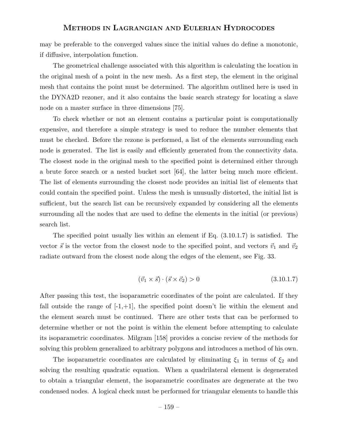may be preferable to the converged values since the initial values do define a monotonic, if diffusive, interpolation function.

The geometrical challenge associated with this algorithm is calculating the location in the original mesh of a point in the new mesh. As a first step, the element in the original mesh that contains the point must be determined. The algorithm outlined here is used in the DYNA2D rezoner, and it also contains the basic search strategy for locating a slave node on a master surface in three dimensions [75].

To check whether or not an element contains a particular point is computationally expensive, and therefore a simple strategy is used to reduce the number elements that must be checked. Before the rezone is performed, a list of the elements surrounding each node is generated. The list is easily and efficiently generated from the connectivity data. The closest node in the original mesh to the specified point is determined either through a brute force search or a nested bucket sort [64], the latter being much more efficient. The list of elements surrounding the closest node provides an initial list of elements that could contain the specified point. Unless the mesh is unusually distorted, the initial list is sufficient, but the search list can be recursively expanded by considering all the elements surrounding all the nodes that are used to define the elements in the initial (or previous) search list.

The specified point usually lies within an element if Eq. (3.10.1.7) is satisfied. The vector  $\vec{s}$  is the vector from the closest node to the specified point, and vectors  $\vec{v}_1$  and  $\vec{v}_2$ radiate outward from the closest node along the edges of the element, see Fig. 33.

$$
(\vec{v}_1 \times \vec{s}) \cdot (\vec{s} \times \vec{c}_2) > 0 \tag{3.10.1.7}
$$

After passing this test, the isoparametric coordinates of the point are calculated. If they fall outside the range of  $[-1, +1]$ , the specified point doesn't lie within the element and the element search must be continued. There are other tests that can be performed to determine whether or not the point is within the element before attempting to calculate its isoparametric coordinates. Milgram [158] provides a concise review of the methods for solving this problem generalized to arbitrary polygons and introduces a method of his own.

The isoparametric coordinates are calculated by eliminating  $\xi_1$  in terms of  $\xi_2$  and solving the resulting quadratic equation. When a quadrilateral element is degenerated to obtain a triangular element, the isoparametric coordinates are degenerate at the two condensed nodes. A logical check must be performed for triangular elements to handle this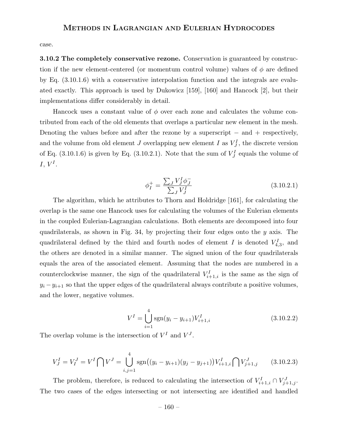case.

**3.10.2 The completely conservative rezone.** Conservation is guaranteed by construction if the new element-centered (or momentum control volume) values of  $\phi$  are defined by Eq. (3.10.1.6) with a conservative interpolation function and the integrals are evaluated exactly. This approach is used by Dukowicz [159], [160] and Hancock [2], but their implementations differ considerably in detail.

Hancock uses a constant value of  $\phi$  over each zone and calculates the volume contributed from each of the old elements that overlaps a particular new element in the mesh. Denoting the values before and after the rezone by a superscript  $-$  and  $+$  respectively, and the volume from old element  $J$  overlapping new element  $I$  as  $V_J^I$ , the discrete version of Eq.  $(3.10.1.6)$  is given by Eq.  $(3.10.2.1)$ . Note that the sum of  $V_J^I$  equals the volume of  $I, V^I.$ 

$$
\phi_I^+ = \frac{\sum_J V_J^I \phi_J^-}{\sum_J V_J^I} \tag{3.10.2.1}
$$

The algorithm, which he attributes to Thorn and Holdridge [161], for calculating the overlap is the same one Hancock uses for calculating the volumes of the Eulerian elements in the coupled Eulerian-Lagrangian calculations. Both elements are decomposed into four quadrilaterals, as shown in Fig. 34, by projecting their four edges onto the y axis. The quadrilateral defined by the third and fourth nodes of element I is denoted  $V_{4,3}^I$ , and the others are denoted in a similar manner. The signed union of the four quadrilaterals equals the area of the associated element. Assuming that the nodes are numbered in a counterclockwise manner, the sign of the quadrilateral  $V_{i+1,i}^I$  is the same as the sign of  $y_i - y_{i+1}$  so that the upper edges of the quadrilateral always contribute a positive volumes, and the lower, negative volumes.

$$
V^{I} = \bigcup_{i=1}^{4} \text{sgn}(y_{i} - y_{i+1}) V_{i+1,i}^{I}
$$
 (3.10.2.2)

The overlap volume is the intersection of  $V^I$  and  $V^J$ .

$$
V_J^I = V_I^J = V^I \bigcap V^J = \bigcup_{i,j=1}^4 \text{sgn}\big((y_i - y_{i+1})(y_j - y_{j+1})\big) V_{i+1,i}^I \bigcap V_{j+1,j}^J \qquad (3.10.2.3)
$$

The problem, therefore, is reduced to calculating the intersection of  $V_{i+1,i}^I \cap V_{j+1,j}^J$ . The two cases of the edges intersecting or not intersecting are identified and handled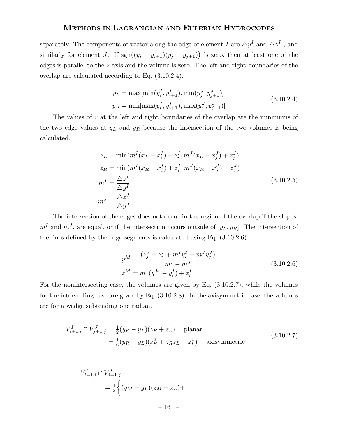separately. The components of vector along the edge of element  $I$  are  $\triangle y^I$  and  $\triangle z^I$  , and similarly for element J. If  $sgn((y_i - y_{i+1})(y_j - y_{j+1}))$  is zero, then at least one of the edges is parallel to the z axis and the volume is zero. The left and right boundaries of the overlap are calculated according to Eq. (3.10.2.4).

$$
y_L = \max[\min(y_i^I, y_{i+1}^I), \min(y_j^J, y_{j+1}^J)]
$$
  
\n
$$
y_R = \min[\max(y_i^I, y_{i+1}^I), \max(y_j^J, y_{j+1}^J)]
$$
\n(3.10.2.4)

The values of z at the left and right boundaries of the overlap are the minimums of the two edge values at  $y_L$  and  $y_R$  because the intersection of the two volumes is being calculated.

$$
z_L = \min(m^I(x_L - x_i^I) + z_i^I, m^J(x_L - x_j^J) + z_j^J)
$$
  
\n
$$
z_R = \min(m^I(x_R - x_i^I) + z_i^I, m^J(x_R - x_j^J) + z_j^J)
$$
  
\n
$$
m^I = \frac{\Delta z^I}{\Delta y^I}
$$
  
\n
$$
m^J = \frac{\Delta z^J}{\Delta y^J}
$$
\n(3.10.2.5)

The intersection of the edges does not occur in the region of the overlap if the slopes,  $m<sup>I</sup>$  and  $m<sup>J</sup>$ , are equal, or if the intersection occurs outside of  $[y_L, y_R]$ . The intersection of the lines defined by the edge segments is calculated using Eq. (3.10.2.6).

$$
y^{M} = \frac{(z_j^{J} - z_i^{I} + m^{I}y_i^{I} - m^{J}y_j^{J})}{m^{I} - m^{J}}
$$
  
\n
$$
z^{M} = m^{I}(y^{M} - y_i^{I}) + z_i^{I}
$$
\n(3.10.2.6)

For the nonintersecting case, the volumes are given by Eq. (3.10.2.7), while the volumes for the intersecting case are given by Eq. (3.10.2.8). In the axisymmetric case, the volumes are for a wedge subtending one radian.

$$
V_{i+1,i}^I \cap V_{j+1,j}^J = \frac{1}{2}(y_R - y_L)(z_R + z_L)
$$
 planar  
=  $\frac{1}{6}(y_R - y_L)(z_R^2 + z_R z_L + z_L^2)$  axisymmetric (3.10.2.7)

$$
V_{i+1,i}^I \cap V_{j+1,j}^J
$$
  
=  $\frac{1}{2} \left\{ (y_M - y_L)(z_M + z_L) + \right\}$ 

– 161 –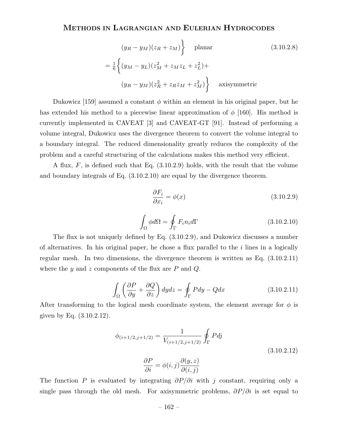$$
(yR - yM)(zR + zM)
$$
 planar (3.10.2.8)  

$$
= \frac{1}{6} \left\{ (yM - yL)(zM2 + zMzL + zL2) +
$$
  

$$
(yR - yM)(zR2 + zRzM + zM2) \right\}
$$
 axisymmetric

Dukowicz [159] assumed a constant  $\phi$  within an element in his original paper, but he has extended his method to a piecewise linear approximation of  $\phi$  [160]. His method is currently implemented in CAVEAT [3] and CAVEAT-GT [91]. Instead of performing a volume integral, Dukowicz uses the divergence theorem to convert the volume integral to a boundary integral. The reduced dimensionality greatly reduces the complexity of the problem and a careful structuring of the calculations makes this method very efficient.

A flux,  $F$ , is defined such that Eq.  $(3.10.2.9)$  holds, with the result that the volume and boundary integrals of Eq. (3.10.2.10) are equal by the divergence theorem.

$$
\frac{\partial F_i}{\partial x_i} = \phi(x) \tag{3.10.2.9}
$$

$$
\int_{\Omega} \phi d\Omega = \oint_{\Gamma} F_i n_i d\Gamma \tag{3.10.2.10}
$$

The flux is not uniquely defined by Eq. (3.10.2.9), and Dukowicz discusses a number of alternatives. In his original paper, he chose a flux parallel to the  $i$  lines in a logically regular mesh. In two dimensions, the divergence theorem is written as Eq. (3.10.2.11) where the y and z components of the flux are  $P$  and  $Q$ .

$$
\int_{\Omega} \left( \frac{\partial P}{\partial y} + \frac{\partial Q}{\partial z} \right) dydz = \oint_{\Gamma} Pdy - Qdx \qquad (3.10.2.11)
$$

After transforming to the logical mesh coordinate system, the element average for  $\phi$  is given by Eq. (3.10.2.12).

$$
\phi_{(i+1/2,j+1/2)} = \frac{1}{V_{(i+1/2,j+1/2)}} \oint_{\Gamma} Pdj
$$
\n
$$
\frac{\partial P}{\partial i} = \phi(i,j) \frac{\partial(y,z)}{\partial(i,j)}
$$
\n(3.10.2.12)

The function P is evaluated by integrating  $\partial P/\partial i$  with j constant, requiring only a single pass through the old mesh. For axisymmetric problems,  $\partial P/\partial i$  is set equal to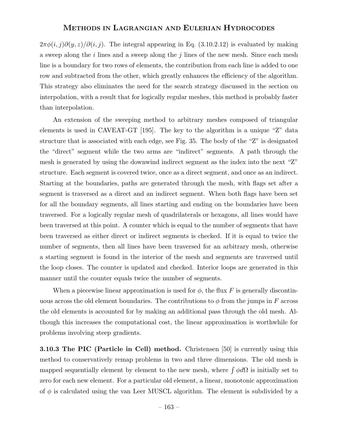$2\pi\phi(i,j)\partial(y,z)/\partial(i,j)$ . The integral appearing in Eq. (3.10.2.12) is evaluated by making a sweep along the  $i$  lines and a sweep along the  $j$  lines of the new mesh. Since each mesh line is a boundary for two rows of elements, the contribution from each line is added to one row and subtracted from the other, which greatly enhances the efficiency of the algorithm. This strategy also eliminates the need for the search strategy discussed in the section on interpolation, with a result that for logically regular meshes, this method is probably faster than interpolation.

An extension of the sweeping method to arbitrary meshes composed of triangular elements is used in CAVEAT-GT [195]. The key to the algorithm is a unique "Z" data structure that is associated with each edge, see Fig. 35. The body of the "Z" is designated the "direct" segment while the two arms are "indirect" segments. A path through the mesh is generated by using the downwind indirect segment as the index into the next "Z" structure. Each segment is covered twice, once as a direct segment, and once as an indirect. Starting at the boundaries, paths are generated through the mesh, with flags set after a segment is traversed as a direct and an indirect segment. When both flags have been set for all the boundary segments, all lines starting and ending on the boundaries have been traversed. For a logically regular mesh of quadrilaterals or hexagons, all lines would have been traversed at this point. A counter which is equal to the number of segments that have been traversed as either direct or indirect segments is checked. If it is equal to twice the number of segments, then all lines have been traversed for an arbitrary mesh, otherwise a starting segment is found in the interior of the mesh and segments are traversed until the loop closes. The counter is updated and checked. Interior loops are generated in this manner until the counter equals twice the number of segments.

When a piecewise linear approximation is used for  $\phi$ , the flux F is generally discontinuous across the old element boundaries. The contributions to  $\phi$  from the jumps in F across the old elements is accounted for by making an additional pass through the old mesh. Although this increases the computational cost, the linear approximation is worthwhile for problems involving steep gradients.

**3.10.3 The PIC (Particle in Cell) method.** Christensen [50] is currently using this method to conservatively remap problems in two and three dimensions. The old mesh is mapped sequentially element by element to the new mesh, where  $\int \phi d\Omega$  is initially set to zero for each new element. For a particular old element, a linear, monotonic approximation of  $\phi$  is calculated using the van Leer MUSCL algorithm. The element is subdivided by a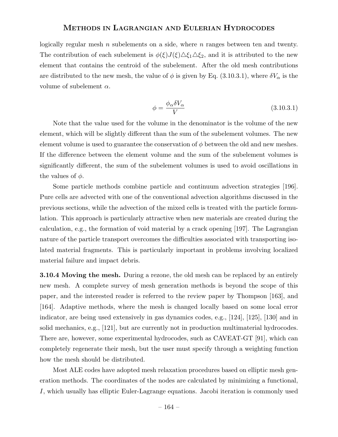logically regular mesh n subelements on a side, where n ranges between ten and twenty. The contribution of each subelement is  $\phi(\xi)J(\xi)\Delta\xi_1\Delta\xi_2$ , and it is attributed to the new element that contains the centroid of the subelement. After the old mesh contributions are distributed to the new mesh, the value of  $\phi$  is given by Eq. (3.10.3.1), where  $\delta V_{\alpha}$  is the volume of subelement  $\alpha$ .

$$
\phi = \frac{\phi_{\alpha} \delta V_{\alpha}}{V} \tag{3.10.3.1}
$$

Note that the value used for the volume in the denominator is the volume of the new element, which will be slightly different than the sum of the subelement volumes. The new element volume is used to guarantee the conservation of  $\phi$  between the old and new meshes. If the difference between the element volume and the sum of the subelement volumes is significantly different, the sum of the subelement volumes is used to avoid oscillations in the values of  $\phi$ .

Some particle methods combine particle and continuum advection strategies [196]. Pure cells are advected with one of the conventional advection algorithms discussed in the previous sections, while the advection of the mixed cells is treated with the particle formulation. This approach is particularly attractive when new materials are created during the calculation, e.g., the formation of void material by a crack opening [197]. The Lagrangian nature of the particle transport overcomes the difficulties associated with transporting isolated material fragments. This is particularly important in problems involving localized material failure and impact debris.

**3.10.4 Moving the mesh.** During a rezone, the old mesh can be replaced by an entirely new mesh. A complete survey of mesh generation methods is beyond the scope of this paper, and the interested reader is referred to the review paper by Thompson [163], and [164]. Adaptive methods, where the mesh is changed locally based on some local error indicator, are being used extensively in gas dynamics codes, e.g., [124], [125], [130] and in solid mechanics, e.g., [121], but are currently not in production multimaterial hydrocodes. There are, however, some experimental hydrocodes, such as CAVEAT-GT [91], which can completely regenerate their mesh, but the user must specify through a weighting function how the mesh should be distributed.

Most ALE codes have adopted mesh relaxation procedures based on elliptic mesh generation methods. The coordinates of the nodes are calculated by minimizing a functional, I, which usually has elliptic Euler-Lagrange equations. Jacobi iteration is commonly used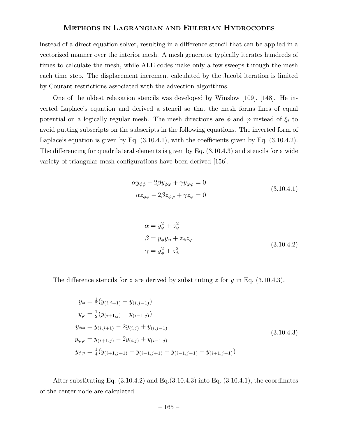instead of a direct equation solver, resulting in a difference stencil that can be applied in a vectorized manner over the interior mesh. A mesh generator typically iterates hundreds of times to calculate the mesh, while ALE codes make only a few sweeps through the mesh each time step. The displacement increment calculated by the Jacobi iteration is limited by Courant restrictions associated with the advection algorithms.

One of the oldest relaxation stencils was developed by Winslow [109], [148]. He inverted Laplace's equation and derived a stencil so that the mesh forms lines of equal potential on a logically regular mesh. The mesh directions are  $\phi$  and  $\varphi$  instead of  $\xi_i$  to avoid putting subscripts on the subscripts in the following equations. The inverted form of Laplace's equation is given by Eq.  $(3.10.4.1)$ , with the coefficients given by Eq.  $(3.10.4.2)$ . The differencing for quadrilateral elements is given by Eq. (3.10.4.3) and stencils for a wide variety of triangular mesh configurations have been derived [156].

$$
\alpha y_{\phi\phi} - 2\beta y_{\phi\phi} + \gamma y_{\varphi\varphi} = 0
$$
  
\n
$$
\alpha z_{\phi\phi} - 2\beta z_{\phi\varphi} + \gamma z_{\varphi} = 0
$$
\n(3.10.4.1)

$$
\alpha = y_{\varphi}^{2} + z_{\varphi}^{2}
$$
  
\n
$$
\beta = y_{\phi}y_{\varphi} + z_{\phi}z_{\varphi}
$$
  
\n
$$
\gamma = y_{\phi}^{2} + z_{\phi}^{2}
$$
\n(3.10.4.2)

The difference stencils for z are derived by substituting z for y in Eq.  $(3.10.4.3)$ .

$$
y_{\phi} = \frac{1}{2} (y_{(i,j+1)} - y_{(i,j-1)})
$$
  
\n
$$
y_{\phi} = \frac{1}{2} (y_{(i+1,j)} - y_{(i-1,j)})
$$
  
\n
$$
y_{\phi\phi} = y_{(i,j+1)} - 2y_{(i,j)} + y_{(i,j-1)}
$$
  
\n
$$
y_{\phi\phi} = y_{(i+1,j)} - 2y_{(i,j)} + y_{(i-1,j)}
$$
  
\n
$$
y_{\phi\phi} = \frac{1}{4} (y_{(i+1,j+1)} - y_{(i-1,j+1)} + y_{(i-1,j-1)} - y_{(i+1,j-1)})
$$
\n(3.10.4.3)

After substituting Eq.  $(3.10.4.2)$  and Eq. $(3.10.4.3)$  into Eq.  $(3.10.4.1)$ , the coordinates of the center node are calculated.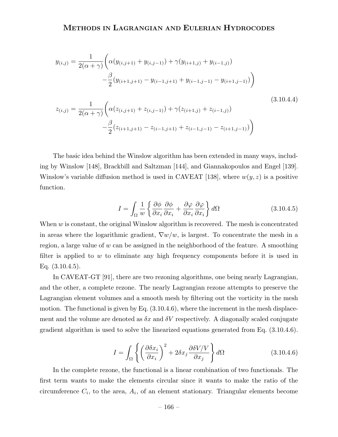$$
y_{(i,j)} = \frac{1}{2(\alpha + \gamma)} \left( \alpha(y_{(i,j+1)} + y_{(i,j-1)}) + \gamma(y_{(i+1,j)} + y_{(i-1,j)}) - \frac{\beta}{2} (y_{(i+1,j+1)} - y_{(i-1,j+1)} + y_{(i-1,j-1)} - y_{(i+1,j-1)}) \right)
$$
  

$$
z_{(i,j)} = \frac{1}{2(\alpha + \gamma)} \left( \alpha(z_{(i,j+1)} + z_{(i,j-1)}) + \gamma(z_{(i+1,j)} + z_{(i-1,j)}) - \frac{\beta}{2} (z_{(i+1,j+1)} - z_{(i-1,j+1)} + z_{(i-1,j-1)} - z_{(i+1,j-1)}) \right)
$$
  
(3.10.4.4)

The basic idea behind the Winslow algorithm has been extended in many ways, including by Winslow [148], Brackbill and Saltzman [144], and Giannakopoulos and Engel [139]. Winslow's variable diffusion method is used in CAVEAT [138], where  $w(y, z)$  is a positive function.

$$
I = \int_{\Omega} \frac{1}{w} \left\{ \frac{\partial \phi}{\partial x_i} \frac{\partial \phi}{\partial x_i} + \frac{\partial \varphi}{\partial x_i} \frac{\partial \varphi}{\partial x_i} \right\} d\Omega \tag{3.10.4.5}
$$

When w is constant, the original Winslow algorithm is recovered. The mesh is concentrated in areas where the logarithmic gradient,  $\nabla w/w$ , is largest. To concentrate the mesh in a region, a large value of  $w$  can be assigned in the neighborhood of the feature. A smoothing filter is applied to  $w$  to eliminate any high frequency components before it is used in Eq. (3.10.4.5).

In CAVEAT-GT [91], there are two rezoning algorithms, one being nearly Lagrangian, and the other, a complete rezone. The nearly Lagrangian rezone attempts to preserve the Lagrangian element volumes and a smooth mesh by filtering out the vorticity in the mesh motion. The functional is given by Eq.  $(3.10.4.6)$ , where the increment in the mesh displacement and the volume are denoted as  $\delta x$  and  $\delta V$  respectively. A diagonally scaled conjugate gradient algorithm is used to solve the linearized equations generated from Eq. (3.10.4.6).

$$
I = \int_{\Omega} \left\{ \left( \frac{\partial \delta x_i}{\partial x_i} \right)^2 + 2 \delta x_j \frac{\partial \delta V/V}{\partial x_j} \right\} d\Omega \tag{3.10.4.6}
$$

In the complete rezone, the functional is a linear combination of two functionals. The first term wants to make the elements circular since it wants to make the ratio of the circumference  $C_i$ , to the area,  $A_i$ , of an element stationary. Triangular elements become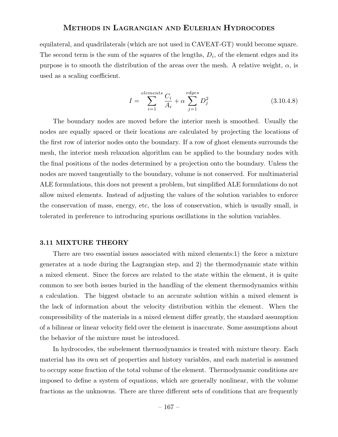equilateral, and quadrilaterals (which are not used in CAVEAT-GT) would become square. The second term is the sum of the squares of the lengths,  $D_i$ , of the element edges and its purpose is to smooth the distribution of the areas over the mesh. A relative weight,  $\alpha$ , is used as a scaling coefficient.

$$
I = \sum_{i=1}^{elements} \frac{C_i}{A_i} + \alpha \sum_{j=1}^{edges} D_j^2
$$
 (3.10.4.8)

The boundary nodes are moved before the interior mesh is smoothed. Usually the nodes are equally spaced or their locations are calculated by projecting the locations of the first row of interior nodes onto the boundary. If a row of ghost elements surrounds the mesh, the interior mesh relaxation algorithm can be applied to the boundary nodes with the final positions of the nodes determined by a projection onto the boundary. Unless the nodes are moved tangentially to the boundary, volume is not conserved. For multimaterial ALE formulations, this does not present a problem, but simplified ALE formulations do not allow mixed elements. Instead of adjusting the values of the solution variables to enforce the conservation of mass, energy, etc, the loss of conservation, which is usually small, is tolerated in preference to introducing spurious oscillations in the solution variables.

#### **3.11 MIXTURE THEORY**

There are two essential issues associated with mixed elements:1) the force a mixture generates at a node during the Lagrangian step, and 2) the thermodynamic state within a mixed element. Since the forces are related to the state within the element, it is quite common to see both issues buried in the handling of the element thermodynamics within a calculation. The biggest obstacle to an accurate solution within a mixed element is the lack of information about the velocity distribution within the element. When the compressibility of the materials in a mixed element differ greatly, the standard assumption of a bilinear or linear velocity field over the element is inaccurate. Some assumptions about the behavior of the mixture must be introduced.

In hydrocodes, the subelement thermodynamics is treated with mixture theory. Each material has its own set of properties and history variables, and each material is assumed to occupy some fraction of the total volume of the element. Thermodynamic conditions are imposed to define a system of equations, which are generally nonlinear, with the volume fractions as the unknowns. There are three different sets of conditions that are frequently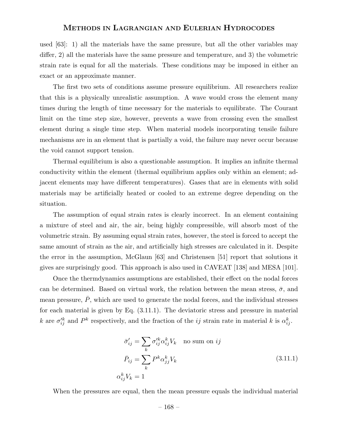used [63]: 1) all the materials have the same pressure, but all the other variables may differ, 2) all the materials have the same pressure and temperature, and 3) the volumetric strain rate is equal for all the materials. These conditions may be imposed in either an exact or an approximate manner.

The first two sets of conditions assume pressure equilibrium. All researchers realize that this is a physically unrealistic assumption. A wave would cross the element many times during the length of time necessary for the materials to equilibrate. The Courant limit on the time step size, however, prevents a wave from crossing even the smallest element during a single time step. When material models incorporating tensile failure mechanisms are in an element that is partially a void, the failure may never occur because the void cannot support tension.

Thermal equilibrium is also a questionable assumption. It implies an infinite thermal conductivity within the element (thermal equilibrium applies only within an element; adjacent elements may have different temperatures). Gases that are in elements with solid materials may be artificially heated or cooled to an extreme degree depending on the situation.

The assumption of equal strain rates is clearly incorrect. In an element containing a mixture of steel and air, the air, being highly compressible, will absorb most of the volumetric strain. By assuming equal strain rates, however, the steel is forced to accept the same amount of strain as the air, and artificially high stresses are calculated in it. Despite the error in the assumption, McGlaun [63] and Christensen [51] report that solutions it gives are surprisingly good. This approach is also used in CAVEAT [138] and MESA [101].

Once the thermdynamics assumptions are established, their effect on the nodal forces can be determined. Based on virtual work, the relation between the mean stress,  $\bar{\sigma}$ , and mean pressure,  $P$ , which are used to generate the nodal forces, and the individual stresses for each material is given by Eq. (3.11.1). The deviatoric stress and pressure in material k are  $\sigma_{ij}^{k}$  and  $P^{k}$  respectively, and the fraction of the ij strain rate in material k is  $\alpha_{ij}^{k}$ .

$$
\bar{\sigma}_{ij}' = \sum_{k} \sigma_{ij}^{\prime k} \alpha_{ij}^{k} V_k \quad \text{no sum on } ij
$$

$$
\bar{P}_{ij} = \sum_{k} P^k \alpha_{jj}^{k} V_k
$$

$$
\alpha_{ij}^{k} V_k = 1
$$
(3.11.1)

When the pressures are equal, then the mean pressure equals the individual material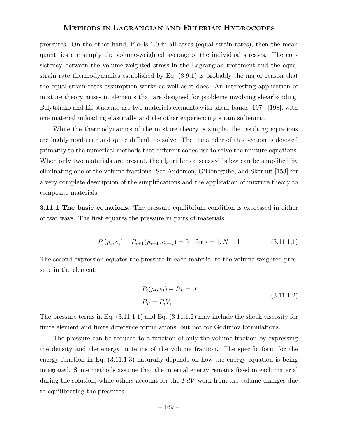pressures. On the other hand, if  $\alpha$  is 1.0 in all cases (equal strain rates), then the mean quantities are simply the volume-weighted average of the individual stresses. The consistency between the volume-weighted stress in the Lagrangian treatment and the equal strain rate thermodynamics established by Eq. (3.9.1) is probably the major reason that the equal strain rates assumption works as well as it does. An interesting application of mixture theory arises in elements that are designed for problems involving shearbanding. Belytshcko and his students use two materials elements with shear bands [197], [198], with one material unloading elastically and the other experiencing strain softening.

While the thermodynamics of the mixture theory is simple, the resulting equations are highly nonlinear and quite difficult to solve. The remainder of this section is devoted primarily to the numerical methods that different codes use to solve the mixture equations. When only two materials are present, the algorithms discussed below can be simplified by eliminating one of the volume fractions. See Anderson, O'Donoguhe, and Skerhut [153] for a very complete description of the simplifications and the application of mixture theory to composite materials.

**3.11.1 The basic equations.** The pressure equilibrium condition is expressed in either of two ways. The first equates the pressure in pairs of materials.

$$
P_i(\rho_i, e_i) - P_{i+1}(\rho_{i+1}, e_{i+1}) = 0 \quad \text{for } i = 1, N - 1 \tag{3.11.1.1}
$$

The second expression equates the pressure in each material to the volume weighted pressure in the element.

$$
P_i(\rho_i, e_i) - P_T = 0
$$
  
\n
$$
P_T = P_i V_i
$$
\n(3.11.1.2)

The pressure terms in Eq.  $(3.11.1.1)$  and Eq.  $(3.11.1.2)$  may include the shock viscosity for finite element and finite difference formulations, but not for Godunov formulations.

The pressure can be reduced to a function of only the volume fraction by expressing the density and the energy in terms of the volume fraction. The specific form for the energy function in Eq. (3.11.1.3) naturally depends on how the energy equation is being integrated. Some methods assume that the internal energy remains fixed in each material during the solution, while others account for the  $PdV$  work from the volume changes due to equilibrating the pressures.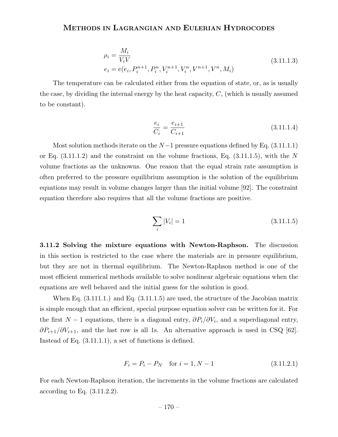$$
\rho_i = \frac{M_i}{V_i V}
$$
\n
$$
e_i = e(e_i, P_i^{n+1}, P_i^n, V_i^{n+1}, V_i^n, V^{n+1}, V^n, M_i)
$$
\n(3.11.1.3)

The temperature can be calculated either from the equation of state, or, as is usually the case, by dividing the internal energy by the heat capacity,  $C$ , (which is usually assumed to be constant).

$$
\frac{e_i}{C_i} = \frac{e_{i+1}}{C_{i+1}}\tag{3.11.1.4}
$$

Most solution methods iterate on the  $N-1$  pressure equations defined by Eq. (3.11.1.1) or Eq.  $(3.11.1.2)$  and the constraint on the volume fractions, Eq.  $(3.11.1.5)$ , with the N volume fractions as the unknowns. One reason that the equal strain rate assumption is often preferred to the pressure equilibrium assumption is the solution of the equilibrium equations may result in volume changes larger than the initial volume [92]. The constraint equation therefore also requires that all the volume fractions are positive.

$$
\sum_{i} |V_i| = 1 \tag{3.11.1.5}
$$

**3.11.2 Solving the mixture equations with Newton-Raphson.** The discussion in this section is restricted to the case where the materials are in pressure equilibrium, but they are not in thermal equilibrium. The Newton-Raphson method is one of the most efficient numerical methods available to solve nonlinear algebraic equations when the equations are well behaved and the initial guess for the solution is good.

When Eq. (3.111.1.) and Eq. (3.11.1.5) are used, the structure of the Jacobian matrix is simple enough that an efficient, special purpose equation solver can be written for it. For the first  $N-1$  equations, there is a diagonal entry,  $\partial P_i/\partial V_i$ , and a superdiagonal entry,  $\partial P_{i+1}/\partial V_{i+1}$ , and the last row is all 1s. An alternative approach is used in CSQ [62]. Instead of Eq. (3.11.1.1), a set of functions is defined.

$$
F_i = P_i - P_N \quad \text{for } i = 1, N - 1 \tag{3.11.2.1}
$$

For each Newton-Raphson iteration, the increments in the volume fractions are calculated according to Eq. (3.11.2.2).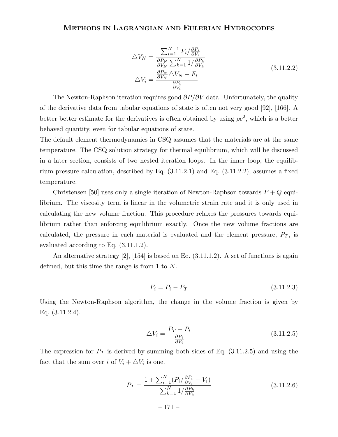$$
\Delta V_N = \frac{\sum_{i=1}^{N-1} F_i / \frac{\partial P_i}{\partial V_i}}{\frac{\partial P_N}{\partial V_N} \sum_{k=1}^{N} 1 / \frac{\partial P_k}{\partial V_k}}
$$
\n
$$
\Delta V_i = \frac{\frac{\partial P_N}{\partial V_N} \Delta V_N - F_i}{\frac{\partial P_i}{\partial V_i}}
$$
\n(3.11.2.2)

The Newton-Raphson iteration requires good  $\partial P/\partial V$  data. Unfortunately, the quality of the derivative data from tabular equations of state is often not very good [92], [166]. A better better estimate for the derivatives is often obtained by using  $\rho c^2$ , which is a better behaved quantity, even for tabular equations of state.

The default element thermodynamics in CSQ assumes that the materials are at the same temperature. The CSQ solution strategy for thermal equilibrium, which will be discussed in a later section, consists of two nested iteration loops. In the inner loop, the equilibrium pressure calculation, described by Eq. (3.11.2.1) and Eq. (3.11.2.2), assumes a fixed temperature.

Christensen [50] uses only a single iteration of Newton-Raphson towards  $P + Q$  equilibrium. The viscosity term is linear in the volumetric strain rate and it is only used in calculating the new volume fraction. This procedure relaxes the pressures towards equilibrium rather than enforcing equilibrium exactly. Once the new volume fractions are calculated, the pressure in each material is evaluated and the element pressure,  $P_T$ , is evaluated according to Eq. (3.11.1.2).

An alternative strategy  $[2]$ ,  $[154]$  is based on Eq.  $(3.11.1.2)$ . A set of functions is again defined, but this time the range is from 1 to N.

$$
F_i = P_i - P_T \t\t(3.11.2.3)
$$

Using the Newton-Raphson algorithm, the change in the volume fraction is given by Eq. (3.11.2.4).

$$
\triangle V_i = \frac{P_T - P_i}{\frac{\partial P_i}{\partial V_i}}\tag{3.11.2.5}
$$

The expression for  $P_T$  is derived by summing both sides of Eq. (3.11.2.5) and using the fact that the sum over i of  $V_i + \Delta V_i$  is one.

$$
P_T = \frac{1 + \sum_{i=1}^{N} (P_i / \frac{\partial P_i}{\partial V_i} - V_i)}{\sum_{k=1}^{N} 1 / \frac{\partial P_k}{\partial V_k}}
$$
(3.11.2.6)

– 171 –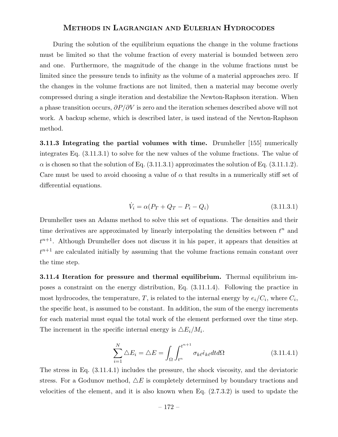During the solution of the equilibrium equations the change in the volume fractions must be limited so that the volume fraction of every material is bounded between zero and one. Furthermore, the magnitude of the change in the volume fractions must be limited since the pressure tends to infinity as the volume of a material approaches zero. If the changes in the volume fractions are not limited, then a material may become overly compressed during a single iteration and destabilize the Newton-Raphson iteration. When a phase transition occurs,  $\partial P/\partial V$  is zero and the iteration schemes described above will not work. A backup scheme, which is described later, is used instead of the Newton-Raphson method.

**3.11.3 Integrating the partial volumes with time.** Drumheller [155] numerically integrates Eq. (3.11.3.1) to solve for the new values of the volume fractions. The value of  $\alpha$  is chosen so that the solution of Eq.  $(3.11.3.1)$  approximates the solution of Eq.  $(3.11.1.2)$ . Care must be used to avoid choosing a value of  $\alpha$  that results in a numerically stiff set of differential equations.

$$
\dot{V}_i = \alpha (P_T + Q_T - P_i - Q_i) \tag{3.11.3.1}
$$

Drumheller uses an Adams method to solve this set of equations. The densities and their time derivatives are approximated by linearly interpolating the densities between  $t^n$  and  $t^{n+1}$ . Although Drumheller does not discuss it in his paper, it appears that densities at  $t^{n+1}$  are calculated initially by assuming that the volume fractions remain constant over the time step.

**3.11.4 Iteration for pressure and thermal equilibrium.** Thermal equilibrium imposes a constraint on the energy distribution, Eq. (3.11.1.4). Following the practice in most hydrocodes, the temperature, T, is related to the internal energy by  $e_i/C_i$ , where  $C_i$ , the specific heat, is assumed to be constant. In addition, the sum of the energy increments for each material must equal the total work of the element performed over the time step. The increment in the specific internal energy is  $\triangle E_i/M_i$ .

$$
\sum_{i=1}^{N} \Delta E_i = \Delta E = \int_{\Omega} \int_{t^n}^{t^{n+1}} \sigma_{k\ell} \dot{\epsilon}_{k\ell} dt d\Omega \qquad (3.11.4.1)
$$

The stress in Eq. (3.11.4.1) includes the pressure, the shock viscosity, and the deviatoric stress. For a Godunov method,  $\Delta E$  is completely determined by boundary tractions and velocities of the element, and it is also known when Eq. (2.7.3.2) is used to update the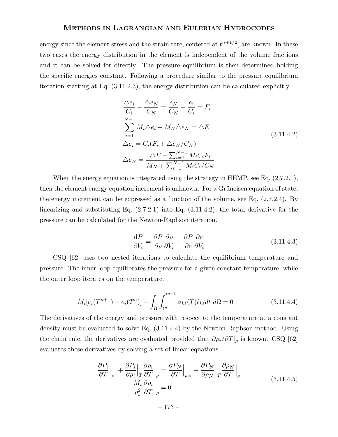energy since the element stress and the strain rate, centered at  $t^{n+1/2}$ , are known. In these two cases the energy distribution in the element is independent of the volume fractions and it can be solved for directly. The pressure equilibrium is then determined holding the specific energies constant. Following a procedure similar to the pressure equilibrium iteration starting at Eq. (3.11.2.3), the energy distribution can be calculated explicitly.

$$
\frac{\Delta e_i}{C_i} - \frac{\Delta e_N}{C_N} = \frac{e_N}{C_N} - \frac{e_i}{C_i} = F_i
$$
\n
$$
\sum_{i=1}^{N-1} M_i \Delta e_i + M_N \Delta e_N = \Delta E
$$
\n
$$
\Delta e_i = C_i (F_i + \Delta e_N / C_N)
$$
\n
$$
\Delta e_N = \frac{\Delta E - \sum_{i=1}^{N-1} M_i C_i F_i}{M_N + \sum_{i=1}^{N-1} M_i C_i / C_N}
$$
\n(3.11.4.2)

When the energy equation is integrated using the strategy in HEMP, see Eq.  $(2.7.2.1)$ , then the element energy equation increment is unknown. For a Grüneisen equation of state, the energy increment can be expressed as a function of the volume, see Eq. (2.7.2.4). By linearizing and substituting Eq.  $(2.7.2.1)$  into Eq.  $(3.11.4.2)$ , the total derivative for the pressure can be calculated for the Newton-Raphson iteration.

$$
\frac{\mathrm{d}P}{\mathrm{d}V_i} = \frac{\partial P}{\partial \rho} \frac{\partial \rho}{\partial V_i} + \frac{\partial P}{\partial e} \frac{\partial e}{\partial V_i}
$$
(3.11.4.3)

CSQ [62] uses two nested iterations to calculate the equilibrium temperature and pressure. The inner loop equilibrates the pressure for a given constant temperature, while the outer loop iterates on the temperature.

$$
M_i[e_i(T^{n+1}) - e_i(T^n)] - \int_{\Omega} \int_{t^n}^{t^{n+1}} \sigma_{k\ell}(T)\dot{\epsilon}_{k\ell} dt \ d\Omega = 0 \qquad (3.11.4.4)
$$

The derivatives of the energy and pressure with respect to the temperature at a constant density must be evaluated to solve Eq. (3.11.4.4) by the Newton-Raphson method. Using the chain rule, the derivatives are evaluated provided that  $\partial \rho_i / \partial T|_{\rho}$  is known. CSQ [62] evaluates these derivatives by solving a set of linear equations.

$$
\frac{\partial P_i}{\partial T}\Big|_{\rho_i} + \frac{\partial P_i}{\partial \rho_i} \Big|_{T} \frac{\partial \rho_i}{\partial T}\Big|_{\rho} = \frac{\partial P_N}{\partial T}\Big|_{\rho_N} + \frac{\partial P_N}{\partial \rho_N} \Big|_{T} \frac{\partial \rho_N}{\partial T}\Big|_{\rho}
$$
\n
$$
\frac{M_i}{\rho_i^2} \frac{\partial \rho_i}{\partial T}\Big|_{\rho} = 0
$$
\n(3.11.4.5)

– 173 –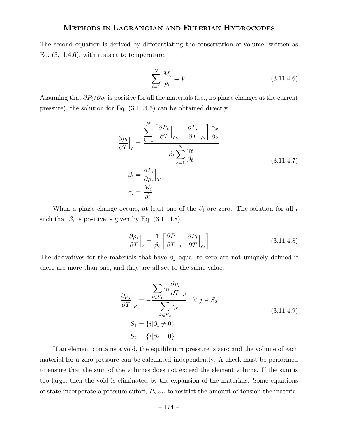The second equation is derived by differentiating the conservation of volume, written as Eq. (3.11.4.6), with respect to temperature.

$$
\sum_{i=1}^{N} \frac{M_i}{\rho_i} = V \tag{3.11.4.6}
$$

Assuming that  $\partial P_i/\partial \rho_i$  is positive for all the materials (i.e., no phase changes at the current pressure), the solution for Eq. (3.11.4.5) can be obtained directly.

$$
\frac{\partial \rho_i}{\partial T}\Big|_{\rho} = \frac{\sum_{k=1}^{N} \left[ \frac{\partial P_k}{\partial T} \Big|_{\rho_k} - \frac{\partial P_i}{\partial T} \Big|_{\rho_i} \right] \frac{\gamma_k}{\beta_k}}{\beta_i \sum_{\ell=1}^{N} \frac{\gamma_\ell}{\beta_\ell}}
$$
\n
$$
\beta_i = \frac{\partial P_i}{\partial \rho_i} \Big|_{T}
$$
\n
$$
\gamma_i = \frac{M_i}{\rho_i^2}
$$
\n(3.11.4.7)

When a phase change occurs, at least one of the  $\beta_i$  are zero. The solution for all i such that  $\beta_i$  is positive is given by Eq. (3.11.4.8).

$$
\frac{\partial \rho_i}{\partial T}\Big|_{\rho} = \frac{1}{\beta_i} \left[ \frac{\partial P}{\partial T} \Big|_{\rho} - \frac{\partial P_i}{\partial T} \Big|_{\rho_i} \right]
$$
(3.11.4.8)

The derivatives for the materials that have  $\beta_j$  equal to zero are not uniquely defined if there are more than one, and they are all set to the same value.

$$
\frac{\partial \rho_j}{\partial T}\Big|_{\rho} = -\frac{\sum_{i \in S_1} \gamma_i \frac{\partial \rho_i}{\partial T}\Big|_{\rho}}{\sum_{k \in S_2} \gamma_k} \quad \forall j \in S_2
$$
\n
$$
S_1 = \{i|\beta_i \neq 0\}
$$
\n
$$
S_2 = \{i|\beta_i = 0\}
$$
\n(3.11.4.9)

If an element contains a void, the equilibrium pressure is zero and the volume of each material for a zero pressure can be calculated independently. A check must be performed to ensure that the sum of the volumes does not exceed the element volume. If the sum is too large, then the void is eliminated by the expansion of the materials. Some equations of state incorporate a pressure cutoff,  $P_{min}$ , to restrict the amount of tension the material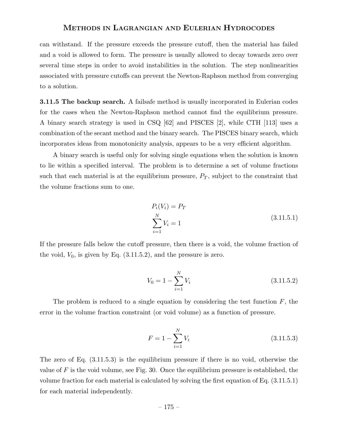can withstand. If the pressure exceeds the pressure cutoff, then the material has failed and a void is allowed to form. The pressure is usually allowed to decay towards zero over several time steps in order to avoid instabilities in the solution. The step nonlinearities associated with pressure cutoffs can prevent the Newton-Raphson method from converging to a solution.

**3.11.5 The backup search.** A failsafe method is usually incorporated in Eulerian codes for the cases when the Newton-Raphson method cannot find the equilibrium pressure. A binary search strategy is used in CSQ [62] and PISCES [2], while CTH [113] uses a combination of the secant method and the binary search. The PISCES binary search, which incorporates ideas from monotonicity analysis, appears to be a very efficient algorithm.

A binary search is useful only for solving single equations when the solution is known to lie within a specified interval. The problem is to determine a set of volume fractions such that each material is at the equilibrium pressure,  $P_T$ , subject to the constraint that the volume fractions sum to one.

$$
P_i(V_i) = P_T
$$
  
\n
$$
\sum_{i=1}^{N} V_i = 1
$$
\n(3.11.5.1)

If the pressure falls below the cutoff pressure, then there is a void, the volume fraction of the void,  $V_0$ , is given by Eq.  $(3.11.5.2)$ , and the pressure is zero.

$$
V_0 = 1 - \sum_{i=1}^{N} V_i
$$
 (3.11.5.2)

The problem is reduced to a single equation by considering the test function  $F$ , the error in the volume fraction constraint (or void volume) as a function of pressure.

$$
F = 1 - \sum_{i=1}^{N} V_i
$$
 (3.11.5.3)

The zero of Eq. (3.11.5.3) is the equilibrium pressure if there is no void, otherwise the value of  $F$  is the void volume, see Fig. 30. Once the equilibrium pressure is established, the volume fraction for each material is calculated by solving the first equation of Eq. (3.11.5.1) for each material independently.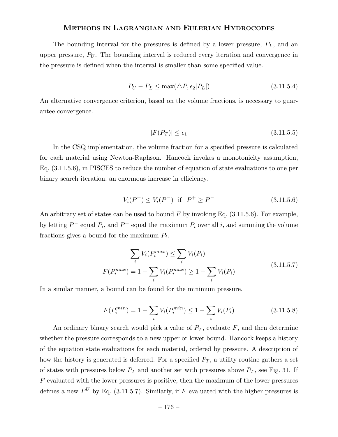The bounding interval for the pressures is defined by a lower pressure,  $P_L$ , and an upper pressure,  $P_U$ . The bounding interval is reduced every iteration and convergence in the pressure is defined when the interval is smaller than some specified value.

$$
P_U - P_L \le \max(\Delta P, \epsilon_2 | P_L|) \tag{3.11.5.4}
$$

An alternative convergence criterion, based on the volume fractions, is necessary to guarantee convergence.

$$
|F(P_T)| \le \epsilon_1 \tag{3.11.5.5}
$$

In the CSQ implementation, the volume fraction for a specified pressure is calculated for each material using Newton-Raphson. Hancock invokes a monotonicity assumption, Eq. (3.11.5.6), in PISCES to reduce the number of equation of state evaluations to one per binary search iteration, an enormous increase in efficiency.

$$
V_i(P^+) \le V_i(P^-) \quad \text{if} \quad P^+ \ge P^- \tag{3.11.5.6}
$$

An arbitrary set of states can be used to bound F by invoking Eq.  $(3.11.5.6)$ . For example, by letting  $P^-$  equal  $P_i$ , and  $P^+$  equal the maximum  $P_i$  over all i, and summing the volume fractions gives a bound for the maximum  $P_i$ .

$$
\sum_{i} V_i(P_i^{max}) \le \sum_{i} V_i(P_i)
$$
  

$$
F(P_i^{max}) = 1 - \sum_{i} V_i(P_i^{max}) \ge 1 - \sum_{i} V_i(P_i)
$$
 (3.11.5.7)

In a similar manner, a bound can be found for the minimum pressure.

$$
F(P_i^{min}) = 1 - \sum_i V_i(P_i^{min}) \le 1 - \sum_i V_i(P_i)
$$
 (3.11.5.8)

An ordinary binary search would pick a value of  $P_T$ , evaluate F, and then determine whether the pressure corresponds to a new upper or lower bound. Hancock keeps a history of the equation state evaluations for each material, ordered by pressure. A description of how the history is generated is deferred. For a specified  $P_T$ , a utility routine gathers a set of states with pressures below  $P_T$  and another set with pressures above  $P_T$ , see Fig. 31. If F evaluated with the lower pressures is positive, then the maximum of the lower pressures defines a new  $P^U$  by Eq. (3.11.5.7). Similarly, if F evaluated with the higher pressures is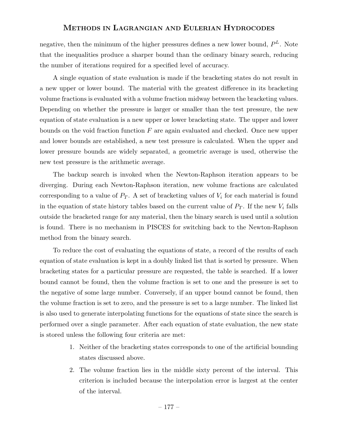negative, then the minimum of the higher pressures defines a new lower bound,  $P<sup>L</sup>$ . Note that the inequalities produce a sharper bound than the ordinary binary search, reducing the number of iterations required for a specified level of accuracy.

A single equation of state evaluation is made if the bracketing states do not result in a new upper or lower bound. The material with the greatest difference in its bracketing volume fractions is evaluated with a volume fraction midway between the bracketing values. Depending on whether the pressure is larger or smaller than the test pressure, the new equation of state evaluation is a new upper or lower bracketing state. The upper and lower bounds on the void fraction function  $F$  are again evaluated and checked. Once new upper and lower bounds are established, a new test pressure is calculated. When the upper and lower pressure bounds are widely separated, a geometric average is used, otherwise the new test pressure is the arithmetic average.

The backup search is invoked when the Newton-Raphson iteration appears to be diverging. During each Newton-Raphson iteration, new volume fractions are calculated corresponding to a value of  $P_T$ . A set of bracketing values of  $V_i$  for each material is found in the equation of state history tables based on the current value of  $P_T$ . If the new  $V_i$  falls outside the bracketed range for any material, then the binary search is used until a solution is found. There is no mechanism in PISCES for switching back to the Newton-Raphson method from the binary search.

To reduce the cost of evaluating the equations of state, a record of the results of each equation of state evaluation is kept in a doubly linked list that is sorted by pressure. When bracketing states for a particular pressure are requested, the table is searched. If a lower bound cannot be found, then the volume fraction is set to one and the pressure is set to the negative of some large number. Conversely, if an upper bound cannot be found, then the volume fraction is set to zero, and the pressure is set to a large number. The linked list is also used to generate interpolating functions for the equations of state since the search is performed over a single parameter. After each equation of state evaluation, the new state is stored unless the following four criteria are met:

- 1. Neither of the bracketing states corresponds to one of the artificial bounding states discussed above.
- 2. The volume fraction lies in the middle sixty percent of the interval. This criterion is included because the interpolation error is largest at the center of the interval.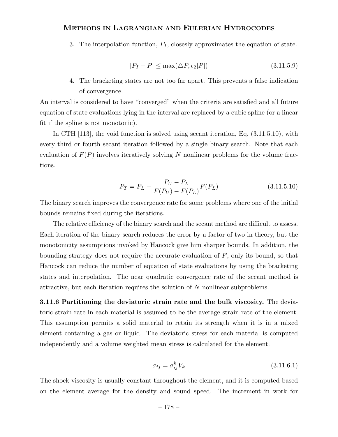3. The interpolation function,  $P<sub>I</sub>$ , closesly approximates the equation of state.

$$
|P_I - P| \le \max(\triangle P, \epsilon_2 |P|) \tag{3.11.5.9}
$$

4. The bracketing states are not too far apart. This prevents a false indication of convergence.

An interval is considered to have "converged" when the criteria are satisfied and all future equation of state evaluations lying in the interval are replaced by a cubic spline (or a linear fit if the spline is not monotonic).

In CTH [113], the void function is solved using secant iteration, Eq. (3.11.5.10), with every third or fourth secant iteration followed by a single binary search. Note that each evaluation of  $F(P)$  involves iteratively solving N nonlinear problems for the volume fractions.

$$
P_T = P_L - \frac{P_U - P_L}{F(P_U) - F(P_L)} F(P_L)
$$
\n(3.11.5.10)

The binary search improves the convergence rate for some problems where one of the initial bounds remains fixed during the iterations.

The relative efficiency of the binary search and the secant method are difficult to assess. Each iteration of the binary search reduces the error by a factor of two in theory, but the monotonicity assumptions invoked by Hancock give him sharper bounds. In addition, the bounding strategy does not require the accurate evaluation of  $F$ , only its bound, so that Hancock can reduce the number of equation of state evaluations by using the bracketing states and interpolation. The near quadratic convergence rate of the secant method is attractive, but each iteration requires the solution of N nonlinear subproblems.

**3.11.6 Partitioning the deviatoric strain rate and the bulk viscosity.** The deviatoric strain rate in each material is assumed to be the average strain rate of the element. This assumption permits a solid material to retain its strength when it is in a mixed element containing a gas or liquid. The deviatoric stress for each material is computed independently and a volume weighted mean stress is calculated for the element.

$$
\sigma_{ij} = \sigma_{ij}^k V_k \tag{3.11.6.1}
$$

The shock viscosity is usually constant throughout the element, and it is computed based on the element average for the density and sound speed. The increment in work for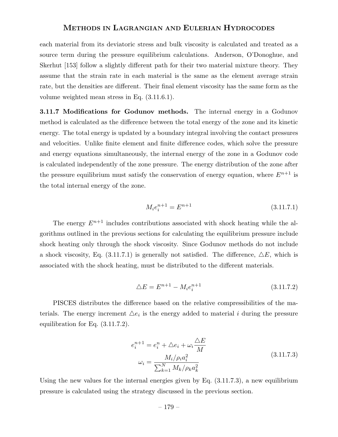each material from its deviatoric stress and bulk viscosity is calculated and treated as a source term during the pressure equilibrium calculations. Anderson, O'Donoghue, and Skerhut [153] follow a slightly different path for their two material mixture theory. They assume that the strain rate in each material is the same as the element average strain rate, but the densities are different. Their final element viscosity has the same form as the volume weighted mean stress in Eq. (3.11.6.1).

**3.11.7 Modifications for Godunov methods.** The internal energy in a Godunov method is calculated as the difference between the total energy of the zone and its kinetic energy. The total energy is updated by a boundary integral involving the contact pressures and velocities. Unlike finite element and finite difference codes, which solve the pressure and energy equations simultaneously, the internal energy of the zone in a Godunov code is calculated independently of the zone pressure. The energy distribution of the zone after the pressure equilibrium must satisfy the conservation of energy equation, where  $E^{n+1}$  is the total internal energy of the zone.

$$
M_i e_i^{n+1} = E^{n+1} \tag{3.11.7.1}
$$

The energy  $E^{n+1}$  includes contributions associated with shock heating while the algorithms outlined in the previous sections for calculating the equilibrium pressure include shock heating only through the shock viscosity. Since Godunov methods do not include a shock viscosity, Eq.  $(3.11.7.1)$  is generally not satisfied. The difference,  $\Delta E$ , which is associated with the shock heating, must be distributed to the different materials.

$$
\triangle E = E^{n+1} - M_i e_i^{n+1} \tag{3.11.7.2}
$$

PISCES distributes the difference based on the relative compressibilities of the materials. The energy increment  $\Delta e_i$  is the energy added to material i during the pressure equilibration for Eq. (3.11.7.2).

$$
e_i^{n+1} = e_i^n + \Delta e_i + \omega_i \frac{\Delta E}{M}
$$
  

$$
\omega_i = \frac{M_i / \rho_i a_i^2}{\sum_{k=1}^N M_k / \rho_k a_k^2}
$$
 (3.11.7.3)

Using the new values for the internal energies given by Eq.  $(3.11.7.3)$ , a new equilibrium pressure is calculated using the strategy discussed in the previous section.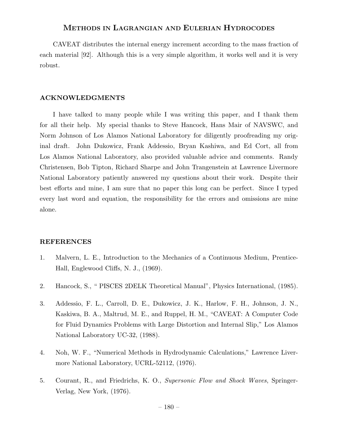CAVEAT distributes the internal energy increment according to the mass fraction of each material [92]. Although this is a very simple algorithm, it works well and it is very robust.

#### **ACKNOWLEDGMENTS**

I have talked to many people while I was writing this paper, and I thank them for all their help. My special thanks to Steve Hancock, Hans Mair of NAVSWC, and Norm Johnson of Los Alamos National Laboratory for diligently proofreading my original draft. John Dukowicz, Frank Addessio, Bryan Kashiwa, and Ed Cort, all from Los Alamos National Laboratory, also provided valuable advice and comments. Randy Christensen, Bob Tipton, Richard Sharpe and John Trangenstein at Lawrence Livermore National Laboratory patiently answered my questions about their work. Despite their best efforts and mine, I am sure that no paper this long can be perfect. Since I typed every last word and equation, the responsibility for the errors and omissions are mine alone.

#### **REFERENCES**

- 1. Malvern, L. E., Introduction to the Mechanics of a Continuous Medium, Prentice-Hall, Englewood Cliffs, N. J., (1969).
- 2. Hancock, S., " PISCES 2DELK Theoretical Manual", Physics International, (1985).
- 3. Addessio, F. L., Carroll, D. E., Dukowicz, J. K., Harlow, F. H., Johnson, J. N., Kaskiwa, B. A., Maltrud, M. E., and Ruppel, H. M., "CAVEAT: A Computer Code for Fluid Dynamics Problems with Large Distortion and Internal Slip," Los Alamos National Laboratory UC-32, (1988).
- 4. Noh, W. F., "Numerical Methods in Hydrodynamic Calculations," Lawrence Livermore National Laboratory, UCRL-52112, (1976).
- 5. Courant, R., and Friedrichs, K. O., *Supersonic Flow and Shock Waves*, Springer-Verlag, New York, (1976).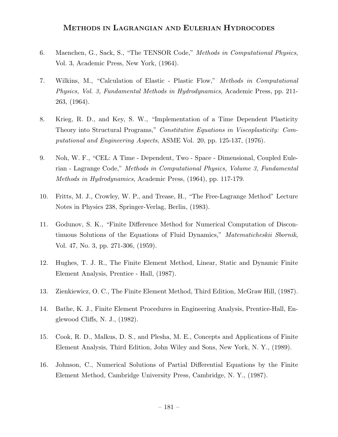- 6. Maenchen, G., Sack, S., "The TENSOR Code," *Methods in Computational Physics*, Vol. 3, Academic Press, New York, (1964).
- 7. Wilkins, M., "Calculation of Elastic Plastic Flow," *Methods in Computational Physics, Vol. 3, Fundamental Methods in Hydrodynamics*, Academic Press, pp. 211- 263, (1964).
- 8. Krieg, R. D., and Key, S. W., "Implementation of a Time Dependent Plasticity Theory into Structural Programs," *Constitutive Equations in Viscoplasticity: Computational and Engineering Aspects*, ASME Vol. 20, pp. 125-137, (1976).
- 9. Noh, W. F., "CEL: A Time Dependent, Two Space Dimensional, Coupled Eulerian - Lagrange Code," *Methods in Computational Physics, Volume 3, Fundamental Methods in Hydrodynamics*, Academic Press, (1964), pp. 117-179.
- 10. Fritts, M. J., Crowley, W. P., and Trease, H., "The Free-Lagrange Method" Lecture Notes in Physics 238, Springer-Verlag, Berlin, (1983).
- 11. Godunov, S. K., "Finite Difference Method for Numerical Computation of Discontinuous Solutions of the Equations of Fluid Dynamics," *Matematicheskii Sbornik*, Vol. 47, No. 3, pp. 271-306, (1959).
- 12. Hughes, T. J. R., The Finite Element Method, Linear, Static and Dynamic Finite Element Analysis, Prentice - Hall, (1987).
- 13. Zienkiewicz, O. C., The Finite Element Method, Third Edition, McGraw Hill, (1987).
- 14. Bathe, K. J., Finite Element Procedures in Engineering Analysis, Prentice-Hall, Englewood Cliffs, N. J., (1982).
- 15. Cook, R. D., Malkus, D. S., and Plesha, M. E., Concepts and Applications of Finite Element Analysis, Third Edition, John Wiley and Sons, New York, N. Y., (1989).
- 16. Johnson, C., Numerical Solutions of Partial Differential Equations by the Finite Element Method, Cambridge University Press, Cambridge, N. Y., (1987).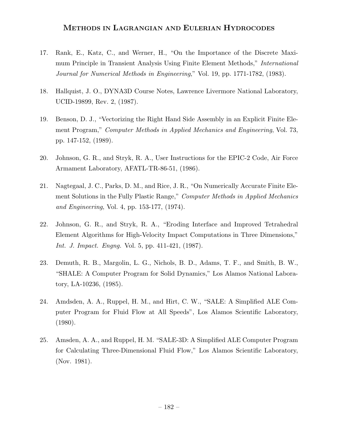- 17. Rank, E., Katz, C., and Werner, H., "On the Importance of the Discrete Maximum Principle in Transient Analysis Using Finite Element Methods," *International Journal for Numerical Methods in Engineering*," Vol. 19, pp. 1771-1782, (1983).
- 18. Hallquist, J. O., DYNA3D Course Notes, Lawrence Livermore National Laboratory, UCID-19899, Rev. 2, (1987).
- 19. Benson, D. J., "Vectorizing the Right Hand Side Assembly in an Explicit Finite Element Program," *Computer Methods in Applied Mechanics and Engineering*, Vol. 73, pp. 147-152, (1989).
- 20. Johnson, G. R., and Stryk, R. A., User Instructions for the EPIC-2 Code, Air Force Armament Laboratory, AFATL-TR-86-51, (1986).
- 21. Nagtegaal, J. C., Parks, D. M., and Rice, J. R., "On Numerically Accurate Finite Element Solutions in the Fully Plastic Range," *Computer Methods in Applied Mechanics and Engineering*, Vol. 4, pp. 153-177, (1974).
- 22. Johnson, G. R., and Stryk, R. A., "Eroding Interface and Improved Tetrahedral Element Algorithms for High-Velocity Impact Computations in Three Dimensions," *Int. J. Impact. Engng.* Vol. 5, pp. 411-421, (1987).
- 23. Demuth, R. B., Margolin, L. G., Nichols, B. D., Adams, T. F., and Smith, B. W., "SHALE: A Computer Program for Solid Dynamics," Los Alamos National Laboratory, LA-10236, (1985).
- 24. Amdsden, A. A., Ruppel, H. M., and Hirt, C. W., "SALE: A Simplified ALE Computer Program for Fluid Flow at All Speeds", Los Alamos Scientific Laboratory, (1980).
- 25. Amsden, A. A., and Ruppel, H. M. "SALE-3D: A Simplified ALE Computer Program for Calculating Three-Dimensional Fluid Flow," Los Alamos Scientific Laboratory, (Nov. 1981).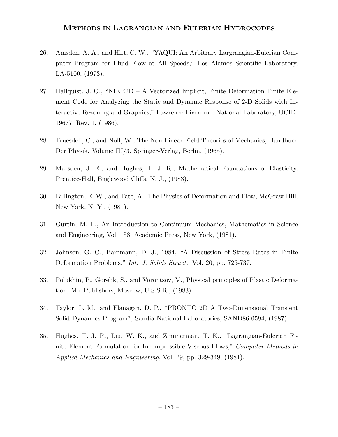- 26. Amsden, A. A., and Hirt, C. W., "YAQUI: An Arbitrary Largrangian-Eulerian Computer Program for Fluid Flow at All Speeds," Los Alamos Scientific Laboratory, LA-5100, (1973).
- 27. Hallquist, J. O., "NIKE2D A Vectorized Implicit, Finite Deformation Finite Element Code for Analyzing the Static and Dynamic Response of 2-D Solids with Interactive Rezoning and Graphics," Lawrence Livermore National Laboratory, UCID-19677, Rev. 1, (1986).
- 28. Truesdell, C., and Noll, W., The Non-Linear Field Theories of Mechanics, Handbuch Der Physik, Volume III/3, Springer-Verlag, Berlin, (1965).
- 29. Marsden, J. E., and Hughes, T. J. R., Mathematical Foundations of Elasticity, Prentice-Hall, Englewood Cliffs, N. J., (1983).
- 30. Billington, E. W., and Tate, A., The Physics of Deformation and Flow, McGraw-Hill, New York, N. Y., (1981).
- 31. Gurtin, M. E., An Introduction to Continuum Mechanics, Mathematics in Science and Engineering, Vol. 158, Academic Press, New York, (1981).
- 32. Johnson, G. C., Bammann, D. J., 1984, "A Discussion of Stress Rates in Finite Deformation Problems," *Int. J. Solids Struct.*, Vol. 20, pp. 725-737.
- 33. Polukhin, P., Gorelik, S., and Vorontsov, V., Physical principles of Plastic Deformation, Mir Publishers, Moscow, U.S.S.R., (1983).
- 34. Taylor, L. M., and Flanagan, D. P., "PRONTO 2D A Two-Dimensional Transient Solid Dynamics Program", Sandia National Laboratories, SAND86-0594, (1987).
- 35. Hughes, T. J. R., Liu, W. K., and Zimmerman, T. K., "Lagrangian-Eulerian Finite Element Formulation for Incompressible Viscous Flows," *Computer Methods in Applied Mechanics and Engineering*, Vol. 29, pp. 329-349, (1981).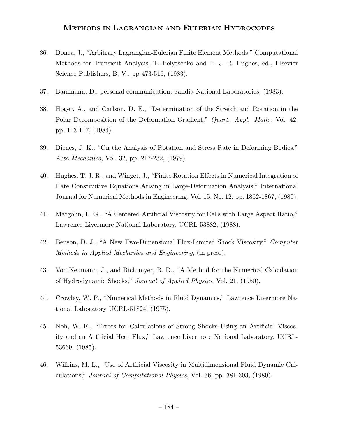- 36. Donea, J., "Arbitrary Lagrangian-Eulerian Finite Element Methods," Computational Methods for Transient Analysis, T. Belytschko and T. J. R. Hughes, ed., Elsevier Science Publishers, B. V., pp 473-516, (1983).
- 37. Bammann, D., personal communication, Sandia National Laboratories, (1983).
- 38. Hoger, A., and Carlson, D. E., "Determination of the Stretch and Rotation in the Polar Decomposition of the Deformation Gradient," *Quart. Appl. Math.*, Vol. 42, pp. 113-117, (1984).
- 39. Dienes, J. K., "On the Analysis of Rotation and Stress Rate in Deforming Bodies," *Acta Mechanica*, Vol. 32, pp. 217-232, (1979).
- 40. Hughes, T. J. R., and Winget, J., "Finite Rotation Effects in Numerical Integration of Rate Constitutive Equations Arising in Large-Deformation Analysis," International Journal for Numerical Methods in Engineering, Vol. 15, No. 12, pp. 1862-1867, (1980).
- 41. Margolin, L. G., "A Centered Artificial Viscosity for Cells with Large Aspect Ratio," Lawrence Livermore National Laboratory, UCRL-53882, (1988).
- 42. Benson, D. J., "A New Two-Dimensional Flux-Limited Shock Viscosity," *Computer Methods in Applied Mechanics and Engineering*, (in press).
- 43. Von Neumann, J., and Richtmyer, R. D., "A Method for the Numerical Calculation of Hydrodynamic Shocks," *Journal of Applied Physics*, Vol. 21, (1950).
- 44. Crowley, W. P., "Numerical Methods in Fluid Dynamics," Lawrence Livermore National Laboratory UCRL-51824, (1975).
- 45. Noh, W. F., "Errors for Calculations of Strong Shocks Using an Artificial Viscosity and an Artificial Heat Flux," Lawrence Livermore National Laboratory, UCRL-53669, (1985).
- 46. Wilkins, M. L., "Use of Artificial Viscosity in Multidimensional Fluid Dynamic Calculations," *Journal of Computational Physics*, Vol. 36, pp. 381-303, (1980).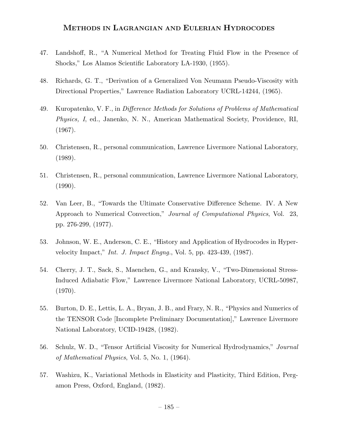- 47. Landshoff, R., "A Numerical Method for Treating Fluid Flow in the Presence of Shocks," Los Alamos Scientific Laboratory LA-1930, (1955).
- 48. Richards, G. T., "Derivation of a Generalized Von Neumann Pseudo-Viscosity with Directional Properties," Lawrence Radiation Laboratory UCRL-14244, (1965).
- 49. Kuropatenko, V. F., in *Difference Methods for Solutions of Problems of Mathematical Physics, I*, ed., Janenko, N. N., American Mathematical Society, Providence, RI, (1967).
- 50. Christensen, R., personal communication, Lawrence Livermore National Laboratory, (1989).
- 51. Christensen, R., personal communication, Lawrence Livermore National Laboratory, (1990).
- 52. Van Leer, B., "Towards the Ultimate Conservative Difference Scheme. IV. A New Approach to Numerical Convection," *Journal of Computational Physics*, Vol. 23, pp. 276-299, (1977).
- 53. Johnson, W. E., Anderson, C. E., "History and Application of Hydrocodes in Hypervelocity Impact," *Int. J. Impact Engng.*, Vol. 5, pp. 423-439, (1987).
- 54. Cherry, J. T., Sack, S., Maenchen, G., and Kransky, V., "Two-Dimensional Stress-Induced Adiabatic Flow," Lawrence Livermore National Laboratory, UCRL-50987, (1970).
- 55. Burton, D. E., Lettis, L. A., Bryan, J. B., and Frary, N. R., "Physics and Numerics of the TENSOR Code [Incomplete Preliminary Documentation]," Lawrence Livermore National Laboratory, UCID-19428, (1982).
- 56. Schulz, W. D., "Tensor Artificial Viscosity for Numerical Hydrodynamics," *Journal of Mathematical Physics*, Vol. 5, No. 1, (1964).
- 57. Washizu, K., Variational Methods in Elasticity and Plasticity, Third Edition, Pergamon Press, Oxford, England, (1982).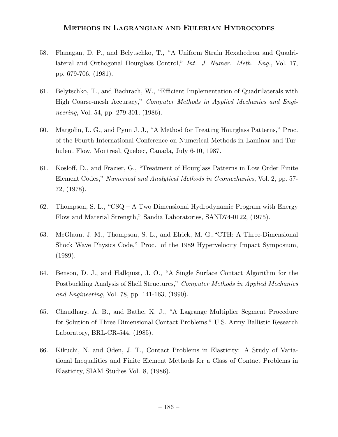- 58. Flanagan, D. P., and Belytschko, T., "A Uniform Strain Hexahedron and Quadrilateral and Orthogonal Hourglass Control," *Int. J. Numer. Meth. Eng.*, Vol. 17, pp. 679-706, (1981).
- 61. Belytschko, T., and Bachrach, W., "Efficient Implementation of Quadrilaterals with High Coarse-mesh Accuracy," *Computer Methods in Applied Mechanics and Engineering*, Vol. 54, pp. 279-301, (1986).
- 60. Margolin, L. G., and Pyun J. J., "A Method for Treating Hourglass Patterns," Proc. of the Fourth International Conference on Numerical Methods in Laminar and Turbulent Flow, Montreal, Quebec, Canada, July 6-10, 1987.
- 61. Kosloff, D., and Frazier, G., "Treatment of Hourglass Patterns in Low Order Finite Element Codes," *Numerical and Analytical Methods in Geomechanics*, Vol. 2, pp. 57- 72, (1978).
- 62. Thompson, S. L., "CSQ A Two Dimensional Hydrodynamic Program with Energy Flow and Material Strength," Sandia Laboratories, SAND74-0122, (1975).
- 63. McGlaun, J. M., Thompson, S. L., and Elrick, M. G.,"CTH: A Three-Dimensional Shock Wave Physics Code," Proc. of the 1989 Hypervelocity Impact Symposium, (1989).
- 64. Benson, D. J., and Hallquist, J. O., "A Single Surface Contact Algorithm for the Postbuckling Analysis of Shell Structures," *Computer Methods in Applied Mechanics and Engineering*, Vol. 78, pp. 141-163, (1990).
- 65. Chaudhary, A. B., and Bathe, K. J., "A Lagrange Multiplier Segment Procedure for Solution of Three Dimensional Contact Problems," U.S. Army Ballistic Research Laboratory, BRL-CR-544, (1985).
- 66. Kikuchi, N. and Oden, J. T., Contact Problems in Elasticity: A Study of Variational Inequalities and Finite Element Methods for a Class of Contact Problems in Elasticity, SIAM Studies Vol. 8, (1986).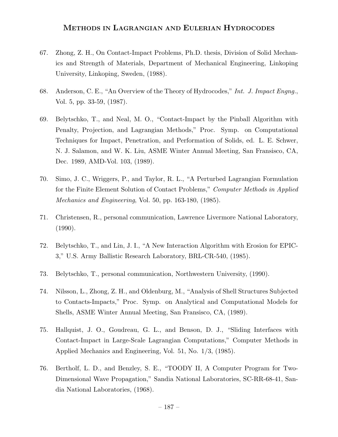- 67. Zhong, Z. H., On Contact-Impact Problems, Ph.D. thesis, Division of Solid Mechanics and Strength of Materials, Department of Mechanical Engineering, Linkoping University, Linkoping, Sweden, (1988).
- 68. Anderson, C. E., "An Overview of the Theory of Hydrocodes," *Int. J. Impact Engng.*, Vol. 5, pp. 33-59, (1987).
- 69. Belytschko, T., and Neal, M. O., "Contact-Impact by the Pinball Algorithm with Penalty, Projection, and Lagrangian Methods," Proc. Symp. on Computational Techniques for Impact, Penetration, and Performation of Solids, ed. L. E. Schwer, N. J. Salamon, and W. K. Liu, ASME Winter Annual Meeting, San Fransisco, CA, Dec. 1989, AMD-Vol. 103, (1989).
- 70. Simo, J. C., Wriggers, P., and Taylor, R. L., "A Perturbed Lagrangian Formulation for the Finite Element Solution of Contact Problems," *Computer Methods in Applied Mechanics and Engineering*, Vol. 50, pp. 163-180, (1985).
- 71. Christensen, R., personal communication, Lawrence Livermore National Laboratory, (1990).
- 72. Belytschko, T., and Lin, J. I., "A New Interaction Algorithm with Erosion for EPIC-3," U.S. Army Ballistic Research Laboratory, BRL-CR-540, (1985).
- 73. Belytschko, T., personal communication, Northwestern University, (1990).
- 74. Nilsson, L., Zhong, Z. H., and Oldenburg, M., "Analysis of Shell Structures Subjected to Contacts-Impacts," Proc. Symp. on Analytical and Computational Models for Shells, ASME Winter Annual Meeting, San Fransisco, CA, (1989).
- 75. Hallquist, J. O., Goudreau, G. L., and Benson, D. J., "Sliding Interfaces with Contact-Impact in Large-Scale Lagrangian Computations," Computer Methods in Applied Mechanics and Engineering, Vol. 51, No. 1/3, (1985).
- 76. Bertholf, L. D., and Benzley, S. E., "TOODY II, A Computer Program for Two-Dimensional Wave Propagation," Sandia National Laboratories, SC-RR-68-41, Sandia National Laboratories, (1968).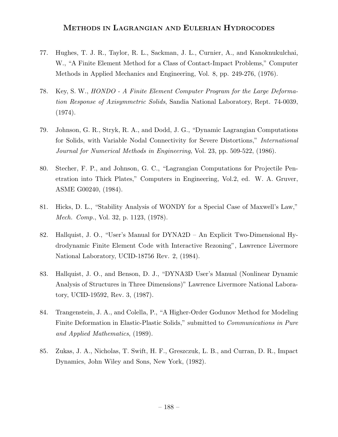- 77. Hughes, T. J. R., Taylor, R. L., Sackman, J. L., Curnier, A., and Kanoknukulchai, W., "A Finite Element Method for a Class of Contact-Impact Problems," Computer Methods in Applied Mechanics and Engineering, Vol. 8, pp. 249-276, (1976).
- 78. Key, S. W., *HONDO A Finite Element Computer Program for the Large Deformation Response of Axisymmetric Solids*, Sandia National Laboratory, Rept. 74-0039, (1974).
- 79. Johnson, G. R., Stryk, R. A., and Dodd, J. G., "Dynamic Lagrangian Computations for Solids, with Variable Nodal Connectivity for Severe Distortions," *International Journal for Numerical Methods in Engineering*, Vol. 23, pp. 509-522, (1986).
- 80. Stecher, F. P., and Johnson, G. C., "Lagrangian Computations for Projectile Penetration into Thick Plates," Computers in Engineering, Vol.2, ed. W. A. Gruver, ASME G00240, (1984).
- 81. Hicks, D. L., "Stability Analysis of WONDY for a Special Case of Maxwell's Law," *Mech. Comp.*, Vol. 32, p. 1123, (1978).
- 82. Hallquist, J. O., "User's Manual for DYNA2D An Explicit Two-Dimensional Hydrodynamic Finite Element Code with Interactive Rezoning", Lawrence Livermore National Laboratory, UCID-18756 Rev. 2, (1984).
- 83. Hallquist, J. O., and Benson, D. J., "DYNA3D User's Manual (Nonlinear Dynamic Analysis of Structures in Three Dimensions)" Lawrence Livermore National Laboratory, UCID-19592, Rev. 3, (1987).
- 84. Trangenstein, J. A., and Colella, P., "A Higher-Order Godunov Method for Modeling Finite Deformation in Elastic-Plastic Solids," submitted to *Communications in Pure and Applied Mathematics*, (1989).
- 85. Zukas, J. A., Nicholas, T. Swift, H. F., Greszczuk, L. B., and Curran, D. R., Impact Dynamics, John Wiley and Sons, New York, (1982).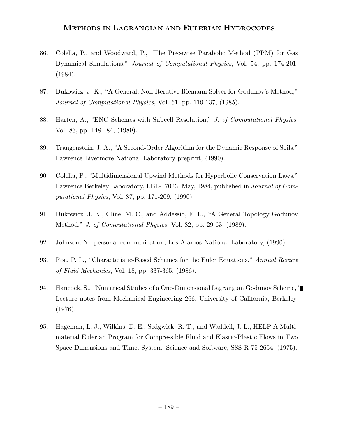- 86. Colella, P., and Woodward, P., "The Piecewise Parabolic Method (PPM) for Gas Dynamical Simulations," *Journal of Computational Physics*, Vol. 54, pp. 174-201, (1984).
- 87. Dukowicz, J. K., "A General, Non-Iterative Riemann Solver for Godunov's Method," *Journal of Computational Physics*, Vol. 61, pp. 119-137, (1985).
- 88. Harten, A., "ENO Schemes with Subcell Resolution," *J. of Computational Physics*, Vol. 83, pp. 148-184, (1989).
- 89. Trangenstein, J. A., "A Second-Order Algorithm for the Dynamic Response of Soils," Lawrence Livermore National Laboratory preprint, (1990).
- 90. Colella, P., "Multidimensional Upwind Methods for Hyperbolic Conservation Laws," Lawrence Berkeley Laboratory, LBL-17023, May, 1984, published in *Journal of Computational Physics*, Vol. 87, pp. 171-209, (1990).
- 91. Dukowicz, J. K., Cline, M. C., and Addessio, F. L., "A General Topology Godunov Method," *J. of Computational Physics*, Vol. 82, pp. 29-63, (1989).
- 92. Johnson, N., personal communication, Los Alamos National Laboratory, (1990).
- 93. Roe, P. L., "Characteristic-Based Schemes for the Euler Equations," *Annual Review of Fluid Mechanics*, Vol. 18, pp. 337-365, (1986).
- 94. Hancock, S., "Numerical Studies of a One-Dimensional Lagrangian Godunov Scheme," Lecture notes from Mechanical Engineering 266, University of California, Berkeley, (1976).
- 95. Hageman, L. J., Wilkins, D. E., Sedgwick, R. T., and Waddell, J. L., HELP A Multimaterial Eulerian Program for Compressible Fluid and Elastic-Plastic Flows in Two Space Dimensions and Time, System, Science and Software, SSS-R-75-2654, (1975).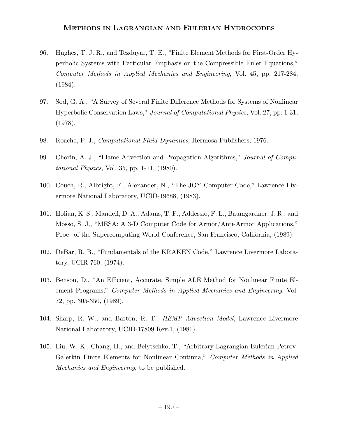- 96. Hughes, T. J. R., and Tezduyar, T. E., "Finite Element Methods for First-Order Hyperbolic Systems with Particular Emphasis on the Compressible Euler Equations," *Computer Methods in Applied Mechanics and Engineering*, Vol. 45, pp. 217-284, (1984).
- 97. Sod, G. A., "A Survey of Several Finite Difference Methods for Systems of Nonlinear Hyperbolic Conservation Laws," *Journal of Computational Physics*, Vol. 27, pp. 1-31, (1978).
- 98. Roache, P. J., *Computational Fluid Dynamics*, Hermosa Publishers, 1976.
- 99. Chorin, A. J., "Flame Advection and Propagation Algorithms," *Journal of Computational Physics*, Vol. 35, pp. 1-11, (1980).
- 100. Couch, R., Albright, E., Alexander, N., "The JOY Computer Code," Lawrence Livermore National Laboratory, UCID-19688, (1983).
- 101. Holian, K. S., Mandell, D. A., Adams, T. F., Addessio, F. L., Baumgardner, J. R., and Mosso, S. J., "MESA: A 3-D Computer Code for Armor/Anti-Armor Applications," Proc. of the Supercomputing World Conference, San Francisco, California, (1989).
- 102. DeBar, R. B., "Fundamentals of the KRAKEN Code," Lawrence Livermore Laboratory, UCIR-760, (1974).
- 103. Benson, D., "An Efficient, Accurate, Simple ALE Method for Nonlinear Finite Element Programs," *Computer Methods in Applied Mechanics and Engineering*, Vol. 72, pp. 305-350, (1989).
- 104. Sharp, R. W., and Barton, R. T., *HEMP Advection Model*, Lawrence Livermore National Laboratory, UCID-17809 Rev.1, (1981).
- 105. Liu, W. K., Chang, H., and Belytschko, T., "Arbitrary Lagrangian-Eulerian Petrov-Galerkin Finite Elements for Nonlinear Continua," *Computer Methods in Applied Mechanics and Engineering*, to be published.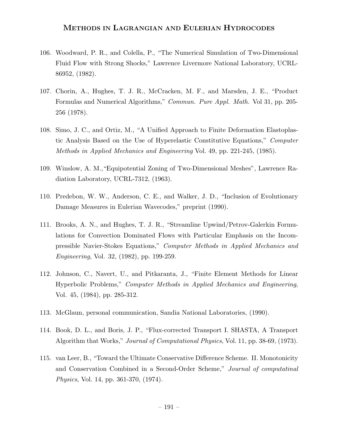- 106. Woodward, P. R., and Colella, P., "The Numerical Simulation of Two-Dimensional Fluid Flow with Strong Shocks," Lawrence Livermore National Laboratory, UCRL-86952, (1982).
- 107. Chorin, A., Hughes, T. J. R., McCracken, M. F., and Marsden, J. E., "Product Formulas and Numerical Algorithms," *Commun. Pure Appl. Math.* Vol 31, pp. 205- 256 (1978).
- 108. Simo, J. C., and Ortiz, M., "A Unified Approach to Finite Deformation Elastoplastic Analysis Based on the Use of Hyperelastic Constitutive Equations," *Computer Methods in Applied Mechanics and Engineering* Vol. 49, pp. 221-245, (1985).
- 109. Winslow, A. M.,"Equipotential Zoning of Two-Dimensional Meshes", Lawrence Radiation Laboratory, UCRL-7312, (1963).
- 110. Predebon, W. W., Anderson, C. E., and Walker, J. D., "Inclusion of Evolutionary Damage Measures in Eulerian Wavecodes," preprint (1990).
- 111. Brooks, A. N., and Hughes, T. J. R., "Streamline Upwind/Petrov-Galerkin Formulations for Convection Dominated Flows with Particular Emphasis on the Incompressible Navier-Stokes Equations," *Computer Methods in Applied Mechanics and Engineering*, Vol. 32, (1982), pp. 199-259.
- 112. Johnson, C., Navert, U., and Pitkaranta, J., "Finite Element Methods for Linear Hyperbolic Problems," *Computer Methods in Applied Mechanics and Engineering*, Vol. 45, (1984), pp. 285-312.
- 113. McGlaun, personal communication, Sandia National Laboratories, (1990).
- 114. Book, D. L., and Boris, J. P., "Flux-corrected Transport I. SHASTA, A Transport Algorithm that Works," *Journal of Computational Physics*, Vol. 11, pp. 38-69, (1973).
- 115. van Leer, B., "Toward the Ultimate Conservative Difference Scheme. II. Monotonicity and Conservation Combined in a Second-Order Scheme," *Journal of computatinal Physics*, Vol. 14, pp. 361-370, (1974).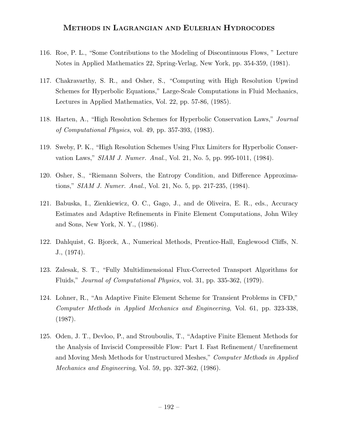- 116. Roe, P. L., "Some Contributions to the Modeling of Discontinuous Flows, " Lecture Notes in Applied Mathematics 22, Spring-Verlag, New York, pp. 354-359, (1981).
- 117. Chakravarthy, S. R., and Osher, S., "Computing with High Resolution Upwind Schemes for Hyperbolic Equations," Large-Scale Computations in Fluid Mechanics, Lectures in Applied Mathematics, Vol. 22, pp. 57-86, (1985).
- 118. Harten, A., "High Resolution Schemes for Hyperbolic Conservation Laws," *Journal of Computational Physics*, vol. 49, pp. 357-393, (1983).
- 119. Sweby, P. K., "High Resolution Schemes Using Flux Limiters for Hyperbolic Conservation Laws," *SIAM J. Numer. Anal.*, Vol. 21, No. 5, pp. 995-1011, (1984).
- 120. Osher, S., "Riemann Solvers, the Entropy Condition, and Difference Approximations," *SIAM J. Numer. Anal.*, Vol. 21, No. 5, pp. 217-235, (1984).
- 121. Babuska, I., Zienkiewicz, O. C., Gago, J., and de Oliveira, E. R., eds., Accuracy Estimates and Adaptive Refinements in Finite Element Computations, John Wiley and Sons, New York, N. Y., (1986).
- 122. Dahlquist, G. Bjorck, A., Numerical Methods, Prentice-Hall, Englewood Cliffs, N. J., (1974).
- 123. Zalesak, S. T., "Fully Multidimensional Flux-Corrected Transport Algorithms for Fluids," *Journal of Computational Physics*, vol. 31, pp. 335-362, (1979).
- 124. Lohner, R., "An Adaptive Finite Element Scheme for Transient Problems in CFD," *Computer Methods in Applied Mechanics and Engineering*, Vol. 61, pp. 323-338, (1987).
- 125. Oden, J. T., Devloo, P., and Strouboulis, T., "Adaptive Finite Element Methods for the Analysis of Inviscid Compressible Flow: Part I. Fast Refinement/ Unrefinement and Moving Mesh Methods for Unstructured Meshes," *Computer Methods in Applied Mechanics and Engineering*, Vol. 59, pp. 327-362, (1986).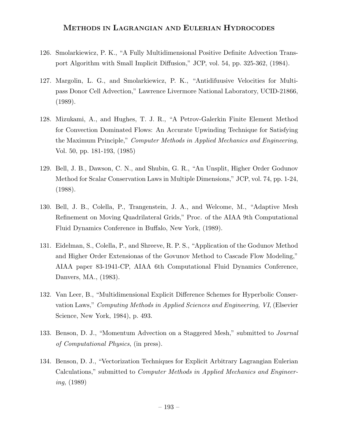- 126. Smolarkiewicz, P. K., "A Fully Multidimensional Positive Definite Advection Transport Algorithm with Small Implicit Diffusion," JCP, vol. 54, pp. 325-362, (1984).
- 127. Margolin, L. G., and Smolarkiewicz, P. K., "Antidifuusive Velocities for Multipass Donor Cell Advection," Lawrence Livermore National Laboratory, UCID-21866, (1989).
- 128. Mizukami, A., and Hughes, T. J. R., "A Petrov-Galerkin Finite Element Method for Convection Dominated Flows: An Accurate Upwinding Technique for Satisfying the Maximum Principle," *Computer Methods in Applied Mechanics and Engineering*, Vol. 50, pp. 181-193, (1985)
- 129. Bell, J. B., Dawson, C. N., and Shubin, G. R., "An Unsplit, Higher Order Godunov Method for Scalar Conservation Laws in Multiple Dimensions," JCP, vol. 74, pp. 1-24, (1988).
- 130. Bell, J. B., Colella, P., Trangenstein, J. A., and Welcome, M., "Adaptive Mesh Refinement on Moving Quadrilateral Grids," Proc. of the AIAA 9th Computational Fluid Dynamics Conference in Buffalo, New York, (1989).
- 131. Eidelman, S., Colella, P., and Shreeve, R. P. S., "Application of the Godunov Method and Higher Order Extensionas of the Govunov Method to Cascade Flow Modeling," AIAA paper 83-1941-CP, AIAA 6th Computational Fluid Dynamics Conference, Danvers, MA., (1983).
- 132. Van Leer, B., "Multidimensional Explicit Difference Schemes for Hyperbolic Conservation Laws," *Computing Methods in Applied Sciences and Engineering, VI*, (Elsevier Science, New York, 1984), p. 493.
- 133. Benson, D. J., "Momentum Advection on a Staggered Mesh," submitted to *Journal of Computational Physics*, (in press).
- 134. Benson, D. J., "Vectorization Techniques for Explicit Arbitrary Lagrangian Eulerian Calculations," submitted to *Computer Methods in Applied Mechanics and Engineering*, (1989)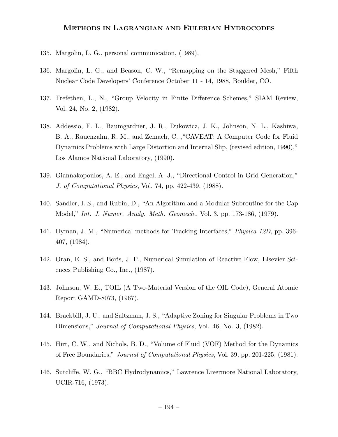- 135. Margolin, L. G., personal communication, (1989).
- 136. Margolin, L. G., and Beason, C. W., "Remapping on the Staggered Mesh," Fifth Nuclear Code Developers' Conference October 11 - 14, 1988, Boulder, CO.
- 137. Trefethen, L., N., "Group Velocity in Finite Difference Schemes," SIAM Review, Vol. 24, No. 2, (1982).
- 138. Addessio, F. L., Baumgardner, J. R., Dukowicz, J. K., Johnson, N. L., Kashiwa, B. A., Rauenzahn, R. M., and Zemach, C. ,"CAVEAT: A Computer Code for Fluid Dynamics Problems with Large Distortion and Internal Slip, (revised edition, 1990)," Los Alamos National Laboratory, (1990).
- 139. Giannakopoulos, A. E., and Engel, A. J., "Directional Control in Grid Generation," *J. of Computational Physics*, Vol. 74, pp. 422-439, (1988).
- 140. Sandler, I. S., and Rubin, D., "An Algorithm and a Modular Subroutine for the Cap Model," *Int. J. Numer. Analy. Meth. Geomech.*, Vol. 3, pp. 173-186, (1979).
- 141. Hyman, J. M., "Numerical methods for Tracking Interfaces," *Physica 12D*, pp. 396- 407, (1984).
- 142. Oran, E. S., and Boris, J. P., Numerical Simulation of Reactive Flow, Elsevier Sciences Publishing Co., Inc., (1987).
- 143. Johnson, W. E., TOIL (A Two-Material Version of the OIL Code), General Atomic Report GAMD-8073, (1967).
- 144. Brackbill, J. U., and Saltzman, J. S., "Adaptive Zoning for Singular Problems in Two Dimensions," *Journal of Computational Physics*, Vol. 46, No. 3, (1982).
- 145. Hirt, C. W., and Nichols, B. D., "Volume of Fluid (VOF) Method for the Dynamics of Free Boundaries," *Journal of Computational Physics*, Vol. 39, pp. 201-225, (1981).
- 146. Sutcliffe, W. G., "BBC Hydrodynamics," Lawrence Livermore National Laboratory, UCIR-716, (1973).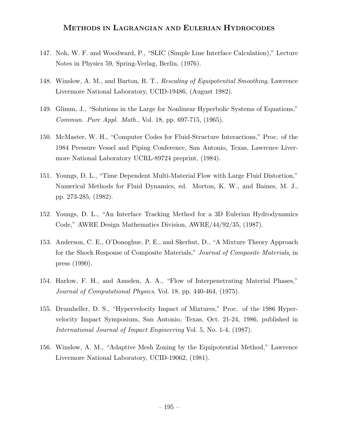- 147. Noh, W. F. and Woodward, P., "SLIC (Simple Line Interface Calculation)," Lecture Notes in Physics 59, Spring-Verlag, Berlin, (1976).
- 148. Winslow, A. M., and Barton, R. T., *Rescaling of Equipotential Smoothing*, Lawrence Livermore National Laboratory, UCID-19486, (August 1982).
- 149. Glimm, J., "Solutions in the Large for Nonlinear Hyperbolic Systems of Equations," *Commun. Pure Appl. Math.*, Vol. 18, pp. 697-715, (1965).
- 150. McMaster, W. H., "Computer Codes for Fluid-Structure Interactions," Proc. of the 1984 Pressure Vessel and Piping Conference, San Antonio, Texas, Lawrence Livermore National Laboratory UCRL-89724 preprint, (1984).
- 151. Youngs, D. L., "Time Dependent Multi-Material Flow with Large Fluid Distortion," Numerical Methods for Fluid Dynamics, ed. Morton, K. W., and Baines, M. J., pp. 273-285, (1982).
- 152. Youngs, D. L., "An Interface Tracking Method for a 3D Eulerian Hydrodynamics Code," AWRE Design Mathematics Division, AWRE/44/92/35, (1987).
- 153. Anderson, C. E., O'Donoghue, P. E., and Skerhut, D., "A Mixture Theory Approach for the Shock Response of Composite Materials," *Journal of Composite Materials*, in press (1990).
- 154. Harlow, F. H., and Amsden, A. A., "Flow of Interpenetrating Material Phases," *Journal of Computational Physics*, Vol. 18, pp. 440-464, (1975).
- 155. Drumheller, D. S., "Hypervelocity Impact of Mixtures," Proc. of the 1986 Hypervelocity Impact Symposium, San Antonio, Texas, Oct. 21-24, 1986, published in *International Journal of Impact Engineering* Vol. 5, No. 1-4, (1987).
- 156. Winslow, A. M., "Adaptive Mesh Zoning by the Equipotential Method," Lawrence Livermore National Laboratory, UCID-19062, (1981).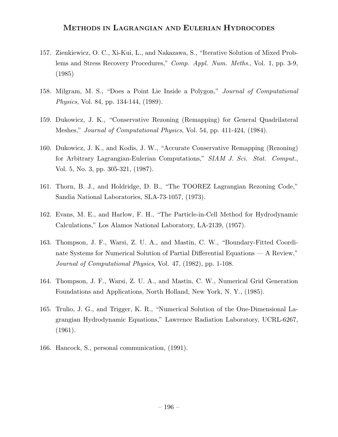- 157. Zienkiewicz, O. C., Xi-Kui, L., and Nakazawa, S., "Iterative Solution of Mixed Problems and Stress Recovery Procedures," *Comp. Appl. Num. Meths.*, Vol. 1, pp. 3-9, (1985)
- 158. Milgram, M. S., "Does a Point Lie Inside a Polygon," *Journal of Computational Physics*, Vol. 84, pp. 134-144, (1989).
- 159. Dukowicz, J. K., "Conservative Rezoning (Remapping) for General Quadrilateral Meshes," *Journal of Computational Physics*, Vol. 54, pp. 411-424, (1984).
- 160. Dukowicz, J. K., and Kodis, J. W., "Accurate Conservative Remapping (Rezoning) for Arbitrary Lagrangian-Eulerian Computations," *SIAM J. Sci. Stat. Comput.*, Vol. 5, No. 3, pp. 305-321, (1987).
- 161. Thorn, B. J., and Holdridge, D. B., "The TOOREZ Lagrangian Rezoning Code," Sandia National Laboratories, SLA-73-1057, (1973).
- 162. Evans, M. E., and Harlow, F. H., "The Particle-in-Cell Method for Hydrodynamic Calculations," Los Alamos National Laboratory, LA-2139, (1957).
- 163. Thompson, J. F., Warsi, Z. U. A., and Mastin, C. W., "Boundary-Fitted Coordinate Systems for Numerical Solution of Partial Differential Equations — A Review," *Journal of Computational Physics*, Vol. 47, (1982), pp. 1-108.
- 164. Thompson, J. F., Warsi, Z. U. A., and Mastin, C. W., Numerical Grid Generation Foundations and Applications, North Holland, New York, N. Y., (1985).
- 165. Trulio, J. G., and Trigger, K. R., "Numerical Solution of the One-Dimensional Lagrangian Hydrodynamic Equations," Lawrence Radiation Laboratory, UCRL-6267, (1961).
- 166. Hancock, S., personal communication, (1991).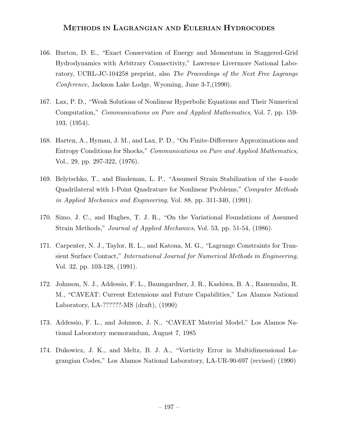- 166. Burton, D. E., "Exact Conservation of Energy and Momentum in Staggered-Grid Hydrodynamics with Arbitrary Connectivity," Lawrence Livermore National Laboratory, UCRL-JC-104258 preprint, also *The Proceedings of the Next Free Lagrange Conference*, Jackson Lake Lodge, Wyoming, June 3-7,(1990).
- 167. Lax, P. D., "Weak Solutions of Nonlinear Hyperbolic Equations and Their Numerical Computation," *Communications on Pure and Applied Mathematics*, Vol. 7, pp. 159- 193, (1954).
- 168. Harten, A., Hyman, J. M., and Lax, P. D., "On Finite-Difference Approximations and Entropy Conditions for Shocks," *Communications on Pure and Applied Mathematics*, Vol., 29, pp. 297-322, (1976).
- 169. Belytschko, T., and Bindeman, L. P., "Assumed Strain Stabilization of the 4-node Quadrilateral with 1-Point Quadrature for Nonlinear Problems," *Computer Methods in Applied Mechanics and Engineering*, Vol. 88, pp. 311-340, (1991).
- 170. Simo, J. C., and Hughes, T. J. R., "On the Variational Foundations of Assumed Strain Methods," *Journal of Applied Mechanics*, Vol. 53, pp. 51-54, (1986).
- 171. Carpenter, N. J., Taylor, R. L., and Katona, M. G., "Lagrange Constraints for Transient Surface Contact," *International Journal for Numerical Methods in Engineering*, Vol. 32, pp. 103-128, (1991).
- 172. Johnson, N. J., Addessio, F. L., Baumgardner, J. R., Kashiwa, B. A., Rauenzahn, R. M., "CAVEAT: Current Extensions and Future Capabilities," Los Alamos National Laboratory, LA-??????-MS (draft), (1990)
- 173. Addessio, F. L., and Johnson, J. N., "CAVEAT Material Model," Los Alamos National Laboratory memorandum, August 7, 1985
- 174. Dukowicz, J. K., and Meltz, B. J. A., "Vorticity Error in Multidimensional Lagrangian Codes," Los Alamos National Laboratory, LA-UR-90-697 (revised) (1990)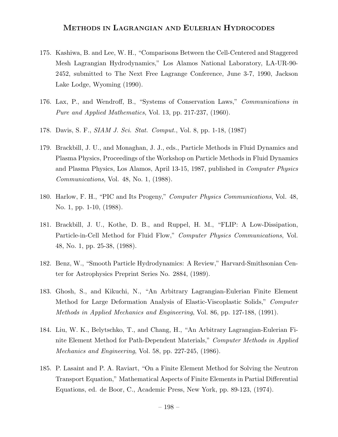- 175. Kashiwa, B. and Lee, W. H., "Comparisons Between the Cell-Centered and Staggered Mesh Lagrangian Hydrodynamics," Los Alamos National Laboratory, LA-UR-90- 2452, submitted to The Next Free Lagrange Conference, June 3-7, 1990, Jackson Lake Lodge, Wyoming (1990).
- 176. Lax, P., and Wendroff, B., "Systems of Conservation Laws," *Communications in Pure and Applied Mathematics*, Vol. 13, pp. 217-237, (1960).
- 178. Davis, S. F., *SIAM J. Sci. Stat. Comput.*, Vol. 8, pp. 1-18, (1987)
- 179. Brackbill, J. U., and Monaghan, J. J., eds., Particle Methods in Fluid Dynamics and Plasma Physics, Proceedings of the Workshop on Particle Methods in Fluid Dynamics and Plasma Physics, Los Alamos, April 13-15, 1987, published in *Computer Physics Communications*, Vol. 48, No. 1, (1988).
- 180. Harlow, F. H., "PIC and Its Progeny," *Computer Physics Communications*, Vol. 48, No. 1, pp. 1-10, (1988).
- 181. Brackbill, J. U., Kothe, D. B., and Ruppel, H. M., "FLIP: A Low-Dissipation, Particle-in-Cell Method for Fluid Flow," *Computer Physics Communications*, Vol. 48, No. 1, pp. 25-38, (1988).
- 182. Benz, W., "Smooth Particle Hydrodynamics: A Review," Harvard-Smithsonian Center for Astrophysics Preprint Series No. 2884, (1989).
- 183. Ghosh, S., and Kikuchi, N., "An Arbitrary Lagrangian-Eulerian Finite Element Method for Large Deformation Analysis of Elastic-Viscoplastic Solids," *Computer Methods in Applied Mechanics and Engineering*, Vol. 86, pp. 127-188, (1991).
- 184. Liu, W. K., Belytschko, T., and Chang, H., "An Arbitrary Lagrangian-Eulerian Finite Element Method for Path-Dependent Materials," *Computer Methods in Applied Mechanics and Engineering*, Vol. 58, pp. 227-245, (1986).
- 185. P. Lasaint and P. A. Raviart, "On a Finite Element Method for Solving the Neutron Transport Equation," Mathematical Aspects of Finite Elements in Partial Differential Equations, ed. de Boor, C., Academic Press, New York, pp. 89-123, (1974).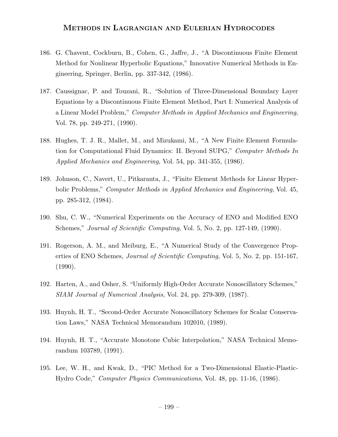- 186. G. Chavent, Cockburn, B., Cohen, G., Jaffre, J., "A Discontinuous Finite Element Method for Nonlinear Hyperbolic Equations," Innovative Numerical Methods in Engineering, Springer, Berlin, pp. 337-342, (1986).
- 187. Caussignac, P. and Touzani, R., "Solution of Three-Dimensional Boundary Layer Equations by a Discontinuous Finite Element Method, Part I: Numerical Analysis of a Linear Model Problem," *Computer Methods in Applied Mechanics and Engineering*, Vol. 78, pp. 249-271, (1990).
- 188. Hughes, T. J. R., Mallet, M., and Mizukami, M., "A New Finite Element Formulation for Computational Fluid Dynamics: II. Beyond SUPG," *Computer Methods In Applied Mechanics and Engineering*, Vol. 54, pp. 341-355, (1986).
- 189. Johnson, C., Navert, U., Pitkaranta, J., "Finite Element Methods for Linear Hyperbolic Problems," *Computer Methods in Applied Mechanics and Engineering*, Vol. 45, pp. 285-312, (1984).
- 190. Shu, C. W., "Numerical Experiments on the Accuracy of ENO and Modified ENO Schemes," *Journal of Scientific Computing*, Vol. 5, No. 2, pp. 127-149, (1990).
- 191. Rogerson, A. M., and Meiburg, E., "A Numerical Study of the Convergence Properties of ENO Schemes, *Journal of Scientific Computing*, Vol. 5, No. 2, pp. 151-167, (1990).
- 192. Harten, A., and Osher, S. "Uniformly High-Order Accurate Nonoscillatory Schemes," *SIAM Journal of Numerical Analysis*, Vol. 24, pp. 279-309, (1987).
- 193. Huynh, H. T., "Second-Order Accurate Nonoscillatory Schemes for Scalar Conservation Laws," NASA Technical Memorandum 102010, (1989).
- 194. Huynh, H. T., "Accurate Monotone Cubic Interpolation," NASA Technical Memorandum 103789, (1991).
- 195. Lee, W. H., and Kwak, D., "PIC Method for a Two-Dimensional Elastic-Plastic-Hydro Code," *Computer Physics Communications*, Vol. 48, pp. 11-16, (1986).